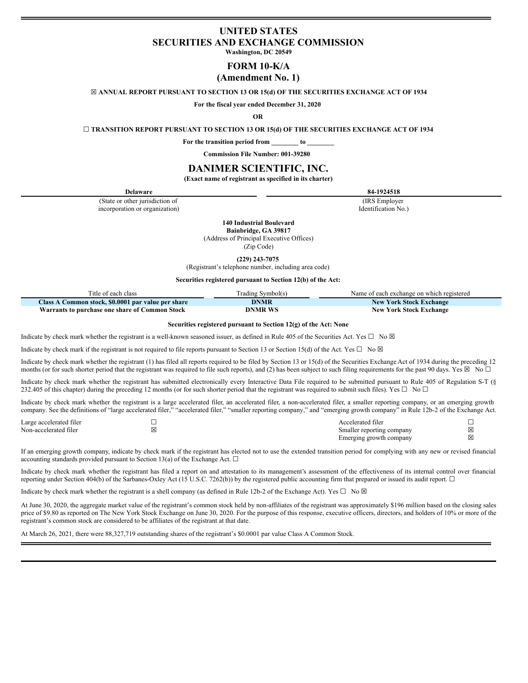# **UNITED STATES SECURITIES AND EXCHANGE COMMISSION**

**Washington, DC 20549**

**FORM 10-K/A**

## **(Amendment No. 1)**

☒ **ANNUAL REPORT PURSUANT TO SECTION 13 OR 15(d) OF THE SECURITIES EXCHANGE ACT OF 1934**

**For the fiscal year ended December 31, 2020**

**OR**

☐ **TRANSITION REPORT PURSUANT TO SECTION 13 OR 15(d) OF THE SECURITIES EXCHANGE ACT OF 1934**

**For the transition period from \_\_\_\_\_\_\_\_ to \_\_\_\_\_\_\_\_**

**Commission File Number: 001-39280**

# **DANIMER SCIENTIFIC, INC.**

## **(Exact name of registrant as specified in its charter)**

**Delaware 84-1924518**

(State or other jurisdiction of incorporation or organization)

(IRS Employer Identification No.)

**140 Industrial Boulevard**

**Bainbridge, GA 39817** (Address of Principal Executive Offices)

(Zip Code)

**(229) 243-7075**

(Registrant's telephone number, including area code)

**Securities registered pursuant to Section 12(b) of the Act:**

| Title of each class                                | Trading Symbol(s) | Name of each exchange on which registered |
|----------------------------------------------------|-------------------|-------------------------------------------|
| Class A Common stock, \$0.0001 par value per share | <b>DNMR</b>       | <b>New York Stock Exchange</b>            |
| Warrants to purchase one share of Common Stock     | DNMR WS           | <b>New York Stock Exchange</b>            |

#### **Securities registered pursuant to Section 12(g) of the Act: None**

Indicate by check mark whether the registrant is a well-known seasoned issuer, as defined in Rule 405 of the Securities Act. Yes  $\Box$  No  $\boxtimes$ 

Indicate by check mark if the registrant is not required to file reports pursuant to Section 13 or Section 15(d) of the Act. Yes  $\Box$  No  $\boxtimes$ 

Indicate by check mark whether the registrant (1) has filed all reports required to be filed by Section 13 or 15(d) of the Securities Exchange Act of 1934 during the preceding 12 months (or for such shorter period that the registrant was required to file such reports), and (2) has been subject to such filing requirements for the past 90 days. Yes  $\boxtimes$  No  $\Box$ 

Indicate by check mark whether the registrant has submitted electronically every Interactive Data File required to be submitted pursuant to Rule 405 of Regulation S-T (§ 232.405 of this chapter) during the preceding 12 months (or for such shorter period that the registrant was required to submit such files). Yes  $\Box$  No  $\Box$ 

Indicate by check mark whether the registrant is a large accelerated filer, an accelerated filer, a non-accelerated filer, a smaller reporting company, or an emerging growth company. See the definitions of "large accelerated filer," "accelerated filer," "smaller reporting company," and "emerging growth company" in Rule 12b-2 of the Exchange Act.

| X<br>Emerging growth company | Large accelerated filer<br>Non-accelerated filer |  | Accelerated filer<br>Smaller reporting company | ⊠ |
|------------------------------|--------------------------------------------------|--|------------------------------------------------|---|
|------------------------------|--------------------------------------------------|--|------------------------------------------------|---|

If an emerging growth company, indicate by check mark if the registrant has elected not to use the extended transition period for complying with any new or revised financial accounting standards provided pursuant to Section 13(a) of the Exchange Act.  $\square$ 

Indicate by check mark whether the registrant has filed a report on and attestation to its management's assessment of the effectiveness of its internal control over financial reporting under Section 404(b) of the Sarbanes-Oxley Act (15 U.S.C. 7262(b)) by the registered public accounting firm that prepared or issued its audit report. ☐

Indicate by check mark whether the registrant is a shell company (as defined in Rule 12b-2 of the Exchange Act). Yes  $\Box$  No  $\boxtimes$ 

At June 30, 2020, the aggregate market value of the registrant's common stock held by non-affiliates of the registrant was approximately \$196 million based on the closing sales price of \$9.80 as reported on The New York Stock Exchange on June 30, 2020. For the purpose of this response, executive officers, directors, and holders of 10% or more of the registrant's common stock are considered to be affiliates of the registrant at that date.

At March 26, 2021, there were 88,327,719 outstanding shares of the registrant's \$0.0001 par value Class A Common Stock.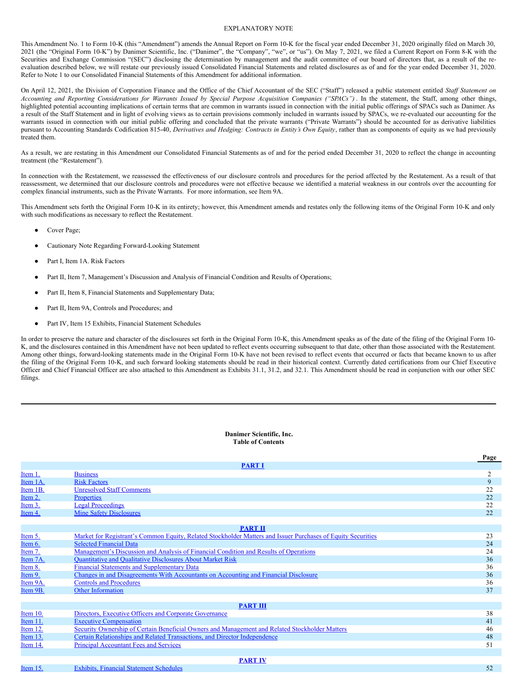#### EXPLANATORY NOTE

This Amendment No. 1 to Form 10-K (this "Amendment") amends the Annual Report on Form 10-K for the fiscal year ended December 31, 2020 originally filed on March 30, 2021 (the "Original Form 10-K") by Danimer Scientific, Inc. ("Danimer", the "Company", "we", or "us"). On May 7, 2021, we filed a Current Report on Form 8-K with the Securities and Exchange Commission "(SEC") disclosing the determination by management and the audit committee of our board of directors that, as a result of the reevaluation described below, we will restate our previously issued Consolidated Financial Statements and related disclosures as of and for the year ended December 31, 2020. Refer to Note 1 to our Consolidated Financial Statements of this Amendment for additional information.

On April 12, 2021, the Division of Corporation Finance and the Office of the Chief Accountant of the SEC ("Staff") released a public statement entitled *Staf Statement on* Accounting and Reporting Considerations for Warrants Issued by Special Purpose Acquisition Companies ("SPACs"). In the statement, the Staff, among other things, highlighted potential accounting implications of certain terms that are common in warrants issued in connection with the initial public offerings of SPACs such as Danimer. As a result of the Staff Statement and in light of evolving views as to certain provisions commonly included in warrants issued by SPACs, we re-evaluated our accounting for the warrants issued in connection with our initial public offering and concluded that the private warrants ("Private Warrants") should be accounted for as derivative liabilities pursuant to Accounting Standards Codification 815-40, Derivatives and Hedging: Contracts in Entity's Own Equity, rather than as components of equity as we had previously treated them.

As a result, we are restating in this Amendment our Consolidated Financial Statements as of and for the period ended December 31, 2020 to reflect the change in accounting treatment (the "Restatement").

In connection with the Restatement, we reassessed the effectiveness of our disclosure controls and procedures for the period affected by the Restatement. As a result of that reassessment, we determined that our disclosure controls and procedures were not effective because we identified a material weakness in our controls over the accounting for complex financial instruments, such as the Private Warrants. For more information, see Item 9A.

This Amendment sets forth the Original Form 10-K in its entirety; however, this Amendment amends and restates only the following items of the Original Form 10-K and only with such modifications as necessary to reflect the Restatement.

- Cover Page;
- Cautionary Note Regarding Forward-Looking Statement
- Part I, Item 1A. Risk Factors
- Part II, Item 7, Management's Discussion and Analysis of Financial Condition and Results of Operations;
- Part II, Item 8, Financial Statements and Supplementary Data;
- Part II, Item 9A, Controls and Procedures; and
- Part IV, Item 15 Exhibits, Financial Statement Schedules

In order to preserve the nature and character of the disclosures set forth in the Original Form 10-K, this Amendment speaks as of the date of the filing of the Original Form 10- K, and the disclosures contained in this Amendment have not been updated to reflect events occurring subsequent to that date, other than those associated with the Restatement. Among other things, forward-looking statements made in the Original Form 10-K have not been revised to reflect events that occurred or facts that became known to us after the filing of the Original Form 10-K, and such forward looking statements should be read in their historical context. Currently dated certifications from our Chief Executive Officer and Chief Financial Officer are also attached to this Amendment as Exhibits 31.1, 31.2, and 32.1. This Amendment should be read in conjunction with our other SEC filings.

#### **Danimer Scientific, Inc. Table of Contents**

**Page**

|                 |                                                                                                              | rage |
|-----------------|--------------------------------------------------------------------------------------------------------------|------|
|                 | <b>PART I</b>                                                                                                |      |
| Item 1.         | <b>Business</b>                                                                                              | 2    |
| Item 1A.        | <b>Risk Factors</b>                                                                                          | 9    |
| Item 1B.        | <b>Unresolved Staff Comments</b>                                                                             | 22   |
| Item 2.         | Properties                                                                                                   | 22   |
| Item 3.         | <b>Legal Proceedings</b>                                                                                     | 22   |
| Item 4.         | <b>Mine Safety Disclosures</b>                                                                               | 22   |
|                 |                                                                                                              |      |
|                 | <b>PART II</b>                                                                                               |      |
| Item 5.         | Market for Registrant's Common Equity, Related Stockholder Matters and Issuer Purchases of Equity Securities | 23   |
| Item 6.         | <b>Selected Financial Data</b>                                                                               | 24   |
| Item 7.         | Management's Discussion and Analysis of Financial Condition and Results of Operations                        | 24   |
| Item 7A.        | <b>Ouantitative and Oualitative Disclosures About Market Risk</b>                                            | 36   |
| Item 8.         | <b>Financial Statements and Supplementary Data</b>                                                           | 36   |
| Item 9.         | Changes in and Disagreements With Accountants on Accounting and Financial Disclosure                         | 36   |
| Item 9A.        | <b>Controls and Procedures</b>                                                                               | 36   |
| Item 9B.        | <b>Other Information</b>                                                                                     | 37   |
|                 |                                                                                                              |      |
|                 | <b>PART III</b>                                                                                              |      |
| Item $10$ .     | Directors, Executive Officers and Corporate Governance                                                       | 38   |
| <b>Item 11.</b> | <b>Executive Compensation</b>                                                                                | 41   |
| Item 12.        | Security Ownership of Certain Beneficial Owners and Management and Related Stockholder Matters               | 46   |
| Item 13.        | Certain Relationships and Related Transactions, and Director Independence                                    | 48   |
| Item 14.        | <b>Principal Accountant Fees and Services</b>                                                                | 51   |
|                 |                                                                                                              |      |
|                 | <b>PART IV</b>                                                                                               |      |
| Item $15$ .     | <b>Exhibits. Financial Statement Schedules</b>                                                               | 52   |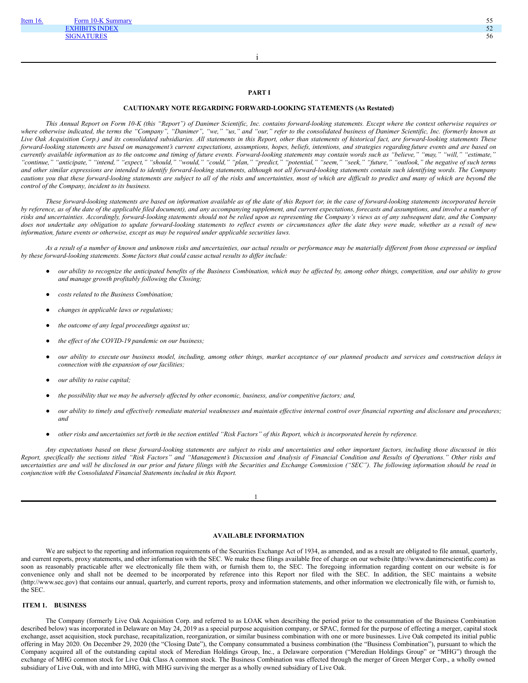**[Item](#page-37-0) 16.** Form 10-K [Summary](#page-37-0) 55 **[EXHIBITS](#page-35-2) INDEX** 52 <u>[SIGNATURES](#page-37-1)</u> 56

i

#### <span id="page-2-0"></span>**PART I**

## **CAUTIONARY NOTE REGARDING FORWARD-LOOKING STATEMENTS (As Restated)**

This Annual Report on Form 10-K (this "Report") of Danimer Scientific, Inc. contains forward-looking statements. Except where the context otherwise requires or where otherwise indicated, the terms the "Company", "Danimer", "we," "us," and "our," refer to the consolidated business of Danimer Scientific, Inc. (formerly known as Live Oak Acquisition Corp.) and its consolidated subsidiaries. All statements in this Report, other than statements of historical fact, are forward-looking statements These forward-looking statements are based on management's current expectations, assumptions, hopes, beliefs, intentions, and strategies regarding future events and are based on currently available information as to the outcome and timing of future events. Forward-looking statements may contain words such as "believe," "may," "will," "estimate," "continue," "anticipate," "intend," "expect," "should," "would," "could," "plan," "predict," "potential," "seem," "seek," "future," "outlook," the negative of such terms and other similar expressions are intended to identify forward-looking statements, although not all forward-looking statements contain such identifying words. The Company cautions you that these forward-looking statements are subject to all of the risks and uncertainties, most of which are difficult to predict and many of which are beyond the *control of the Company, incident to its business.*

These forward-looking statements are based on information available as of the date of this Report (or, in the case of forward-looking statements incorporated herein by reference, as of the date of the applicable filed document), and any accompanying supplement, and current expectations, forecasts and assumptions, and involve a number of risks and uncertainties. Accordingly, forward-looking statements should not be relied upon as representing the Company's views as of any subsequent date, and the Company does not undertake any obligation to update forward-looking statements to reflect events or circumstances after the date they were made, whether as a result of new *information, future events or otherwise, except as may be required under applicable securities laws.*

As a result of a number of known and unknown risks and uncertainties, our actual results or performance may be materially different from those expressed or implied *by these forward-looking statements. Some factors that could cause actual results to dif er include:*

- our ability to recognize the anticipated benefits of the Business Combination, which may be affected by, among other things, competition, and our ability to grow *and manage growth profitably following the Closing;*
- *● costs related to the Business Combination;*
- *● changes in applicable laws or regulations;*
- *● the outcome of any legal proceedings against us;*
- *● the ef ect of the COVID-19 pandemic on our business;*
- our ability to execute our business model, including, among other things, market acceptance of our planned products and services and construction delays in *connection with the expansion of our facilities;*
- *● our ability to raise capital;*
- the possibility that we may be adversely affected by other economic, business, and/or competitive factors; and,
- our ability to timely and effectively remediate material weaknesses and maintain effective internal control over financial reporting and disclosure and procedures; *and*
- other risks and uncertainties set forth in the section entitled "Risk Factors" of this Report, which is incorporated herein by reference.

Any expectations based on these forward-looking statements are subject to risks and uncertainties and other important factors, including those discussed in this Report, specifically the sections titled "Risk Factors" and "Management's Discussion and Analysis of Financial Condition and Results of Operations." Other risks and uncertainties are and will be disclosed in our prior and future filings with the Securities and Exchange Commission ("SEC"). The following information should be read in *conjunction with the Consolidated Financial Statements included in this Report.*

1

## **AVAILABLE INFORMATION**

We are subject to the reporting and information requirements of the Securities Exchange Act of 1934, as amended, and as a result are obligated to file annual, quarterly, and current reports, proxy statements, and other information with the SEC. We make these filings available free of charge on our website (http://www.danimerscientific.com) as soon as reasonably practicable after we electronically file them with, or furnish them to, the SEC. The foregoing information regarding content on our website is for convenience only and shall not be deemed to be incorporated by reference into this Report nor filed with the SEC. In addition, the SEC maintains a website (http://www.sec.gov) that contains our annual, quarterly, and current reports, proxy and information statements, and other information we electronically file with, or furnish to, the SEC.

## <span id="page-2-1"></span>**ITEM 1. BUSINESS**

The Company (formerly Live Oak Acquisition Corp. and referred to as LOAK when describing the period prior to the consummation of the Business Combination described below) was incorporated in Delaware on May 24, 2019 as a special purpose acquisition company, or SPAC, formed for the purpose of effecting a merger, capital stock exchange, asset acquisition, stock purchase, recapitalization, reorganization, or similar business combination with one or more businesses. Live Oak competed its initial public offering in May 2020. On December 29, 2020 (the "Closing Date"), the Company consummated a business combination (the "Business Combination"), pursuant to which the Company acquired all of the outstanding capital stock of Meredian Holdings Group, Inc., a Delaware corporation ("Meredian Holdings Group" or "MHG") through the exchange of MHG common stock for Live Oak Class A common stock. The Business Combination was effected through the merger of Green Merger Corp., a wholly owned subsidiary of Live Oak, with and into MHG, with MHG surviving the merger as a wholly owned subsidiary of Live Oak.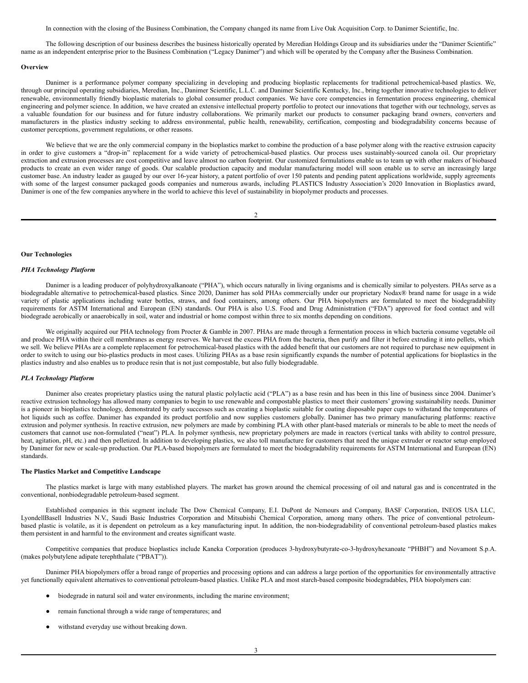In connection with the closing of the Business Combination, the Company changed its name from Live Oak Acquisition Corp. to Danimer Scientific, Inc.

The following description of our business describes the business historically operated by Meredian Holdings Group and its subsidiaries under the "Danimer Scientific" name as an independent enterprise prior to the Business Combination ("Legacy Danimer") and which will be operated by the Company after the Business Combination.

#### **Overview**

Danimer is a performance polymer company specializing in developing and producing bioplastic replacements for traditional petrochemical-based plastics. We, through our principal operating subsidiaries, Meredian, Inc., Danimer Scientific, L.L.C. and Danimer Scientific Kentucky, Inc., bring together innovative technologies to deliver renewable, environmentally friendly bioplastic materials to global consumer product companies. We have core competencies in fermentation process engineering, chemical engineering and polymer science. In addition, we have created an extensive intellectual property portfolio to protect our innovations that together with our technology, serves as a valuable foundation for our business and for future industry collaborations. We primarily market our products to consumer packaging brand owners, converters and manufacturers in the plastics industry seeking to address environmental, public health, renewability, certification, composting and biodegradability concerns because of customer perceptions, government regulations, or other reasons.

We believe that we are the only commercial company in the bioplastics market to combine the production of a base polymer along with the reactive extrusion capacity in order to give customers a "drop-in" replacement for a wide variety of petrochemical-based plastics. Our process uses sustainably-sourced canola oil. Our proprietary extraction and extrusion processes are cost competitive and leave almost no carbon footprint. Our customized formulations enable us to team up with other makers of biobased products to create an even wider range of goods. Our scalable production capacity and modular manufacturing model will soon enable us to serve an increasingly large customer base. An industry leader as gauged by our over 16-year history, a patent portfolio of over 150 patents and pending patent applications worldwide, supply agreements with some of the largest consumer packaged goods companies and numerous awards, including PLASTICS Industry Association's 2020 Innovation in Bioplastics award, Danimer is one of the few companies anywhere in the world to achieve this level of sustainability in biopolymer products and processes.

#### **Our Technologies**

## *PHA Technology Platform*

Danimer is a leading producer of polyhydroxyalkanoate ("PHA"), which occurs naturally in living organisms and is chemically similar to polyesters. PHAs serve as a biodegradable alternative to petrochemical-based plastics. Since 2020, Danimer has sold PHAs commercially under our proprietary Nodax® brand name for usage in a wide variety of plastic applications including water bottles, straws, and food containers, among others. Our PHA biopolymers are formulated to meet the biodegradability requirements for ASTM International and European (EN) standards. Our PHA is also U.S. Food and Drug Administration ("FDA") approved for food contact and will biodegrade aerobically or anaerobically in soil, water and industrial or home compost within three to six months depending on conditions.

We originally acquired our PHA technology from Procter & Gamble in 2007. PHAs are made through a fermentation process in which bacteria consume vegetable oil and produce PHA within their cell membranes as energy reserves. We harvest the excess PHA from the bacteria, then purify and filter it before extruding it into pellets, which we sell. We believe PHAs are a complete replacement for petrochemical-based plastics with the added benefit that our customers are not required to purchase new equipment in order to switch to using our bio-plastics products in most cases. Utilizing PHAs as a base resin significantly expands the number of potential applications for bioplastics in the plastics industry and also enables us to produce resin that is not just compostable, but also fully biodegradable.

## *PLA Technology Platform*

Danimer also creates proprietary plastics using the natural plastic polylactic acid ("PLA") as a base resin and has been in this line of business since 2004. Danimer's reactive extrusion technology has allowed many companies to begin to use renewable and compostable plastics to meet their customers' growing sustainability needs. Danimer is a pioneer in bioplastics technology, demonstrated by early successes such as creating a bioplastic suitable for coating disposable paper cups to withstand the temperatures of hot liquids such as coffee. Danimer has expanded its product portfolio and now supplies customers globally. Danimer has two primary manufacturing platforms: reactive extrusion and polymer synthesis. In reactive extrusion, new polymers are made by combining PLA with other plant-based materials or minerals to be able to meet the needs of customers that cannot use non-formulated ("neat") PLA. In polymer synthesis, new proprietary polymers are made in reactors (vertical tanks with ability to control pressure, heat, agitation, pH, etc.) and then pelletized. In addition to developing plastics, we also toll manufacture for customers that need the unique extruder or reactor setup employed by Danimer for new or scale-up production. Our PLA-based biopolymers are formulated to meet the biodegradability requirements for ASTM International and European (EN) standards.

#### **The Plastics Market and Competitive Landscape**

The plastics market is large with many established players. The market has grown around the chemical processing of oil and natural gas and is concentrated in the conventional, nonbiodegradable petroleum-based segment.

Established companies in this segment include The Dow Chemical Company, E.I. DuPont de Nemours and Company, BASF Corporation, INEOS USA LLC, LyondellBasell Industries N.V., Saudi Basic Industries Corporation and Mitsubishi Chemical Corporation, among many others. The price of conventional petroleumbased plastic is volatile, as it is dependent on petroleum as a key manufacturing input. In addition, the non-biodegradability of conventional petroleum-based plastics makes them persistent in and harmful to the environment and creates significant waste.

Competitive companies that produce bioplastics include Kaneka Corporation (produces 3-hydroxybutyrate-co-3-hydroxyhexanoate "PHBH") and Novamont S.p.A. (makes polybutylene adipate terephthalate ("PBAT")).

Danimer PHA biopolymers offer a broad range of properties and processing options and can address a large portion of the opportunities for environmentally attractive yet functionally equivalent alternatives to conventional petroleum-based plastics. Unlike PLA and most starch-based composite biodegradables, PHA biopolymers can:

- biodegrade in natural soil and water environments, including the marine environment;
- remain functional through a wide range of temperatures; and
- withstand everyday use without breaking down.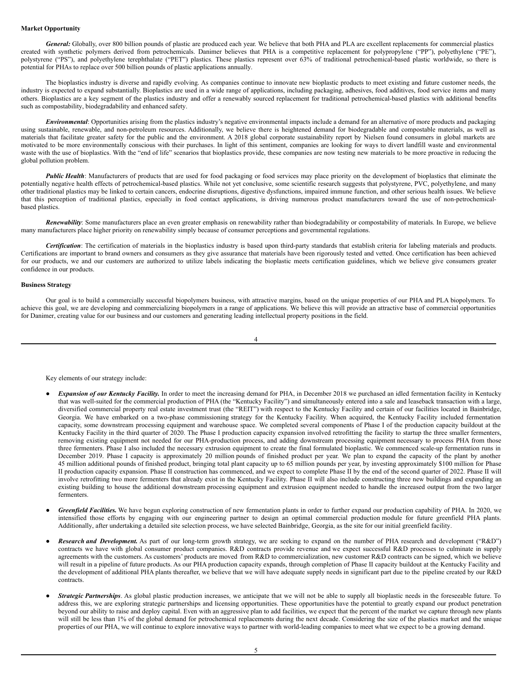## **Market Opportunity**

*General:* Globally, over 800 billion pounds of plastic are produced each year. We believe that both PHA and PLA are excellent replacements for commercial plastics created with synthetic polymers derived from petrochemicals. Danimer believes that PHA is a competitive replacement for polypropylene ("PP"), polyethylene ("PE"), polystyrene ("PS"), and polyethylene terephthalate ("PET") plastics. These plastics represent over 63% of traditional petrochemical-based plastic worldwide, so there is potential for PHAs to replace over 500 billion pounds of plastic applications annually.

The bioplastics industry is diverse and rapidly evolving. As companies continue to innovate new bioplastic products to meet existing and future customer needs, the industry is expected to expand substantially. Bioplastics are used in a wide range of applications, including packaging, adhesives, food additives, food service items and many others. Bioplastics are a key segment of the plastics industry and offer a renewably sourced replacement for traditional petrochemical-based plastics with additional benefits such as compostability, biodegradability and enhanced safety.

*Environmental*: Opportunities arising from the plastics industry's negative environmental impacts include a demand for an alternative of more products and packaging using sustainable, renewable, and non-petroleum resources. Additionally, we believe there is heightened demand for biodegradable and compostable materials, as well as materials that facilitate greater safety for the public and the environment. A 2018 global corporate sustainability report by Nielsen found consumers in global markets are motivated to be more environmentally conscious with their purchases. In light of this sentiment, companies are looking for ways to divert landfill waste and environmental waste with the use of bioplastics. With the "end of life" scenarios that bioplastics provide, these companies are now testing new materials to be more proactive in reducing the global pollution problem.

Public Health: Manufacturers of products that are used for food packaging or food services may place priority on the development of bioplastics that eliminate the potentially negative health effects of petrochemical-based plastics. While not yet conclusive, some scientific research suggests that polystyrene, PVC, polyethylene, and many other traditional plastics may be linked to certain cancers, endocrine disruptions, digestive dysfunctions, impaired immune function, and other serious health issues. We believe that this perception of traditional plastics, especially in food contact applications, is driving numerous product manufacturers toward the use of non-petrochemicalbased plastics.

*Renewability*: Some manufacturers place an even greater emphasis on renewability rather than biodegradability or compostability of materials. In Europe, we believe many manufacturers place higher priority on renewability simply because of consumer perceptions and governmental regulations.

*Certification*: The certification of materials in the bioplastics industry is based upon third-party standards that establish criteria for labeling materials and products. Certifications are important to brand owners and consumers as they give assurance that materials have been rigorously tested and vetted. Once certification has been achieved for our products, we and our customers are authorized to utilize labels indicating the bioplastic meets certification guidelines, which we believe give consumers greater confidence in our products.

## **Business Strategy**

Our goal is to build a commercially successful biopolymers business, with attractive margins, based on the unique properties of our PHA and PLA biopolymers. To achieve this goal, we are developing and commercializing biopolymers in a range of applications. We believe this will provide an attractive base of commercial opportunities for Danimer, creating value for our business and our customers and generating leading intellectual property positions in the field.

| ٦ |  |
|---|--|
|   |  |
|   |  |

Key elements of our strategy include:

- **Expansion of our Kentucky Facility**. In order to meet the increasing demand for PHA, in December 2018 we purchased an idled fermentation facility in Kentucky that was well-suited for the commercial production of PHA (the "Kentucky Facility") and simultaneously entered into a sale and leaseback transaction with a large, diversified commercial property real estate investment trust (the "REIT") with respect to the Kentucky Facility and certain of our facilities located in Bainbridge, Georgia. We have embarked on a two-phase commissioning strategy for the Kentucky Facility. When acquired, the Kentucky Facility included fermentation capacity, some downstream processing equipment and warehouse space. We completed several components of Phase I of the production capacity buildout at the Kentucky Facility in the third quarter of 2020. The Phase I production capacity expansion involved retrofitting the facility to startup the three smaller fermenters, removing existing equipment not needed for our PHA-production process, and adding downstream processing equipment necessary to process PHA from those three fermenters. Phase I also included the necessary extrusion equipment to create the final formulated bioplastic. We commenced scale-up fermentation runs in December 2019. Phase I capacity is approximately 20 million pounds of finished product per year. We plan to expand the capacity of the plant by another 45 million additional pounds of finished product, bringing total plant capacity up to 65 million pounds per year, by investing approximately \$100 million for Phase II production capacity expansion. Phase II construction has commenced, and we expect to complete Phase II by the end of the second quarter of 2022. Phase II will involve retrofitting two more fermenters that already exist in the Kentucky Facility. Phase II will also include constructing three new buildings and expanding an existing building to house the additional downstream processing equipment and extrusion equipment needed to handle the increased output from the two larger fermenters.
- Greenfield Facilities. We have begun exploring construction of new fermentation plants in order to further expand our production capability of PHA. In 2020, we intensified those efforts by engaging with our engineering partner to design an optimal commercial production module for future greenfield PHA plants. Additionally, after undertaking a detailed site selection process, we have selected Bainbridge, Georgia, as the site for our initial greenfield facility.
- Research and Development. As part of our long-term growth strategy, we are seeking to expand on the number of PHA research and development ("R&D") contracts we have with global consumer product companies. R&D contracts provide revenue and we expect successful R&D processes to culminate in supply agreements with the customers. As customers' products are moved from R&D to commercialization, new customer R&D contracts can be signed, which we believe will result in a pipeline of future products. As our PHA production capacity expands, through completion of Phase II capacity buildout at the Kentucky Facility and the development of additional PHA plants thereafter, we believe that we will have adequate supply needs in significant part due to the pipeline created by our R&D contracts.
- **Strategic Partnerships**. As global plastic production increases, we anticipate that we will not be able to supply all bioplastic needs in the foreseeable future. To address this, we are exploring strategic partnerships and licensing opportunities. These opportunities have the potential to greatly expand our product penetration beyond our ability to raise and deploy capital. Even with an aggressive plan to add facilities, we expect that the percent of the market we capture through new plants will still be less than 1% of the global demand for petrochemical replacements during the next decade. Considering the size of the plastics market and the unique properties of our PHA, we will continue to explore innovative ways to partner with world-leading companies to meet what we expect to be a growing demand.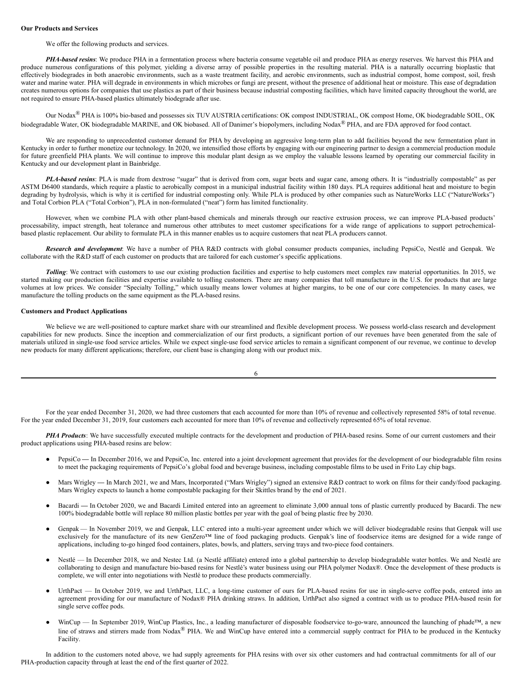#### **Our Products and Services**

We offer the following products and services.

*PHA-based resins*: We produce PHA in a fermentation process where bacteria consume vegetable oil and produce PHA as energy reserves. We harvest this PHA and produce numerous configurations of this polymer, yielding a diverse array of possible properties in the resulting material. PHA is a naturally occurring bioplastic that effectively biodegrades in both anaerobic environments, such as a waste treatment facility, and aerobic environments, such as industrial compost, home compost, soil, fresh water and marine water. PHA will degrade in environments in which microbes or fungi are present, without the presence of additional heat or moisture. This ease of degradation creates numerous options for companies that use plastics as part of their business because industrial composting facilities, which have limited capacity throughout the world, are not required to ensure PHA-based plastics ultimately biodegrade after use.

Our Nodax<sup>®</sup> PHA is 100% bio-based and possesses six TUV AUSTRIA certifications: OK compost INDUSTRIAL, OK compost Home, OK biodegradable SOIL, OK biodegradable Water, OK biodegradable MARINE, and OK biobased. All of Danimer's biopolymers, including Nodax<sup>®</sup> PHA, and are FDA approved for food contact.

We are responding to unprecedented customer demand for PHA by developing an aggressive long-term plan to add facilities beyond the new fermentation plant in Kentucky in order to further monetize our technology. In 2020, we intensified those efforts by engaging with our engineering partner to design a commercial production module for future greenfield PHA plants. We will continue to improve this modular plant design as we employ the valuable lessons learned by operating our commercial facility in Kentucky and our development plant in Bainbridge.

PLA-based resins: PLA is made from dextrose "sugar" that is derived from corn, sugar beets and sugar cane, among others. It is "industrially compostable" as per ASTM D6400 standards, which require a plastic to aerobically compost in a municipal industrial facility within 180 days. PLA requires additional heat and moisture to begin degrading by hydrolysis, which is why it is certified for industrial composting only. While PLA is produced by other companies such as NatureWorks LLC ("NatureWorks") and Total Corbion PLA ("Total Corbion"), PLA in non-formulated ("neat") form has limited functionality.

However, when we combine PLA with other plant-based chemicals and minerals through our reactive extrusion process, we can improve PLA-based products' processability, impact strength, heat tolerance and numerous other attributes to meet customer specifications for a wide range of applications to support petrochemicalbased plastic replacement. Our ability to formulate PLA in this manner enables us to acquire customers that neat PLA producers cannot.

*Research and development*: We have a number of PHA R&D contracts with global consumer products companies, including PepsiCo, Nestlé and Genpak. We collaborate with the R&D staff of each customer on products that are tailored for each customer's specific applications.

*Tolling*: We contract with customers to use our existing production facilities and expertise to help customers meet complex raw material opportunities. In 2015, we started making our production facilities and expertise available to tolling customers. There are many companies that toll manufacture in the U.S. for products that are large volumes at low prices. We consider "Specialty Tolling," which usually means lower volumes at higher margins, to be one of our core competencies. In many cases, we manufacture the tolling products on the same equipment as the PLA-based resins.

### **Customers and Product Applications**

We believe we are well-positioned to capture market share with our streamlined and flexible development process. We possess world-class research and development capabilities for new products. Since the inception and commercialization of our first products, a significant portion of our revenues have been generated from the sale of materials utilized in single-use food service articles. While we expect single-use food service articles to remain a significant component of our revenue, we continue to develop new products for many different applications; therefore, our client base is changing along with our product mix.

| I       |  |
|---------|--|
| I<br>۰, |  |

For the year ended December 31, 2020, we had three customers that each accounted for more than 10% of revenue and collectively represented 58% of total revenue. For the year ended December 31, 2019, four customers each accounted for more than 10% of revenue and collectively represented 65% of total revenue.

*PHA Products*: We have successfully executed multiple contracts for the development and production of PHA-based resins. Some of our current customers and their product applications using PHA-based resins are below:

- PepsiCo In December 2016, we and PepsiCo, Inc. entered into a joint development agreement that provides for the development of our biodegradable film resins to meet the packaging requirements of PepsiCo's global food and beverage business, including compostable films to be used in Frito Lay chip bags.
- Mars Wrigley In March 2021, we and Mars, Incorporated ("Mars Wrigley") signed an extensive R&D contract to work on films for their candy/food packaging. Mars Wrigley expects to launch a home compostable packaging for their Skittles brand by the end of 2021.
- Bacardi In October 2020, we and Bacardi Limited entered into an agreement to eliminate 3,000 annual tons of plastic currently produced by Bacardi. The new 100% biodegradable bottle will replace 80 million plastic bottles per year with the goal of being plastic free by 2030.
- Genpak In November 2019, we and Genpak, LLC entered into a multi-year agreement under which we will deliver biodegradable resins that Genpak will use exclusively for the manufacture of its new GenZero™ line of food packaging products. Genpak's line of foodservice items are designed for a wide range of applications, including to-go hinged food containers, plates, bowls, and platters, serving trays and two-piece food containers.
- Nestlé In December 2018, we and Nestec Ltd. (a Nestlé affiliate) entered into a global partnership to develop biodegradable water bottles. We and Nestlé are collaborating to design and manufacture bio-based resins for Nestlé's water business using our PHA polymer Nodax®. Once the development of these products is complete, we will enter into negotiations with Nestlé to produce these products commercially.
- UrthPact In October 2019, we and UrthPact, LLC, a long-time customer of ours for PLA-based resins for use in single-serve coffee pods, entered into an agreement providing for our manufacture of Nodax® PHA drinking straws. In addition, UrthPact also signed a contract with us to produce PHA-based resin for single serve coffee pods.
- WinCup In September 2019, WinCup Plastics, Inc., a leading manufacturer of disposable foodservice to-go-ware, announced the launching of phade™, a new line of straws and stirrers made from Nodax® PHA. We and WinCup have entered into a commercial supply contract for PHA to be produced in the Kentucky Facility.

In addition to the customers noted above, we had supply agreements for PHA resins with over six other customers and had contractual commitments for all of our PHA-production capacity through at least the end of the first quarter of 2022.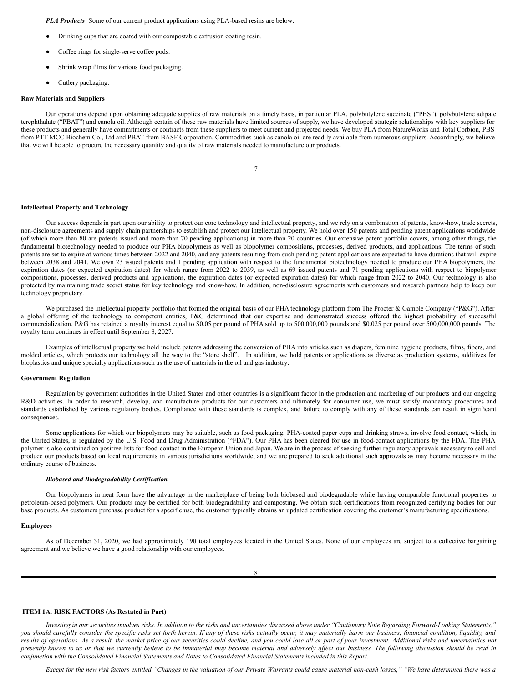#### *PLA Products*: Some of our current product applications using PLA-based resins are below:

- Drinking cups that are coated with our compostable extrusion coating resin.
- Coffee rings for single-serve coffee pods.
- Shrink wrap films for various food packaging.
- Cutlery packaging.

## **Raw Materials and Suppliers**

Our operations depend upon obtaining adequate supplies of raw materials on a timely basis, in particular PLA, polybutylene succinate ("PBS"), polybutylene adipate terephthalate ("PBAT") and canola oil. Although certain of these raw materials have limited sources of supply, we have developed strategic relationships with key suppliers for these products and generally have commitments or contracts from these suppliers to meet current and projected needs. We buy PLA from NatureWorks and Total Corbion, PBS from PTT MCC Biochem Co., Ltd and PBAT from BASF Corporation. Commodities such as canola oil are readily available from numerous suppliers. Accordingly, we believe that we will be able to procure the necessary quantity and quality of raw materials needed to manufacture our products.

7

## **Intellectual Property and Technology**

Our success depends in part upon our ability to protect our core technology and intellectual property, and we rely on a combination of patents, know-how, trade secrets, non-disclosure agreements and supply chain partnerships to establish and protect our intellectual property. We hold over 150 patents and pending patent applications worldwide (of which more than 80 are patents issued and more than 70 pending applications) in more than 20 countries. Our extensive patent portfolio covers, among other things, the fundamental biotechnology needed to produce our PHA biopolymers as well as biopolymer compositions, processes, derived products, and applications. The terms of such patents are set to expire at various times between 2022 and 2040, and any patents resulting from such pending patent applications are expected to have durations that will expire between 2038 and 2041. We own 23 issued patents and 1 pending application with respect to the fundamental biotechnology needed to produce our PHA biopolymers, the expiration dates (or expected expiration dates) for which range from 2022 to 2039, as well as 69 issued patents and 71 pending applications with respect to biopolymer compositions, processes, derived products and applications, the expiration dates (or expected expiration dates) for which range from 2022 to 2040. Our technology is also protected by maintaining trade secret status for key technology and know-how. In addition, non-disclosure agreements with customers and research partners help to keep our technology proprietary.

We purchased the intellectual property portfolio that formed the original basis of our PHA technology platform from The Procter & Gamble Company ("P&G"). After a global offering of the technology to competent entities, P&G determined that our expertise and demonstrated success offered the highest probability of successful commercialization. P&G has retained a royalty interest equal to \$0.05 per pound of PHA sold up to 500,000,000 pounds and \$0.025 per pound over 500,000,000 pounds. The royalty term continues in effect until September 8, 2027.

Examples of intellectual property we hold include patents addressing the conversion of PHA into articles such as diapers, feminine hygiene products, films, fibers, and molded articles, which protects our technology all the way to the "store shelf". In addition, we hold patents or applications as diverse as production systems, additives for bioplastics and unique specialty applications such as the use of materials in the oil and gas industry.

### **Government Regulation**

Regulation by government authorities in the United States and other countries is a significant factor in the production and marketing of our products and our ongoing R&D activities. In order to research, develop, and manufacture products for our customers and ultimately for consumer use, we must satisfy mandatory procedures and standards established by various regulatory bodies. Compliance with these standards is complex, and failure to comply with any of these standards can result in significant consequences.

Some applications for which our biopolymers may be suitable, such as food packaging, PHA-coated paper cups and drinking straws, involve food contact, which, in the United States, is regulated by the U.S. Food and Drug Administration ("FDA"). Our PHA has been cleared for use in food-contact applications by the FDA. The PHA polymer is also contained on positive lists for food-contact in the European Union and Japan. We are in the process of seeking further regulatory approvals necessary to sell and produce our products based on local requirements in various jurisdictions worldwide, and we are prepared to seek additional such approvals as may become necessary in the ordinary course of business.

## *Biobased and Biodegradability Certification*

Our biopolymers in neat form have the advantage in the marketplace of being both biobased and biodegradable while having comparable functional properties to petroleum-based polymers. Our products may be certified for both biodegradability and composting. We obtain such certifications from recognized certifying bodies for our base products. As customers purchase product for a specific use, the customer typically obtains an updated certification covering the customer's manufacturing specifications.

## **Employees**

As of December 31, 2020, we had approximately 190 total employees located in the United States. None of our employees are subject to a collective bargaining agreement and we believe we have a good relationship with our employees.

## <span id="page-6-0"></span>**ITEM 1A. RISK FACTORS (As Restated in Part)**

Investing in our securities involves risks. In addition to the risks and uncertainties discussed above under "Cautionary Note Regarding Forward-Looking Statements," you should carefully consider the specific risks set forth herein. If any of these risks actually occur, it may materially harm our business, financial condition, liquidity, and .<br>results of operations. As a result, the market price of our securities could decline, and you could lose all or part of your investment. Additional risks and uncertainties not presently known to us or that we currently believe to be immaterial may become material and adversely affect our business. The following discussion should be read in conjunction with the Consolidated Financial Statements and Notes to Consolidated Financial Statements included in this Report.

Except for the new risk factors entitled "Changes in the valuation of our Private Warrants could cause material non-cash losses," "We have determined there was a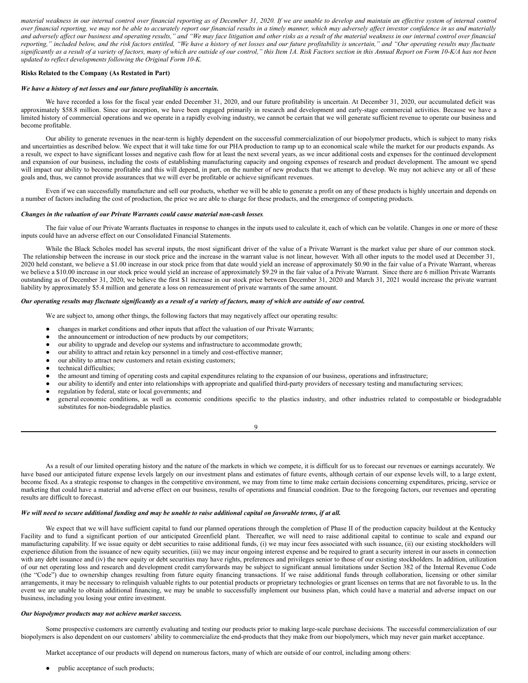material weakness in our internal control over financial reporting as of December 31, 2020. If we are unable to develop and maintain an effective system of internal control over financial reporting, we may not be able to accurately report our financial results in a timely manner, which may adversely affect investor confidence in us and materially and adversely affect our business and operating results," and "We may face litigation and other risks as a result of the material weakness in our internal control over financial reporting," included below, and the risk factors entitled, "We have a history of net losses and our future profitability is uncertain," and "Our operating results may fluctuate significantly as a result of a variety of factors, many of which are outside of our control," this Item 1A. Risk Factors section in this Annual Report on Form 10-K/A has not been *updated to reflect developments following the Original Form 10-K.*

### **Risks Related to the Company (As Restated in Part)**

#### *We have a history of net losses and our future profitability is uncertain.*

We have recorded a loss for the fiscal year ended December 31, 2020, and our future profitability is uncertain. At December 31, 2020, our accumulated deficit was approximately \$58.8 million. Since our inception, we have been engaged primarily in research and development and early-stage commercial activities. Because we have a limited history of commercial operations and we operate in a rapidly evolving industry, we cannot be certain that we will generate sufficient revenue to operate our business and become profitable.

Our ability to generate revenues in the near-term is highly dependent on the successful commercialization of our biopolymer products, which is subject to many risks and uncertainties as described below. We expect that it will take time for our PHA production to ramp up to an economical scale while the market for our products expands. As a result, we expect to have significant losses and negative cash flow for at least the next several years, as we incur additional costs and expenses for the continued development and expansion of our business, including the costs of establishing manufacturing capacity and ongoing expenses of research and product development. The amount we spend will impact our ability to become profitable and this will depend, in part, on the number of new products that we attempt to develop. We may not achieve any or all of these goals and, thus, we cannot provide assurances that we will ever be profitable or achieve significant revenues.

Even if we can successfully manufacture and sell our products, whether we will be able to generate a profit on any of these products is highly uncertain and depends on a number of factors including the cost of production, the price we are able to charge for these products, and the emergence of competing products.

## *Changes in the valuation of our Private Warrants could cause material non-cash losses.*

The fair value of our Private Warrants fluctuates in response to changes in the inputs used to calculate it, each of which can be volatile. Changes in one or more of these inputs could have an adverse effect on our Consolidated Financial Statements.

While the Black Scholes model has several inputs, the most significant driver of the value of a Private Warrant is the market value per share of our common stock. The relationship between the increase in our stock price and the increase in the warrant value is not linear, however. With all other inputs to the model used at December 31, 2020 held constant, we believe a \$1.00 increase in our stock price from that date would yield an increase of approximately \$0.90 in the fair value of a Private Warrant, whereas we believe a \$10.00 increase in our stock price would yield an increase of approximately \$9.29 in the fair value of a Private Warrant. Since there are 6 million Private Warrants outstanding as of December 31, 2020, we believe the first \$1 increase in our stock price between December 31, 2020 and March 31, 2021 would increase the private warrant liability by approximately \$5.4 million and generate a loss on remeasurement of private warrants of the same amount.

#### Our operating results may fluctuate significantly as a result of a variety of factors, many of which are outside of our control.

We are subject to, among other things, the following factors that may negatively affect our operating results:

- changes in market conditions and other inputs that affect the valuation of our Private Warrants;
- the announcement or introduction of new products by our competitors;
- our ability to upgrade and develop our systems and infrastructure to accommodate growth;
- our ability to attract and retain key personnel in a timely and cost-effective manner;
- our ability to attract new customers and retain existing customers;
- technical difficulties;
- the amount and timing of operating costs and capital expenditures relating to the expansion of our business, operations and infrastructure;
- our ability to identify and enter into relationships with appropriate and qualified third-party providers of necessary testing and manufacturing services;
- regulation by federal, state or local governments; and
- general economic conditions, as well as economic conditions specific to the plastics industry, and other industries related to compostable or biodegradable substitutes for non-biodegradable plastics.



As a result of our limited operating history and the nature of the markets in which we compete, it is difficult for us to forecast our revenues or earnings accurately. We have based our anticipated future expense levels largely on our investment plans and estimates of future events, although certain of our expense levels will, to a large extent, become fixed. As a strategic response to changes in the competitive environment, we may from time to time make certain decisions concerning expenditures, pricing, service or marketing that could have a material and adverse effect on our business, results of operations and financial condition. Due to the foregoing factors, our revenues and operating results are difficult to forecast.

## We will need to secure additional funding and may be unable to raise additional capital on favorable terms, if at all.

We expect that we will have sufficient capital to fund our planned operations through the completion of Phase II of the production capacity buildout at the Kentucky Facility and to fund a significant portion of our anticipated Greenfield plant. Thereafter, we will need to raise additional capital to continue to scale and expand our manufacturing capability. If we issue equity or debt securities to raise additional funds, (i) we may incur fees associated with such issuance, (ii) our existing stockholders will experience dilution from the issuance of new equity securities, (iii) we may incur ongoing interest expense and be required to grant a security interest in our assets in connection with any debt issuance and (iv) the new equity or debt securities may have rights, preferences and privileges senior to those of our existing stockholders. In addition, utilization of our net operating loss and research and development credit carryforwards may be subject to significant annual limitations under Section 382 of the Internal Revenue Code (the "Code") due to ownership changes resulting from future equity financing transactions. If we raise additional funds through collaboration, licensing or other similar arrangements, it may be necessary to relinquish valuable rights to our potential products or proprietary technologies or grant licenses on terms that are not favorable to us. In the event we are unable to obtain additional financing, we may be unable to successfully implement our business plan, which could have a material and adverse impact on our business, including you losing your entire investment.

## *Our biopolymer products may not achieve market success.*

Some prospective customers are currently evaluating and testing our products prior to making large-scale purchase decisions. The successful commercialization of our biopolymers is also dependent on our customers' ability to commercialize the end-products that they make from our biopolymers, which may never gain market acceptance.

Market acceptance of our products will depend on numerous factors, many of which are outside of our control, including among others:

public acceptance of such products;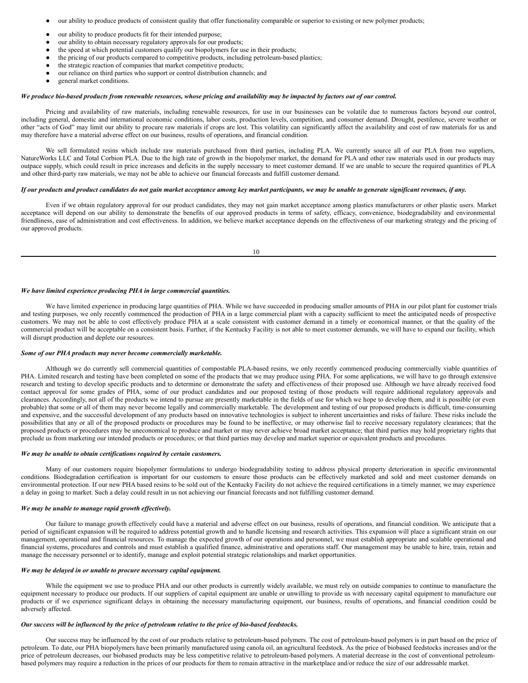- our ability to produce products of consistent quality that offer functionality comparable or superior to existing or new polymer products;
- our ability to produce products fit for their intended purpose;
- our ability to obtain necessary regulatory approvals for our products;
- the speed at which potential customers qualify our biopolymers for use in their products;
- the pricing of our products compared to competitive products, including petroleum-based plastics;
- the strategic reaction of companies that market competitive products;
- our reliance on third parties who support or control distribution channels; and
- general market conditions.

## We produce bio-based products from renewable resources, whose pricing and availability may be impacted by factors out of our control.

Pricing and availability of raw materials, including renewable resources, for use in our businesses can be volatile due to numerous factors beyond our control, including general, domestic and international economic conditions, labor costs, production levels, competition, and consumer demand. Drought, pestilence, severe weather or other "acts of God" may limit our ability to procure raw materials if crops are lost. This volatility can significantly affect the availability and cost of raw materials for us and may therefore have a material adverse effect on our business, results of operations, and financial condition.

We sell formulated resins which include raw materials purchased from third parties, including PLA. We currently source all of our PLA from two suppliers, NatureWorks LLC and Total Corbion PLA. Due to the high rate of growth in the biopolymer market, the demand for PLA and other raw materials used in our products may outpace supply, which could result in price increases and deficits in the supply necessary to meet customer demand. If we are unable to secure the required quantities of PLA and other third-party raw materials, we may not be able to achieve our financial forecasts and fulfill customer demand.

## If our products and product candidates do not gain market acceptance among key market participants, we may be unable to generate significant revenues, if any.

Even if we obtain regulatory approval for our product candidates, they may not gain market acceptance among plastics manufacturers or other plastic users. Market acceptance will depend on our ability to demonstrate the benefits of our approved products in terms of safety, efficacy, convenience, biodegradability and environmental friendliness, ease of administration and cost effectiveness. In addition, we believe market acceptance depends on the effectiveness of our marketing strategy and the pricing of our approved products.

10

#### *We have limited experience producing PHA in large commercial quantities.*

We have limited experience in producing large quantities of PHA. While we have succeeded in producing smaller amounts of PHA in our pilot plant for customer trials and testing purposes, we only recently commenced the production of PHA in a large commercial plant with a capacity sufficient to meet the anticipated needs of prospective customers. We may not be able to cost effectively produce PHA at a scale consistent with customer demand in a timely or economical manner, or that the quality of the commercial product will be acceptable on a consistent basis. Further, if the Kentucky Facility is not able to meet customer demands, we will have to expand our facility, which will disrupt production and deplete our resources.

#### *Some of our PHA products may never become commercially marketable.*

Although we do currently sell commercial quantities of compostable PLA-based resins, we only recently commenced producing commercially viable quantities of PHA. Limited research and testing have been completed on some of the products that we may produce using PHA. For some applications, we will have to go through extensive research and testing to develop specific products and to determine or demonstrate the safety and effectiveness of their proposed use. Although we have already received food contact approval for some grades of PHA, some of our product candidates and our proposed testing of those products will require additional regulatory approvals and clearances. Accordingly, not all of the products we intend to pursue are presently marketable in the fields of use for which we hope to develop them, and it is possible (or even probable) that some or all of them may never become legally and commercially marketable. The development and testing of our proposed products is difficult, time-consuming and expensive, and the successful development of any products based on innovative technologies is subject to inherent uncertainties and risks of failure. These risks include the possibilities that any or all of the proposed products or procedures may be found to be ineffective, or may otherwise fail to receive necessary regulatory clearances; that the proposed products or procedures may be uneconomical to produce and market or may never achieve broad market acceptance; that third parties may hold proprietary rights that preclude us from marketing our intended products or procedures; or that third parties may develop and market superior or equivalent products and procedures.

## *We may be unable to obtain certifications required by certain customers.*

Many of our customers require biopolymer formulations to undergo biodegradability testing to address physical property deterioration in specific environmental conditions. Biodegradation certification is important for our customers to ensure those products can be effectively marketed and sold and meet customer demands on environmental protection. If our new PHA based resins to be sold out of the Kentucky Facility do not achieve the required certifications in a timely manner, we may experience a delay in going to market. Such a delay could result in us not achieving our financial forecasts and not fulfilling customer demand.

#### *We may be unable to manage rapid growth ef ectively.*

Our failure to manage growth effectively could have a material and adverse effect on our business, results of operations, and financial condition. We anticipate that a period of significant expansion will be required to address potential growth and to handle licensing and research activities. This expansion will place a significant strain on our management, operational and financial resources. To manage the expected growth of our operations and personnel, we must establish appropriate and scalable operational and financial systems, procedures and controls and must establish a qualified finance, administrative and operations staff. Our management may be unable to hire, train, retain and manage the necessary personnel or to identify, manage and exploit potential strategic relationships and market opportunities.

#### *We may be delayed in or unable to procure necessary capital equipment.*

While the equipment we use to produce PHA and our other products is currently widely available, we must rely on outside companies to continue to manufacture the equipment necessary to produce our products. If our suppliers of capital equipment are unable or unwilling to provide us with necessary capital equipment to manufacture our products or if we experience significant delays in obtaining the necessary manufacturing equipment, our business, results of operations, and financial condition could be adversely affected.

## *Our success will be influenced by the price of petroleum relative to the price of bio-based feedstocks.*

Our success may be influenced by the cost of our products relative to petroleum-based polymers. The cost of petroleum-based polymers is in part based on the price of petroleum. To date, our PHA biopolymers have been primarily manufactured using canola oil, an agricultural feedstock. As the price of biobased feedstocks increases and/or the price of petroleum decreases, our biobased products may be less competitive relative to petroleum-based polymers. A material decrease in the cost of conventional petroleumbased polymers may require a reduction in the prices of our products for them to remain attractive in the marketplace and/or reduce the size of our addressable market.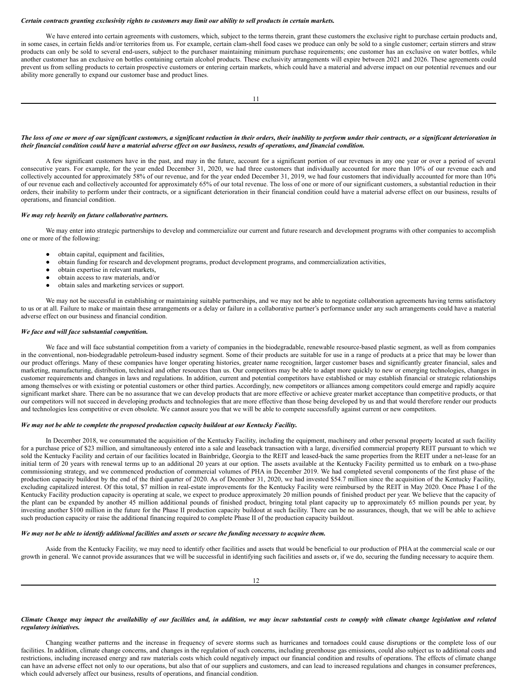### Certain contracts granting exclusivity rights to customers may limit our ability to sell products in certain markets.

We have entered into certain agreements with customers, which, subject to the terms therein, grant these customers the exclusive right to purchase certain products and, in some cases, in certain fields and/or territories from us. For example, certain clam-shell food cases we produce can only be sold to a single customer; certain stirrers and straw products can only be sold to several end-users, subject to the purchaser maintaining minimum purchase requirements; one customer has an exclusive on water bottles, while another customer has an exclusive on bottles containing certain alcohol products. These exclusivity arrangements will expire between 2021 and 2026. These agreements could prevent us from selling products to certain prospective customers or entering certain markets, which could have a material and adverse impact on our potential revenues and our ability more generally to expand our customer base and product lines.

## The loss of one or more of our significant customers, a significant reduction in their orders, their inability to perform under their contracts, or a significant deterioration in their financial condition could have a material adverse effect on our business, results of operations, and financial condition.

A few significant customers have in the past, and may in the future, account for a significant portion of our revenues in any one year or over a period of several consecutive years. For example, for the year ended December 31, 2020, we had three customers that individually accounted for more than 10% of our revenue each and collectively accounted for approximately 58% of our revenue, and for the year ended December 31, 2019, we had four customers that individually accounted for more than 10% of our revenue each and collectively accounted for approximately 65% of our total revenue. The loss of one or more of our significant customers, a substantial reduction in their orders, their inability to perform under their contracts, or a significant deterioration in their financial condition could have a material adverse effect on our business, results of operations, and financial condition.

#### *We may rely heavily on future collaborative partners.*

We may enter into strategic partnerships to develop and commercialize our current and future research and development programs with other companies to accomplish one or more of the following:

- obtain capital, equipment and facilities,
- obtain funding for research and development programs, product development programs, and commercialization activities,
- obtain expertise in relevant markets,
- obtain access to raw materials, and/or
- obtain sales and marketing services or support.

We may not be successful in establishing or maintaining suitable partnerships, and we may not be able to negotiate collaboration agreements having terms satisfactory to us or at all. Failure to make or maintain these arrangements or a delay or failure in a collaborative partner's performance under any such arrangements could have a material adverse effect on our business and financial condition.

## *We face and will face substantial competition.*

We face and will face substantial competition from a variety of companies in the biodegradable, renewable resource-based plastic segment, as well as from companies in the conventional, non-biodegradable petroleum-based industry segment. Some of their products are suitable for use in a range of products at a price that may be lower than our product offerings. Many of these companies have longer operating histories, greater name recognition, larger customer bases and significantly greater financial, sales and marketing, manufacturing, distribution, technical and other resources than us. Our competitors may be able to adapt more quickly to new or emerging technologies, changes in customer requirements and changes in laws and regulations. In addition, current and potential competitors have established or may establish financial or strategic relationships among themselves or with existing or potential customers or other third parties. Accordingly, new competitors or alliances among competitors could emerge and rapidly acquire significant market share. There can be no assurance that we can develop products that are more effective or achieve greater market acceptance than competitive products, or that our competitors will not succeed in developing products and technologies that are more effective than those being developed by us and that would therefore render our products and technologies less competitive or even obsolete. We cannot assure you that we will be able to compete successfully against current or new competitors.

### *We may not be able to complete the proposed production capacity buildout at our Kentucky Facility.*

In December 2018, we consummated the acquisition of the Kentucky Facility, including the equipment, machinery and other personal property located at such facility for a purchase price of \$23 million, and simultaneously entered into a sale and leaseback transaction with a large, diversified commercial property REIT pursuant to which we sold the Kentucky Facility and certain of our facilities located in Bainbridge, Georgia to the REIT and leased-back the same properties from the REIT under a net-lease for an initial term of 20 years with renewal terms up to an additional 20 years at our option. The assets available at the Kentucky Facility permitted us to embark on a two-phase commissioning strategy, and we commenced production of commercial volumes of PHA in December 2019. We had completed several components of the first phase of the production capacity buildout by the end of the third quarter of 2020. As of December 31, 2020, we had invested \$54.7 million since the acquisition of the Kentucky Facility, excluding capitalized interest. Of this total, \$7 million in real-estate improvements for the Kentucky Facility were reimbursed by the REIT in May 2020. Once Phase I of the Kentucky Facility production capacity is operating at scale, we expect to produce approximately 20 million pounds of finished product per year. We believe that the capacity of the plant can be expanded by another 45 million additional pounds of finished product, bringing total plant capacity up to approximately 65 million pounds per year, by investing another \$100 million in the future for the Phase II production capacity buildout at such facility. There can be no assurances, though, that we will be able to achieve such production capacity or raise the additional financing required to complete Phase II of the production capacity buildout.

## We may not be able to identify additional facilities and assets or secure the funding necessary to acquire them.

Aside from the Kentucky Facility, we may need to identify other facilities and assets that would be beneficial to our production of PHA at the commercial scale or our growth in general. We cannot provide assurances that we will be successful in identifying such facilities and assets or, if we do, securing the funding necessary to acquire them.

12

## Climate Change may impact the availability of our facilities and, in addition, we may incur substantial costs to comply with climate change legislation and related *regulatory initiatives.*

Changing weather patterns and the increase in frequency of severe storms such as hurricanes and tornadoes could cause disruptions or the complete loss of our facilities. In addition, climate change concerns, and changes in the regulation of such concerns, including greenhouse gas emissions, could also subject us to additional costs and restrictions, including increased energy and raw materials costs which could negatively impact our financial condition and results of operations. The effects of climate change can have an adverse effect not only to our operations, but also that of our suppliers and customers, and can lead to increased regulations and changes in consumer preferences, which could adversely affect our business, results of operations, and financial condition.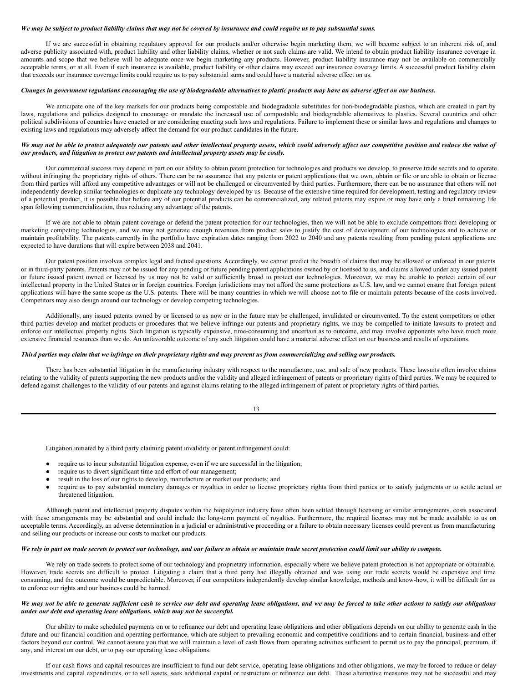#### We may be subject to product liability claims that may not be covered by insurance and could require us to pay substantial sums.

If we are successful in obtaining regulatory approval for our products and/or otherwise begin marketing them, we will become subject to an inherent risk of, and adverse publicity associated with, product liability and other liability claims, whether or not such claims are valid. We intend to obtain product liability insurance coverage in amounts and scope that we believe will be adequate once we begin marketing any products. However, product liability insurance may not be available on commercially acceptable terms, or at all. Even if such insurance is available, product liability or other claims may exceed our insurance coverage limits. A successful product liability claim that exceeds our insurance coverage limits could require us to pay substantial sums and could have a material adverse effect on us.

## Changes in government regulations encouraging the use of biodegradable alternatives to plastic products may have an adverse effect on our business.

We anticipate one of the key markets for our products being compostable and biodegradable substitutes for non-biodegradable plastics, which are created in part by laws, regulations and policies designed to encourage or mandate the increased use of compostable and biodegradable alternatives to plastics. Several countries and other political subdivisions of countries have enacted or are considering enacting such laws and regulations. Failure to implement these or similar laws and regulations and changes to existing laws and regulations may adversely affect the demand for our product candidates in the future.

### We may not be able to protect adequately our patents and other intellectual property assets, which could adversely affect our competitive position and reduce the value of *our products, and litigation to protect our patents and intellectual property assets may be costly.*

Our commercial success may depend in part on our ability to obtain patent protection for technologies and products we develop, to preserve trade secrets and to operate without infringing the proprietary rights of others. There can be no assurance that any patents or patent applications that we own, obtain or file or are able to obtain or license from third parties will afford any competitive advantages or will not be challenged or circumvented by third parties. Furthermore, there can be no assurance that others will not independently develop similar technologies or duplicate any technology developed by us. Because of the extensive time required for development, testing and regulatory review of a potential product, it is possible that before any of our potential products can be commercialized, any related patents may expire or may have only a brief remaining life span following commercialization, thus reducing any advantage of the patents.

If we are not able to obtain patent coverage or defend the patent protection for our technologies, then we will not be able to exclude competitors from developing or marketing competing technologies, and we may not generate enough revenues from product sales to justify the cost of development of our technologies and to achieve or maintain profitability. The patents currently in the portfolio have expiration dates ranging from 2022 to 2040 and any patents resulting from pending patent applications are expected to have durations that will expire between 2038 and 2041.

Our patent position involves complex legal and factual questions. Accordingly, we cannot predict the breadth of claims that may be allowed or enforced in our patents or in third-party patents. Patents may not be issued for any pending or future pending patent applications owned by or licensed to us, and claims allowed under any issued patent or future issued patent owned or licensed by us may not be valid or sufficiently broad to protect our technologies. Moreover, we may be unable to protect certain of our intellectual property in the United States or in foreign countries. Foreign jurisdictions may not afford the same protections as U.S. law, and we cannot ensure that foreign patent applications will have the same scope as the U.S. patents. There will be many countries in which we will choose not to file or maintain patents because of the costs involved. Competitors may also design around our technology or develop competing technologies.

Additionally, any issued patents owned by or licensed to us now or in the future may be challenged, invalidated or circumvented. To the extent competitors or other third parties develop and market products or procedures that we believe infringe our patents and proprietary rights, we may be compelled to initiate lawsuits to protect and enforce our intellectual property rights. Such litigation is typically expensive, time-consuming and uncertain as to outcome, and may involve opponents who have much more extensive financial resources than we do. An unfavorable outcome of any such litigation could have a material adverse effect on our business and results of operations.

## Third parties may claim that we infringe on their proprietary rights and may prevent us from commercializing and selling our products.

There has been substantial litigation in the manufacturing industry with respect to the manufacture, use, and sale of new products. These lawsuits often involve claims relating to the validity of patents supporting the new products and/or the validity and alleged infringement of patents or proprietary rights of third parties. We may be required to defend against challenges to the validity of our patents and against claims relating to the alleged infringement of patent or proprietary rights of third parties.

13

Litigation initiated by a third party claiming patent invalidity or patent infringement could:

- require us to incur substantial litigation expense, even if we are successful in the litigation;
- require us to divert significant time and effort of our management;
- result in the loss of our rights to develop, manufacture or market our products; and
- require us to pay substantial monetary damages or royalties in order to license proprietary rights from third parties or to satisfy judgments or to settle actual or threatened litigation.

Although patent and intellectual property disputes within the biopolymer industry have often been settled through licensing or similar arrangements, costs associated with these arrangements may be substantial and could include the long-term payment of royalties. Furthermore, the required licenses may not be made available to us on acceptable terms. Accordingly, an adverse determination in a judicial or administrative proceeding or a failure to obtain necessary licenses could prevent us from manufacturing and selling our products or increase our costs to market our products.

## We rely in part on trade secrets to protect our technology, and our failure to obtain or maintain trade secret protection could limit our ability to compete.

We rely on trade secrets to protect some of our technology and proprietary information, especially where we believe patent protection is not appropriate or obtainable. However, trade secrets are difficult to protect. Litigating a claim that a third party had illegally obtained and was using our trade secrets would be expensive and time consuming, and the outcome would be unpredictable. Moreover, if our competitors independently develop similar knowledge, methods and know-how, it will be difficult for us to enforce our rights and our business could be harmed.

## We may not be able to generate sufficient cash to service our debt and operating lease obligations, and we may be forced to take other actions to satisfy our obligations *under our debt and operating lease obligations, which may not be successful.*

Our ability to make scheduled payments on or to refinance our debt and operating lease obligations and other obligations depends on our ability to generate cash in the future and our financial condition and operating performance, which are subject to prevailing economic and competitive conditions and to certain financial, business and other factors beyond our control. We cannot assure you that we will maintain a level of cash flows from operating activities sufficient to permit us to pay the principal, premium, if any, and interest on our debt, or to pay our operating lease obligations.

If our cash flows and capital resources are insufficient to fund our debt service, operating lease obligations and other obligations, we may be forced to reduce or delay investments and capital expenditures, or to sell assets, seek additional capital or restructure or refinance our debt. These alternative measures may not be successful and may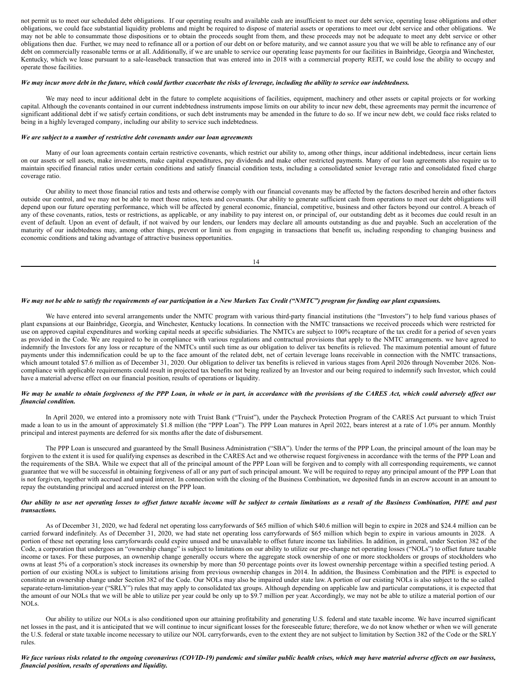not permit us to meet our scheduled debt obligations. If our operating results and available cash are insufficient to meet our debt service, operating lease obligations and other obligations, we could face substantial liquidity problems and might be required to dispose of material assets or operations to meet our debt service and other obligations. We may not be able to consummate those dispositions or to obtain the proceeds sought from them, and these proceeds may not be adequate to meet any debt service or other obligations then due. Further, we may need to refinance all or a portion of our debt on or before maturity, and we cannot assure you that we will be able to refinance any of our debt on commercially reasonable terms or at all. Additionally, if we are unable to service our operating lease payments for our facilities in Bainbridge, Georgia and Winchester, Kentucky, which we lease pursuant to a sale-leaseback transaction that was entered into in 2018 with a commercial property REIT, we could lose the ability to occupy and operate those facilities.

## We may incur more debt in the future, which could further exacerbate the risks of leverage, including the ability to service our indebtedness.

We may need to incur additional debt in the future to complete acquisitions of facilities, equipment, machinery and other assets or capital projects or for working capital. Although the covenants contained in our current indebtedness instruments impose limits on our ability to incur new debt, these agreements may permit the incurrence of significant additional debt if we satisfy certain conditions, or such debt instruments may be amended in the future to do so. If we incur new debt, we could face risks related to being in a highly leveraged company, including our ability to service such indebtedness.

## *We are subject to a number of restrictive debt covenants under our loan agreements.*

Many of our loan agreements contain certain restrictive covenants, which restrict our ability to, among other things, incur additional indebtedness, incur certain liens on our assets or sell assets, make investments, make capital expenditures, pay dividends and make other restricted payments. Many of our loan agreements also require us to maintain specified financial ratios under certain conditions and satisfy financial condition tests, including a consolidated senior leverage ratio and consolidated fixed charge coverage ratio.

Our ability to meet those financial ratios and tests and otherwise comply with our financial covenants may be affected by the factors described herein and other factors outside our control, and we may not be able to meet those ratios, tests and covenants. Our ability to generate sufficient cash from operations to meet our debt obligations will depend upon our future operating performance, which will be affected by general economic, financial, competitive, business and other factors beyond our control. A breach of any of these covenants, ratios, tests or restrictions, as applicable, or any inability to pay interest on, or principal of, our outstanding debt as it becomes due could result in an event of default. Upon an event of default, if not waived by our lenders, our lenders may declare all amounts outstanding as due and payable. Such an acceleration of the maturity of our indebtedness may, among other things, prevent or limit us from engaging in transactions that benefit us, including responding to changing business and economic conditions and taking advantage of attractive business opportunities.

|--|

### We may not be able to satisfy the requirements of our participation in a New Markets Tax Credit ("NMTC") program for funding our plant expansions.

We have entered into several arrangements under the NMTC program with various third-party financial institutions (the "Investors") to help fund various phases of plant expansions at our Bainbridge, Georgia, and Winchester, Kentucky locations. In connection with the NMTC transactions we received proceeds which were restricted for use on approved capital expenditures and working capital needs at specific subsidiaries. The NMTCs are subject to 100% recapture of the tax credit for a period of seven years as provided in the Code. We are required to be in compliance with various regulations and contractual provisions that apply to the NMTC arrangements. we have agreed to indemnify the Investors for any loss or recapture of the NMTCs until such time as our obligation to deliver tax benefits is relieved. The maximum potential amount of future payments under this indemnification could be up to the face amount of the related debt, net of certain leverage loans receivable in connection with the NMTC transactions, which amount totaled \$7.6 million as of December 31, 2020. Our obligation to deliver tax benefits is relieved in various stages from April 2026 through November 2026. Noncompliance with applicable requirements could result in projected tax benefits not being realized by an Investor and our being required to indemnify such Investor, which could have a material adverse effect on our financial position, results of operations or liquidity.

## We may be unable to obtain forgiveness of the PPP Loan, in whole or in part, in accordance with the provisions of the CARES Act, which could adversely affect our *financial condition.*

In April 2020, we entered into a promissory note with Truist Bank ("Truist"), under the Paycheck Protection Program of the CARES Act pursuant to which Truist made a loan to us in the amount of approximately \$1.8 million (the "PPP Loan"). The PPP Loan matures in April 2022, bears interest at a rate of 1.0% per annum. Monthly principal and interest payments are deferred for six months after the date of disbursement.

The PPP Loan is unsecured and guaranteed by the Small Business Administration ("SBA"). Under the terms of the PPP Loan, the principal amount of the loan may be forgiven to the extent it is used for qualifying expenses as described in the CARES Act and we otherwise request forgiveness in accordance with the terms of the PPP Loan and the requirements of the SBA. While we expect that all of the principal amount of the PPP Loan will be forgiven and to comply with all corresponding requirements, we cannot guarantee that we will be successful in obtaining forgiveness of all or any part of such principal amount. We will be required to repay any principal amount of the PPP Loan that is not forgiven, together with accrued and unpaid interest. In connection with the closing of the Business Combination, we deposited funds in an escrow account in an amount to repay the outstanding principal and accrued interest on the PPP loan.

## Our ability to use net operating losses to offset future taxable income will be subject to certain limitations as a result of the Business Combination, PIPE and past *transactions.*

As of December 31, 2020, we had federal net operating loss carryforwards of \$65 million of which \$40.6 million will begin to expire in 2028 and \$24.4 million can be carried forward indefinitely. As of December 31, 2020, we had state net operating loss carryforwards of \$65 million which begin to expire in various amounts in 2028. A portion of these net operating loss carryforwards could expire unused and be unavailable to offset future income tax liabilities. In addition, in general, under Section 382 of the Code, a corporation that undergoes an "ownership change" is subject to limitations on our ability to utilize our pre-change net operating losses ("NOLs") to offset future taxable income or taxes. For these purposes, an ownership change generally occurs where the aggregate stock ownership of one or more stockholders or groups of stockholders who owns at least 5% of a corporation's stock increases its ownership by more than 50 percentage points over its lowest ownership percentage within a specified testing period. A portion of our existing NOLs is subject to limitations arising from previous ownership changes in 2014. In addition, the Business Combination and the PIPE is expected to constitute an ownership change under Section 382 of the Code. Our NOLs may also be impaired under state law. A portion of our existing NOLs is also subject to the so called separate-return-limitation-year ("SRLY") rules that may apply to consolidated tax groups. Although depending on applicable law and particular computations, it is expected that the amount of our NOLs that we will be able to utilize per year could be only up to \$9.7 million per year. Accordingly, we may not be able to utilize a material portion of our NOLs.

Our ability to utilize our NOLs is also conditioned upon our attaining profitability and generating U.S. federal and state taxable income. We have incurred significant net losses in the past, and it is anticipated that we will continue to incur significant losses for the foreseeable future; therefore, we do not know whether or when we will generate the U.S. federal or state taxable income necessary to utilize our NOL carryforwards, even to the extent they are not subject to limitation by Section 382 of the Code or the SRLY rules.

## We face various risks related to the ongoing coronavirus (COVID-19) pandemic and similar public health crises, which may have material adverse effects on our business, *financial position, results of operations and liquidity.*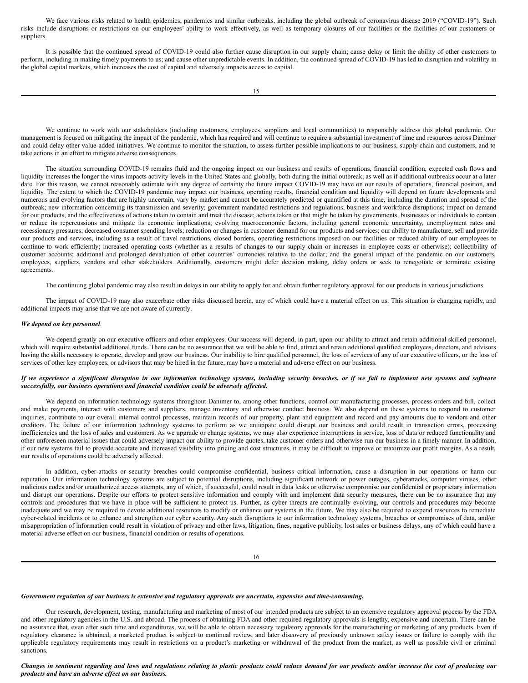We face various risks related to health epidemics, pandemics and similar outbreaks, including the global outbreak of coronavirus disease 2019 ("COVID-19"). Such risks include disruptions or restrictions on our employees' ability to work effectively, as well as temporary closures of our facilities or the facilities of our customers or suppliers.

It is possible that the continued spread of COVID-19 could also further cause disruption in our supply chain; cause delay or limit the ability of other customers to perform, including in making timely payments to us; and cause other unpredictable events. In addition, the continued spread of COVID-19 has led to disruption and volatility in the global capital markets, which increases the cost of capital and adversely impacts access to capital.

We continue to work with our stakeholders (including customers, employees, suppliers and local communities) to responsibly address this global pandemic. Our management is focused on mitigating the impact of the pandemic, which has required and will continue to require a substantial investment of time and resources across Danimer and could delay other value-added initiatives. We continue to monitor the situation, to assess further possible implications to our business, supply chain and customers, and to take actions in an effort to mitigate adverse consequences.

The situation surrounding COVID-19 remains fluid and the ongoing impact on our business and results of operations, financial condition, expected cash flows and liquidity increases the longer the virus impacts activity levels in the United States and globally, both during the initial outbreak, as well as if additional outbreaks occur at a later date. For this reason, we cannot reasonably estimate with any degree of certainty the future impact COVID-19 may have on our results of operations, financial position, and liquidity. The extent to which the COVID-19 pandemic may impact our business, operating results, financial condition and liquidity will depend on future developments and numerous and evolving factors that are highly uncertain, vary by market and cannot be accurately predicted or quantified at this time, including the duration and spread of the outbreak; new information concerning its transmission and severity; government mandated restrictions and regulations; business and workforce disruptions; impact on demand for our products, and the effectiveness of actions taken to contain and treat the disease; actions taken or that might be taken by governments, businesses or individuals to contain or reduce its repercussions and mitigate its economic implications; evolving macroeconomic factors, including general economic uncertainty, unemployment rates and recessionary pressures; decreased consumer spending levels; reduction or changes in customer demand for our products and services; our ability to manufacture, sell and provide our products and services, including as a result of travel restrictions, closed borders, operating restrictions imposed on our facilities or reduced ability of our employees to continue to work efficiently; increased operating costs (whether as a results of changes to our supply chain or increases in employee costs or otherwise); collectibility of customer accounts; additional and prolonged devaluation of other countries' currencies relative to the dollar; and the general impact of the pandemic on our customers, employees, suppliers, vendors and other stakeholders. Additionally, customers might defer decision making, delay orders or seek to renegotiate or terminate existing agreements.

The continuing global pandemic may also result in delays in our ability to apply for and obtain further regulatory approval for our products in various jurisdictions.

The impact of COVID-19 may also exacerbate other risks discussed herein, any of which could have a material effect on us. This situation is changing rapidly, and additional impacts may arise that we are not aware of currently.

## *We depend on key personnel.*

We depend greatly on our executive officers and other employees. Our success will depend, in part, upon our ability to attract and retain additional skilled personnel, which will require substantial additional funds. There can be no assurance that we will be able to find, attract and retain additional qualified employees, directors, and advisors having the skills necessary to operate, develop and grow our business. Our inability to hire qualified personnel, the loss of services of any of our executive officers, or the loss of services of other key employees, or advisors that may be hired in the future, may have a material and adverse effect on our business.

## If we experience a significant disruption in our information technology systems, including security breaches, or if we fail to implement new systems and software *successfully, our business operations and financial condition could be adversely af ected.*

We depend on information technology systems throughout Danimer to, among other functions, control our manufacturing processes, process orders and bill, collect and make payments, interact with customers and suppliers, manage inventory and otherwise conduct business. We also depend on these systems to respond to customer inquiries, contribute to our overall internal control processes, maintain records of our property, plant and equipment and record and pay amounts due to vendors and other creditors. The failure of our information technology systems to perform as we anticipate could disrupt our business and could result in transaction errors, processing inefficiencies and the loss of sales and customers. As we upgrade or change systems, we may also experience interruptions in service, loss of data or reduced functionality and other unforeseen material issues that could adversely impact our ability to provide quotes, take customer orders and otherwise run our business in a timely manner. In addition, if our new systems fail to provide accurate and increased visibility into pricing and cost structures, it may be difficult to improve or maximize our profit margins. As a result, our results of operations could be adversely affected.

In addition, cyber-attacks or security breaches could compromise confidential, business critical information, cause a disruption in our operations or harm our reputation. Our information technology systems are subject to potential disruptions, including significant network or power outages, cyberattacks, computer viruses, other malicious codes and/or unauthorized access attempts, any of which, if successful, could result in data leaks or otherwise compromise our confidential or proprietary information and disrupt our operations. Despite our efforts to protect sensitive information and comply with and implement data security measures, there can be no assurance that any controls and procedures that we have in place will be sufficient to protect us. Further, as cyber threats are continually evolving, our controls and procedures may become inadequate and we may be required to devote additional resources to modify or enhance our systems in the future. We may also be required to expend resources to remediate cyber-related incidents or to enhance and strengthen our cyber security. Any such disruptions to our information technology systems, breaches or compromises of data, and/or misappropriation of information could result in violation of privacy and other laws, litigation, fines, negative publicity, lost sales or business delays, any of which could have a material adverse effect on our business, financial condition or results of operations.

## Government regulation of our business is extensive and regulatory approvals are uncertain, expensive and time-consuming.

Our research, development, testing, manufacturing and marketing of most of our intended products are subject to an extensive regulatory approval process by the FDA and other regulatory agencies in the U.S. and abroad. The process of obtaining FDA and other required regulatory approvals is lengthy, expensive and uncertain. There can be no assurance that, even after such time and expenditures, we will be able to obtain necessary regulatory approvals for the manufacturing or marketing of any products. Even if regulatory clearance is obtained, a marketed product is subject to continual review, and later discovery of previously unknown safety issues or failure to comply with the applicable regulatory requirements may result in restrictions on a product's marketing or withdrawal of the product from the market, as well as possible civil or criminal sanctions.

Changes in sentiment regarding and laws and regulations relating to plastic products could reduce demand for our products and/or increase the cost of producing our *products and have an adverse ef ect on our business.*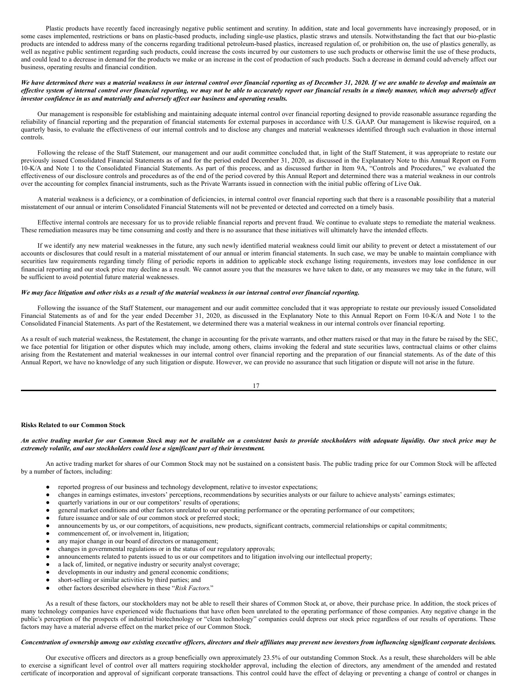Plastic products have recently faced increasingly negative public sentiment and scrutiny. In addition, state and local governments have increasingly proposed, or in some cases implemented, restrictions or bans on plastic-based products, including single-use plastics, plastic straws and utensils. Notwithstanding the fact that our bio-plastic products are intended to address many of the concerns regarding traditional petroleum-based plastics, increased regulation of, or prohibition on, the use of plastics generally, as well as negative public sentiment regarding such products, could increase the costs incurred by our customers to use such products or otherwise limit the use of these products, and could lead to a decrease in demand for the products we make or an increase in the cost of production of such products. Such a decrease in demand could adversely affect our business, operating results and financial condition.

## We have determined there was a material weakness in our internal control over financial reporting as of December 31, 2020. If we are unable to develop and maintain an effective system of internal control over financial reporting, we may not be able to accurately report our financial results in a timely manner, which may adversely affect *investor confidence in us and materially and adversely af ect our business and operating results.*

Our management is responsible for establishing and maintaining adequate internal control over financial reporting designed to provide reasonable assurance regarding the reliability of financial reporting and the preparation of financial statements for external purposes in accordance with U.S. GAAP. Our management is likewise required, on a quarterly basis, to evaluate the effectiveness of our internal controls and to disclose any changes and material weaknesses identified through such evaluation in those internal controls.

Following the release of the Staff Statement, our management and our audit committee concluded that, in light of the Staff Statement, it was appropriate to restate our previously issued Consolidated Financial Statements as of and for the period ended December 31, 2020, as discussed in the Explanatory Note to this Annual Report on Form 10-K/A and Note 1 to the Consolidated Financial Statements. As part of this process, and as discussed further in Item 9A, "Controls and Procedures," we evaluated the effectiveness of our disclosure controls and procedures as of the end of the period covered by this Annual Report and determined there was a material weakness in our controls over the accounting for complex financial instruments, such as the Private Warrants issued in connection with the initial public offering of Live Oak.

A material weakness is a deficiency, or a combination of deficiencies, in internal control over financial reporting such that there is a reasonable possibility that a material misstatement of our annual or interim Consolidated Financial Statements will not be prevented or detected and corrected on a timely basis.

Effective internal controls are necessary for us to provide reliable financial reports and prevent fraud. We continue to evaluate steps to remediate the material weakness. These remediation measures may be time consuming and costly and there is no assurance that these initiatives will ultimately have the intended effects.

If we identify any new material weaknesses in the future, any such newly identified material weakness could limit our ability to prevent or detect a misstatement of our accounts or disclosures that could result in a material misstatement of our annual or interim financial statements. In such case, we may be unable to maintain compliance with securities law requirements regarding timely filing of periodic reports in addition to applicable stock exchange listing requirements, investors may lose confidence in our financial reporting and our stock price may decline as a result. We cannot assure you that the measures we have taken to date, or any measures we may take in the future, will be sufficient to avoid potential future material weaknesses.

### We may face litigation and other risks as a result of the material weakness in our internal control over financial reporting.

Following the issuance of the Staff Statement, our management and our audit committee concluded that it was appropriate to restate our previously issued Consolidated Financial Statements as of and for the year ended December 31, 2020, as discussed in the Explanatory Note to this Annual Report on Form 10-K/A and Note 1 to the Consolidated Financial Statements. As part of the Restatement, we determined there was a material weakness in our internal controls over financial reporting.

As a result of such material weakness, the Restatement, the change in accounting for the private warrants, and other matters raised or that may in the future be raised by the SEC, we face potential for litigation or other disputes which may include, among others, claims invoking the federal and state securities laws, contractual claims or other claims arising from the Restatement and material weaknesses in our internal control over financial reporting and the preparation of our financial statements. As of the date of this Annual Report, we have no knowledge of any such litigation or dispute. However, we can provide no assurance that such litigation or dispute will not arise in the future.

17

#### **Risks Related to our Common Stock**

An active trading market for our Common Stock may not be available on a consistent basis to provide stockholders with adequate liquidity. Our stock price may be *extremely volatile, and our stockholders could lose a significant part of their investment.*

An active trading market for shares of our Common Stock may not be sustained on a consistent basis. The public trading price for our Common Stock will be affected by a number of factors, including:

- reported progress of our business and technology development, relative to investor expectations;
- changes in earnings estimates, investors' perceptions, recommendations by securities analysts or our failure to achieve analysts' earnings estimates;
- quarterly variations in our or our competitors' results of operations;
- general market conditions and other factors unrelated to our operating performance or the operating performance of our competitors;
- future issuance and/or sale of our common stock or preferred stock;
- announcements by us, or our competitors, of acquisitions, new products, significant contracts, commercial relationships or capital commitments;
- commencement of, or involvement in, litigation;
- any major change in our board of directors or management;
- changes in governmental regulations or in the status of our regulatory approvals;
- announcements related to patents issued to us or our competitors and to litigation involving our intellectual property;
- a lack of, limited, or negative industry or security analyst coverage;
- developments in our industry and general economic conditions;
- short-selling or similar activities by third parties; and
- other factors described elsewhere in these "*Risk Factors*."

As a result of these factors, our stockholders may not be able to resell their shares of Common Stock at, or above, their purchase price. In addition, the stock prices of many technology companies have experienced wide fluctuations that have often been unrelated to the operating performance of those companies. Any negative change in the public's perception of the prospects of industrial biotechnology or "clean technology" companies could depress our stock price regardless of our results of operations. These factors may have a material adverse effect on the market price of our Common Stock.

## Concentration of ownership among our existing executive officers, directors and their affiliates may prevent new investors from influencing significant corporate decisions.

Our executive officers and directors as a group beneficially own approximately 23.5% of our outstanding Common Stock. As a result, these shareholders will be able to exercise a significant level of control over all matters requiring stockholder approval, including the election of directors, any amendment of the amended and restated certificate of incorporation and approval of significant corporate transactions. This control could have the effect of delaying or preventing a change of control or changes in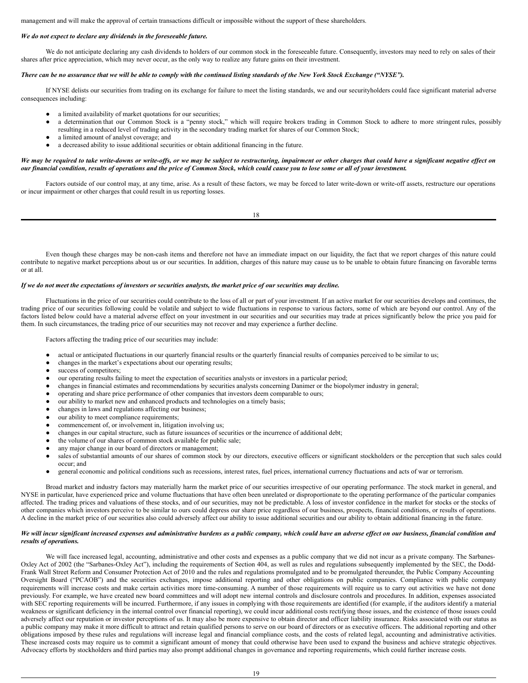management and will make the approval of certain transactions difficult or impossible without the support of these shareholders.

## *We do not expect to declare any dividends in the foreseeable future.*

We do not anticipate declaring any cash dividends to holders of our common stock in the foreseeable future. Consequently, investors may need to rely on sales of their shares after price appreciation, which may never occur, as the only way to realize any future gains on their investment.

## There can be no assurance that we will be able to comply with the continued listing standards of the New York Stock Exchange ("NYSE").

If NYSE delists our securities from trading on its exchange for failure to meet the listing standards, we and our securityholders could face significant material adverse consequences including:

- a limited availability of market quotations for our securities;
- a determination that our Common Stock is a "penny stock," which will require brokers trading in Common Stock to adhere to more stringent rules, possibly resulting in a reduced level of trading activity in the secondary trading market for shares of our Common Stock;
- a limited amount of analyst coverage; and
- a decreased ability to issue additional securities or obtain additional financing in the future.

### We may be required to take write-downs or write-offs, or we may be subject to restructuring, impairment or other charges that could have a significant negative effect on our financial condition, results of operations and the price of Common Stock, which could cause you to lose some or all of your investment.

Factors outside of our control may, at any time, arise. As a result of these factors, we may be forced to later write-down or write-off assets, restructure our operations or incur impairment or other charges that could result in us reporting losses.

Even though these charges may be non-cash items and therefore not have an immediate impact on our liquidity, the fact that we report charges of this nature could contribute to negative market perceptions about us or our securities. In addition, charges of this nature may cause us to be unable to obtain future financing on favorable terms or at all.

## If we do not meet the expectations of investors or securities analysts, the market price of our securities may decline.

Fluctuations in the price of our securities could contribute to the loss of all or part of your investment. If an active market for our securities develops and continues, the trading price of our securities following could be volatile and subject to wide fluctuations in response to various factors, some of which are beyond our control. Any of the factors listed below could have a material adverse effect on your investment in our securities and our securities may trade at prices significantly below the price you paid for them. In such circumstances, the trading price of our securities may not recover and may experience a further decline.

Factors affecting the trading price of our securities may include:

- actual or anticipated fluctuations in our quarterly financial results or the quarterly financial results of companies perceived to be similar to us;
- changes in the market's expectations about our operating results;
- success of competitors;
- our operating results failing to meet the expectation of securities analysts or investors in a particular period;
- changes in financial estimates and recommendations by securities analysts concerning Danimer or the biopolymer industry in general;
- operating and share price performance of other companies that investors deem comparable to ours;
- our ability to market new and enhanced products and technologies on a timely basis;
- changes in laws and regulations affecting our business;
- our ability to meet compliance requirements;
- commencement of, or involvement in, litigation involving us;
- changes in our capital structure, such as future issuances of securities or the incurrence of additional debt;
- the volume of our shares of common stock available for public sale;
- any major change in our board of directors or management;
- sales of substantial amounts of our shares of common stock by our directors, executive officers or significant stockholders or the perception that such sales could occur; and
- general economic and political conditions such as recessions, interest rates, fuel prices, international currency fluctuations and acts of war or terrorism.

Broad market and industry factors may materially harm the market price of our securities irrespective of our operating performance. The stock market in general, and NYSE in particular, have experienced price and volume fluctuations that have often been unrelated or disproportionate to the operating performance of the particular companies affected. The trading prices and valuations of these stocks, and of our securities, may not be predictable. A loss of investor confidence in the market for stocks or the stocks of other companies which investors perceive to be similar to ours could depress our share price regardless of our business, prospects, financial conditions, or results of operations. A decline in the market price of our securities also could adversely affect our ability to issue additional securities and our ability to obtain additional financing in the future.

### We will incur significant increased expenses and administrative burdens as a public company, which could have an adverse effect on our business, financial condition and *results of operations.*

We will face increased legal, accounting, administrative and other costs and expenses as a public company that we did not incur as a private company. The Sarbanes-Oxley Act of 2002 (the "Sarbanes-Oxley Act"), including the requirements of Section 404, as well as rules and regulations subsequently implemented by the SEC, the Dodd-Frank Wall Street Reform and Consumer Protection Act of 2010 and the rules and regulations promulgated and to be promulgated thereunder, the Public Company Accounting Oversight Board ("PCAOB") and the securities exchanges, impose additional reporting and other obligations on public companies. Compliance with public company requirements will increase costs and make certain activities more time-consuming. A number of those requirements will require us to carry out activities we have not done previously. For example, we have created new board committees and will adopt new internal controls and disclosure controls and procedures. In addition, expenses associated with SEC reporting requirements will be incurred. Furthermore, if any issues in complying with those requirements are identified (for example, if the auditors identify a material weakness or significant deficiency in the internal control over financial reporting), we could incur additional costs rectifying those issues, and the existence of those issues could adversely affect our reputation or investor perceptions of us. It may also be more expensive to obtain director and officer liability insurance. Risks associated with our status as a public company may make it more difficult to attract and retain qualified persons to serve on our board of directors or as executive officers. The additional reporting and other obligations imposed by these rules and regulations will increase legal and financial compliance costs, and the costs of related legal, accounting and administrative activities. These increased costs may require us to commit a significant amount of money that could otherwise have been used to expand the business and achieve strategic objectives. Advocacy efforts by stockholders and third parties may also prompt additional changes in governance and reporting requirements, which could further increase costs.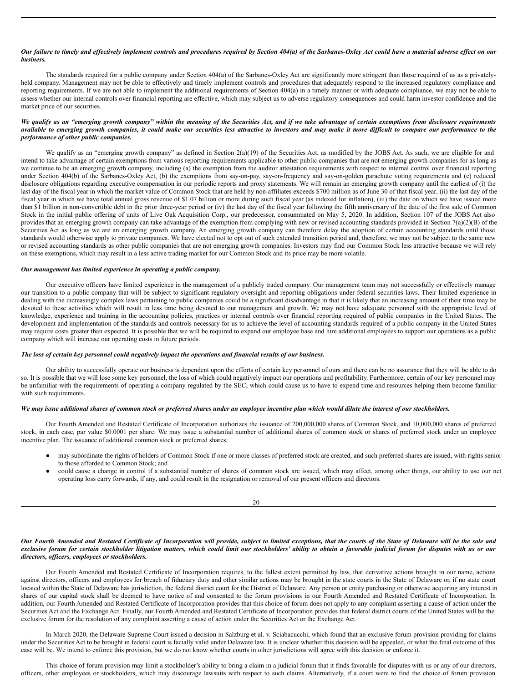## Our failure to timely and effectively implement controls and procedures required by Section 404(a) of the Sarbanes-Oxley Act could have a material adverse effect on our *business.*

The standards required for a public company under Section 404(a) of the Sarbanes-Oxley Act are significantly more stringent than those required of us as a privatelyheld company. Management may not be able to effectively and timely implement controls and procedures that adequately respond to the increased regulatory compliance and reporting requirements. If we are not able to implement the additional requirements of Section 404(a) in a timely manner or with adequate compliance, we may not be able to assess whether our internal controls over financial reporting are effective, which may subject us to adverse regulatory consequences and could harm investor confidence and the market price of our securities.

## We qualify as an "emerging growth company" within the meaning of the Securities Act, and if we take advantage of certain exemptions from disclosure requirements available to emerging growth companies, it could make our securities less attractive to investors and may make it more difficult to compare our performance to the *performance of other public companies.*

We qualify as an "emerging growth company" as defined in Section 2(a)(19) of the Securities Act, as modified by the JOBS Act. As such, we are eligible for and intend to take advantage of certain exemptions from various reporting requirements applicable to other public companies that are not emerging growth companies for as long as we continue to be an emerging growth company, including (a) the exemption from the auditor attestation requirements with respect to internal control over financial reporting under Section 404(b) of the Sarbanes-Oxley Act, (b) the exemptions from say-on-pay, say-on-frequency and say-on-golden parachute voting requirements and (c) reduced disclosure obligations regarding executive compensation in our periodic reports and proxy statements. We will remain an emerging growth company until the earliest of (i) the last day of the fiscal year in which the market value of Common Stock that are held by non-affiliates exceeds \$700 million as of June 30 of that fiscal year, (ii) the last day of the fiscal year in which we have total annual gross revenue of \$1.07 billion or more during such fiscal year (as indexed for inflation), (iii) the date on which we have issued more than \$1 billion in non-convertible debt in the prior three-year period or (iv) the last day of the fiscal year following the fifth anniversary of the date of the first sale of Common Stock in the initial public offering of units of Live Oak Acquisition Corp., our predecessor, consummated on May 5, 2020. In addition, Section 107 of the JOBS Act also provides that an emerging growth company can take advantage of the exemption from complying with new or revised accounting standards provided in Section 7(a)(2)(B) of the Securities Act as long as we are an emerging growth company. An emerging growth company can therefore delay the adoption of certain accounting standards until those standards would otherwise apply to private companies. We have elected not to opt out of such extended transition period and, therefore, we may not be subject to the same new or revised accounting standards as other public companies that are not emerging growth companies. Investors may find our Common Stock less attractive because we will rely on these exemptions, which may result in a less active trading market for our Common Stock and its price may be more volatile.

## *Our management has limited experience in operating a public company.*

Our executive officers have limited experience in the management of a publicly traded company. Our management team may not successfully or effectively manage our transition to a public company that will be subject to significant regulatory oversight and reporting obligations under federal securities laws. Their limited experience in dealing with the increasingly complex laws pertaining to public companies could be a significant disadvantage in that it is likely that an increasing amount of their time may be devoted to these activities which will result in less time being devoted to our management and growth. We may not have adequate personnel with the appropriate level of knowledge, experience and training in the accounting policies, practices or internal controls over financial reporting required of public companies in the United States. The development and implementation of the standards and controls necessary for us to achieve the level of accounting standards required of a public company in the United States may require costs greater than expected. It is possible that we will be required to expand our employee base and hire additional employees to support our operations as a public company which will increase our operating costs in future periods.

## The loss of certain key personnel could negatively impact the operations and financial results of our business.

Our ability to successfully operate our business is dependent upon the efforts of certain key personnel of ours and there can be no assurance that they will be able to do so. It is possible that we will lose some key personnel, the loss of which could negatively impact our operations and profitability. Furthermore, certain of our key personnel may be unfamiliar with the requirements of operating a company regulated by the SEC, which could cause us to have to expend time and resources helping them become familiar with such requirements.

#### We may issue additional shares of common stock or preferred shares under an employee incentive plan which would dilute the interest of our stockholders.

Our Fourth Amended and Restated Certificate of Incorporation authorizes the issuance of 200,000,000 shares of Common Stock, and 10,000,000 shares of preferred stock, in each case, par value \$0.0001 per share. We may issue a substantial number of additional shares of common stock or shares of preferred stock under an employee incentive plan. The issuance of additional common stock or preferred shares:

- may subordinate the rights of holders of Common Stock if one or more classes of preferred stock are created, and such preferred shares are issued, with rights senior to those afforded to Common Stock; and
- could cause a change in control if a substantial number of shares of common stock are issued, which may affect, among other things, our ability to use our net operating loss carry forwards, if any, and could result in the resignation or removal of our present officers and directors.

Our Fourth Amended and Restated Certificate of Incorporation will provide, subject to limited exceptions, that the courts of the State of Delaware will be the sole and exclusive forum for certain stockholder litigation matters, which could limit our stockholders' ability to obtain a favorable judicial forum for disputes with us or our *directors, of icers, employees or stockholders.*

Our Fourth Amended and Restated Certificate of Incorporation requires, to the fullest extent permitted by law, that derivative actions brought in our name, actions against directors, officers and employees for breach of fiduciary duty and other similar actions may be brought in the state courts in the State of Delaware or, if no state court located within the State of Delaware has jurisdiction, the federal district court for the District of Delaware. Any person or entity purchasing or otherwise acquiring any interest in shares of our capital stock shall be deemed to have notice of and consented to the forum provisions in our Fourth Amended and Restated Certificate of Incorporation. In addition, our Fourth Amended and Restated Certificate of Incorporation provides that this choice of forum does not apply to any complaint asserting a cause of action under the Securities Act and the Exchange Act. Finally, our Fourth Amended and Restated Certificate of Incorporation provides that federal district courts of the United States will be the exclusive forum for the resolution of any complaint asserting a cause of action under the Securities Act or the Exchange Act.

In March 2020, the Delaware Supreme Court issued a decision in Salzburg et al. v. Sciabacucchi, which found that an exclusive forum provision providing for claims under the Securities Act to be brought in federal court is facially valid under Delaware law. It is unclear whether this decision will be appealed, or what the final outcome of this case will be. We intend to enforce this provision, but we do not know whether courts in other jurisdictions will agree with this decision or enforce it.

This choice of forum provision may limit a stockholder's ability to bring a claim in a judicial forum that it finds favorable for disputes with us or any of our directors, officers, other employees or stockholders, which may discourage lawsuits with respect to such claims. Alternatively, if a court were to find the choice of forum provision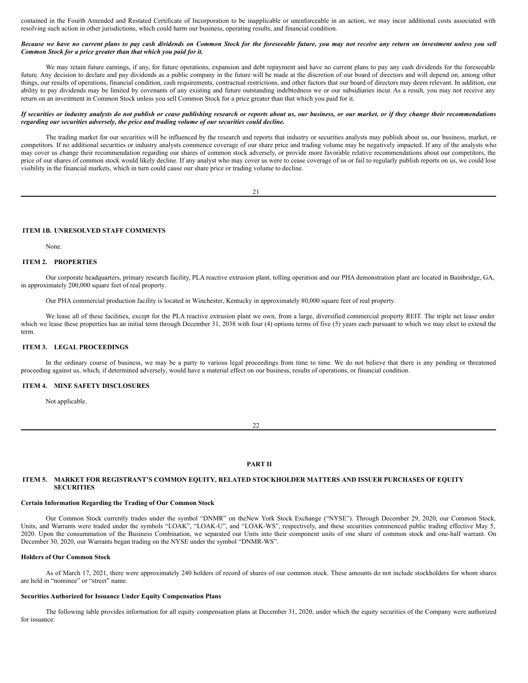contained in the Fourth Amended and Restated Certificate of Incorporation to be inapplicable or unenforceable in an action, we may incur additional costs associated with resolving such action in other jurisdictions, which could harm our business, operating results, and financial condition.

## Because we have no current plans to pay cash dividends on Common Stock for the foreseeable future, you may not receive any return on investment unless you sell *Common Stock for a price greater than that which you paid for it.*

We may retain future earnings, if any, for future operations, expansion and debt repayment and have no current plans to pay any cash dividends for the foreseeable future. Any decision to declare and pay dividends as a public company in the future will be made at the discretion of our board of directors and will depend on, among other things, our results of operations, financial condition, cash requirements, contractual restrictions, and other factors that our board of directors may deem relevant. In addition, our ability to pay dividends may be limited by covenants of any existing and future outstanding indebtedness we or our subsidiaries incur. As a result, you may not receive any return on an investment in Common Stock unless you sell Common Stock for a price greater than that which you paid for it.

## If securities or industry analysts do not publish or cease publishing research or reports about us, our business, or our market, or if they change their recommendations *regarding our securities adversely, the price and trading volume of our securities could decline.*

The trading market for our securities will be influenced by the research and reports that industry or securities analysts may publish about us, our business, market, or competitors. If no additional securities or industry analysts commence coverage of our share price and trading volume may be negatively impacted. If any of the analysts who may cover us change their recommendation regarding our shares of common stock adversely, or provide more favorable relative recommendations about our competitors, the price of our shares of common stock would likely decline. If any analyst who may cover us were to cease coverage of us or fail to regularly publish reports on us, we could lose visibility in the financial markets, which in turn could cause our share price or trading volume to decline.

 $21$ 

## <span id="page-16-0"></span>**ITEM 1B. UNRESOLVED STAFF COMMENTS**

None.

## <span id="page-16-1"></span>**ITEM 2. PROPERTIES**

Our corporate headquarters, primary research facility, PLA reactive extrusion plant, tolling operation and our PHA demonstration plant are located in Bainbridge, GA, in approximately 200,000 square feet of real property.

Our PHA commercial production facility is located in Winchester, Kentucky in approximately 80,000 square feet of real property.

We lease all of these facilities, except for the PLA reactive extrusion plant we own, from a large, diversified commercial property REIT. The triple net lease under which we lease these properties has an initial term through December 31, 2038 with four (4) options terms of five (5) years each pursuant to which we may elect to extend the term.

## <span id="page-16-2"></span>**ITEM 3. LEGAL PROCEEDINGS**

In the ordinary course of business, we may be a party to various legal proceedings from time to time. We do not believe that there is any pending or threatened proceeding against us, which, if determined adversely, would have a material effect on our business, results of operations, or financial condition.

## <span id="page-16-3"></span>**ITEM 4. MINE SAFETY DISCLOSURES**

Not applicable.

22

## <span id="page-16-4"></span>**PART II**

## <span id="page-16-5"></span>**ITEM 5. MARKET FOR REGISTRANT'S COMMON EQUITY, RELATED STOCKHOLDER MATTERS AND ISSUER PURCHASES OF EQUITY SECURITIES**

## **Certain Information Regarding the Trading of Our Common Stock**

Our Common Stock currently trades under the symbol "DNMR" on theNew York Stock Exchange ("NYSE"). Through December 29, 2020, our Common Stock, Units, and Warrants were traded under the symbols "LOAK", "LOAK-U", and "LOAK-WS", respectively, and these securities commenced public trading effective May 5, 2020. Upon the consummation of the Business Combination, we separated our Units into their component units of one share of common stock and one-half warrant. On December 30, 2020, our Warrants began trading on the NYSE under the symbol "DNMR-WS".

### **Holders of Our Common Stock**

As of March 17, 2021, there were approximately 240 holders of record of shares of our common stock. These amounts do not include stockholders for whom shares are held in "nominee" or "street" name.

## **Securities Authorized for Issuance Under Equity Compensation Plans**

The following table provides information for all equity compensation plans at December 31, 2020, under which the equity securities of the Company were authorized for issuance: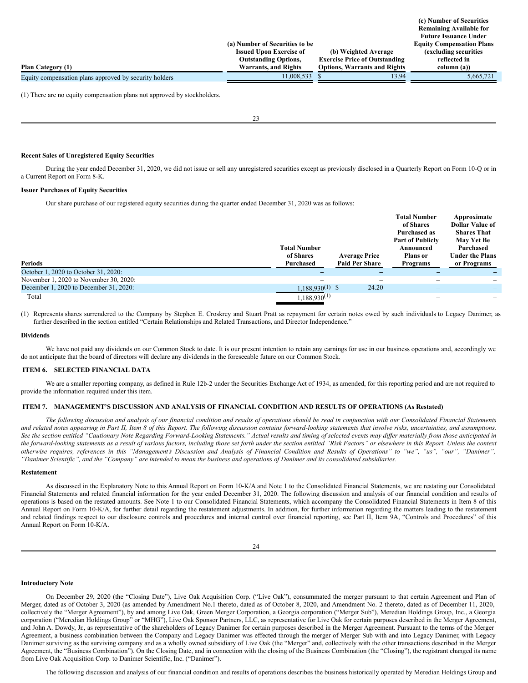**(c) Number of Securities**

(1) There are no equity compensation plans not approved by stockholders.

23

### **Recent Sales of Unregistered Equity Securities**

During the year ended December 31, 2020, we did not issue or sell any unregistered securities except as previously disclosed in a Quarterly Report on Form 10-Q or in a Current Report on Form 8-K.

#### **Issuer Purchases of Equity Securities**

Our share purchase of our registered equity securities during the quarter ended December 31, 2020 was as follows:

|                                        |                     |                       | <b>Total Number</b>     | Approximate            |
|----------------------------------------|---------------------|-----------------------|-------------------------|------------------------|
|                                        |                     |                       | of Shares               | <b>Dollar Value of</b> |
|                                        |                     |                       | Purchased as            | <b>Shares That</b>     |
|                                        |                     |                       | <b>Part of Publicly</b> | <b>May Yet Be</b>      |
|                                        | <b>Total Number</b> |                       | Announced               | Purchased              |
|                                        | of Shares           | <b>Average Price</b>  | <b>Plans or</b>         | <b>Under the Plans</b> |
| Periods                                | Purchased           | <b>Paid Per Share</b> | Programs                | or Programs            |
| October 1, 2020 to October 31, 2020:   |                     | -                     | -                       |                        |
| November 1, 2020 to November 30, 2020: |                     | -                     |                         |                        |
| December 1, 2020 to December 31, 2020: | $1,188,930(1)$ \$   | 24.20                 |                         |                        |
| Total                                  | $1.188.930^{(1)}$   |                       |                         |                        |

(1) Represents shares surrendered to the Company by Stephen E. Croskrey and Stuart Pratt as repayment for certain notes owed by such individuals to Legacy Danimer, as further described in the section entitled "Certain Relationships and Related Transactions, and Director Independence."

## **Dividends**

We have not paid any dividends on our Common Stock to date. It is our present intention to retain any earnings for use in our business operations and, accordingly we do not anticipate that the board of directors will declare any dividends in the foreseeable future on our Common Stock.

#### <span id="page-17-0"></span>**ITEM 6. SELECTED FINANCIAL DATA**

We are a smaller reporting company, as defined in Rule 12b-2 under the Securities Exchange Act of 1934, as amended, for this reporting period and are not required to provide the information required under this item.

## <span id="page-17-1"></span>**ITEM 7. MANAGEMENT'S DISCUSSION AND ANALYSIS OF FINANCIAL CONDITION AND RESULTS OF OPERATIONS (As Restated)**

The following discussion and analysis of our financial condition and results of operations should be read in conjunction with our Consolidated Financial Statements and related notes appearing in Part II, Item 8 of this Report. The following discussion contains forward-looking statements that involve risks, uncertainties, and assumptions. See the section entitled "Cautionary Note Regarding Forward-Looking Statements." Actual results and timing of selected events may differ materially from those anticipated in the forward-looking statements as a result of various factors, including those set forth under the section entitled "Risk Factors" or elsewhere in this Report. Unless the context otherwise requires, references in this "Management's Discussion and Analysis of Financial Condition and Results of Operations" to "we", "us", "our", "Danimer", "Danimer Scientific", and the "Company" are intended to mean the business and operations of Danimer and its consolidated subsidiaries.

#### **Restatement**

As discussed in the Explanatory Note to this Annual Report on Form 10-K/A and Note 1 to the Consolidated Financial Statements, we are restating our Consolidated Financial Statements and related financial information for the year ended December 31, 2020. The following discussion and analysis of our financial condition and results of operations is based on the restated amounts. See Note 1 to our Consolidated Financial Statements, which accompany the Consolidated Financial Statements in Item 8 of this Annual Report on Form 10-K/A, for further detail regarding the restatement adjustments. In addition, for further information regarding the matters leading to the restatement and related findings respect to our disclosure controls and procedures and internal control over financial reporting, see Part II, Item 9A, "Controls and Procedures" of this Annual Report on Form 10-K/A.

| × |  |
|---|--|
| I |  |

#### **Introductory Note**

On December 29, 2020 (the "Closing Date"), Live Oak Acquisition Corp. ("Live Oak"), consummated the merger pursuant to that certain Agreement and Plan of Merger, dated as of October 3, 2020 (as amended by Amendment No.1 thereto, dated as of October 8, 2020, and Amendment No. 2 thereto, dated as of December 11, 2020, collectively the "Merger Agreement"), by and among Live Oak, Green Merger Corporation, a Georgia corporation ("Merger Sub"), Meredian Holdings Group, Inc., a Georgia corporation ("Meredian Holdings Group" or "MHG"), Live Oak Sponsor Partners, LLC, as representative for Live Oak for certain purposes described in the Merger Agreement, and John A. Dowdy, Jr., as representative of the shareholders of Legacy Danimer for certain purposes described in the Merger Agreement. Pursuant to the terms of the Merger Agreement, a business combination between the Company and Legacy Danimer was effected through the merger of Merger Sub with and into Legacy Danimer, with Legacy Danimer surviving as the surviving company and as a wholly owned subsidiary of Live Oak (the "Merger" and, collectively with the other transactions described in the Merger Agreement, the "Business Combination"). On the Closing Date, and in connection with the closing of the Business Combination (the "Closing"), the registrant changed its name from Live Oak Acquisition Corp. to Danimer Scientific, Inc. ("Danimer").

The following discussion and analysis of our financial condition and results of operations describes the business historically operated by Meredian Holdings Group and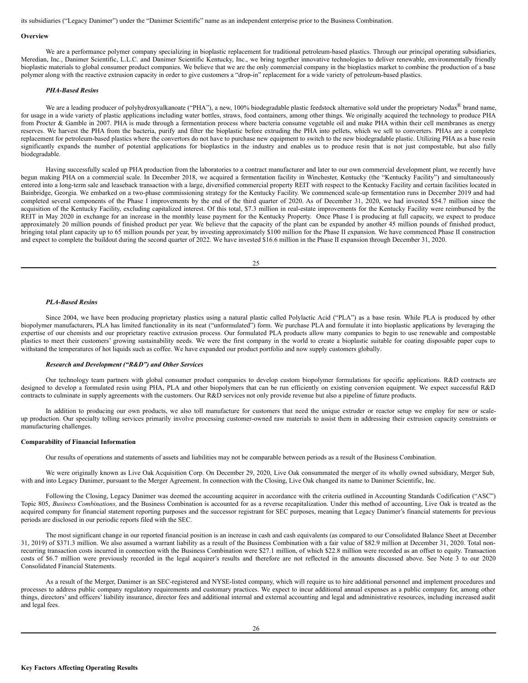its subsidiaries ("Legacy Danimer") under the "Danimer Scientific" name as an independent enterprise prior to the Business Combination.

#### **Overview**

We are a performance polymer company specializing in bioplastic replacement for traditional petroleum-based plastics. Through our principal operating subsidiaries, Meredian, Inc., Danimer Scientific, L.L.C. and Danimer Scientific Kentucky, Inc., we bring together innovative technologies to deliver renewable, environmentally friendly bioplastic materials to global consumer product companies. We believe that we are the only commercial company in the bioplastics market to combine the production of a base polymer along with the reactive extrusion capacity in order to give customers a "drop-in" replacement for a wide variety of petroleum-based plastics.

## *PHA-Based Resins*

We are a leading producer of polyhydroxyalkanoate ("PHA"), a new, 100% biodegradable plastic feedstock alternative sold under the proprietary Nodax<sup>®</sup> brand name, for usage in a wide variety of plastic applications including water bottles, straws, food containers, among other things. We originally acquired the technology to produce PHA from Procter & Gamble in 2007. PHA is made through a fermentation process where bacteria consume vegetable oil and make PHA within their cell membranes as energy reserves. We harvest the PHA from the bacteria, purify and filter the bioplastic before extruding the PHA into pellets, which we sell to converters. PHAs are a complete replacement for petroleum-based plastics where the convertors do not have to purchase new equipment to switch to the new biodegradable plastic. Utilizing PHA as a base resin significantly expands the number of potential applications for bioplastics in the industry and enables us to produce resin that is not just compostable, but also fully biodegradable.

Having successfully scaled up PHA production from the laboratories to a contract manufacturer and later to our own commercial development plant, we recently have begun making PHA on a commercial scale. In December 2018, we acquired a fermentation facility in Winchester, Kentucky (the "Kentucky Facility") and simultaneously entered into a long-term sale and leaseback transaction with a large, diversified commercial property REIT with respect to the Kentucky Facility and certain facilities located in Bainbridge, Georgia. We embarked on a two-phase commissioning strategy for the Kentucky Facility. We commenced scale-up fermentation runs in December 2019 and had completed several components of the Phase I improvements by the end of the third quarter of 2020. As of December 31, 2020, we had invested \$54.7 million since the acquisition of the Kentucky Facility, excluding capitalized interest. Of this total, \$7.3 million in real-estate improvements for the Kentucky Facility were reimbursed by the REIT in May 2020 in exchange for an increase in the monthly lease payment for the Kentucky Property. Once Phase I is producing at full capacity, we expect to produce approximately 20 million pounds of finished product per year. We believe that the capacity of the plant can be expanded by another 45 million pounds of finished product, bringing total plant capacity up to 65 million pounds per year, by investing approximately \$100 million for the Phase II expansion. We have commenced Phase II construction and expect to complete the buildout during the second quarter of 2022. We have invested \$16.6 million in the Phase II expansion through December 31, 2020.

#### *PLA-Based Resins*

Since 2004, we have been producing proprietary plastics using a natural plastic called Polylactic Acid ("PLA") as a base resin. While PLA is produced by other biopolymer manufacturers, PLA has limited functionality in its neat ("unformulated") form. We purchase PLA and formulate it into bioplastic applications by leveraging the expertise of our chemists and our proprietary reactive extrusion process. Our formulated PLA products allow many companies to begin to use renewable and compostable plastics to meet their customers' growing sustainability needs. We were the first company in the world to create a bioplastic suitable for coating disposable paper cups to withstand the temperatures of hot liquids such as coffee. We have expanded our product portfolio and now supply customers globally.

### *Research and Development ("R&D") and Other Services*

Our technology team partners with global consumer product companies to develop custom biopolymer formulations for specific applications. R&D contracts are designed to develop a formulated resin using PHA, PLA and other biopolymers that can be run efficiently on existing conversion equipment. We expect successful R&D contracts to culminate in supply agreements with the customers. Our R&D services not only provide revenue but also a pipeline of future products.

In addition to producing our own products, we also toll manufacture for customers that need the unique extruder or reactor setup we employ for new or scaleup production. Our specialty tolling services primarily involve processing customer-owned raw materials to assist them in addressing their extrusion capacity constraints or manufacturing challenges.

### **Comparability of Financial Information**

Our results of operations and statements of assets and liabilities may not be comparable between periods as a result of the Business Combination.

We were originally known as Live Oak Acquisition Corp. On December 29, 2020, Live Oak consummated the merger of its wholly owned subsidiary, Merger Sub, with and into Legacy Danimer, pursuant to the Merger Agreement. In connection with the Closing, Live Oak changed its name to Danimer Scientific, Inc.

Following the Closing, Legacy Danimer was deemed the accounting acquirer in accordance with the criteria outlined in Accounting Standards Codification ("ASC") Topic 805, *Business Combinations*, and the Business Combination is accounted for as a reverse recapitalization. Under this method of accounting, Live Oak is treated as the acquired company for financial statement reporting purposes and the successor registrant for SEC purposes, meaning that Legacy Danimer's financial statements for previous periods are disclosed in our periodic reports filed with the SEC.

The most significant change in our reported financial position is an increase in cash and cash equivalents (as compared to our Consolidated Balance Sheet at December 31, 2019) of \$371.3 million. We also assumed a warrant liability as a result of the Business Combination with a fair value of \$82.9 million at December 31, 2020. Total nonrecurring transaction costs incurred in connection with the Business Combination were \$27.1 million, of which \$22.8 million were recorded as an offset to equity. Transaction costs of \$6.7 million were previously recorded in the legal acquirer's results and therefore are not reflected in the amounts discussed above. See Note 3 to our 2020 Consolidated Financial Statements.

As a result of the Merger, Danimer is an SEC-registered and NYSE-listed company, which will require us to hire additional personnel and implement procedures and processes to address public company regulatory requirements and customary practices. We expect to incur additional annual expenses as a public company for, among other things, directors' and officers' liability insurance, director fees and additional internal and external accounting and legal and administrative resources, including increased audit and legal fees.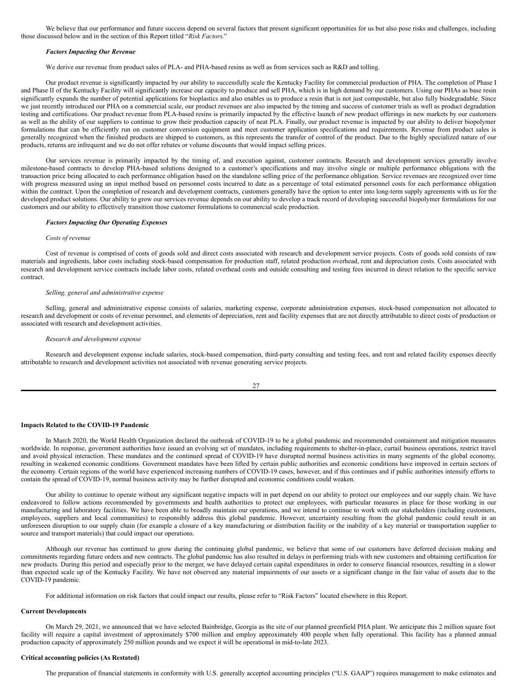We believe that our performance and future success depend on several factors that present significant opportunities for us but also pose risks and challenges, including those discussed below and in the section of this Report titled "*Risk Factors*."

## *Factors Impacting Our Revenue*

We derive our revenue from product sales of PLA- and PHA-based resins as well as from services such as R&D and tolling.

Our product revenue is significantly impacted by our ability to successfully scale the Kentucky Facility for commercial production of PHA. The completion of Phase I and Phase II of the Kentucky Facility will significantly increase our capacity to produce and sell PHA, which is in high demand by our customers. Using our PHAs as base resin significantly expands the number of potential applications for bioplastics and also enables us to produce a resin that is not just compostable, but also fully biodegradable. Since we just recently introduced our PHA on a commercial scale, our product revenues are also impacted by the timing and success of customer trials as well as product degradation testing and certifications. Our product revenue from PLA-based resins is primarily impacted by the effective launch of new product offerings in new markets by our customers as well as the ability of our suppliers to continue to grow their production capacity of neat PLA. Finally, our product revenue is impacted by our ability to deliver biopolymer formulations that can be efficiently run on customer conversion equipment and meet customer application specifications and requirements. Revenue from product sales is generally recognized when the finished products are shipped to customers, as this represents the transfer of control of the product. Due to the highly specialized nature of our products, returns are infrequent and we do not offer rebates or volume discounts that would impact selling prices.

Our services revenue is primarily impacted by the timing of, and execution against, customer contracts. Research and development services generally involve milestone-based contracts to develop PHA-based solutions designed to a customer's specifications and may involve single or multiple performance obligations with the transaction price being allocated to each performance obligation based on the standalone selling price of the performance obligation. Service revenues are recognized over time with progress measured using an input method based on personnel costs incurred to date as a percentage of total estimated personnel costs for each performance obligation within the contract. Upon the completion of research and development contracts, customers generally have the option to enter into long-term supply agreements with us for the developed product solutions. Our ability to grow our services revenue depends on our ability to develop a track record of developing successful biopolymer formulations for our customers and our ability to effectively transition those customer formulations to commercial scale production.

#### *Factors Impacting Our Operating Expenses*

### *Costs of revenue*

Cost of revenue is comprised of costs of goods sold and direct costs associated with research and development service projects. Costs of goods sold consists of raw materials and ingredients, labor costs including stock-based compensation for production staff, related production overhead, rent and depreciation costs. Costs associated with research and development service contracts include labor costs, related overhead costs and outside consulting and testing fees incurred in direct relation to the specific service contract.

#### *Selling, general and administrative expense*

Selling, general and administrative expense consists of salaries, marketing expense, corporate administration expenses, stock-based compensation not allocated to research and development or costs of revenue personnel, and elements of depreciation, rent and facility expenses that are not directly attributable to direct costs of production or associated with research and development activities.

#### *Research and development expense*

Research and development expense include salaries, stock-based compensation, third-party consulting and testing fees, and rent and related facility expenses directly attributable to research and development activities not associated with revenue generating service projects.

#### **Impacts Related to the COVID-19 Pandemic**

In March 2020, the World Health Organization declared the outbreak of COVID-19 to be a global pandemic and recommended containment and mitigation measures worldwide. In response, government authorities have issued an evolving set of mandates, including requirements to shelter-in-place, curtail business operations, restrict travel and avoid physical interaction. These mandates and the continued spread of COVID-19 have disrupted normal business activities in many segments of the global economy, resulting in weakened economic conditions. Government mandates have been lifted by certain public authorities and economic conditions have improved in certain sectors of the economy. Certain regions of the world have experienced increasing numbers of COVID-19 cases, however, and if this continues and if public authorities intensify efforts to contain the spread of COVID-19, normal business activity may be further disrupted and economic conditions could weaken.

Our ability to continue to operate without any significant negative impacts will in part depend on our ability to protect our employees and our supply chain. We have endeavored to follow actions recommended by governments and health authorities to protect our employees, with particular measures in place for those working in our manufacturing and laboratory facilities. We have been able to broadly maintain our operations, and we intend to continue to work with our stakeholders (including customers, employees, suppliers and local communities) to responsibly address this global pandemic. However, uncertainty resulting from the global pandemic could result in an unforeseen disruption to our supply chain (for example a closure of a key manufacturing or distribution facility or the inability of a key material or transportation supplier to source and transport materials) that could impact our operations.

Although our revenue has continued to grow during the continuing global pandemic, we believe that some of our customers have deferred decision making and commitments regarding future orders and new contracts. The global pandemic has also resulted in delays in performing trials with new customers and obtaining certification for new products. During this period and especially prior to the merger, we have delayed certain capital expenditures in order to conserve financial resources, resulting in a slower than expected scale up of the Kentucky Facility. We have not observed any material impairments of our assets or a significant change in the fair value of assets due to the COVID-19 pandemic.

For additional information on risk factors that could impact our results, please refer to "Risk Factors" located elsewhere in this Report.

#### **Current Developments**

On March 29, 2021, we announced that we have selected Bainbridge, Georgia as the site of our planned greenfield PHA plant. We anticipate this 2 million square foot facility will require a capital investment of approximately \$700 million and employ approximately 400 people when fully operational. This facility has a planned annual production capacity of approximately 250 million pounds and we expect it will be operational in mid-to-late 2023.

## **Critical accounting policies (As Restated)**

The preparation of financial statements in conformity with U.S. generally accepted accounting principles ("U.S. GAAP") requires management to make estimates and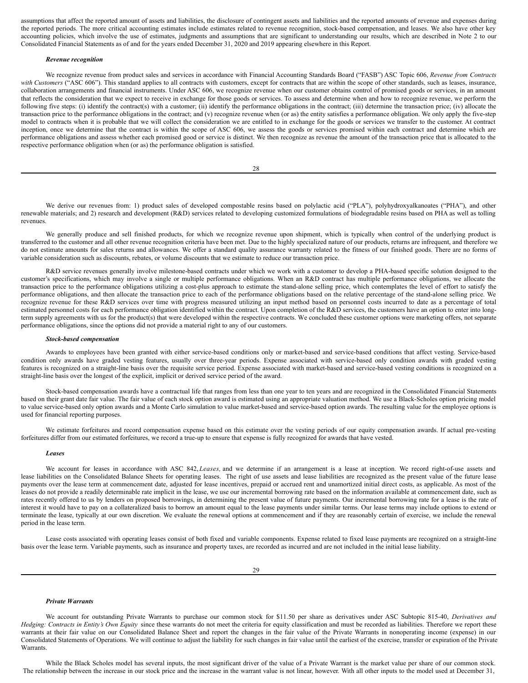assumptions that affect the reported amount of assets and liabilities, the disclosure of contingent assets and liabilities and the reported amounts of revenue and expenses during the reported periods. The more critical accounting estimates include estimates related to revenue recognition, stock-based compensation, and leases. We also have other key accounting policies, which involve the use of estimates, judgments and assumptions that are significant to understanding our results, which are described in Note 2 to our Consolidated Financial Statements as of and for the years ended December 31, 2020 and 2019 appearing elsewhere in this Report.

#### *Revenue recognition*

We recognize revenue from product sales and services in accordance with Financial Accounting Standards Board ("FASB") ASC Topic 606, *Revenue from Contracts* with Customers ("ASC 606"). This standard applies to all contracts with customers, except for contracts that are within the scope of other standards, such as leases, insurance, collaboration arrangements and financial instruments. Under ASC 606, we recognize revenue when our customer obtains control of promised goods or services, in an amount that reflects the consideration that we expect to receive in exchange for those goods or services. To assess and determine when and how to recognize revenue, we perform the following five steps: (i) identify the contract(s) with a customer; (ii) identify the performance obligations in the contract; (iii) determine the transaction price; (iv) allocate the transaction price to the performance obligations in the contract; and (v) recognize revenue when (or as) the entity satisfies a performance obligation. We only apply the five-step model to contracts when it is probable that we will collect the consideration we are entitled to in exchange for the goods or services we transfer to the customer. At contract inception, once we determine that the contract is within the scope of ASC 606, we assess the goods or services promised within each contract and determine which are performance obligations and assess whether each promised good or service is distinct. We then recognize as revenue the amount of the transaction price that is allocated to the respective performance obligation when (or as) the performance obligation is satisfied.

| ×<br>ł |             |
|--------|-------------|
|        | I<br>w<br>۹ |

We derive our revenues from: 1) product sales of developed compostable resins based on polylactic acid ("PLA"), polyhydroxyalkanoates ("PHA"), and other renewable materials; and 2) research and development (R&D) services related to developing customized formulations of biodegradable resins based on PHA as well as tolling revenues.

We generally produce and sell finished products, for which we recognize revenue upon shipment, which is typically when control of the underlying product is transferred to the customer and all other revenue recognition criteria have been met. Due to the highly specialized nature of our products, returns are infrequent, and therefore we do not estimate amounts for sales returns and allowances. We offer a standard quality assurance warranty related to the fitness of our finished goods. There are no forms of variable consideration such as discounts, rebates, or volume discounts that we estimate to reduce our transaction price.

R&D service revenues generally involve milestone-based contracts under which we work with a customer to develop a PHA-based specific solution designed to the customer's specifications, which may involve a single or multiple performance obligations. When an R&D contract has multiple performance obligations, we allocate the transaction price to the performance obligations utilizing a cost-plus approach to estimate the stand-alone selling price, which contemplates the level of effort to satisfy the performance obligations, and then allocate the transaction price to each of the performance obligations based on the relative percentage of the stand-alone selling price. We recognize revenue for these R&D services over time with progress measured utilizing an input method based on personnel costs incurred to date as a percentage of total estimated personnel costs for each performance obligation identified within the contract. Upon completion of the R&D services, the customers have an option to enter into longterm supply agreements with us for the product(s) that were developed within the respective contracts. We concluded these customer options were marketing offers, not separate performance obligations, since the options did not provide a material right to any of our customers.

#### *Stock-based compensation*

Awards to employees have been granted with either service-based conditions only or market-based and service-based conditions that affect vesting. Service-based condition only awards have graded vesting features, usually over three-year periods. Expense associated with service-based only condition awards with graded vesting features is recognized on a straight-line basis over the requisite service period. Expense associated with market-based and service-based vesting conditions is recognized on a straight-line basis over the longest of the explicit, implicit or derived service period of the award.

Stock-based compensation awards have a contractual life that ranges from less than one year to ten years and are recognized in the Consolidated Financial Statements based on their grant date fair value. The fair value of each stock option award is estimated using an appropriate valuation method. We use a Black-Scholes option pricing model to value service-based only option awards and a Monte Carlo simulation to value market-based and service-based option awards. The resulting value for the employee options is used for financial reporting purposes.

We estimate forfeitures and record compensation expense based on this estimate over the vesting periods of our equity compensation awards. If actual pre-vesting forfeitures differ from our estimated forfeitures, we record a true-up to ensure that expense is fully recognized for awards that have vested.

#### *Leases*

We account for leases in accordance with ASC 842, *Leases*, and we determine if an arrangement is a lease at inception. We record right-of-use assets and lease liabilities on the Consolidated Balance Sheets for operating leases. The right of use assets and lease liabilities are recognized as the present value of the future lease payments over the lease term at commencement date, adjusted for lease incentives, prepaid or accrued rent and unamortized initial direct costs, as applicable. As most of the leases do not provide a readily determinable rate implicit in the lease, we use our incremental borrowing rate based on the information available at commencement date, such as rates recently offered to us by lenders on proposed borrowings, in determining the present value of future payments. Our incremental borrowing rate for a lease is the rate of interest it would have to pay on a collateralized basis to borrow an amount equal to the lease payments under similar terms. Our lease terms may include options to extend or terminate the lease, typically at our own discretion. We evaluate the renewal options at commencement and if they are reasonably certain of exercise, we include the renewal period in the lease term.

Lease costs associated with operating leases consist of both fixed and variable components. Expense related to fixed lease payments are recognized on a straight-line basis over the lease term. Variable payments, such as insurance and property taxes, are recorded as incurred and are not included in the initial lease liability.

### *Private Warrants*

We account for outstanding Private Warrants to purchase our common stock for \$11.50 per share as derivatives under ASC Subtopic 815-40, *Derivatives and Hedging: Contracts in Entity's Own Equity* since these warrants do not meet the criteria for equity classification and must be recorded as liabilities. Therefore we report these warrants at their fair value on our Consolidated Balance Sheet and report the changes in the fair value of the Private Warrants in nonoperating income (expense) in our Consolidated Statements of Operations. We will continue to adjust the liability for such changes in fair value until the earliest of the exercise, transfer or expiration of the Private **Warrants** 

While the Black Scholes model has several inputs, the most significant driver of the value of a Private Warrant is the market value per share of our common stock. The relationship between the increase in our stock price and the increase in the warrant value is not linear, however. With all other inputs to the model used at December 31,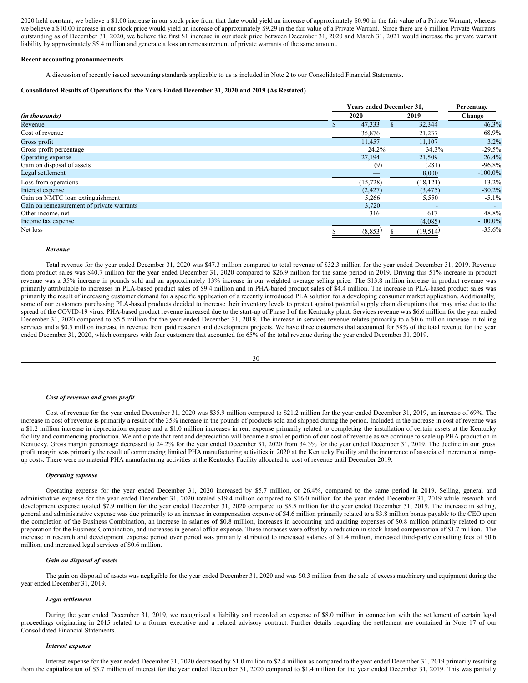2020 held constant, we believe a \$1.00 increase in our stock price from that date would yield an increase of approximately \$0.90 in the fair value of a Private Warrant, whereas we believe a \$10.00 increase in our stock price would yield an increase of approximately \$9.29 in the fair value of a Private Warrant. Since there are 6 million Private Warrants outstanding as of December 31, 2020, we believe the first \$1 increase in our stock price between December 31, 2020 and March 31, 2021 would increase the private warrant liability by approximately \$5.4 million and generate a loss on remeasurement of private warrants of the same amount.

#### **Recent accounting pronouncements**

A discussion of recently issued accounting standards applicable to us is included in Note 2 to our Consolidated Financial Statements.

## **Consolidated Results of Operations for the Years Ended December 31, 2020 and 2019 (As Restated)**

|                                           |   | <b>Years ended December 31.</b> |                          | Percentage               |
|-------------------------------------------|---|---------------------------------|--------------------------|--------------------------|
| (in thousands)                            |   | 2020                            | 2019                     | Change                   |
| Revenue                                   | S | 47,333                          | 32,344                   | 46.3%                    |
| Cost of revenue                           |   | 35,876                          | 21,237                   | 68.9%                    |
| Gross profit                              |   | 11,457                          | 11,107                   | 3.2%                     |
| Gross profit percentage                   |   | 24.2%                           | 34.3%                    | $-29.5%$                 |
| Operating expense                         |   | 27.194                          | 21,509                   | 26.4%                    |
| Gain on disposal of assets                |   | (9)                             | (281)                    | $-96.8\%$                |
| Legal settlement                          |   |                                 | 8,000                    | $-100.0\%$               |
| Loss from operations                      |   | (15, 728)                       | (18, 121)                | $-13.2\%$                |
| Interest expense                          |   | (2, 427)                        | (3, 475)                 | $-30.2%$                 |
| Gain on NMTC loan extinguishment          |   | 5,266                           | 5,550                    | $-5.1\%$                 |
| Gain on remeasurement of private warrants |   | 3,720                           | $\overline{\phantom{0}}$ | $\overline{\phantom{a}}$ |
| Other income, net                         |   | 316                             | 617                      | $-48.8\%$                |
| Income tax expense                        |   |                                 | (4,085)                  | $-100.0\%$               |
| Net loss                                  |   | (8, 853)                        | (19, 514)                | $-35.6%$                 |

#### *Revenue*

Total revenue for the year ended December 31, 2020 was \$47.3 million compared to total revenue of \$32.3 million for the year ended December 31, 2019. Revenue from product sales was \$40.7 million for the year ended December 31, 2020 compared to \$26.9 million for the same period in 2019. Driving this 51% increase in product revenue was a 35% increase in pounds sold and an approximately 13% increase in our weighted average selling price. The \$13.8 million increase in product revenue was primarily attributable to increases in PLA-based product sales of \$9.4 million and in PHA-based product sales of \$4.4 million. The increase in PLA-based product sales was primarily the result of increasing customer demand for a specific application of a recently introduced PLA solution for a developing consumer market application. Additionally, some of our customers purchasing PLA-based products decided to increase their inventory levels to protect against potential supply chain disruptions that may arise due to the spread of the COVID-19 virus. PHA-based product revenue increased due to the start-up of Phase I of the Kentucky plant. Services revenue was \$6.6 million for the year ended December 31, 2020 compared to \$5.5 million for the year ended December 31, 2019. The increase in services revenue relates primarily to a \$0.6 million increase in tolling services and a \$0.5 million increase in revenue from paid research and development projects. We have three customers that accounted for 58% of the total revenue for the year ended December 31, 2020, which compares with four customers that accounted for 65% of the total revenue during the year ended December 31, 2019.

#### 30

#### *Cost of revenue and gross profit*

Cost of revenue for the year ended December 31, 2020 was \$35.9 million compared to \$21.2 million for the year ended December 31, 2019, an increase of 69%. The increase in cost of revenue is primarily a result of the 35% increase in the pounds of products sold and shipped during the period. Included in the increase in cost of revenue was a \$1.2 million increase in depreciation expense and a \$1.0 million increases in rent expense primarily related to completing the installation of certain assets at the Kentucky facility and commencing production. We anticipate that rent and depreciation will become a smaller portion of our cost of revenue as we continue to scale up PHA production in Kentucky. Gross margin percentage decreased to 24.2% for the year ended December 31, 2020 from 34.3% for the year ended December 31, 2019. The decline in our gross profit margin was primarily the result of commencing limited PHA manufacturing activities in 2020 at the Kentucky Facility and the incurrence of associated incremental rampup costs. There were no material PHA manufacturing activities at the Kentucky Facility allocated to cost of revenue until December 2019.

#### *Operating expense*

Operating expense for the year ended December 31, 2020 increased by \$5.7 million, or 26.4%, compared to the same period in 2019. Selling, general and administrative expense for the year ended December 31, 2020 totaled \$19.4 million compared to \$16.0 million for the year ended December 31, 2019 while research and development expense totaled \$7.9 million for the year ended December 31, 2020 compared to \$5.5 million for the year ended December 31, 2019. The increase in selling, general and administrative expense was due primarily to an increase in compensation expense of \$4.6 million primarily related to a \$3.8 million bonus payable to the CEO upon the completion of the Business Combination, an increase in salaries of \$0.8 million, increases in accounting and auditing expenses of \$0.8 million primarily related to our preparation for the Business Combination, and increases in general office expense. These increases were offset by a reduction in stock-based compensation of \$1.7 million. The increase in research and development expense period over period was primarily attributed to increased salaries of \$1.4 million, increased third-party consulting fees of \$0.6 million, and increased legal services of \$0.6 million.

## *Gain on disposal of assets*

The gain on disposal of assets was negligible for the year ended December 31, 2020 and was \$0.3 million from the sale of excess machinery and equipment during the year ended December 31, 2019.

#### *Legal settlement*

During the year ended December 31, 2019, we recognized a liability and recorded an expense of \$8.0 million in connection with the settlement of certain legal proceedings originating in 2015 related to a former executive and a related advisory contract. Further details regarding the settlement are contained in Note 17 of our Consolidated Financial Statements.

#### *Interest expense*

Interest expense for the year ended December 31, 2020 decreased by \$1.0 million to \$2.4 million as compared to the year ended December 31, 2019 primarily resulting from the capitalization of \$3.7 million of interest for the year ended December 31, 2020 compared to \$1.4 million for the year ended December 31, 2019. This was partially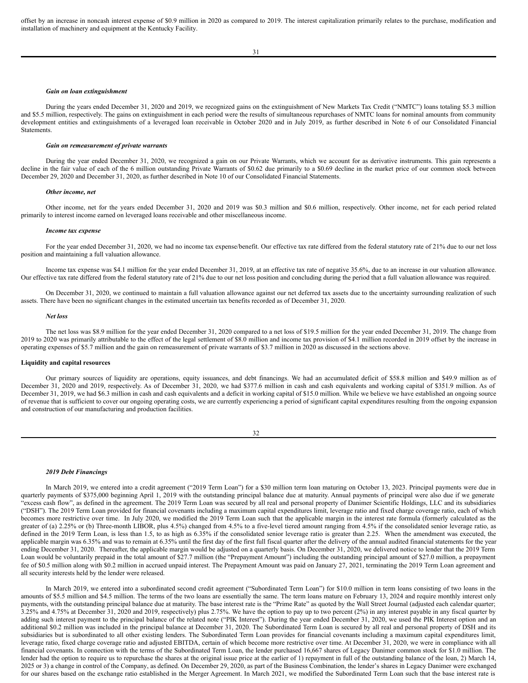offset by an increase in noncash interest expense of \$0.9 million in 2020 as compared to 2019. The interest capitalization primarily relates to the purchase, modification and installation of machinery and equipment at the Kentucky Facility.

31

#### *Gain on loan extinguishment*

During the years ended December 31, 2020 and 2019, we recognized gains on the extinguishment of New Markets Tax Credit ("NMTC") loans totaling \$5.3 million and \$5.5 million, respectively. The gains on extinguishment in each period were the results of simultaneous repurchases of NMTC loans for nominal amounts from community development entities and extinguishments of a leveraged loan receivable in October 2020 and in July 2019, as further described in Note 6 of our Consolidated Financial Statements.

#### *Gain on remeasurement of private warrants*

During the year ended December 31, 2020, we recognized a gain on our Private Warrants, which we account for as derivative instruments. This gain represents a decline in the fair value of each of the 6 million outstanding Private Warrants of \$0.62 due primarily to a \$0.69 decline in the market price of our common stock between December 29, 2020 and December 31, 2020, as further described in Note 10 of our Consolidated Financial Statements.

#### *Other income, net*

Other income, net for the years ended December 31, 2020 and 2019 was \$0.3 million and \$0.6 million, respectively. Other income, net for each period related primarily to interest income earned on leveraged loans receivable and other miscellaneous income.

#### *Income tax expense*

For the year ended December 31, 2020, we had no income tax expense/benefit. Our effective tax rate differed from the federal statutory rate of 21% due to our net loss position and maintaining a full valuation allowance.

Income tax expense was \$4.1 million for the year ended December 31, 2019, at an effective tax rate of negative 35.6%, due to an increase in our valuation allowance. Our effective tax rate differed from the federal statutory rate of 21% due to our net loss position and concluding during the period that a full valuation allowance was required.

On December 31, 2020, we continued to maintain a full valuation allowance against our net deferred tax assets due to the uncertainty surrounding realization of such assets. There have been no significant changes in the estimated uncertain tax benefits recorded as of December 31, 2020.

#### *Net loss*

The net loss was \$8.9 million for the year ended December 31, 2020 compared to a net loss of \$19.5 million for the year ended December 31, 2019. The change from 2019 to 2020 was primarily attributable to the effect of the legal settlement of \$8.0 million and income tax provision of \$4.1 million recorded in 2019 offset by the increase in operating expenses of \$5.7 million and the gain on remeasurement of private warrants of \$3.7 million in 2020 as discussed in the sections above.

#### **Liquidity and capital resources**

Our primary sources of liquidity are operations, equity issuances, and debt financings. We had an accumulated deficit of \$58.8 million and \$49.9 million as of December 31, 2020 and 2019, respectively. As of December 31, 2020, we had \$377.6 million in cash and cash equivalents and working capital of \$351.9 million. As of December 31, 2019, we had \$6.3 million in cash and cash equivalents and a deficit in working capital of \$15.0 million. While we believe we have established an ongoing source of revenue that is sufficient to cover our ongoing operating costs, we are currently experiencing a period of significant capital expenditures resulting from the ongoing expansion and construction of our manufacturing and production facilities.

#### *2019 Debt Financings*

In March 2019, we entered into a credit agreement ("2019 Term Loan") for a \$30 million term loan maturing on October 13, 2023. Principal payments were due in quarterly payments of \$375,000 beginning April 1, 2019 with the outstanding principal balance due at maturity. Annual payments of principal were also due if we generate "excess cash flow", as defined in the agreement. The 2019 Term Loan was secured by all real and personal property of Danimer Scientific Holdings, LLC and its subsidiaries ("DSH"). The 2019 Term Loan provided for financial covenants including a maximum capital expenditures limit, leverage ratio and fixed charge coverage ratio, each of which becomes more restrictive over time. In July 2020, we modified the 2019 Term Loan such that the applicable margin in the interest rate formula (formerly calculated as the greater of (a) 2.25% or (b) Three-month LIBOR, plus 4.5%) changed from 4.5% to a five-level tiered amount ranging from 4.5% if the consolidated senior leverage ratio, as defined in the 2019 Term Loan, is less than 1.5, to as high as 6.35% if the consolidated senior leverage ratio is greater than 2.25. When the amendment was executed, the applicable margin was 6.35% and was to remain at 6.35% until the first day of the first full fiscal quarter after the delivery of the annual audited financial statements for the year ending December 31, 2020. Thereafter, the applicable margin would be adjusted on a quarterly basis. On December 31, 2020, we delivered notice to lender that the 2019 Term Loan would be voluntarily prepaid in the total amount of \$27.7 million (the "Prepayment Amount") including the outstanding principal amount of \$27.0 million, a prepayment fee of \$0.5 million along with \$0.2 million in accrued unpaid interest. The Prepayment Amount was paid on January 27, 2021, terminating the 2019 Term Loan agreement and all security interests held by the lender were released.

In March 2019, we entered into a subordinated second credit agreement ("Subordinated Term Loan") for \$10.0 million in term loans consisting of two loans in the amounts of \$5.5 million and \$4.5 million. The terms of the two loans are essentially the same. The term loans mature on February 13, 2024 and require monthly interest only payments, with the outstanding principal balance due at maturity. The base interest rate is the "Prime Rate" as quoted by the Wall Street Journal (adjusted each calendar quarter; 3.25% and 4.75% at December 31, 2020 and 2019, respectively) plus 2.75%. We have the option to pay up to two percent (2%) in any interest payable in any fiscal quarter by adding such interest payment to the principal balance of the related note ("PIK Interest"). During the year ended December 31, 2020, we used the PIK Interest option and an additional \$0.2 million was included in the principal balance at December 31, 2020. The Subordinated Term Loan is secured by all real and personal property of DSH and its subsidiaries but is subordinated to all other existing lenders. The Subordinated Term Loan provides for financial covenants including a maximum capital expenditures limit, leverage ratio, fixed charge coverage ratio and adjusted EBITDA, certain of which become more restrictive over time. At December 31, 2020, we were in compliance with all financial covenants. In connection with the terms of the Subordinated Term Loan, the lender purchased 16,667 shares of Legacy Danimer common stock for \$1.0 million. The lender had the option to require us to repurchase the shares at the original issue price at the earlier of 1) repayment in full of the outstanding balance of the loan, 2) March 14, 2025 or 3) a change in control of the Company, as defined. On December 29, 2020, as part of the Business Combination, the lender's shares in Legacy Danimer were exchanged for our shares based on the exchange ratio established in the Merger Agreement. In March 2021, we modified the Subordinated Term Loan such that the base interest rate is

<sup>32</sup>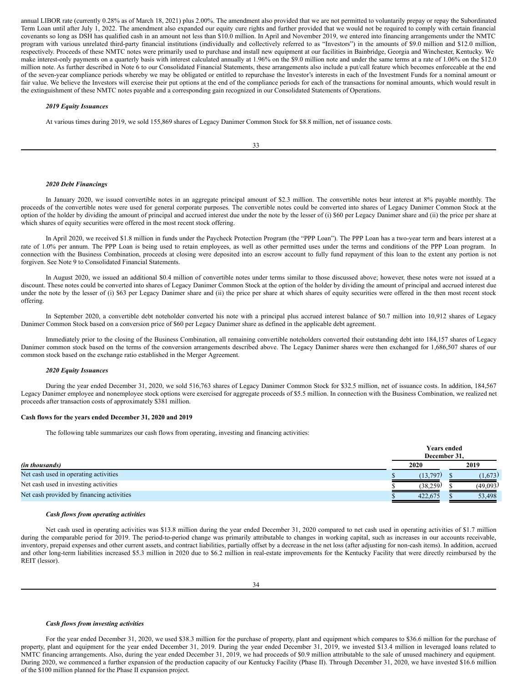annual LIBOR rate (currently 0.28% as of March 18, 2021) plus 2.00%. The amendment also provided that we are not permitted to voluntarily prepay or repay the Subordinated Term Loan until after July 1, 2022. The amendment also expanded our equity cure rights and further provided that we would not be required to comply with certain financial covenants so long as DSH has qualified cash in an amount not less than \$10.0 million. In April and November 2019, we entered into financing arrangements under the NMTC program with various unrelated third-party financial institutions (individually and collectively referred to as "Investors") in the amounts of \$9.0 million and \$12.0 million, respectively. Proceeds of these NMTC notes were primarily used to purchase and install new equipment at our facilities in Bainbridge, Georgia and Winchester, Kentucky. We make interest-only payments on a quarterly basis with interest calculated annually at 1.96% on the \$9.0 million note and under the same terms at a rate of 1.06% on the \$12.0 million note. As further described in Note 6 to our Consolidated Financial Statements, these arrangements also include a put/call feature which becomes enforceable at the end of the seven-year compliance periods whereby we may be obligated or entitled to repurchase the Investor's interests in each of the Investment Funds for a nominal amount or fair value. We believe the Investors will exercise their put options at the end of the compliance periods for each of the transactions for nominal amounts, which would result in the extinguishment of these NMTC notes payable and a corresponding gain recognized in our Consolidated Statements of Operations.

#### *2019 Equity Issuances*

At various times during 2019, we sold 155,869 shares of Legacy Danimer Common Stock for \$8.8 million, net of issuance costs.

## *2020 Debt Financings*

In January 2020, we issued convertible notes in an aggregate principal amount of \$2.3 million. The convertible notes bear interest at 8% payable monthly. The proceeds of the convertible notes were used for general corporate purposes. The convertible notes could be converted into shares of Legacy Danimer Common Stock at the option of the holder by dividing the amount of principal and accrued interest due under the note by the lesser of (i) \$60 per Legacy Danimer share and (ii) the price per share at which shares of equity securities were offered in the most recent stock offering.

In April 2020, we received \$1.8 million in funds under the Paycheck Protection Program (the "PPP Loan"). The PPP Loan has a two-year term and bears interest at a rate of 1.0% per annum. The PPP Loan is being used to retain employees, as well as other permitted uses under the terms and conditions of the PPP Loan program. In connection with the Business Combination, proceeds at closing were deposited into an escrow account to fully fund repayment of this loan to the extent any portion is not forgiven. See Note 9 to Consolidated Financial Statements.

In August 2020, we issued an additional \$0.4 million of convertible notes under terms similar to those discussed above; however, these notes were not issued at a discount. These notes could be converted into shares of Legacy Danimer Common Stock at the option of the holder by dividing the amount of principal and accrued interest due under the note by the lesser of (i) \$63 per Legacy Danimer share and (ii) the price per share at which shares of equity securities were offered in the then most recent stock offering.

In September 2020, a convertible debt noteholder converted his note with a principal plus accrued interest balance of \$0.7 million into 10,912 shares of Legacy Danimer Common Stock based on a conversion price of \$60 per Legacy Danimer share as defined in the applicable debt agreement.

Immediately prior to the closing of the Business Combination, all remaining convertible noteholders converted their outstanding debt into 184,157 shares of Legacy Danimer common stock based on the terms of the conversion arrangements described above. The Legacy Danimer shares were then exchanged for 1,686,507 shares of our common stock based on the exchange ratio established in the Merger Agreement.

#### *2020 Equity Issuances*

During the year ended December 31, 2020, we sold 516,763 shares of Legacy Danimer Common Stock for \$32.5 million, net of issuance costs. In addition, 184,567 Legacy Danimer employee and nonemployee stock options were exercised for aggregate proceeds of \$5.5 million. In connection with the Business Combination, we realized net proceeds after transaction costs of approximately \$381 million.

## **Cash flows for the years ended December 31, 2020 and 2019**

The following table summarizes our cash flows from operating, investing and financing activities:

|                                           |  | <b>Years ended</b><br>December 31. |  |          |  |
|-------------------------------------------|--|------------------------------------|--|----------|--|
| (in thousands)                            |  | 2020                               |  | 2019     |  |
| Net cash used in operating activities     |  | (13, 797)                          |  | (1,673)  |  |
| Net cash used in investing activities     |  | (38, 259)                          |  | (49,093) |  |
| Net cash provided by financing activities |  | 422,675                            |  | 53,498   |  |

#### *Cash flows from operating activities*

Net cash used in operating activities was \$13.8 million during the year ended December 31, 2020 compared to net cash used in operating activities of \$1.7 million during the comparable period for 2019. The period-to-period change was primarily attributable to changes in working capital, such as increases in our accounts receivable, inventory, prepaid expenses and other current assets, and contract liabilities, partially offset by a decrease in the net loss (after adjusting for non-cash items). In addition, accrued and other long-term liabilities increased \$5.3 million in 2020 due to \$6.2 million in real-estate improvements for the Kentucky Facility that were directly reimbursed by the REIT (lessor).

#### *Cash flows from investing activities*

For the year ended December 31, 2020, we used \$38.3 million for the purchase of property, plant and equipment which compares to \$36.6 million for the purchase of property, plant and equipment for the year ended December 31, 2019. During the year ended December 31, 2019, we invested \$13.4 million in leveraged loans related to NMTC financing arrangements. Also, during the year ended December 31, 2019, we had proceeds of \$0.9 million attributable to the sale of unused machinery and equipment. During 2020, we commenced a further expansion of the production capacity of our Kentucky Facility (Phase II). Through December 31, 2020, we have invested \$16.6 million of the \$100 million planned for the Phase II expansion project.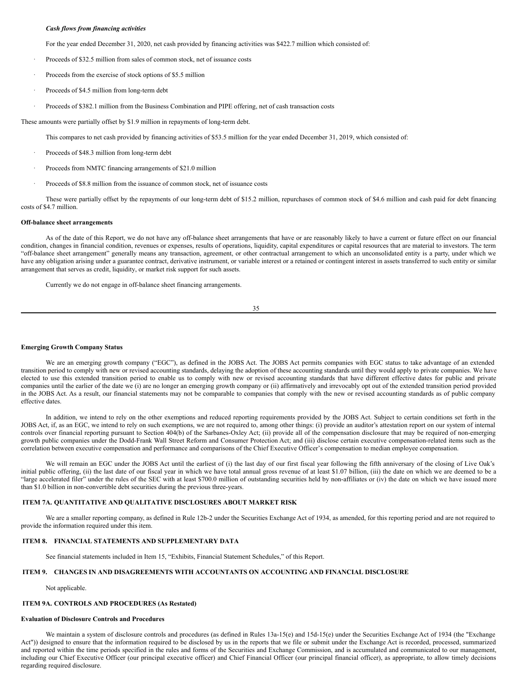#### *Cash flows from financing activities*

For the year ended December 31, 2020, net cash provided by financing activities was \$422.7 million which consisted of:

- · Proceeds of \$32.5 million from sales of common stock, net of issuance costs
- Proceeds from the exercise of stock options of \$5.5 million
- Proceeds of \$4.5 million from long-term debt
- Proceeds of \$382.1 million from the Business Combination and PIPE offering, net of cash transaction costs

These amounts were partially offset by \$1.9 million in repayments of long-term debt.

This compares to net cash provided by financing activities of \$53.5 million for the year ended December 31, 2019, which consisted of:

- Proceeds of \$48.3 million from long-term debt
- Proceeds from NMTC financing arrangements of \$21.0 million
- Proceeds of \$8.8 million from the issuance of common stock, net of issuance costs

These were partially offset by the repayments of our long-term debt of \$15.2 million, repurchases of common stock of \$4.6 million and cash paid for debt financing costs of \$4.7 million.

## **Off-balance sheet arrangements**

As of the date of this Report, we do not have any off-balance sheet arrangements that have or are reasonably likely to have a current or future effect on our financial condition, changes in financial condition, revenues or expenses, results of operations, liquidity, capital expenditures or capital resources that are material to investors. The term "off-balance sheet arrangement" generally means any transaction, agreement, or other contractual arrangement to which an unconsolidated entity is a party, under which we have any obligation arising under a guarantee contract, derivative instrument, or variable interest or a retained or contingent interest in assets transferred to such entity or similar arrangement that serves as credit, liquidity, or market risk support for such assets.

Currently we do not engage in off-balance sheet financing arrangements.

35

#### **Emerging Growth Company Status**

We are an emerging growth company ("EGC"), as defined in the JOBS Act. The JOBS Act permits companies with EGC status to take advantage of an extended transition period to comply with new or revised accounting standards, delaying the adoption of these accounting standards until they would apply to private companies. We have elected to use this extended transition period to enable us to comply with new or revised accounting standards that have different effective dates for public and private companies until the earlier of the date we (i) are no longer an emerging growth company or (ii) affirmatively and irrevocably opt out of the extended transition period provided in the JOBS Act. As a result, our financial statements may not be comparable to companies that comply with the new or revised accounting standards as of public company effective dates.

In addition, we intend to rely on the other exemptions and reduced reporting requirements provided by the JOBS Act. Subject to certain conditions set forth in the JOBS Act, if, as an EGC, we intend to rely on such exemptions, we are not required to, among other things: (i) provide an auditor's attestation report on our system of internal controls over financial reporting pursuant to Section 404(b) of the Sarbanes-Oxley Act; (ii) provide all of the compensation disclosure that may be required of non-emerging growth public companies under the Dodd-Frank Wall Street Reform and Consumer Protection Act; and (iii) disclose certain executive compensation-related items such as the correlation between executive compensation and performance and comparisons of the Chief Executive Officer's compensation to median employee compensation.

We will remain an EGC under the JOBS Act until the earliest of (i) the last day of our first fiscal year following the fifth anniversary of the closing of Live Oak's initial public offering, (ii) the last date of our fiscal year in which we have total annual gross revenue of at least \$1.07 billion, (iii) the date on which we are deemed to be a "large accelerated filer" under the rules of the SEC with at least \$700.0 million of outstanding securities held by non-affiliates or (iv) the date on which we have issued more than \$1.0 billion in non-convertible debt securities during the previous three-years.

## <span id="page-24-0"></span>**ITEM 7A. QUANTITATIVE AND QUALITATIVE DISCLOSURES ABOUT MARKET RISK**

We are a smaller reporting company, as defined in Rule 12b-2 under the Securities Exchange Act of 1934, as amended, for this reporting period and are not required to provide the information required under this item.

## <span id="page-24-1"></span>**ITEM 8. FINANCIAL STATEMENTS AND SUPPLEMENTARY DATA**

See financial statements included in Item 15, "Exhibits, Financial Statement Schedules," of this Report.

## <span id="page-24-2"></span>**ITEM 9. CHANGES IN AND DISAGREEMENTS WITH ACCOUNTANTS ON ACCOUNTING AND FINANCIAL DISCLOSURE**

Not applicable.

## <span id="page-24-3"></span>**ITEM 9A. CONTROLS AND PROCEDURES (As Restated)**

#### **Evaluation of Disclosure Controls and Procedures**

We maintain a system of disclosure controls and procedures (as defined in Rules 13a-15(e) and 15d-15(e) under the Securities Exchange Act of 1934 (the "Exchange Act")) designed to ensure that the information required to be disclosed by us in the reports that we file or submit under the Exchange Act is recorded, processed, summarized and reported within the time periods specified in the rules and forms of the Securities and Exchange Commission, and is accumulated and communicated to our management, including our Chief Executive Officer (our principal executive officer) and Chief Financial Officer (our principal financial officer), as appropriate, to allow timely decisions regarding required disclosure.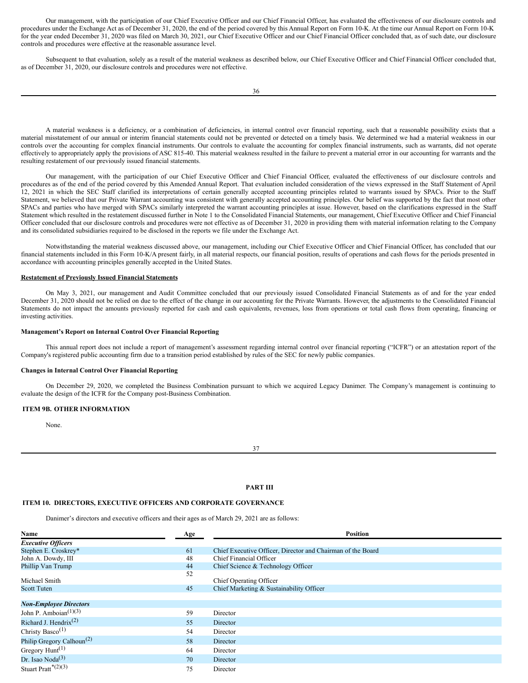Our management, with the participation of our Chief Executive Officer and our Chief Financial Officer, has evaluated the effectiveness of our disclosure controls and procedures under the Exchange Act as of December 31, 2020, the end of the period covered by this Annual Report on Form 10-K. At the time our Annual Report on Form 10-K for the year ended December 31, 2020 was filed on March 30, 2021, our Chief Executive Officer and our Chief Financial Officer concluded that, as of such date, our disclosure controls and procedures were effective at the reasonable assurance level.

Subsequent to that evaluation, solely as a result of the material weakness as described below, our Chief Executive Officer and Chief Financial Officer concluded that, as of December 31, 2020, our disclosure controls and procedures were not effective.

A material weakness is a deficiency, or a combination of deficiencies, in internal control over financial reporting, such that a reasonable possibility exists that a material misstatement of our annual or interim financial statements could not be prevented or detected on a timely basis. We determined we had a material weakness in our controls over the accounting for complex financial instruments. Our controls to evaluate the accounting for complex financial instruments, such as warrants, did not operate effectively to appropriately apply the provisions of ASC 815-40. This material weakness resulted in the failure to prevent a material error in our accounting for warrants and the resulting restatement of our previously issued financial statements.

Our management, with the participation of our Chief Executive Officer and Chief Financial Officer, evaluated the effectiveness of our disclosure controls and procedures as of the end of the period covered by this Amended Annual Report. That evaluation included consideration of the views expressed in the Staff Statement of April 12, 2021 in which the SEC Staff clarified its interpretations of certain generally accepted accounting principles related to warrants issued by SPACs. Prior to the Staff Statement, we believed that our Private Warrant accounting was consistent with generally accepted accounting principles. Our belief was supported by the fact that most other SPACs and parties who have merged with SPACs similarly interpreted the warrant accounting principles at issue. However, based on the clarifications expressed in the Staff Statement which resulted in the restatement discussed further in Note 1 to the Consolidated Financial Statements, our management, Chief Executive Officer and Chief Financial Officer concluded that our disclosure controls and procedures were not effective as of December 31, 2020 in providing them with material information relating to the Company and its consolidated subsidiaries required to be disclosed in the reports we file under the Exchange Act.

Notwithstanding the material weakness discussed above, our management, including our Chief Executive Officer and Chief Financial Officer, has concluded that our financial statements included in this Form 10-K/A present fairly, in all material respects, our financial position, results of operations and cash flows for the periods presented in accordance with accounting principles generally accepted in the United States.

### **Restatement of Previously Issued Financial Statements**

On May 3, 2021, our management and Audit Committee concluded that our previously issued Consolidated Financial Statements as of and for the year ended December 31, 2020 should not be relied on due to the effect of the change in our accounting for the Private Warrants. However, the adjustments to the Consolidated Financial Statements do not impact the amounts previously reported for cash and cash equivalents, revenues, loss from operations or total cash flows from operating, financing or investing activities.

## **Management's Report on Internal Control Over Financial Reporting**

This annual report does not include a report of management's assessment regarding internal control over financial reporting ("ICFR") or an attestation report of the Company's registered public accounting firm due to a transition period established by rules of the SEC for newly public companies.

## **Changes in Internal Control Over Financial Reporting**

On December 29, 2020, we completed the Business Combination pursuant to which we acquired Legacy Danimer. The Company's management is continuing to evaluate the design of the ICFR for the Company post-Business Combination.

## <span id="page-25-0"></span>**ITEM 9B. OTHER INFORMATION**

None.

37

## <span id="page-25-1"></span>**PART III**

## <span id="page-25-2"></span>**ITEM 10. DIRECTORS, EXECUTIVE OFFICERS AND CORPORATE GOVERNANCE**

Danimer's directors and executive officers and their ages as of March 29, 2021 are as follows:

| Name                                  | Age | <b>Position</b>                                             |
|---------------------------------------|-----|-------------------------------------------------------------|
| <b>Executive Officers</b>             |     |                                                             |
| Stephen E. Croskrey*                  | 61  | Chief Executive Officer, Director and Chairman of the Board |
| John A. Dowdy, III                    | 48  | Chief Financial Officer                                     |
| Phillip Van Trump                     | 44  | Chief Science & Technology Officer                          |
| Michael Smith                         | 52  | Chief Operating Officer                                     |
| <b>Scott Tuten</b>                    | 45  | Chief Marketing & Sustainability Officer                    |
|                                       |     |                                                             |
| <b>Non-Employee Directors</b>         |     |                                                             |
| John P. Amboian $(1)(3)$              | 59  | Director                                                    |
| Richard J. Hendrix $(2)$              | 55  | Director                                                    |
| Christy Basco <sup>(1)</sup>          | 54  | Director                                                    |
| Philip Gregory Calhoun <sup>(2)</sup> | 58  | Director                                                    |
| Gregory $Hunt^{(1)}$                  | 64  | Director                                                    |
| Dr. Isao Noda <sup>(3)</sup>          | 70  | Director                                                    |
| Stuart Pratt <sup>*(2)(3)</sup>       | 75  | Director                                                    |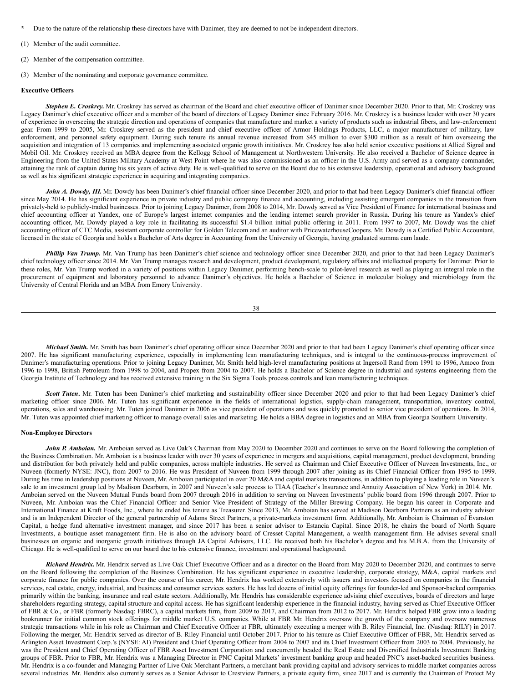- Due to the nature of the relationship these directors have with Danimer, they are deemed to not be independent directors.
- (1) Member of the audit committee.
- (2) Member of the compensation committee.
- (3) Member of the nominating and corporate governance committee.

## **Executive Officers**

*Stephen E. Croskrey.* Mr. Croskrey has served as chairman of the Board and chief executive officer of Danimer since December 2020. Prior to that, Mr. Croskrey was Legacy Danimer's chief executive officer and a member of the board of directors of Legacy Danimer since February 2016. Mr. Croskrey is a business leader with over 30 years of experience in overseeing the strategic direction and operations of companies that manufacture and market a variety of products such as industrial fibers, and law-enforcement gear. From 1999 to 2005, Mr. Croskrey served as the president and chief executive officer of Armor Holdings Products, LLC, a major manufacturer of military, law enforcement, and personnel safety equipment. During such tenure its annual revenue increased from \$45 million to over \$300 million as a result of him overseeing the acquisition and integration of 13 companies and implementing associated organic growth initiatives. Mr. Croskrey has also held senior executive positions at Allied Signal and Mobil Oil. Mr. Croskrey received an MBA degree from the Kellogg School of Management at Northwestern University. He also received a Bachelor of Science degree in Engineering from the United States Military Academy at West Point where he was also commissioned as an officer in the U.S. Army and served as a company commander, attaining the rank of captain during his six years of active duty. He is well-qualified to serve on the Board due to his extensive leadership, operational and advisory background as well as his significant strategic experience in acquiring and integrating companies.

*John A. Dowdy, III.* Mr. Dowdy has been Danimer's chief financial officer since December 2020, and prior to that had been Legacy Danimer's chief financial officer since May 2014. He has significant experience in private industry and public company finance and accounting, including assisting emergent companies in the transition from privately-held to publicly-traded businesses. Prior to joining Legacy Danimer, from 2008 to 2014, Mr. Dowdy served as Vice President of Finance for international business and chief accounting officer at Yandex, one of Europe's largest internet companies and the leading internet search provider in Russia. During his tenure as Yandex's chief accounting officer, Mr. Dowdy played a key role in facilitating its successful \$1.4 billion initial public offering in 2011. From 1997 to 2007, Mr. Dowdy was the chief accounting officer of CTC Media, assistant corporate controller for Golden Telecom and an auditor with PricewaterhouseCoopers. Mr. Dowdy is a Certified Public Accountant, licensed in the state of Georgia and holds a Bachelor of Arts degree in Accounting from the University of Georgia, having graduated summa cum laude.

*Phillip Van Trump.* Mr. Van Trump has been Danimer's chief science and technology officer since December 2020, and prior to that had been Legacy Danimer's chief technology officer since 2014. Mr. Van Trump manages research and development, product development, regulatory affairs and intellectual property for Danimer. Prior to these roles, Mr. Van Trump worked in a variety of positions within Legacy Danimer, performing bench-scale to pilot-level research as well as playing an integral role in the procurement of equipment and laboratory personnel to advance Danimer's objectives. He holds a Bachelor of Science in molecular biology and microbiology from the University of Central Florida and an MBA from Emory University.

38

*Michael Smith.* Mr. Smith has been Danimer's chief operating officer since December 2020 and prior to that had been Legacy Danimer's chief operating officer since 2007. He has significant manufacturing experience, especially in implementing lean manufacturing techniques, and is integral to the continuous-process improvement of Danimer's manufacturing operations. Prior to joining Legacy Danimer, Mr. Smith held high-level manufacturing positions at Ingersoll Rand from 1991 to 1996, Amoco from 1996 to 1998, British Petroleum from 1998 to 2004, and Propex from 2004 to 2007. He holds a Bachelor of Science degree in industrial and systems engineering from the Georgia Institute of Technology and has received extensive training in the Six Sigma Tools process controls and lean manufacturing techniques.

Scott Tuten. Mr. Tuten has been Danimer's chief marketing and sustainability officer since December 2020 and prior to that had been Legacy Danimer's chief marketing officer since 2006. Mr. Tuten has significant experience in the fields of international logistics, supply-chain management, transportation, inventory control, operations, sales and warehousing. Mr. Tuten joined Danimer in 2006 as vice president of operations and was quickly promoted to senior vice president of operations. In 2014, Mr. Tuten was appointed chief marketing officer to manage overall sales and marketing. He holds a BBA degree in logistics and an MBA from Georgia Southern University.

#### **Non-Employee Directors**

*John P. Amboian.* Mr. Amboian served as Live Oak's Chairman from May 2020 to December 2020 and continues to serve on the Board following the completion of the Business Combination. Mr. Amboian is a business leader with over 30 years of experience in mergers and acquisitions, capital management, product development, branding and distribution for both privately held and public companies, across multiple industries. He served as Chairman and Chief Executive Officer of Nuveen Investments, Inc., or Nuveen (formerly NYSE: JNC), from 2007 to 2016. He was President of Nuveen from 1999 through 2007 after joining as its Chief Financial Officer from 1995 to 1999. During his time in leadership positions at Nuveen, Mr. Amboian participated in over 20 M&A and capital markets transactions, in addition to playing a leading role in Nuveen's sale to an investment group led by Madison Dearborn, in 2007 and Nuveen's sale process to TIAA (Teacher's Insurance and Annuity Association of New York) in 2014. Mr. Amboian served on the Nuveen Mutual Funds board from 2007 through 2016 in addition to serving on Nuveen Investments' public board from 1996 through 2007. Prior to Nuveen, Mr. Amboian was the Chief Financial Officer and Senior Vice President of Strategy of the Miller Brewing Company. He began his career in Corporate and International Finance at Kraft Foods, Inc., where he ended his tenure as Treasurer. Since 2013, Mr. Amboian has served at Madison Dearborn Partners as an industry advisor and is an Independent Director of the general partnership of Adams Street Partners, a private-markets investment firm. Additionally, Mr. Amboian is Chairman of Evanston Capital, a hedge fund alternative investment manager, and since 2017 has been a senior advisor to Estancia Capital. Since 2018, he chairs the board of North Square Investments, a boutique asset management firm. He is also on the advisory board of Cresset Capital Management, a wealth management firm. He advises several small businesses on organic and inorganic growth initiatives through JA Capital Advisors, LLC. He received both his Bachelor's degree and his M.B.A. from the University of Chicago. He is well-qualified to serve on our board due to his extensive finance, investment and operational background.

*Richard Hendrix.* Mr. Hendrix served as Live Oak Chief Executive Officer and as a director on the Board from May 2020 to December 2020, and continues to serve on the Board following the completion of the Business Combination. He has significant experience in executive leadership, corporate strategy, M&A, capital markets and corporate finance for public companies. Over the course of his career, Mr. Hendrix has worked extensively with issuers and investors focused on companies in the financial services, real estate, energy, industrial, and business and consumer services sectors. He has led dozens of initial equity offerings for founder-led and Sponsor-backed companies primarily within the banking, insurance and real estate sectors. Additionally, Mr. Hendrix has considerable experience advising chief executives, boards of directors and large shareholders regarding strategy, capital structure and capital access. He has significant leadership experience in the financial industry, having served as Chief Executive Officer of FBR & Co., or FBR (formerly Nasdaq: FBRC), a capital markets firm, from 2009 to 2017, and Chairman from 2012 to 2017. Mr. Hendrix helped FBR grow into a leading bookrunner for initial common stock offerings for middle market U.S. companies. While at FBR Mr. Hendrix oversaw the growth of the company and oversaw numerous strategic transactions while in his role as Chairman and Chief Executive Officer at FBR, ultimately executing a merger with B. Riley Financial, Inc. (Nasdaq: RILY) in 2017. Following the merger, Mr. Hendrix served as director of B. Riley Financial until October 2017. Prior to his tenure as Chief Executive Officer of FBR, Mr. Hendrix served as Arlington Asset Investment Corp.'s (NYSE: AI) President and Chief Operating Officer from 2004 to 2007 and its Chief Investment Officer from 2003 to 2004. Previously, he was the President and Chief Operating Officer of FBR Asset Investment Corporation and concurrently headed the Real Estate and Diversified Industrials Investment Banking groups of FBR. Prior to FBR, Mr. Hendrix was a Managing Director in PNC Capital Markets' investment banking group and headed PNC's asset-backed securities business. Mr. Hendrix is a co-founder and Managing Partner of Live Oak Merchant Partners, a merchant bank providing capital and advisory services to middle market companies across several industries. Mr. Hendrix also currently serves as a Senior Advisor to Crestview Partners, a private equity firm, since 2017 and is currently the Chairman of Protect My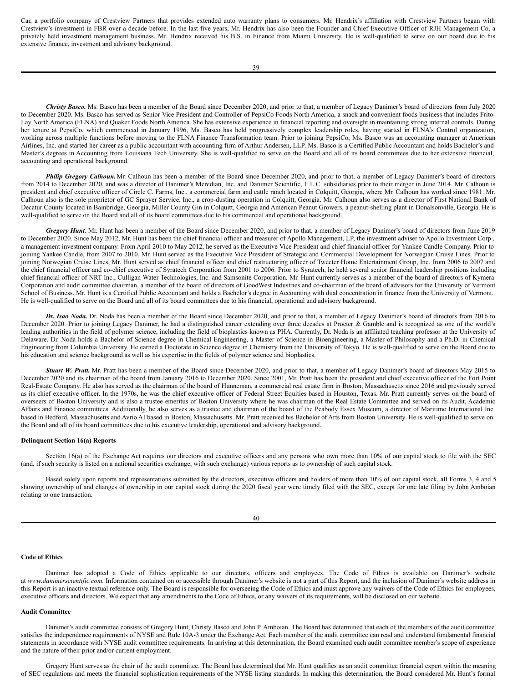Car, a portfolio company of Crestview Partners that provides extended auto warranty plans to consumers. Mr. Hendrix's affiliation with Crestview Partners began with Crestview's investment in FBR over a decade before. In the last five years, Mr. Hendrix has also been the Founder and Chief Executive Officer of RJH Management Co, a privately held investment management business. Mr. Hendrix received his B.S. in Finance from Miami University. He is well-qualified to serve on our board due to his extensive finance, investment and advisory background.

*Christy Basco***.** Ms. Basco has been a member of the Board since December 2020, and prior to that, a member of Legacy Danimer's board of directors from July 2020 to December 2020. Ms. Basco has served as Senior Vice President and Controller of PepsiCo Foods North America, a snack and convenient foods business that includes Frito-Lay North America (FLNA) and Quaker Foods North America. She has extensive experience in financial reporting and oversight in maintaining strong internal controls. During her tenure at PepsiCo, which commenced in January 1996, Ms. Basco has held progressively complex leadership roles, having started in FLNA's Control organization, working across multiple functions before moving to the FLNA Finance Transformation team. Prior to joining PepsiCo, Ms. Basco was an accounting manager at American Airlines, Inc. and started her career as a public accountant with accounting firm of Arthur Andersen, LLP. Ms. Basco is a Certified Public Accountant and holds Bachelor's and Master's degrees in Accounting from Louisiana Tech University. She is well-qualified to serve on the Board and all of its board committees due to her extensive financial, accounting and operational background.

*Philip Gregory Calhoun.*Mr. Calhoun has been a member of the Board since December 2020, and prior to that, a member of Legacy Danimer's board of directors from 2014 to December 2020, and was a director of Danimer's Meredian, Inc. and Danimer Scientific, L.L.C. subsidiaries prior to their merger in June 2014. Mr. Calhoun is president and chief executive officer of Circle C. Farms, Inc., a commercial farm and cattle ranch located in Colquitt, Georgia, where Mr. Calhoun has worked since 1981. Mr. Calhoun also is the sole proprietor of GC Sprayer Service, Inc., a crop-dusting operation in Colquitt, Georgia. Mr. Calhoun also serves as a director of First National Bank of Decatur County located in Bainbridge, Georgia, Miller County Gin in Colquitt, Georgia and American Peanut Growers, a peanut-shelling plant in Donalsonville, Georgia. He is well-qualified to serve on the Board and all of its board committees due to his commercial and operational background.

*Gregory Hunt.* Mr. Hunt has been a member of the Board since December 2020, and prior to that, a member of Legacy Danimer's board of directors from June 2019 to December 2020. Since May 2012, Mr. Hunt has been the chief financial officer and treasurer of Apollo Management, LP, the investment adviser to Apollo Investment Corp., a management investment company. From April 2010 to May 2012, he served as the Executive Vice President and chief financial officer for Yankee Candle Company. Prior to joining Yankee Candle, from 2007 to 2010, Mr. Hunt served as the Executive Vice President of Strategic and Commercial Development for Norwegian Cruise Lines. Prior to joining Norwegian Cruise Lines, Mr. Hunt served as chief financial officer and chief restructuring officer of Tweeter Home Entertainment Group, Inc. from 2006 to 2007 and the chief financial officer and co-chief executive of Syratech Corporation from 2001 to 2006. Prior to Syratech, he held several senior financial leadership positions including chief financial officer of NRT Inc., Culligan Water Technologies, Inc. and Samsonite Corporation. Mr. Hunt currently serves as a member of the board of directors of Kymera Corporation and audit committee chairman, a member of the board of directors of GoodWest Industries and co-chairman of the board of advisors for the University of Vermont School of Business. Mr. Hunt is a Certified Public Accountant and holds a Bachelor's degree in Accounting with dual concentration in finance from the University of Vermont. He is well-qualified to serve on the Board and all of its board committees due to his financial, operational and advisory background.

*Dr. Isao Noda.* Dr. Noda has been a member of the Board since December 2020, and prior to that, a member of Legacy Danimer's board of directors from 2016 to December 2020. Prior to joining Legacy Danimer, he had a distinguished career extending over three decades at Procter & Gamble and is recognized as one of the world's leading authorities in the field of polymer science, including the field of bioplastics known as PHA. Currently, Dr. Noda is an affiliated teaching professor at the University of Delaware. Dr. Noda holds a Bachelor of Science degree in Chemical Engineering, a Master of Science in Bioengineering, a Master of Philosophy and a Ph.D. in Chemical Engineering from Columbia University. He earned a Doctorate in Science degree in Chemistry from the University of Tokyo. He is well-qualified to serve on the Board due to his education and science background as well as his expertise in the fields of polymer science and bioplastics.

*Stuart W. Pratt.* Mr. Pratt has been a member of the Board since December 2020, and prior to that, a member of Legacy Danimer's board of directors May 2015 to December 2020 and its chairman of the board from January 2016 to December 2020. Since 2001, Mr. Pratt has been the president and chief executive officer of the Fort Point Real-Estate Company. He also has served as the chairman of the board of Hunneman, a commercial real estate firm in Boston, Massachusetts since 2016 and previously served as its chief executive officer. In the 1970s, he was the chief executive officer of Federal Street Equities based in Houston, Texas. Mr. Pratt currently serves on the board of overseers of Boston University and is also a trustee emeritus of Boston University where he was chairman of the Real Estate Committee and served on its Audit, Academic Affairs and Finance committees. Additionally, he also serves as a trustee and chairman of the board of the Peabody Essex Museum, a director of Maritime International Inc. based in Bedford, Massachusetts and Avrio AI based in Boston, Massachusetts. Mr. Pratt received his Bachelor of Arts from Boston University. He is well-qualified to serve on the Board and all of its board committees due to his executive leadership, operational and advisory background.

## **Delinquent Section 16(a) Reports**

Section 16(a) of the Exchange Act requires our directors and executive officers and any persons who own more than 10% of our capital stock to file with the SEC (and, if such security is listed on a national securities exchange, with such exchange) various reports as to ownership of such capital stock.

Based solely upon reports and representations submitted by the directors, executive officers and holders of more than 10% of our capital stock, all Forms 3, 4 and 5 showing ownership of and changes of ownership in our capital stock during the 2020 fiscal year were timely filed with the SEC, except for one late filing by John Amboian relating to one transaction.

40

#### **Code of Ethics**

Danimer has adopted a Code of Ethics applicable to our directors, officers and employees. The Code of Ethics is available on Danimer's website at *www.danimerscientific.com*. Information contained on or accessible through Danimer's website is not a part of this Report, and the inclusion of Danimer's website address in this Report is an inactive textual reference only. The Board is responsible for overseeing the Code of Ethics and must approve any waivers of the Code of Ethics for employees, executive officers and directors. We expect that any amendments to the Code of Ethics, or any waivers of its requirements, will be disclosed on our website.

#### **Audit Committee**

Danimer's audit committee consists of Gregory Hunt, Christy Basco and John P. Amboian. The Board has determined that each of the members of the audit committee satisfies the independence requirements of NYSE and Rule 10A-3 under the Exchange Act. Each member of the audit committee can read and understand fundamental financial statements in accordance with NYSE audit committee requirements. In arriving at this determination, the Board examined each audit committee member's scope of experience and the nature of their prior and/or current employment.

Gregory Hunt serves as the chair of the audit committee. The Board has determined that Mr. Hunt qualifies as an audit committee financial expert within the meaning of SEC regulations and meets the financial sophistication requirements of the NYSE listing standards. In making this determination, the Board considered Mr. Hunt's formal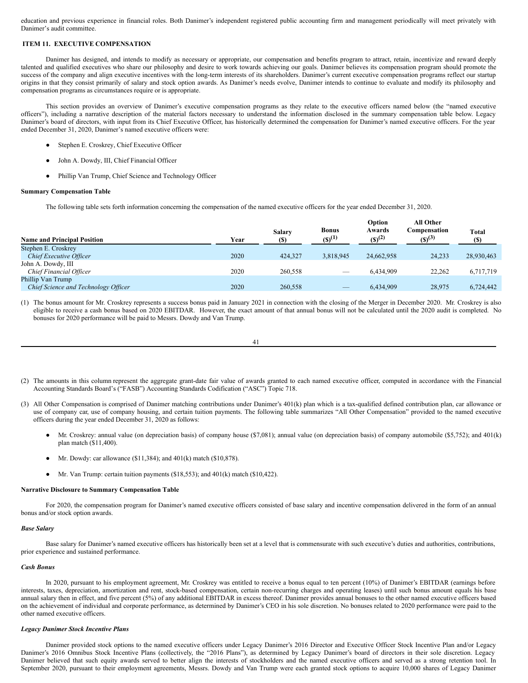education and previous experience in financial roles. Both Danimer's independent registered public accounting firm and management periodically will meet privately with Danimer's audit committee.

## <span id="page-28-0"></span>**ITEM 11. EXECUTIVE COMPENSATION**

Danimer has designed, and intends to modify as necessary or appropriate, our compensation and benefits program to attract, retain, incentivize and reward deeply talented and qualified executives who share our philosophy and desire to work towards achieving our goals. Danimer believes its compensation program should promote the success of the company and align executive incentives with the long-term interests of its shareholders. Danimer's current executive compensation programs reflect our startup origins in that they consist primarily of salary and stock option awards. As Danimer's needs evolve, Danimer intends to continue to evaluate and modify its philosophy and compensation programs as circumstances require or is appropriate.

This section provides an overview of Danimer's executive compensation programs as they relate to the executive officers named below (the "named executive officers"), including a narrative description of the material factors necessary to understand the information disclosed in the summary compensation table below. Legacy Danimer's board of directors, with input from its Chief Executive Officer, has historically determined the compensation for Danimer's named executive officers. For the year ended December 31, 2020, Danimer's named executive officers were:

- Stephen E. Croskrey, Chief Executive Officer
- John A. Dowdy, III, Chief Financial Officer
- Phillip Van Trump, Chief Science and Technology Officer

### **Summary Compensation Table**

The following table sets forth information concerning the compensation of the named executive officers for the year ended December 31, 2020.

| <b>Name and Principal Position</b>   | Year | Salary<br>(S) | <b>Bonus</b><br>$(S)^{(1)}$    | Option<br>Awards<br>$(S)^{(2)}$ | <b>All Other</b><br>Compensation<br>$(S)^{(3)}$ | <b>Total</b><br><b>(S)</b> |
|--------------------------------------|------|---------------|--------------------------------|---------------------------------|-------------------------------------------------|----------------------------|
| Stephen E. Croskrey                  |      |               |                                |                                 |                                                 |                            |
| Chief Executive Officer              | 2020 | 424.327       | 3.818.945                      | 24,662,958                      | 24.233                                          | 28,930,463                 |
| John A. Dowdy, III                   |      |               |                                |                                 |                                                 |                            |
| Chief Financial Officer              | 2020 | 260,558       | $\overbrace{\hspace{25mm}}^{}$ | 6.434.909                       | 22.262                                          | 6,717,719                  |
| Phillip Van Trump                    |      |               |                                |                                 |                                                 |                            |
| Chief Science and Technology Officer | 2020 | 260,558       | $\overline{\phantom{a}}$       | 6,434,909                       | 28,975                                          | 6,724,442                  |

(1) The bonus amount for Mr. Croskrey represents a success bonus paid in January 2021 in connection with the closing of the Merger in December 2020. Mr. Croskrey is also eligible to receive a cash bonus based on 2020 EBITDAR. However, the exact amount of that annual bonus will not be calculated until the 2020 audit is completed. No bonuses for 2020 performance will be paid to Messrs. Dowdy and Van Trump.

41

- (2) The amounts in this column represent the aggregate grant-date fair value of awards granted to each named executive officer, computed in accordance with the Financial Accounting Standards Board's ("FASB") Accounting Standards Codification ("ASC") Topic 718.
- (3) All Other Compensation is comprised of Danimer matching contributions under Danimer's 401(k) plan which is a tax-qualified defined contribution plan, car allowance or use of company car, use of company housing, and certain tuition payments. The following table summarizes "All Other Compensation" provided to the named executive officers during the year ended December 31, 2020 as follows:
	- Mr. Croskrey: annual value (on depreciation basis) of company house  $(\$7,081)$ ; annual value (on depreciation basis) of company automobile  $(\$5,752)$ ; and 401(k) plan match (\$11,400).
	- Mr. Dowdy: car allowance  $(11,384)$ ; and  $401(k)$  match  $(10,878)$ .
	- Mr. Van Trump: certain tuition payments (\$18,553); and  $401(k)$  match (\$10,422).

#### **Narrative Disclosure to Summary Compensation Table**

For 2020, the compensation program for Danimer's named executive officers consisted of base salary and incentive compensation delivered in the form of an annual bonus and/or stock option awards.

## *Base Salary*

Base salary for Danimer's named executive officers has historically been set at a level that is commensurate with such executive's duties and authorities, contributions, prior experience and sustained performance.

#### *Cash Bonus*

In 2020, pursuant to his employment agreement, Mr. Croskrey was entitled to receive a bonus equal to ten percent (10%) of Danimer's EBITDAR (earnings before interests, taxes, depreciation, amortization and rent, stock-based compensation, certain non-recurring charges and operating leases) until such bonus amount equals his base annual salary then in effect, and five percent (5%) of any additional EBITDAR in excess thereof. Danimer provides annual bonuses to the other named executive officers based on the achievement of individual and corporate performance, as determined by Danimer's CEO in his sole discretion. No bonuses related to 2020 performance were paid to the other named executive officers.

#### *Legacy Danimer Stock Incentive Plans*

Danimer provided stock options to the named executive officers under Legacy Danimer's 2016 Director and Executive Officer Stock Incentive Plan and/or Legacy Danimer's 2016 Omnibus Stock Incentive Plans (collectively, the "2016 Plans"), as determined by Legacy Danimer's board of directors in their sole discretion. Legacy Danimer believed that such equity awards served to better align the interests of stockholders and the named executive officers and served as a strong retention tool. In September 2020, pursuant to their employment agreements, Messrs. Dowdy and Van Trump were each granted stock options to acquire 10,000 shares of Legacy Danimer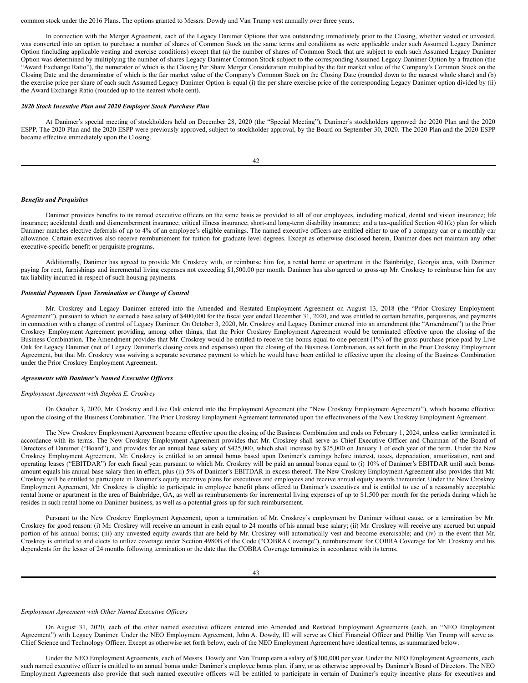common stock under the 2016 Plans. The options granted to Messrs. Dowdy and Van Trump vest annually over three years.

In connection with the Merger Agreement, each of the Legacy Danimer Options that was outstanding immediately prior to the Closing, whether vested or unvested, was converted into an option to purchase a number of shares of Common Stock on the same terms and conditions as were applicable under such Assumed Legacy Danimer Option (including applicable vesting and exercise conditions) except that (a) the number of shares of Common Stock that are subject to each such Assumed Legacy Danimer Option was determined by multiplying the number of shares Legacy Danimer Common Stock subject to the corresponding Assumed Legacy Danimer Option by a fraction (the "Award Exchange Ratio"), the numerator of which is the Closing Per Share Merger Consideration multiplied by the fair market value of the Company's Common Stock on the Closing Date and the denominator of which is the fair market value of the Company's Common Stock on the Closing Date (rounded down to the nearest whole share) and (b) the exercise price per share of each such Assumed Legacy Danimer Option is equal (i) the per share exercise price of the corresponding Legacy Danimer option divided by (ii) the Award Exchange Ratio (rounded up to the nearest whole cent).

#### *2020 Stock Incentive Plan and 2020 Employee Stock Purchase Plan*

At Danimer's special meeting of stockholders held on December 28, 2020 (the "Special Meeting"), Danimer's stockholders approved the 2020 Plan and the 2020 ESPP. The 2020 Plan and the 2020 ESPP were previously approved, subject to stockholder approval, by the Board on September 30, 2020. The 2020 Plan and the 2020 ESPP became effective immediately upon the Closing.

#### *Benefits and Perquisites*

Danimer provides benefits to its named executive officers on the same basis as provided to all of our employees, including medical, dental and vision insurance; life insurance; accidental death and dismemberment insurance; critical illness insurance; short-and long-term disability insurance; and a tax-qualified Section 401(k) plan for which Danimer matches elective deferrals of up to 4% of an employee's eligible earnings. The named executive officers are entitled either to use of a company car or a monthly car allowance. Certain executives also receive reimbursement for tuition for graduate level degrees. Except as otherwise disclosed herein, Danimer does not maintain any other executive-specific benefit or perquisite programs.

Additionally, Danimer has agreed to provide Mr. Croskrey with, or reimburse him for, a rental home or apartment in the Bainbridge, Georgia area, with Danimer paying for rent, furnishings and incremental living expenses not exceeding \$1,500.00 per month. Danimer has also agreed to gross-up Mr. Croskrey to reimburse him for any tax liability incurred in respect of such housing payments.

## *Potential Payments Upon Termination or Change of Control*

Mr. Croskrey and Legacy Danimer entered into the Amended and Restated Employment Agreement on August 13, 2018 (the "Prior Croskrey Employment Agreement"), pursuant to which he earned a base salary of \$400,000 for the fiscal year ended December 31, 2020, and was entitled to certain benefits, perquisites, and payments in connection with a change of control of Legacy Danimer. On October 3, 2020, Mr. Croskrey and Legacy Danimer entered into an amendment (the "Amendment") to the Prior Croskrey Employment Agreement providing, among other things, that the Prior Croskrey Employment Agreement would be terminated effective upon the closing of the Business Combination. The Amendment provides that Mr. Croskrey would be entitled to receive the bonus equal to one percent (1%) of the gross purchase price paid by Live Oak for Legacy Danimer (net of Legacy Danimer's closing costs and expenses) upon the closing of the Business Combination, as set forth in the Prior Croskrey Employment Agreement, but that Mr. Croskrey was waiving a separate severance payment to which he would have been entitled to effective upon the closing of the Business Combination under the Prior Croskrey Employment Agreement.

## *Agreements with Danimer's Named Executive Of icers*

## *Employment Agreement with Stephen E. Croskrey*

On October 3, 2020, Mr. Croskrey and Live Oak entered into the Employment Agreement (the "New Croskrey Employment Agreement"), which became effective upon the closing of the Business Combination. The Prior Croskrey Employment Agreement terminated upon the effectiveness of the New Croskrey Employment Agreement.

The New Croskrey Employment Agreement became effective upon the closing of the Business Combination and ends on February 1, 2024, unless earlier terminated in accordance with its terms. The New Croskrey Employment Agreement provides that Mr. Croskrey shall serve as Chief Executive Officer and Chairman of the Board of Directors of Danimer ("Board"), and provides for an annual base salary of \$425,000, which shall increase by \$25,000 on January 1 of each year of the term. Under the New Croskrey Employment Agreement, Mr. Croskrey is entitled to an annual bonus based upon Danimer's earnings before interest, taxes, depreciation, amortization, rent and operating leases ("EBITDAR") for each fiscal year, pursuant to which Mr. Croskrey will be paid an annual bonus equal to (i) 10% of Danimer's EBITDAR until such bonus amount equals his annual base salary then in effect, plus (ii) 5% of Danimer's EBITDAR in excess thereof. The New Croskrey Employment Agreement also provides that Mr. Croskrey will be entitled to participate in Danimer's equity incentive plans for executives and employees and receive annual equity awards thereunder. Under the New Croskrey Employment Agreement, Mr. Croskrey is eligible to participate in employee benefit plans offered to Danimer's executives and is entitled to use of a reasonably acceptable rental home or apartment in the area of Bainbridge, GA, as well as reimbursements for incremental living expenses of up to \$1,500 per month for the periods during which he resides in such rental home on Danimer business, as well as a potential gross-up for such reimbursement.

Pursuant to the New Croskrey Employment Agreement, upon a termination of Mr. Croskrey's employment by Danimer without cause, or a termination by Mr. Croskrey for good reason: (i) Mr. Croskrey will receive an amount in cash equal to 24 months of his annual base salary; (ii) Mr. Croskrey will receive any accrued but unpaid portion of his annual bonus; (iii) any unvested equity awards that are held by Mr. Croskrey will automatically vest and become exercisable; and (iv) in the event that Mr. Croskrey is entitled to and elects to utilize coverage under Section 4980B of the Code ("COBRA Coverage"), reimbursement for COBRA Coverage for Mr. Croskrey and his dependents for the lesser of 24 months following termination or the date that the COBRA Coverage terminates in accordance with its terms.

#### *Employment Agreement with Other Named Executive Of icers*

On August 31, 2020, each of the other named executive officers entered into Amended and Restated Employment Agreements (each, an "NEO Employment Agreement") with Legacy Danimer. Under the NEO Employment Agreement, John A. Dowdy, III will serve as Chief Financial Officer and Phillip Van Trump will serve as Chief Science and Technology Officer. Except as otherwise set forth below, each of the NEO Employment Agreement have identical terms, as summarized below.

Under the NEO Employment Agreements, each of Messrs. Dowdy and Van Trump earn a salary of \$300,000 per year. Under the NEO Employment Agreements, each such named executive officer is entitled to an annual bonus under Danimer's employee bonus plan, if any, or as otherwise approved by Danimer's Board of Directors. The NEO Employment Agreements also provide that such named executive officers will be entitled to participate in certain of Danimer's equity incentive plans for executives and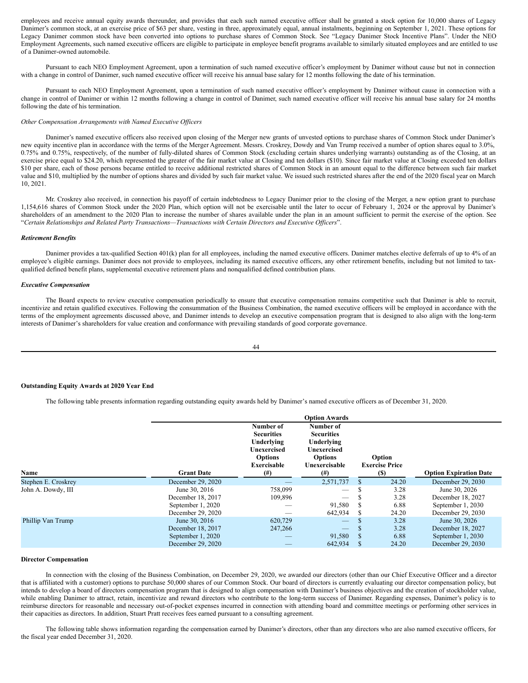employees and receive annual equity awards thereunder, and provides that each such named executive officer shall be granted a stock option for 10,000 shares of Legacy Danimer's common stock, at an exercise price of \$63 per share, vesting in three, approximately equal, annual instalments, beginning on September 1, 2021. These options for Legacy Danimer common stock have been converted into options to purchase shares of Common Stock. See "Legacy Danimer Stock Incentive Plans". Under the NEO Employment Agreements, such named executive officers are eligible to participate in employee benefit programs available to similarly situated employees and are entitled to use of a Danimer-owned automobile.

Pursuant to each NEO Employment Agreement, upon a termination of such named executive officer's employment by Danimer without cause but not in connection with a change in control of Danimer, such named executive officer will receive his annual base salary for 12 months following the date of his termination.

Pursuant to each NEO Employment Agreement, upon a termination of such named executive officer's employment by Danimer without cause in connection with a change in control of Danimer or within 12 months following a change in control of Danimer, such named executive officer will receive his annual base salary for 24 months following the date of his termination.

## *Other Compensation Arrangements with Named Executive Of icers*

Danimer's named executive officers also received upon closing of the Merger new grants of unvested options to purchase shares of Common Stock under Danimer's new equity incentive plan in accordance with the terms of the Merger Agreement. Messrs. Croskrey, Dowdy and Van Trump received a number of option shares equal to 3.0%, 0.75% and 0.75%, respectively, of the number of fully-diluted shares of Common Stock (excluding certain shares underlying warrants) outstanding as of the Closing, at an exercise price equal to \$24.20, which represented the greater of the fair market value at Closing and ten dollars (\$10). Since fair market value at Closing exceeded ten dollars \$10 per share, each of those persons became entitled to receive additional restricted shares of Common Stock in an amount equal to the difference between such fair market value and \$10, multiplied by the number of options shares and divided by such fair market value. We issued such restricted shares after the end of the 2020 fiscal year on March 10, 2021.

Mr. Croskrey also received, in connection his payoff of certain indebtedness to Legacy Danimer prior to the closing of the Merger, a new option grant to purchase 1,154,616 shares of Common Stock under the 2020 Plan, which option will not be exercisable until the later to occur of February 1, 2024 or the approval by Danimer's shareholders of an amendment to the 2020 Plan to increase the number of shares available under the plan in an amount sufficient to permit the exercise of the option. See "*Certain Relationships and Related Party Transactions—Transactions with Certain Directors and Executive Of icers*".

#### *Retirement Benefits*

Danimer provides a tax-qualified Section 401(k) plan for all employees, including the named executive officers. Danimer matches elective deferrals of up to 4% of an employee's eligible earnings. Danimer does not provide to employees, including its named executive officers, any other retirement benefits, including but not limited to taxqualified defined benefit plans, supplemental executive retirement plans and nonqualified defined contribution plans.

## *Executive Compensation*

The Board expects to review executive compensation periodically to ensure that executive compensation remains competitive such that Danimer is able to recruit, incentivize and retain qualified executives. Following the consummation of the Business Combination, the named executive officers will be employed in accordance with the terms of the employment agreements discussed above, and Danimer intends to develop an executive compensation program that is designed to also align with the long-term interests of Danimer's shareholders for value creation and conformance with prevailing standards of good corporate governance.

$$
^{44}
$$

#### **Outstanding Equity Awards at 2020 Year End**

The following table presents information regarding outstanding equity awards held by Danimer's named executive officers as of December 31, 2020.

|                     |                   |                                                                                                          | <b>Option Awards</b>                                                                                       |                                        |       |                               |
|---------------------|-------------------|----------------------------------------------------------------------------------------------------------|------------------------------------------------------------------------------------------------------------|----------------------------------------|-------|-------------------------------|
| Name                | <b>Grant Date</b> | Number of<br><b>Securities</b><br>Underlying<br>Unexercised<br><b>Options</b><br>Exercisable<br>$^{(#)}$ | Number of<br><b>Securities</b><br>Underlying<br>Unexercised<br><b>Options</b><br>Unexercisable<br>$^{(#)}$ | Option<br><b>Exercise Price</b><br>(S) |       | <b>Option Expiration Date</b> |
| Stephen E. Croskrey | December 29, 2020 |                                                                                                          | 2,571,737                                                                                                  |                                        | 24.20 | December 29, 2030             |
| John A. Dowdy, III  | June 30, 2016     | 758,099                                                                                                  | –                                                                                                          |                                        | 3.28  | June 30, 2026                 |
|                     | December 18, 2017 | 109,896                                                                                                  |                                                                                                            |                                        | 3.28  | December 18, 2027             |
|                     | September 1, 2020 |                                                                                                          | 91,580                                                                                                     |                                        | 6.88  | September 1, 2030             |
|                     | December 29, 2020 |                                                                                                          | 642,934                                                                                                    |                                        | 24.20 | December 29, 2030             |
| Phillip Van Trump   | June 30, 2016     | 620,729                                                                                                  |                                                                                                            |                                        | 3.28  | June 30, 2026                 |
|                     | December 18, 2017 | 247,266                                                                                                  |                                                                                                            |                                        | 3.28  | December 18, 2027             |
|                     | September 1, 2020 |                                                                                                          | 91,580                                                                                                     |                                        | 6.88  | September 1, 2030             |
|                     | December 29, 2020 |                                                                                                          | 642,934                                                                                                    |                                        | 24.20 | December 29, 2030             |

#### **Director Compensation**

In connection with the closing of the Business Combination, on December 29, 2020, we awarded our directors (other than our Chief Executive Officer and a director that is affiliated with a customer) options to purchase 50,000 shares of our Common Stock. Our board of directors is currently evaluating our director compensation policy, but intends to develop a board of directors compensation program that is designed to align compensation with Danimer's business objectives and the creation of stockholder value, while enabling Danimer to attract, retain, incentivize and reward directors who contribute to the long-term success of Danimer. Regarding expenses, Danimer's policy is to reimburse directors for reasonable and necessary out-of-pocket expenses incurred in connection with attending board and committee meetings or performing other services in their capacities as directors. In addition, Stuart Pratt receives fees earned pursuant to a consulting agreement.

The following table shows information regarding the compensation earned by Danimer's directors, other than any directors who are also named executive officers, for the fiscal year ended December 31, 2020.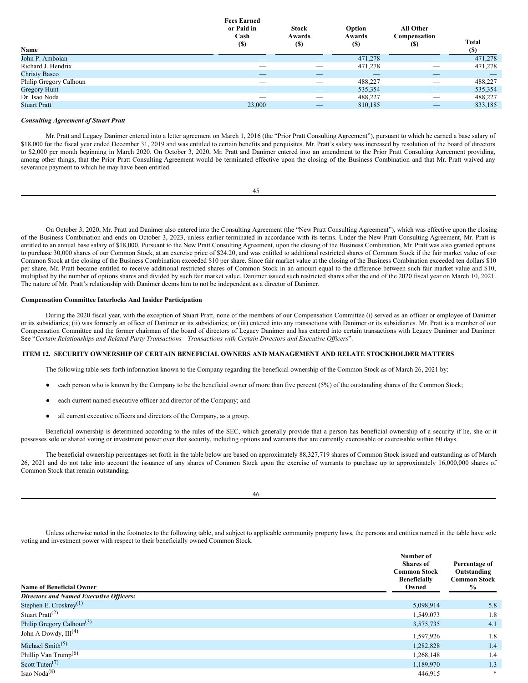|                        | or Paid in<br>Cash | <b>Stock</b><br>Awards   | Option<br>Awards         | All Other<br>Compensation | <b>Total</b> |
|------------------------|--------------------|--------------------------|--------------------------|---------------------------|--------------|
| Name                   | <b>(\$)</b>        | $(\$)$                   | <b>(\$)</b>              | <b>(S)</b>                | <b>(S)</b>   |
| John P. Amboian        |                    |                          | 471,278                  |                           | 471,278      |
| Richard J. Hendrix     | __                 | __                       | 471,278                  | $\overline{\phantom{a}}$  | 471,278      |
| <b>Christy Basco</b>   | _                  | $\overline{\phantom{a}}$ | $\overline{\phantom{a}}$ | __                        |              |
| Philip Gregory Calhoun | _                  | _                        | 488,227                  | $\overline{\phantom{a}}$  | 488.227      |
| <b>Gregory Hunt</b>    |                    |                          | 535,354                  |                           | 535,354      |
| Dr. Isao Noda          |                    | __                       | 488,227                  | $\overline{\phantom{a}}$  | 488,227      |
| <b>Stuart Pratt</b>    | 23,000             | _                        | 810.185                  |                           | 833.185      |

**Fees Earned**

#### *Consulting Agreement of Stuart Pratt*

Mr. Pratt and Legacy Danimer entered into a letter agreement on March 1, 2016 (the "Prior Pratt Consulting Agreement"), pursuant to which he earned a base salary of \$18,000 for the fiscal year ended December 31, 2019 and was entitled to certain benefits and perquisites. Mr. Pratt's salary was increased by resolution of the board of directors to \$2,000 per month beginning in March 2020. On October 3, 2020, Mr. Pratt and Danimer entered into an amendment to the Prior Pratt Consulting Agreement providing, among other things, that the Prior Pratt Consulting Agreement would be terminated effective upon the closing of the Business Combination and that Mr. Pratt waived any severance payment to which he may have been entitled.

| ٦ |               |
|---|---------------|
|   | ۰.<br>×<br>۰, |

On October 3, 2020, Mr. Pratt and Danimer also entered into the Consulting Agreement (the "New Pratt Consulting Agreement"), which was effective upon the closing of the Business Combination and ends on October 3, 2023, unless earlier terminated in accordance with its terms. Under the New Pratt Consulting Agreement, Mr. Pratt is entitled to an annual base salary of \$18,000. Pursuant to the New Pratt Consulting Agreement, upon the closing of the Business Combination, Mr. Pratt was also granted options to purchase 30,000 shares of our Common Stock, at an exercise price of \$24.20, and was entitled to additional restricted shares of Common Stock if the fair market value of our Common Stock at the closing of the Business Combination exceeded \$10 per share. Since fair market value at the closing of the Business Combination exceeded ten dollars \$10 per share, Mr. Pratt became entitled to receive additional restricted shares of Common Stock in an amount equal to the difference between such fair market value and \$10, multiplied by the number of options shares and divided by such fair market value. Danimer issued such restricted shares after the end of the 2020 fiscal year on March 10, 2021. The nature of Mr. Pratt's relationship with Danimer deems him to not be independent as a director of Danimer.

### **Compensation Committee Interlocks And Insider Participation**

During the 2020 fiscal year, with the exception of Stuart Pratt, none of the members of our Compensation Committee (i) served as an officer or employee of Danimer or its subsidiaries; (ii) was formerly an officer of Danimer or its subsidiaries; or (iii) entered into any transactions with Danimer or its subsidiaries. Mr. Pratt is a member of our Compensation Committee and the former chairman of the board of directors of Legacy Danimer and has entered into certain transactions with Legacy Danimer and Danimer. See "*Certain Relationships and Related Party Transactions—Transactions with Certain Directors and Executive Of icers*".

## <span id="page-31-0"></span>**ITEM 12. SECURITY OWNERSHIP OF CERTAIN BENEFICIAL OWNERS AND MANAGEMENT AND RELATE STOCKHOLDER MATTERS**

The following table sets forth information known to the Company regarding the beneficial ownership of the Common Stock as of March 26, 2021 by:

- each person who is known by the Company to be the beneficial owner of more than five percent (5%) of the outstanding shares of the Common Stock;
- each current named executive officer and director of the Company; and
- all current executive officers and directors of the Company, as a group.

Beneficial ownership is determined according to the rules of the SEC, which generally provide that a person has beneficial ownership of a security if he, she or it possesses sole or shared voting or investment power over that security, including options and warrants that are currently exercisable or exercisable within 60 days.

The beneficial ownership percentages set forth in the table below are based on approximately 88,327,719 shares of Common Stock issued and outstanding as of March 26, 2021 and do not take into account the issuance of any shares of Common Stock upon the exercise of warrants to purchase up to approximately 16,000,000 shares of Common Stock that remain outstanding.

46

Unless otherwise noted in the footnotes to the following table, and subject to applicable community property laws, the persons and entities named in the table have sole voting and investment power with respect to their beneficially owned Common Stock.

| <b>Shares</b> of<br><b>Beneficially</b><br>Owned | Percentage of<br>Outstanding<br><b>Common Stock</b><br>$\frac{6}{9}$ |
|--------------------------------------------------|----------------------------------------------------------------------|
|                                                  |                                                                      |
| 5,098,914                                        | 5.8                                                                  |
| 1,549,073                                        | 1.8                                                                  |
| 3,575,735                                        | 4.1                                                                  |
| 1,597,926                                        | 1.8                                                                  |
| 1,282,828                                        | 1.4                                                                  |
| 1,268,148                                        | 1.4                                                                  |
| 1,189,970                                        | 1.3                                                                  |
| 446,915                                          | *                                                                    |
|                                                  | Number of<br><b>Common Stock</b>                                     |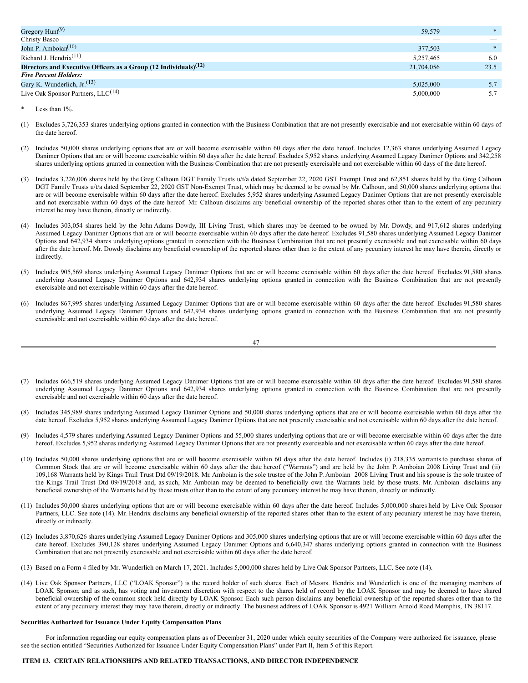| Gregory $Hunt(9)$                                                             | 59.579     | $*$  |
|-------------------------------------------------------------------------------|------------|------|
| Christy Basco                                                                 |            |      |
| John P. Amboian $(10)$                                                        | 377,503    |      |
| Richard J. Hendrix $(11)$                                                     | 5,257,465  | 6.0  |
| Directors and Executive Officers as a Group $(12 \text{ individuals})^{(12)}$ | 21,704,056 | 23.5 |
| <b>Five Percent Holders:</b>                                                  |            |      |
| Gary K. Wunderlich, Jr. $(13)$                                                | 5.025.000  | 5.7  |
| Live Oak Sponsor Partners, $LLC^{(14)}$                                       | 5,000,000  | 5.7  |
|                                                                               |            |      |

Less than 1%.

- (1) Excludes 3,726,353 shares underlying options granted in connection with the Business Combination that are not presently exercisable and not exercisable within 60 days of the date hereof.
- (2) Includes 50,000 shares underlying options that are or will become exercisable within 60 days after the date hereof. Includes 12,363 shares underlying Assumed Legacy Danimer Options that are or will become exercisable within 60 days after the date hereof. Excludes 5,952 shares underlying Assumed Legacy Danimer Options and 342,258 shares underlying options granted in connection with the Business Combination that are not presently exercisable and not exercisable within 60 days of the date hereof.
- (3) Includes 3,226,006 shares held by the Greg Calhoun DGT Family Trusts u/t/a dated September 22, 2020 GST Exempt Trust and 62,851 shares held by the Greg Calhoun DGT Family Trusts u/t/a dated September 22, 2020 GST Non-Exempt Trust, which may be deemed to be owned by Mr. Calhoun, and 50,000 shares underlying options that are or will become exercisable within 60 days after the date hereof. Excludes 5,952 shares underlying Assumed Legacy Danimer Options that are not presently exercisable and not exercisable within 60 days of the date hereof. Mr. Calhoun disclaims any beneficial ownership of the reported shares other than to the extent of any pecuniary interest he may have therein, directly or indirectly.
- (4) Includes 303,054 shares held by the John Adams Dowdy, III Living Trust, which shares may be deemed to be owned by Mr. Dowdy, and 917,612 shares underlying Assumed Legacy Danimer Options that are or will become exercisable within 60 days after the date hereof. Excludes 91,580 shares underlying Assumed Legacy Danimer Options and 642,934 shares underlying options granted in connection with the Business Combination that are not presently exercisable and not exercisable within 60 days after the date hereof. Mr. Dowdy disclaims any beneficial ownership of the reported shares other than to the extent of any pecuniary interest he may have therein, directly or indirectly.
- (5) Includes 905,569 shares underlying Assumed Legacy Danimer Options that are or will become exercisable within 60 days after the date hereof. Excludes 91,580 shares underlying Assumed Legacy Danimer Options and 642,934 shares underlying options granted in connection with the Business Combination that are not presently exercisable and not exercisable within 60 days after the date hereof.
- (6) Includes 867,995 shares underlying Assumed Legacy Danimer Options that are or will become exercisable within 60 days after the date hereof. Excludes 91,580 shares underlying Assumed Legacy Danimer Options and 642,934 shares underlying options granted in connection with the Business Combination that are not presently exercisable and not exercisable within 60 days after the date hereof.

$$
^{47}
$$

- (7) Includes 666,519 shares underlying Assumed Legacy Danimer Options that are or will become exercisable within 60 days after the date hereof. Excludes 91,580 shares underlying Assumed Legacy Danimer Options and 642,934 shares underlying options granted in connection with the Business Combination that are not presently exercisable and not exercisable within 60 days after the date hereof.
- (8) Includes 345,989 shares underlying Assumed Legacy Danimer Options and 50,000 shares underlying options that are or will become exercisable within 60 days after the date hereof. Excludes 5,952 shares underlying Assumed Legacy Danimer Options that are not presently exercisable and not exercisable within 60 days after the date hereof.
- (9) Includes 4,579 shares underlying Assumed Legacy Danimer Options and 55,000 shares underlying options that are or will become exercisable within 60 days after the date hereof. Excludes 5,952 shares underlying Assumed Legacy Danimer Options that are not presently exercisable and not exercisable within 60 days after the date hereof.
- (10) Includes 50,000 shares underlying options that are or will become exercisable within 60 days after the date hereof. Includes (i) 218,335 warrants to purchase shares of Common Stock that are or will become exercisable within 60 days after the date hereof ("Warrants") and are held by the John P. Amboian 2008 Living Trust and (ii) 109,168 Warrants held by Kings Trail Trust Dtd 09/19/2018. Mr. Amboian is the sole trustee of the John P. Amboian 2008 Living Trust and his spouse is the sole trustee of the Kings Trail Trust Dtd 09/19/2018 and, as such, Mr. Amboian may be deemed to beneficially own the Warrants held by those trusts. Mr. Amboian disclaims any beneficial ownership of the Warrants held by these trusts other than to the extent of any pecuniary interest he may have therein, directly or indirectly.
- (11) Includes 50,000 shares underlying options that are or will become exercisable within 60 days after the date hereof. Includes 5,000,000 shares held by Live Oak Sponsor Partners, LLC. See note (14). Mr. Hendrix disclaims any beneficial ownership of the reported shares other than to the extent of any pecuniary interest he may have therein, directly or indirectly.
- (12) Includes 3,870,626 shares underlying Assumed Legacy Danimer Options and 305,000 shares underlying options that are or will become exercisable within 60 days after the date hereof. Excludes 390,128 shares underlying Assumed Legacy Danimer Options and 6,640,347 shares underlying options granted in connection with the Business Combination that are not presently exercisable and not exercisable within 60 days after the date hereof.
- (13) Based on a Form 4 filed by Mr. Wunderlich on March 17, 2021. Includes 5,000,000 shares held by Live Oak Sponsor Partners, LLC. See note (14).
- (14) Live Oak Sponsor Partners, LLC ("LOAK Sponsor") is the record holder of such shares. Each of Messrs. Hendrix and Wunderlich is one of the managing members of LOAK Sponsor, and as such, has voting and investment discretion with respect to the shares held of record by the LOAK Sponsor and may be deemed to have shared beneficial ownership of the common stock held directly by LOAK Sponsor. Each such person disclaims any beneficial ownership of the reported shares other than to the extent of any pecuniary interest they may have therein, directly or indirectly. The business address of LOAK Sponsor is 4921 William Arnold Road Memphis, TN 38117.

## **Securities Authorized for Issuance Under Equity Compensation Plans**

For information regarding our equity compensation plans as of December 31, 2020 under which equity securities of the Company were authorized for issuance, please see the section entitled "Securities Authorized for Issuance Under Equity Compensation Plans" under Part II, Item 5 of this Report.

## <span id="page-32-0"></span>**ITEM 13. CERTAIN RELATIONSHIPS AND RELATED TRANSACTIONS, AND DIRECTOR INDEPENDENCE**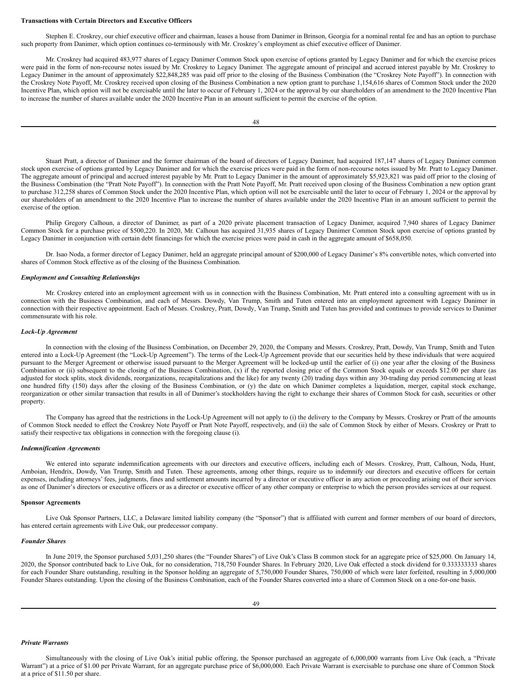#### **Transactions with Certain Directors and Executive Officers**

Stephen E. Croskrey, our chief executive officer and chairman, leases a house from Danimer in Brinson, Georgia for a nominal rental fee and has an option to purchase such property from Danimer, which option continues co-terminously with Mr. Croskrey's employment as chief executive officer of Danimer.

Mr. Croskrey had acquired 483,977 shares of Legacy Danimer Common Stock upon exercise of options granted by Legacy Danimer and for which the exercise prices were paid in the form of non-recourse notes issued by Mr. Croskrey to Legacy Danimer. The aggregate amount of principal and accrued interest payable by Mr. Croskrey to Legacy Danimer in the amount of approximately \$22,848,285 was paid off prior to the closing of the Business Combination (the "Croskrey Note Payoff"). In connection with the Croskrey Note Payoff, Mr. Croskrey received upon closing of the Business Combination a new option grant to purchase 1,154,616 shares of Common Stock under the 2020 Incentive Plan, which option will not be exercisable until the later to occur of February 1, 2024 or the approval by our shareholders of an amendment to the 2020 Incentive Plan to increase the number of shares available under the 2020 Incentive Plan in an amount sufficient to permit the exercise of the option.

Stuart Pratt, a director of Danimer and the former chairman of the board of directors of Legacy Danimer, had acquired 187,147 shares of Legacy Danimer common stock upon exercise of options granted by Legacy Danimer and for which the exercise prices were paid in the form of non-recourse notes issued by Mr. Pratt to Legacy Danimer. The aggregate amount of principal and accrued interest payable by Mr. Pratt to Legacy Danimer in the amount of approximately \$5,923,821 was paid off prior to the closing of the Business Combination (the "Pratt Note Payoff"). In connection with the Pratt Note Payoff, Mr. Pratt received upon closing of the Business Combination a new option grant to purchase 312,258 shares of Common Stock under the 2020 Incentive Plan, which option will not be exercisable until the later to occur of February 1, 2024 or the approval by our shareholders of an amendment to the 2020 Incentive Plan to increase the number of shares available under the 2020 Incentive Plan in an amount sufficient to permit the exercise of the option.

Philip Gregory Calhoun, a director of Danimer, as part of a 2020 private placement transaction of Legacy Danimer, acquired 7,940 shares of Legacy Danimer Common Stock for a purchase price of \$500,220. In 2020, Mr. Calhoun has acquired 31,935 shares of Legacy Danimer Common Stock upon exercise of options granted by Legacy Danimer in conjunction with certain debt financings for which the exercise prices were paid in cash in the aggregate amount of \$658,050.

Dr. Isao Noda, a former director of Legacy Danimer, held an aggregate principal amount of \$200,000 of Legacy Danimer's 8% convertible notes, which converted into shares of Common Stock effective as of the closing of the Business Combination.

#### *Employment and Consulting Relationships*

Mr. Croskrey entered into an employment agreement with us in connection with the Business Combination, Mr. Pratt entered into a consulting agreement with us in connection with the Business Combination, and each of Messrs. Dowdy, Van Trump, Smith and Tuten entered into an employment agreement with Legacy Danimer in connection with their respective appointment. Each of Messrs. Croskrey, Pratt, Dowdy, Van Trump, Smith and Tuten has provided and continues to provide services to Danimer commensurate with his role.

#### *Lock-Up Agreement*

In connection with the closing of the Business Combination, on December 29, 2020, the Company and Messrs. Croskrey, Pratt, Dowdy, Van Trump, Smith and Tuten entered into a Lock-Up Agreement (the "Lock-Up Agreement"). The terms of the Lock-Up Agreement provide that our securities held by these individuals that were acquired pursuant to the Merger Agreement or otherwise issued pursuant to the Merger Agreement will be locked-up until the earlier of (i) one year after the closing of the Business Combination or (ii) subsequent to the closing of the Business Combination, (x) if the reported closing price of the Common Stock equals or exceeds \$12.00 per share (as adjusted for stock splits, stock dividends, reorganizations, recapitalizations and the like) for any twenty (20) trading days within any 30-trading day period commencing at least one hundred fifty (150) days after the closing of the Business Combination, or (y) the date on which Danimer completes a liquidation, merger, capital stock exchange, reorganization or other similar transaction that results in all of Danimer's stockholders having the right to exchange their shares of Common Stock for cash, securities or other property.

The Company has agreed that the restrictions in the Lock-Up Agreement will not apply to (i) the delivery to the Company by Messrs. Croskrey or Pratt of the amounts of Common Stock needed to effect the Croskrey Note Payoff or Pratt Note Payoff, respectively, and (ii) the sale of Common Stock by either of Messrs. Croskrey or Pratt to satisfy their respective tax obligations in connection with the foregoing clause (i).

#### *Indemnification Agreements*

We entered into separate indemnification agreements with our directors and executive officers, including each of Messrs. Croskrey, Pratt, Calhoun, Noda, Hunt, Amboian, Hendrix, Dowdy, Van Trump, Smith and Tuten. These agreements, among other things, require us to indemnify our directors and executive officers for certain expenses, including attorneys' fees, judgments, fines and settlement amounts incurred by a director or executive officer in any action or proceeding arising out of their services as one of Danimer's directors or executive officers or as a director or executive officer of any other company or enterprise to which the person provides services at our request.

#### **Sponsor Agreements**

Live Oak Sponsor Partners, LLC, a Delaware limited liability company (the "Sponsor") that is affiliated with current and former members of our board of directors, has entered certain agreements with Live Oak, our predecessor company.

#### *Founder Shares*

In June 2019, the Sponsor purchased 5,031,250 shares (the "Founder Shares") of Live Oak's Class B common stock for an aggregate price of \$25,000. On January 14, 2020, the Sponsor contributed back to Live Oak, for no consideration, 718,750 Founder Shares. In February 2020, Live Oak effected a stock dividend for 0.333333333 shares for each Founder Share outstanding, resulting in the Sponsor holding an aggregate of 5,750,000 Founder Shares, 750,000 of which were later forfeited, resulting in 5,000,000 Founder Shares outstanding. Upon the closing of the Business Combination, each of the Founder Shares converted into a share of Common Stock on a one-for-one basis.

## *Private Warrants*

Simultaneously with the closing of Live Oak's initial public offering, the Sponsor purchased an aggregate of 6,000,000 warrants from Live Oak (each, a "Private Warrant") at a price of \$1.00 per Private Warrant, for an aggregate purchase price of \$6,000,000. Each Private Warrant is exercisable to purchase one share of Common Stock at a price of \$11.50 per share.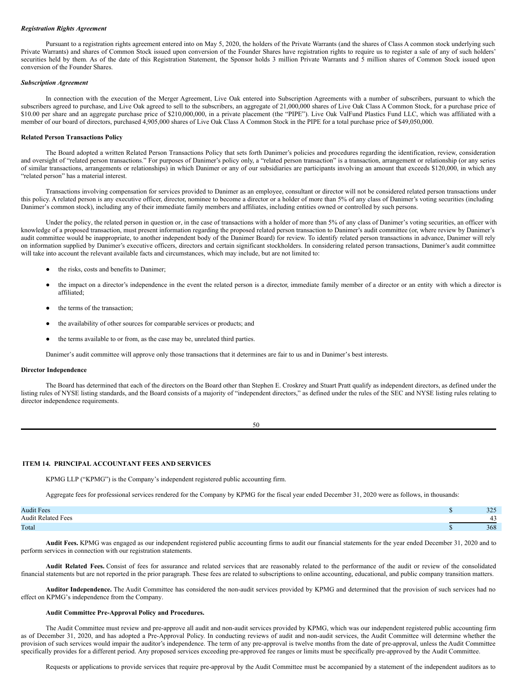### *Registration Rights Agreement*

Pursuant to a registration rights agreement entered into on May 5, 2020, the holders of the Private Warrants (and the shares of Class A common stock underlying such Private Warrants) and shares of Common Stock issued upon conversion of the Founder Shares have registration rights to require us to register a sale of any of such holders' securities held by them. As of the date of this Registration Statement, the Sponsor holds 3 million Private Warrants and 5 million shares of Common Stock issued upon conversion of the Founder Shares.

#### *Subscription Agreement*

In connection with the execution of the Merger Agreement, Live Oak entered into Subscription Agreements with a number of subscribers, pursuant to which the subscribers agreed to purchase, and Live Oak agreed to sell to the subscribers, an aggregate of 21,000,000 shares of Live Oak Class A Common Stock, for a purchase price of \$10.00 per share and an aggregate purchase price of \$210,000,000, in a private placement (the "PIPE"). Live Oak ValFund Plastics Fund LLC, which was affiliated with a member of our board of directors, purchased 4,905,000 shares of Live Oak Class A Common Stock in the PIPE for a total purchase price of \$49,050,000.

#### **Related Person Transactions Policy**

The Board adopted a written Related Person Transactions Policy that sets forth Danimer's policies and procedures regarding the identification, review, consideration and oversight of "related person transactions." For purposes of Danimer's policy only, a "related person transaction" is a transaction, arrangement or relationship (or any series of similar transactions, arrangements or relationships) in which Danimer or any of our subsidiaries are participants involving an amount that exceeds \$120,000, in which any "related person" has a material interest.

Transactions involving compensation for services provided to Danimer as an employee, consultant or director will not be considered related person transactions under this policy. A related person is any executive officer, director, nominee to become a director or a holder of more than 5% of any class of Danimer's voting securities (including Danimer's common stock), including any of their immediate family members and affiliates, including entities owned or controlled by such persons.

Under the policy, the related person in question or, in the case of transactions with a holder of more than 5% of any class of Danimer's voting securities, an officer with knowledge of a proposed transaction, must present information regarding the proposed related person transaction to Danimer's audit committee (or, where review by Danimer's audit committee would be inappropriate, to another independent body of the Danimer Board) for review. To identify related person transactions in advance, Danimer will rely on information supplied by Danimer's executive officers, directors and certain significant stockholders. In considering related person transactions, Danimer's audit committee will take into account the relevant available facts and circumstances, which may include, but are not limited to:

- the risks, costs and benefits to Danimer;
- the impact on a director's independence in the event the related person is a director, immediate family member of a director or an entity with which a director is affiliated;
- the terms of the transaction;
- the availability of other sources for comparable services or products; and
- the terms available to or from, as the case may be, unrelated third parties.

Danimer's audit committee will approve only those transactions that it determines are fair to us and in Danimer's best interests.

#### **Director Independence**

The Board has determined that each of the directors on the Board other than Stephen E. Croskrey and Stuart Pratt qualify as independent directors, as defined under the listing rules of NYSE listing standards, and the Board consists of a majority of "independent directors," as defined under the rules of the SEC and NYSE listing rules relating to director independence requirements.

## <span id="page-34-0"></span>**ITEM 14. PRINCIPAL ACCOUNTANT FEES AND SERVICES**

KPMG LLP ("KPMG") is the Company's independent registered public accounting firm.

Aggregate fees for professional services rendered for the Company by KPMG for the fiscal year ended December 31, 2020 were as follows, in thousands:

| <b>Audit Fees</b>         | 325                                |
|---------------------------|------------------------------------|
| <b>Audit Related Fees</b> | $\overline{\phantom{a}}$<br>∸<br>τ |
| Total                     | 368                                |

**Audit Fees.** KPMG was engaged as our independent registered public accounting firms to audit our financial statements for the year ended December 31, 2020 and to perform services in connection with our registration statements.

**Audit Related Fees.** Consist of fees for assurance and related services that are reasonably related to the performance of the audit or review of the consolidated financial statements but are not reported in the prior paragraph. These fees are related to subscriptions to online accounting, educational, and public company transition matters.

**Auditor Independence.** The Audit Committee has considered the non-audit services provided by KPMG and determined that the provision of such services had no effect on KPMG's independence from the Company.

## **Audit Committee Pre-Approval Policy and Procedures.**

The Audit Committee must review and pre-approve all audit and non-audit services provided by KPMG, which was our independent registered public accounting firm as of December 31, 2020, and has adopted a Pre-Approval Policy. In conducting reviews of audit and non-audit services, the Audit Committee will determine whether the provision of such services would impair the auditor's independence. The term of any pre-approval is twelve months from the date of pre-approval, unless the Audit Committee specifically provides for a different period. Any proposed services exceeding pre-approved fee ranges or limits must be specifically pre-approved by the Audit Committee.

Requests or applications to provide services that require pre-approval by the Audit Committee must be accompanied by a statement of the independent auditors as to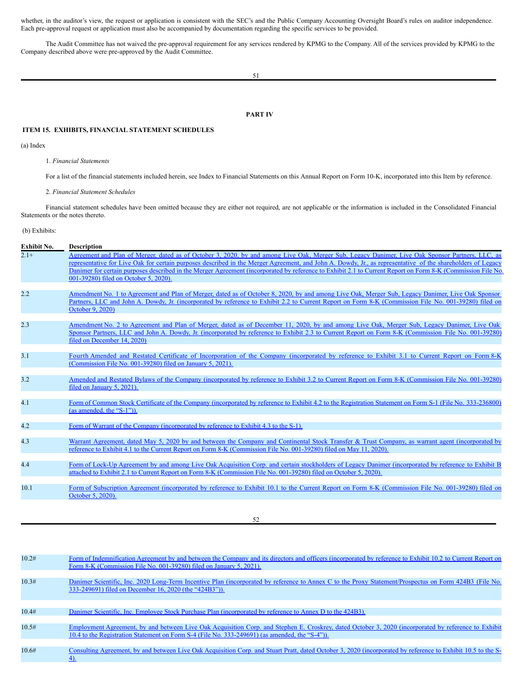whether, in the auditor's view, the request or application is consistent with the SEC's and the Public Company Accounting Oversight Board's rules on auditor independence. Each pre-approval request or application must also be accompanied by documentation regarding the specific services to be provided.

The Audit Committee has not waived the pre-approval requirement for any services rendered by KPMG to the Company. All of the services provided by KPMG to the Company described above were pre-approved by the Audit Committee.

51

## <span id="page-35-0"></span>**PART IV**

## <span id="page-35-1"></span>**ITEM 15. EXHIBITS, FINANCIAL STATEMENT SCHEDULES**

(a) Index

## 1. *Financial Statements*

For a list of the financial statements included herein, see Index to Financial Statements on this Annual Report on Form 10-K, incorporated into this Item by reference.

## 2. *Financial Statement Schedules*

Financial statement schedules have been omitted because they are either not required, are not applicable or the information is included in the Consolidated Financial Statements or the notes thereto.

## <span id="page-35-2"></span>(b) Exhibits:

| <b>Exhibit No.</b> | <b>Description</b>                                                                                                                                                                                                                                                                                                                                                                                                                                                                                                      |
|--------------------|-------------------------------------------------------------------------------------------------------------------------------------------------------------------------------------------------------------------------------------------------------------------------------------------------------------------------------------------------------------------------------------------------------------------------------------------------------------------------------------------------------------------------|
| $2.1+$             | Agreement and Plan of Merger, dated as of October 3, 2020, by and among Live Oak, Merger Sub, Legacy Danimer, Live Oak Sponsor Partners, LLC, as<br>representative for Live Oak for certain purposes described in the Merger Agreement, and John A. Dowdy, Jr., as representative of the shareholders of Legacy<br>Danimer for certain purposes described in the Merger Agreement (incorporated by reference to Exhibit 2.1 to Current Report on Form 8-K (Commission File No.<br>001-39280) filed on October 5, 2020). |
| 2.2                | Amendment No. 1 to Agreement and Plan of Merger, dated as of October 8, 2020, by and among Live Oak, Merger Sub, Legacy Danimer, Live Oak Sponsor<br>Partners, LLC and John A. Dowdy, Jr. (incorporated by reference to Exhibit 2.2 to Current Report on Form 8-K (Commission File No. 001-39280) filed on<br>October 9, 2020)                                                                                                                                                                                          |
| 2.3                | Amendment No. 2 to Agreement and Plan of Merger, dated as of December 11, 2020, by and among Live Oak, Merger Sub, Legacy Danimer, Live Oak<br>Sponsor Partners, LLC and John A. Dowdy, Jr. (incorporated by reference to Exhibit 2.3 to Current Report on Form 8-K (Commission File No. 001-39280)<br>filed on December 14, 2020)                                                                                                                                                                                      |
| 3.1                | Fourth Amended and Restated Certificate of Incorporation of the Company (incorporated by reference to Exhibit 3.1 to Current Report on Form 8-K<br>(Commission File No. 001-39280) filed on January 5, 2021).                                                                                                                                                                                                                                                                                                           |
| 3.2                | Amended and Restated Bylaws of the Company (incorporated by reference to Exhibit 3.2 to Current Report on Form 8-K (Commission File No. 001-39280)<br>filed on January 5, 2021).                                                                                                                                                                                                                                                                                                                                        |
| 4.1                | Form of Common Stock Certificate of the Company (incorporated by reference to Exhibit 4.2 to the Registration Statement on Form S-1 (File No. 333-236800)<br>(as amended, the "S-1").                                                                                                                                                                                                                                                                                                                                   |
| 4.2                | Form of Warrant of the Company (incorporated by reference to Exhibit 4.3 to the S-1).                                                                                                                                                                                                                                                                                                                                                                                                                                   |
| 4.3                | Warrant Agreement, dated May 5, 2020 by and between the Company and Continental Stock Transfer & Trust Company, as warrant agent (incorporated by<br>reference to Exhibit 4.1 to the Current Report on Form 8-K (Commission File No. 001-39280) filed on May 11, 2020).                                                                                                                                                                                                                                                 |
| 4.4                | Form of Lock-Up Agreement by and among Live Oak Acquisition Corp. and certain stockholders of Legacy Danimer (incorporated by reference to Exhibit B<br>attached to Exhibit 2.1 to Current Report on Form 8-K (Commission File No. 001-39280) filed on October 5, 2020).                                                                                                                                                                                                                                                |
| 10.1               | Form of Subscription Agreement (incorporated by reference to Exhibit 10.1 to the Current Report on Form 8-K (Commission File No. 001-39280) filed on<br>October 5, 2020).                                                                                                                                                                                                                                                                                                                                               |

|                  | v  |
|------------------|----|
| I<br>I<br>$\sim$ | ۰. |

| 10.2# | Form of Indemnification Agreement by and between the Company and its directors and officers (incorporated by reference to Exhibit 10.2 to Current Report on<br>Form 8-K (Commission File No. 001-39280) filed on January 5, 2021).                     |
|-------|--------------------------------------------------------------------------------------------------------------------------------------------------------------------------------------------------------------------------------------------------------|
| 10.3# | Danimer Scientific, Inc. 2020 Long-Term Incentive Plan (incorporated by reference to Annex C to the Proxy Statement/Prospectus on Form 424B3 (File No.<br>333-249691) filed on December 16, 2020 (the "424B3")).                                       |
| 10.4# | Danimer Scientific, Inc. Employee Stock Purchase Plan (incorporated by reference to Annex D to the 424B3).                                                                                                                                             |
| 10.5# | Employment Agreement, by and between Live Oak Acquisition Corp. and Stephen E. Croskrey, dated October 3, 2020 (incorporated by reference to Exhibit<br>10.4 to the Registration Statement on Form S-4 (File No. 333-249691) (as amended, the "S-4")). |
| 10.6# | Consulting Agreement, by and between Live Oak Acquisition Corp. and Stuart Pratt, dated October 3, 2020 (incorporated by reference to Exhibit 10.5 to the S-<br><u>4).</u>                                                                             |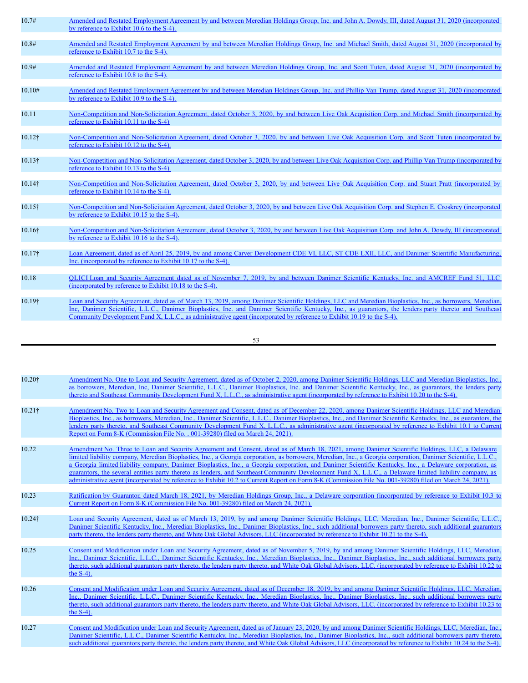| 10.7#  | Amended and Restated Employment Agreement by and between Meredian Holdings Group, Inc. and John A. Dowdy, III, dated August 31, 2020 (incorporated<br>by reference to Exhibit 10.6 to the S-4).                                                                                                                                                                                                                                               |
|--------|-----------------------------------------------------------------------------------------------------------------------------------------------------------------------------------------------------------------------------------------------------------------------------------------------------------------------------------------------------------------------------------------------------------------------------------------------|
| 10.8#  | Amended and Restated Employment Agreement by and between Meredian Holdings Group, Inc. and Michael Smith, dated August 31, 2020 (incorporated by<br>reference to Exhibit 10.7 to the S-4).                                                                                                                                                                                                                                                    |
| 10.9#  | Amended and Restated Employment Agreement by and between Meredian Holdings Group, Inc. and Scott Tuten, dated August 31, 2020 (incorporated by<br>reference to Exhibit 10.8 to the S-4).                                                                                                                                                                                                                                                      |
| 10.10# | Amended and Restated Employment Agreement by and between Meredian Holdings Group, Inc. and Phillip Van Trump, dated August 31, 2020 (incorporated<br>by reference to Exhibit 10.9 to the S-4).                                                                                                                                                                                                                                                |
| 10.11  | Non-Competition and Non-Solicitation Agreement, dated October 3, 2020, by and between Live Oak Acquisition Corp. and Michael Smith (incorporated by<br>reference to Exhibit 10.11 to the S-4)                                                                                                                                                                                                                                                 |
| 10.12† | Non-Competition and Non-Solicitation Agreement, dated October 3, 2020, by and between Live Oak Acquisition Corp. and Scott Tuten (incorporated by<br>reference to Exhibit 10.12 to the S-4).                                                                                                                                                                                                                                                  |
| 10.13† | Non-Competition and Non-Solicitation Agreement, dated October 3, 2020, by and between Live Oak Acquisition Corp. and Phillip Van Trump (incorporated by<br>reference to Exhibit 10.13 to the S-4).                                                                                                                                                                                                                                            |
| 10.14† | Non-Competition and Non-Solicitation Agreement, dated October 3, 2020, by and between Live Oak Acquisition Corp. and Stuart Pratt (incorporated by<br>reference to Exhibit 10.14 to the S-4).                                                                                                                                                                                                                                                 |
| 10.15† | Non-Competition and Non-Solicitation Agreement, dated October 3, 2020, by and between Live Oak Acquisition Corp. and Stephen E. Croskrey (incorporated<br>by reference to Exhibit 10.15 to the S-4).                                                                                                                                                                                                                                          |
| 10.16† | Non-Competition and Non-Solicitation Agreement, dated October 3, 2020, by and between Live Oak Acquisition Corp. and John A. Dowdy, III (incorporated<br>by reference to Exhibit 10.16 to the S-4).                                                                                                                                                                                                                                           |
| 10.17† | Loan Agreement, dated as of April 25, 2019, by and among Carver Development CDE VI, LLC, ST CDE LXII, LLC, and Danimer Scientific Manufacturing,<br>Inc. (incorporated by reference to Exhibit 10.17 to the S-4).                                                                                                                                                                                                                             |
| 10.18  | OLICI Loan and Security Agreement dated as of November 7, 2019, by and between Danimer Scientific Kentucky, Inc. and AMCREF Fund 51, LLC<br>(incorporated by reference to Exhibit 10.18 to the S-4).                                                                                                                                                                                                                                          |
| 10.19† | Loan and Security Agreement, dated as of March 13, 2019, among Danimer Scientific Holdings, LLC and Meredian Bioplastics, Inc., as borrowers, Meredian.<br>Inc. Danimer Scientific, L.L.C., Danimer Bioplastics, Inc. and Danimer Scientific Kentucky, Inc., as guarantors, the lenders party thereto and Southeast<br>Community Development Fund X, L.L.C., as administrative agent (incorporated by reference to Exhibit 10.19 to the S-4). |

53

| 10.20†         | Amendment No. One to Loan and Security Agreement, dated as of October 2, 2020, among Danimer Scientific Holdings, LLC and Meredian Bioplastics, Inc.<br>as borrowers, Meredian, Inc. Danimer Scientific, L.L.C., Danimer Bioplastics, Inc. and Danimer Scientific Kentucky, Inc., as guarantors, the lenders party<br>thereto and Southeast Community Development Fund X, L.L.C., as administrative agent (incorporated by reference to Exhibit 10.20 to the S-4).                                                                                                                                                                                                                                                                                                                                 |
|----------------|----------------------------------------------------------------------------------------------------------------------------------------------------------------------------------------------------------------------------------------------------------------------------------------------------------------------------------------------------------------------------------------------------------------------------------------------------------------------------------------------------------------------------------------------------------------------------------------------------------------------------------------------------------------------------------------------------------------------------------------------------------------------------------------------------|
| $10.21\dagger$ | Amendment No. Two to Loan and Security Agreement and Consent, dated as of December 22, 2020, among Danimer Scientific Holdings, LLC and Meredian<br>Bioplastics, Inc., as borrowers, Meredian, Inc., Danimer Scientific, L.L.C., Danimer Bioplastics, Inc., and Danimer Scientific Kentucky, Inc., as guarantors, the<br>lenders party thereto, and Southeast Community Development Fund X, L.L.C., as administrative agent (incorporated by reference to Exhibit 10.1 to Current<br>Report on Form 8-K (Commission File No. . 001-39280) filed on March 24, 2021).                                                                                                                                                                                                                                |
| 10.22          | Amendment No. Three to Loan and Security Agreement and Consent, dated as of March 18, 2021, among Danimer Scientific Holdings, LLC, a Delaware<br>limited liability company, Meredian Bioplastics, Inc., a Georgia corporation, as borrowers, Meredian, Inc., a Georgia corporation, Danimer Scientific, L.L.C.,<br>a Georgia limited liability company, Danimer Bioplastics, Inc., a Georgia corporation, and Danimer Scientific Kentucky, Inc., a Delaware corporation, as<br>guarantors, the several entities party thereto as lenders, and Southeast Community Development Fund X, L.L.C., a Delaware limited liability company, as<br>administrative agent (incorporated by reference to Exhibit 10.2 to Current Report on Form 8-K (Commission File No. 001-39280) filed on March 24, 2021). |
| 10.23          | Ratification by Guarantor, dated March 18, 2021, by Meredian Holdings Group, Inc., a Delaware corporation (incorporated by reference to Exhibit 10.3 to<br>Current Report on Form 8-K (Commission File No. 001-39280) filed on March 24, 2021).                                                                                                                                                                                                                                                                                                                                                                                                                                                                                                                                                    |
| 10.24†         | Loan and Security Agreement, dated as of March 13, 2019, by and among Danimer Scientific Holdings, LLC, Meredian, Inc., Danimer Scientific, L.L.C.,<br>Danimer Scientific Kentucky, Inc., Meredian Bioplastics, Inc., Danimer Bioplastics, Inc., such additional borrowers party thereto, such additional guarantors<br>party thereto, the lenders party thereto, and White Oak Global Advisors, LLC (incorporated by reference to Exhibit 10.21 to the S-4).                                                                                                                                                                                                                                                                                                                                      |
| 10.25          | Consent and Modification under Loan and Security Agreement, dated as of November 5, 2019, by and among Danimer Scientific Holdings, LLC, Meredian.<br>Inc., Danimer Scientific, L.L.C., Danimer Scientific Kentucky, Inc., Meredian Bioplastics, Inc., Danimer Bioplastics, Inc., such additional borrowers party<br>thereto, such additional guarantors party thereto, the lenders party thereto, and White Oak Global Advisors, LLC. (incorporated by reference to Exhibit 10.22 to<br>the $S-4$ ).                                                                                                                                                                                                                                                                                              |
| 10.26          | Consent and Modification under Loan and Security Agreement, dated as of December 18, 2019, by and among Danimer Scientific Holdings, LLC, Meredian.<br>Inc., Danimer Scientific, L.L.C., Danimer Scientific Kentucky, Inc., Meredian Bioplastics, Inc., Danimer Bioplastics, Inc., such additional borrowers party<br>thereto, such additional guarantors party thereto, the lenders party thereto, and White Oak Global Advisors, LLC. (incorporated by reference to Exhibit 10.23 to<br>the $S-4$ ).                                                                                                                                                                                                                                                                                             |
| 10.27          | Consent and Modification under Loan and Security Agreement, dated as of January 23, 2020, by and among Danimer Scientific Holdings, LLC, Meredian, Inc.,<br>Danimer Scientific, L.L.C., Danimer Scientific Kentucky, Inc., Meredian Bioplastics, Inc., Danimer Bioplastics, Inc., such additional borrowers party thereto.<br>such additional guarantors party thereto, the lenders party thereto, and White Oak Global Advisors, LLC (incorporated by reference to Exhibit 10.24 to the S-4).                                                                                                                                                                                                                                                                                                     |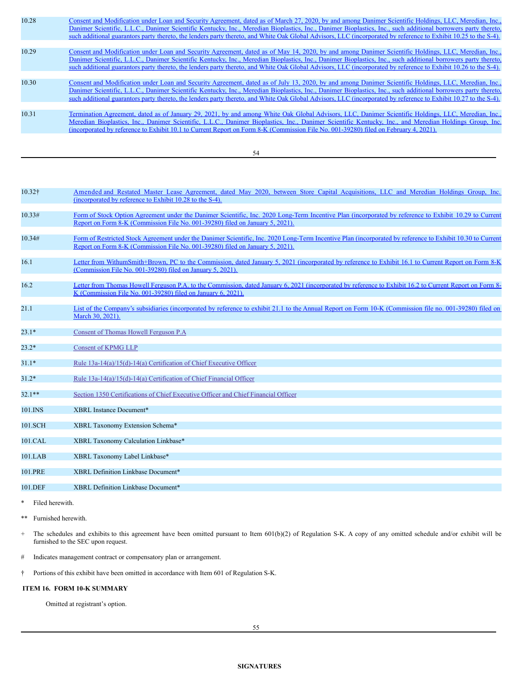| Consent and Modification under Loan and Security Agreement, dated as of March 27, 2020, by and among Danimer Scientific Holdings, LLC, Meredian, Inc.,           |
|------------------------------------------------------------------------------------------------------------------------------------------------------------------|
| Danimer Scientific, L.L.C., Danimer Scientific Kentucky, Inc., Meredian Bioplastics, Inc., Danimer Bioplastics, Inc., such additional borrowers party thereto.   |
| such additional guarantors party thereto, the lenders party thereto, and White Oak Global Advisors, LLC (incorporated by reference to Exhibit 10.25 to the S-4). |
|                                                                                                                                                                  |
| Consent and Modification under Loan and Security Agreement, dated as of May 14, 2020, by and among Danimer Scientific Holdings, LLC, Meredian, Inc.,             |
| Danimer Scientific, L.L.C., Danimer Scientific Kentucky, Inc., Meredian Bioplastics, Inc., Danimer Bioplastics, Inc., such additional borrowers party thereto.   |
| such additional guarantors party thereto, the lenders party thereto, and White Oak Global Advisors, LLC (incorporated by reference to Exhibit 10.26 to the S-4). |
|                                                                                                                                                                  |
| Consent and Modification under Loan and Security Agreement, dated as of July 13, 2020, by and among Danimer Scientific Holdings, LLC, Meredian, Inc.,            |
| Danimer Scientific, L.L.C., Danimer Scientific Kentucky, Inc., Meredian Bioplastics, Inc., Danimer Bioplastics, Inc., such additional borrowers party thereto,   |
| such additional guarantors party thereto, the lenders party thereto, and White Oak Global Advisors, LLC (incorporated by reference to Exhibit 10.27 to the S-4). |
|                                                                                                                                                                  |
| Termination Agreement, dated as of January 29, 2021, by and among White Oak Global Advisors, LLC, Danimer Scientific Holdings, LLC, Meredian, Inc.,              |
| Meredian Bioplastics, Inc., Danimer Scientific, L.L.C., Danimer Bioplastics, Inc., Danimer Scientific Kentucky, Inc., and Meredian Holdings Group, Inc.          |
| (incorporated by reference to Exhibit 10.1 to Current Report on Form 8-K (Commission File No. 001-39280) filed on February 4, 2021).                             |
|                                                                                                                                                                  |

|                  | I |
|------------------|---|
| I<br>I<br>$\sim$ | ٠ |

| 10.32†   | Amended and Restated Master Lease Agreement, dated May 2020, between Store Capital Acquisitions, LLC and Meredian Holdings Group, Inc.<br>(incorporated by reference to Exhibit 10.28 to the S-4).                                          |
|----------|---------------------------------------------------------------------------------------------------------------------------------------------------------------------------------------------------------------------------------------------|
| 10.33#   | Form of Stock Option Agreement under the Danimer Scientific, Inc. 2020 Long-Term Incentive Plan (incorporated by reference to Exhibit 10.29 to Current<br>Report on Form 8-K (Commission File No. 001-39280) filed on January 5, 2021).     |
| 10.34#   | Form of Restricted Stock Agreement under the Danimer Scientific, Inc. 2020 Long-Term Incentive Plan (incorporated by reference to Exhibit 10.30 to Current<br>Report on Form 8-K (Commission File No. 001-39280) filed on January 5, 2021). |
| 16.1     | Letter from WithumSmith+Brown, PC to the Commission, dated January 5, 2021 (incorporated by reference to Exhibit 16.1 to Current Report on Form 8-K<br>(Commission File No. 001-39280) filed on January 5, 2021).                           |
| 16.2     | Letter from Thomas Howell Ferguson P.A. to the Commission, dated January 6, 2021 (incorporated by reference to Exhibit 16.2 to Current Report on Form 8-<br>K (Commission File No. 001-39280) filed on January 6, 2021).                    |
| 21.1     | List of the Company's subsidiaries (incorporated by reference to exhibit 21.1 to the Annual Report on Form 10-K (Commission file no. 001-39280) filed on<br>March 30, 2021).                                                                |
| $23.1*$  | Consent of Thomas Howell Ferguson P.A.                                                                                                                                                                                                      |
| $23.2*$  | Consent of KPMG LLP                                                                                                                                                                                                                         |
| $31.1*$  | Rule 13a-14(a)/15(d)-14(a) Certification of Chief Executive Officer                                                                                                                                                                         |
| $31.2*$  | Rule 13a-14(a)/15(d)-14(a) Certification of Chief Financial Officer                                                                                                                                                                         |
| $32.1**$ | Section 1350 Certifications of Chief Executive Officer and Chief Financial Officer                                                                                                                                                          |
| 101.INS  | XBRL Instance Document*                                                                                                                                                                                                                     |
| 101.SCH  | XBRL Taxonomy Extension Schema*                                                                                                                                                                                                             |
| 101.CAL  | XBRL Taxonomy Calculation Linkbase*                                                                                                                                                                                                         |
| 101.LAB  | XBRL Taxonomy Label Linkbase*                                                                                                                                                                                                               |
| 101.PRE  | XBRL Definition Linkbase Document*                                                                                                                                                                                                          |
| 101.DEF  | XBRL Definition Linkbase Document*                                                                                                                                                                                                          |

\* Filed herewith.

\*\* Furnished herewith.

+ The schedules and exhibits to this agreement have been omitted pursuant to Item 601(b)(2) of Regulation S-K. A copy of any omitted schedule and/or exhibit will be furnished to the SEC upon request.

# Indicates management contract or compensatory plan or arrangement.

† Portions of this exhibit have been omitted in accordance with Item 601 of Regulation S-K.

# <span id="page-37-0"></span>**ITEM 16. FORM 10-K SUMMARY**

<span id="page-37-1"></span>Omitted at registrant's option.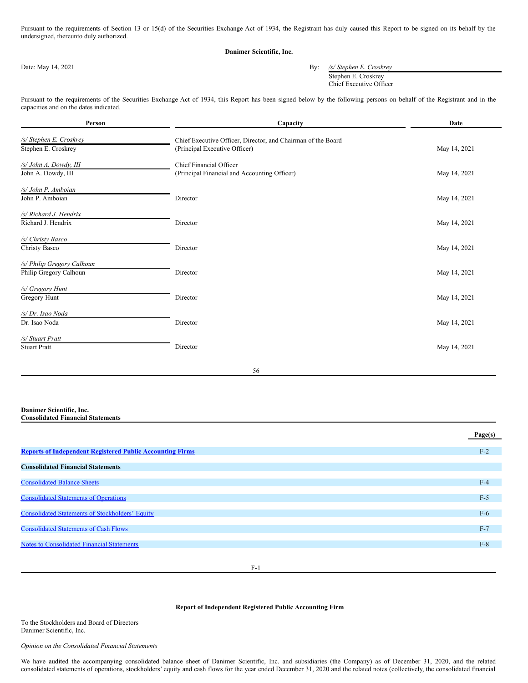Pursuant to the requirements of Section 13 or 15(d) of the Securities Exchange Act of 1934, the Registrant has duly caused this Report to be signed on its behalf by the undersigned, thereunto duly authorized.

**Danimer Scientific, Inc.**

Date: May 14, 2021 By: */s/ Stephen E. Croskrey* Stephen E. Croskrey

Chief Executive Officer

Pursuant to the requirements of the Securities Exchange Act of 1934, this Report has been signed below by the following persons on behalf of the Registrant and in the capacities and on the dates indicated.

| Person                     | Capacity                                                     | Date         |
|----------------------------|--------------------------------------------------------------|--------------|
| /s/ Stephen E. Croskrey    | Chief Executive Officer, Director, and Chairman of the Board |              |
| Stephen E. Croskrey        | (Principal Executive Officer)                                | May 14, 2021 |
| /s/ John A. Dowdy, III     | Chief Financial Officer                                      |              |
| John A. Dowdy, III         | (Principal Financial and Accounting Officer)                 | May 14, 2021 |
| /s/ John P. Amboian        |                                                              |              |
| John P. Amboian            | Director                                                     | May 14, 2021 |
| /s/ Richard J. Hendrix     |                                                              |              |
| Richard J. Hendrix         | Director                                                     | May 14, 2021 |
| /s/ Christy Basco          |                                                              |              |
| Christy Basco              | Director                                                     | May 14, 2021 |
| /s/ Philip Gregory Calhoun |                                                              |              |
| Philip Gregory Calhoun     | Director                                                     | May 14, 2021 |
| /s/ Gregory Hunt           |                                                              |              |
| Gregory Hunt               | Director                                                     | May 14, 2021 |
| /s/ Dr. Isao Noda          |                                                              |              |
| Dr. Isao Noda              | Director                                                     | May 14, 2021 |
| /s/ Stuart Pratt           |                                                              |              |
| <b>Stuart Pratt</b>        | Director                                                     | May 14, 2021 |
|                            |                                                              |              |

56

**Danimer Scientific, Inc. Consolidated Financial Statements**

|                                                                  | Page(s) |
|------------------------------------------------------------------|---------|
| <b>Reports of Independent Registered Public Accounting Firms</b> | $F-2$   |
| <b>Consolidated Financial Statements</b>                         |         |
| <b>Consolidated Balance Sheets</b>                               | $F-4$   |
| <b>Consolidated Statements of Operations</b>                     | $F-5$   |
| <b>Consolidated Statements of Stockholders' Equity</b>           | $F-6$   |
| <b>Consolidated Statements of Cash Flows</b>                     | $F-7$   |
| <b>Notes to Consolidated Financial Statements</b>                | $F-8$   |
|                                                                  |         |

F-1

## <span id="page-38-0"></span>**Report of Independent Registered Public Accounting Firm**

To the Stockholders and Board of Directors Danimer Scientific, Inc.

*Opinion on the Consolidated Financial Statements*

We have audited the accompanying consolidated balance sheet of Danimer Scientific, Inc. and subsidiaries (the Company) as of December 31, 2020, and the related consolidated statements of operations, stockholders' equity and cash flows for the year ended December 31, 2020 and the related notes (collectively, the consolidated financial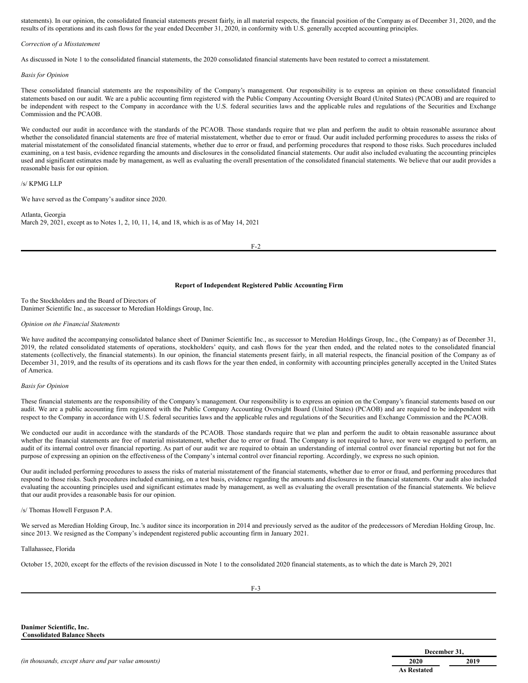statements). In our opinion, the consolidated financial statements present fairly, in all material respects, the financial position of the Company as of December 31, 2020, and the results of its operations and its cash flows for the year ended December 31, 2020, in conformity with U.S. generally accepted accounting principles.

#### *Correction of a Misstatement*

As discussed in Note 1 to the consolidated financial statements, the 2020 consolidated financial statements have been restated to correct a misstatement.

### *Basis for Opinion*

These consolidated financial statements are the responsibility of the Company's management. Our responsibility is to express an opinion on these consolidated financial statements based on our audit. We are a public accounting firm registered with the Public Company Accounting Oversight Board (United States) (PCAOB) and are required to be independent with respect to the Company in accordance with the U.S. federal securities laws and the applicable rules and regulations of the Securities and Exchange Commission and the PCAOB.

We conducted our audit in accordance with the standards of the PCAOB. Those standards require that we plan and perform the audit to obtain reasonable assurance about whether the consolidated financial statements are free of material misstatement, whether due to error or fraud. Our audit included performing procedures to assess the risks of material misstatement of the consolidated financial statements, whether due to error or fraud, and performing procedures that respond to those risks. Such procedures included examining, on a test basis, evidence regarding the amounts and disclosures in the consolidated financial statements. Our audit also included evaluating the accounting principles used and significant estimates made by management, as well as evaluating the overall presentation of the consolidated financial statements. We believe that our audit provides a reasonable basis for our opinion.

## /s/ KPMG LLP

We have served as the Company's auditor since 2020.

Atlanta, Georgia March 29, 2021, except as to Notes 1, 2, 10, 11, 14, and 18, which is as of May 14, 2021

 $F-2$ 

## **Report of Independent Registered Public Accounting Firm**

To the Stockholders and the Board of Directors of Danimer Scientific Inc., as successor to Meredian Holdings Group, Inc.

### *Opinion on the Financial Statements*

We have audited the accompanying consolidated balance sheet of Danimer Scientific Inc., as successor to Meredian Holdings Group, Inc., (the Company) as of December 31, 2019, the related consolidated statements of operations, stockholders' equity, and cash flows for the year then ended, and the related notes to the consolidated financial statements (collectively, the financial statements). In our opinion, the financial statements present fairly, in all material respects, the financial position of the Company as of December 31, 2019, and the results of its operations and its cash flows for the year then ended, in conformity with accounting principles generally accepted in the United States of America.

#### *Basis for Opinion*

These financial statements are the responsibility of the Company's management. Our responsibility is to express an opinion on the Company's financial statements based on our audit. We are a public accounting firm registered with the Public Company Accounting Oversight Board (United States) (PCAOB) and are required to be independent with respect to the Company in accordance with U.S. federal securities laws and the applicable rules and regulations of the Securities and Exchange Commission and the PCAOB.

We conducted our audit in accordance with the standards of the PCAOB. Those standards require that we plan and perform the audit to obtain reasonable assurance about whether the financial statements are free of material misstatement, whether due to error or fraud. The Company is not required to have, nor were we engaged to perform, an audit of its internal control over financial reporting. As part of our audit we are required to obtain an understanding of internal control over financial reporting but not for the purpose of expressing an opinion on the effectiveness of the Company's internal control over financial reporting. Accordingly, we express no such opinion.

Our audit included performing procedures to assess the risks of material misstatement of the financial statements, whether due to error or fraud, and performing procedures that respond to those risks. Such procedures included examining, on a test basis, evidence regarding the amounts and disclosures in the financial statements. Our audit also included evaluating the accounting principles used and significant estimates made by management, as well as evaluating the overall presentation of the financial statements. We believe that our audit provides a reasonable basis for our opinion.

/s/ Thomas Howell Ferguson P.A.

We served as Meredian Holding Group, Inc.'s auditor since its incorporation in 2014 and previously served as the auditor of the predecessors of Meredian Holding Group, Inc. since 2013. We resigned as the Company's independent registered public accounting firm in January 2021.

## Tallahassee, Florida

October 15, 2020, except for the effects of the revision discussed in Note 1 to the consolidated 2020 financial statements, as to which the date is March 29, 2021

F-3

<span id="page-39-0"></span>**Danimer Scientific, Inc. Consolidated Balance Sheets**

| December 31,       |      |  |  |  |  |
|--------------------|------|--|--|--|--|
| 2020               | 2019 |  |  |  |  |
| <b>As Restated</b> |      |  |  |  |  |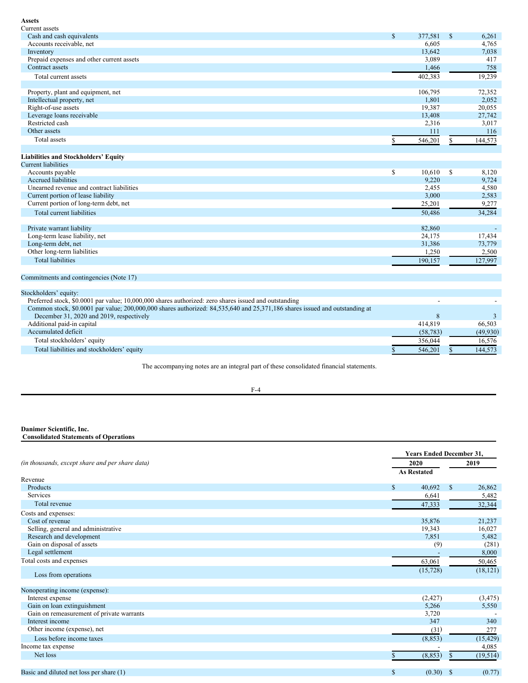## **Assets**

| Current assets                                                                                                              |              |           |               |           |
|-----------------------------------------------------------------------------------------------------------------------------|--------------|-----------|---------------|-----------|
| Cash and cash equivalents                                                                                                   | \$           | 377,581   | <sup>\$</sup> | 6,261     |
| Accounts receivable, net                                                                                                    |              | 6,605     |               | 4,765     |
| Inventory                                                                                                                   |              | 13,642    |               | 7,038     |
| Prepaid expenses and other current assets                                                                                   |              | 3,089     |               | 417       |
| Contract assets                                                                                                             |              | 1,466     |               | 758       |
| Total current assets                                                                                                        |              | 402,383   |               | 19,239    |
|                                                                                                                             |              |           |               |           |
| Property, plant and equipment, net                                                                                          |              | 106,795   |               | 72,352    |
| Intellectual property, net                                                                                                  |              | 1,801     |               | 2,052     |
| Right-of-use assets                                                                                                         |              | 19,387    |               | 20,055    |
| Leverage loans receivable                                                                                                   |              | 13,408    |               | 27,742    |
| Restricted cash                                                                                                             |              | 2,316     |               | 3,017     |
| Other assets                                                                                                                |              | 111       |               | 116       |
| Total assets                                                                                                                | \$           | 546,201   | S.            | 144,573   |
|                                                                                                                             |              |           |               |           |
| <b>Liabilities and Stockholders' Equity</b>                                                                                 |              |           |               |           |
| <b>Current liabilities</b>                                                                                                  |              |           |               |           |
| Accounts payable                                                                                                            | $\mathbb{S}$ | 10.610    | - \$          | 8,120     |
| <b>Accrued liabilities</b>                                                                                                  |              | 9.220     |               | 9,724     |
| Unearned revenue and contract liabilities                                                                                   |              | 2,455     |               | 4,580     |
| Current portion of lease liability                                                                                          |              | 3,000     |               | 2,583     |
| Current portion of long-term debt, net                                                                                      |              | 25,201    |               | 9,277     |
| Total current liabilities                                                                                                   |              | 50,486    |               | 34,284    |
|                                                                                                                             |              |           |               |           |
| Private warrant liability                                                                                                   |              | 82,860    |               | $\sim$    |
| Long-term lease liability, net                                                                                              |              | 24,175    |               | 17,434    |
| Long-term debt, net                                                                                                         |              | 31,386    |               | 73,779    |
| Other long-term liabilities                                                                                                 |              | 1,250     |               | 2,500     |
| <b>Total liabilities</b>                                                                                                    |              | 190,157   |               | 127,997   |
|                                                                                                                             |              |           |               |           |
| Commitments and contingencies (Note 17)                                                                                     |              |           |               |           |
|                                                                                                                             |              |           |               |           |
| Stockholders' equity:                                                                                                       |              |           |               |           |
| Preferred stock, \$0.0001 par value; 10,000,000 shares authorized: zero shares issued and outstanding                       |              |           |               |           |
| Common stock, \$0.0001 par value; 200,000,000 shares authorized: 84,535,640 and 25,371,186 shares issued and outstanding at |              |           |               |           |
| December 31, 2020 and 2019, respectively                                                                                    |              | 8         |               | 3         |
| Additional paid-in capital                                                                                                  |              | 414,819   |               | 66,503    |
| Accumulated deficit                                                                                                         |              | (58, 783) |               | (49, 930) |
| Total stockholders' equity                                                                                                  |              | 356,044   |               | 16,576    |
| Total liabilities and stockholders' equity                                                                                  | S            | 546,201   | \$            | 144,573   |

The accompanying notes are an integral part of these consolidated financial statements.

F-4

# **Danimer Scientific, Inc.**

# <span id="page-40-0"></span>**Consolidated Statements of Operations**

|                                                 | <b>Years Ended December 31,</b> |                            |
|-------------------------------------------------|---------------------------------|----------------------------|
| (in thousands, except share and per share data) | 2020                            | 2019                       |
|                                                 | <b>As Restated</b>              |                            |
| Revenue                                         |                                 |                            |
| Products                                        | 40,692<br>$\mathbb{S}$          | \$<br>26,862               |
| Services                                        | 6,641                           | 5,482                      |
| Total revenue                                   | 47,333                          | 32,344                     |
| Costs and expenses:                             |                                 |                            |
| Cost of revenue                                 | 35,876                          | 21,237                     |
| Selling, general and administrative             | 19,343                          | 16,027                     |
| Research and development                        | 7,851                           | 5,482                      |
| Gain on disposal of assets                      | (9)                             | (281)                      |
| Legal settlement                                |                                 | 8,000                      |
| Total costs and expenses                        | 63,061                          | 50,465                     |
| Loss from operations                            | (15, 728)                       | (18, 121)                  |
| Nonoperating income (expense):                  |                                 |                            |
| Interest expense                                | (2, 427)                        | (3, 475)                   |
| Gain on loan extinguishment                     | 5,266                           | 5,550                      |
| Gain on remeasurement of private warrants       | 3,720                           |                            |
| Interest income                                 | 347                             | 340                        |
| Other income (expense), net                     | (31)                            | 277                        |
| Loss before income taxes                        | (8, 853)                        | (15, 429)                  |
| Income tax expense                              |                                 | 4,085                      |
| Net loss                                        | (8, 853)                        | (19, 514)<br><sup>\$</sup> |
| Basic and diluted net loss per share (1)        | $\mathbb{S}$<br>(0.30)          | $\mathbb{S}$<br>(0.77)     |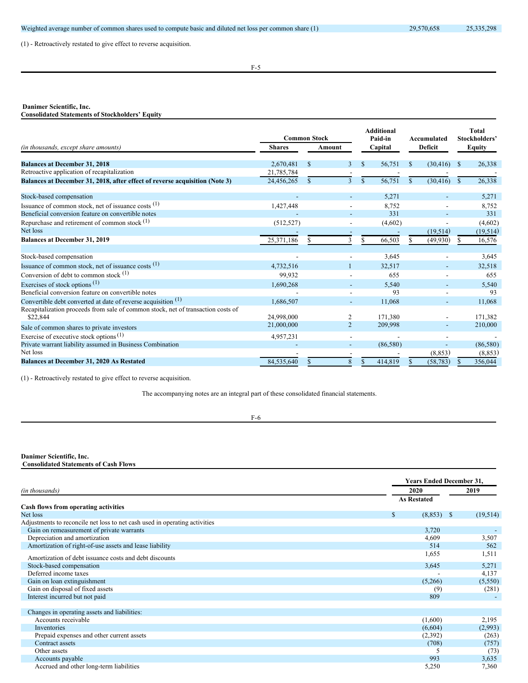(1) - Retroactively restated to give effect to reverse acquisition.

F-5

## <span id="page-41-0"></span>**Danimer Scientific, Inc.**

**Consolidated Statements of Stockholders' Equity**

|                                                                                              | <b>Common Stock</b> |    |                          | <b>Additional</b><br>Paid-in |          | Accumulated    |           | Total<br>Stockholders' |           |
|----------------------------------------------------------------------------------------------|---------------------|----|--------------------------|------------------------------|----------|----------------|-----------|------------------------|-----------|
| (in thousands, except share amounts)                                                         | <b>Shares</b>       |    | Amount                   | Capital                      |          | <b>Deficit</b> |           | <b>Equity</b>          |           |
| <b>Balances at December 31, 2018</b>                                                         | 2,670,481           | \$ | 3                        | <sup>\$</sup>                | 56,751   | \$             | (30, 416) | \$                     | 26,338    |
| Retroactive application of recapitalization                                                  | 21,785,784          |    |                          |                              |          |                |           |                        |           |
| Balances at December 31, 2018, after effect of reverse acquisition (Note 3)                  | 24,456,265          | S. | 3                        | $\mathbb{S}$                 | 56,751   | $\mathcal{S}$  | (30, 416) | $\mathbb{S}$           | 26,338    |
| Stock-based compensation                                                                     |                     |    |                          |                              | 5,271    |                |           |                        | 5,271     |
| Issuance of common stock, net of issuance costs (1)                                          | 1,427,448           |    |                          |                              | 8,752    |                |           |                        | 8,752     |
| Beneficial conversion feature on convertible notes                                           |                     |    |                          |                              | 331      |                |           |                        | 331       |
| Repurchase and retirement of common stock $(1)$                                              | (512, 527)          |    | $\overline{\phantom{a}}$ |                              | (4,602)  |                |           |                        | (4,602)   |
| Net loss                                                                                     |                     |    |                          |                              |          |                | (19, 514) |                        | (19, 514) |
| <b>Balances at December 31, 2019</b>                                                         | 25,371,186          |    | 3                        |                              | 66,503   |                | (49,930)  | S                      | 16,576    |
| Stock-based compensation                                                                     |                     |    |                          |                              | 3,645    |                |           |                        | 3,645     |
| Issuance of common stock, net of issuance costs (1)                                          | 4,732,516           |    |                          |                              | 32,517   |                |           |                        | 32,518    |
| Conversion of debt to common stock $(1)$                                                     | 99.932              |    |                          |                              | 655      |                |           |                        | 655       |
| Exercises of stock options $(1)$                                                             | 1,690,268           |    |                          |                              | 5,540    |                |           |                        | 5,540     |
| Beneficial conversion feature on convertible notes                                           |                     |    |                          |                              | 93       |                |           |                        | 93        |
| Convertible debt converted at date of reverse acquisition $(1)$                              | 1,686,507           |    |                          |                              | 11,068   |                |           |                        | 11,068    |
| Recapitalization proceeds from sale of common stock, net of transaction costs of<br>\$22,844 | 24,998,000          |    | 2                        |                              | 171,380  |                |           |                        | 171,382   |
| Sale of common shares to private investors                                                   | 21,000,000          |    | $\overline{2}$           |                              | 209,998  |                |           |                        | 210,000   |
| Exercise of executive stock options <sup>(1)</sup>                                           | 4,957,231           |    | $\overline{\phantom{a}}$ |                              |          |                |           |                        |           |
| Private warrant liability assumed in Business Combination                                    |                     |    | $\overline{\phantom{a}}$ |                              | (86,580) |                |           |                        | (86, 580) |
| Net loss                                                                                     |                     |    |                          |                              |          |                | (8, 853)  |                        | (8, 853)  |
| <b>Balances at December 31, 2020 As Restated</b>                                             | 84,535,640          |    | 8                        |                              | 414,819  |                | (58, 783) |                        | 356,044   |

(1) - Retroactively restated to give effect to reverse acquisition.

The accompanying notes are an integral part of these consolidated financial statements.

F-6

## <span id="page-41-1"></span>**Danimer Scientific, Inc. Consolidated Statements of Cash Flows**

|                                                                            | <b>Years Ended December 31,</b> |                    |  |           |  |  |  |
|----------------------------------------------------------------------------|---------------------------------|--------------------|--|-----------|--|--|--|
| (in thousands)                                                             |                                 | 2020               |  | 2019      |  |  |  |
|                                                                            |                                 | <b>As Restated</b> |  |           |  |  |  |
| Cash flows from operating activities                                       |                                 |                    |  |           |  |  |  |
| Net loss                                                                   | \$                              | (8, 853)<br>- \$   |  | (19, 514) |  |  |  |
| Adjustments to reconcile net loss to net cash used in operating activities |                                 |                    |  |           |  |  |  |
| Gain on remeasurement of private warrants                                  |                                 | 3,720              |  |           |  |  |  |
| Depreciation and amortization                                              |                                 | 4,609              |  | 3,507     |  |  |  |
| Amortization of right-of-use assets and lease liability                    |                                 | 514                |  | 562       |  |  |  |
| Amortization of debt issuance costs and debt discounts                     |                                 | 1,655              |  | 1,511     |  |  |  |
| Stock-based compensation                                                   |                                 | 3,645              |  | 5,271     |  |  |  |
| Deferred income taxes                                                      |                                 |                    |  | 4,137     |  |  |  |
| Gain on loan extinguishment                                                |                                 | (5,266)            |  | (5,550)   |  |  |  |
| Gain on disposal of fixed assets                                           |                                 | (9)                |  | (281)     |  |  |  |
| Interest incurred but not paid                                             |                                 | 809                |  |           |  |  |  |
| Changes in operating assets and liabilities:                               |                                 |                    |  |           |  |  |  |
| Accounts receivable                                                        |                                 | (1,600)            |  | 2,195     |  |  |  |
| Inventories                                                                |                                 | (6,604)            |  | (2,993)   |  |  |  |
| Prepaid expenses and other current assets                                  |                                 | (2,392)            |  | (263)     |  |  |  |
| Contract assets                                                            |                                 | (708)              |  | (757)     |  |  |  |
| Other assets                                                               |                                 |                    |  | (73)      |  |  |  |
| Accounts payable                                                           |                                 | 993                |  | 3,635     |  |  |  |
| Accrued and other long-term liabilities                                    |                                 | 5,250              |  | 7,360     |  |  |  |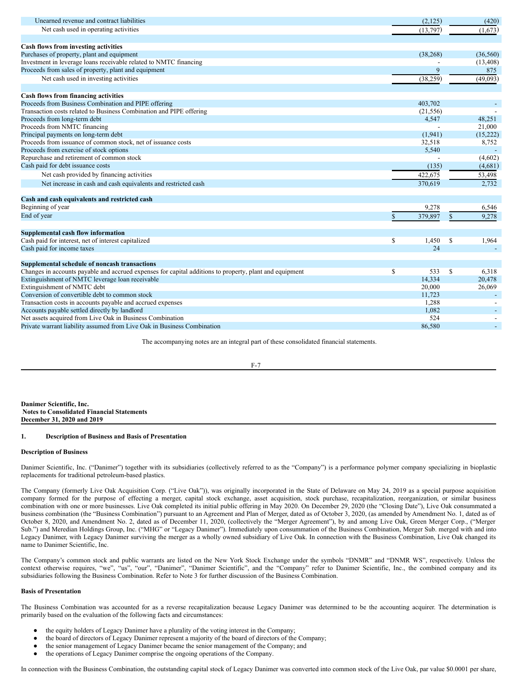| Unearned revenue and contract liabilities                                                               |     | (2,125)   | (420)       |
|---------------------------------------------------------------------------------------------------------|-----|-----------|-------------|
| Net cash used in operating activities                                                                   |     | (13,797)  | (1.673)     |
|                                                                                                         |     |           |             |
| Cash flows from investing activities                                                                    |     |           |             |
| Purchases of property, plant and equipment                                                              |     | (38, 268) | (36, 560)   |
| Investment in leverage loans receivable related to NMTC financing                                       |     |           | (13, 408)   |
| Proceeds from sales of property, plant and equipment                                                    |     | 9         | 875         |
| Net cash used in investing activities                                                                   |     | (38, 259) | (49,093)    |
|                                                                                                         |     |           |             |
| Cash flows from financing activities                                                                    |     |           |             |
| Proceeds from Business Combination and PIPE offering                                                    |     | 403,702   |             |
| Transaction costs related to Business Combination and PIPE offering                                     |     | (21, 556) |             |
| Proceeds from long-term debt                                                                            |     | 4,547     | 48,251      |
| Proceeds from NMTC financing                                                                            |     |           | 21,000      |
| Principal payments on long-term debt                                                                    |     | (1,941)   | (15,222)    |
| Proceeds from issuance of common stock, net of issuance costs                                           |     | 32,518    | 8,752       |
| Proceeds from exercise of stock options                                                                 |     | 5,540     |             |
| Repurchase and retirement of common stock                                                               |     |           | (4,602)     |
| Cash paid for debt issuance costs                                                                       |     | (135)     | (4,681)     |
| Net cash provided by financing activities                                                               |     | 422,675   | 53,498      |
| Net increase in cash and cash equivalents and restricted cash                                           |     | 370,619   | 2,732       |
| Cash and cash equivalents and restricted cash                                                           |     |           |             |
| Beginning of year                                                                                       |     | 9,278     | 6,546       |
| End of year                                                                                             | \$. | 379,897   | \$<br>9,278 |
|                                                                                                         |     |           |             |
| <b>Supplemental cash flow information</b>                                                               |     |           |             |
| Cash paid for interest, net of interest capitalized                                                     | \$  | 1,450     | \$<br>1,964 |
| Cash paid for income taxes                                                                              |     | 24        |             |
| Supplemental schedule of noncash transactions                                                           |     |           |             |
| Changes in accounts payable and accrued expenses for capital additions to property, plant and equipment | \$  | 533       | \$<br>6,318 |
| Extinguishment of NMTC leverage loan receivable                                                         |     | 14,334    | 20,478      |
| Extinguishment of NMTC debt                                                                             |     | 20,000    | 26,069      |
| Conversion of convertible debt to common stock                                                          |     | 11,723    |             |
| Transaction costs in accounts payable and accrued expenses                                              |     | 1,288     |             |
| Accounts payable settled directly by landlord                                                           |     | 1,082     |             |
| Net assets acquired from Live Oak in Business Combination                                               |     | 524       |             |
| Private warrant liability assumed from Live Oak in Business Combination                                 |     | 86,580    |             |

The accompanying notes are an integral part of these consolidated financial statements.

F-7

<span id="page-42-0"></span>**Danimer Scientific, Inc. Notes to Consolidated Financial Statements December 31, 2020 and 2019**

## **1. Description of Business and Basis of Presentation**

## **Description of Business**

Danimer Scientific, Inc. ("Danimer") together with its subsidiaries (collectively referred to as the "Company") is a performance polymer company specializing in bioplastic replacements for traditional petroleum-based plastics.

The Company (formerly Live Oak Acquisition Corp. ("Live Oak")), was originally incorporated in the State of Delaware on May 24, 2019 as a special purpose acquisition company formed for the purpose of effecting a merger, capital stock exchange, asset acquisition, stock purchase, recapitalization, reorganization, or similar business combination with one or more businesses. Live Oak completed its initial public offering in May 2020. On December 29, 2020 (the "Closing Date"), Live Oak consummated a business combination (the "Business Combination") pursuant to an Agreement and Plan of Merger, dated as of October 3, 2020, (as amended by Amendment No. 1, dated as of October 8, 2020, and Amendment No. 2, dated as of December 11, 2020, (collectively the "Merger Agreement"), by and among Live Oak, Green Merger Corp., ("Merger Sub.") and Meredian Holdings Group, Inc. ("MHG" or "Legacy Danimer"). Immediately upon consummation of the Business Combination, Merger Sub. merged with and into Legacy Danimer, with Legacy Danimer surviving the merger as a wholly owned subsidiary of Live Oak. In connection with the Business Combination, Live Oak changed its name to Danimer Scientific, Inc.

The Company's common stock and public warrants are listed on the New York Stock Exchange under the symbols "DNMR" and "DNMR WS", respectively. Unless the context otherwise requires, "we", "us", "our", "Danimer", "Danimer Scientific", and the "Company" refer to Danimer Scientific, Inc., the combined company and its subsidiaries following the Business Combination. Refer to Note 3 for further discussion of the Business Combination.

## **Basis of Presentation**

The Business Combination was accounted for as a reverse recapitalization because Legacy Danimer was determined to be the accounting acquirer. The determination is primarily based on the evaluation of the following facts and circumstances:

- the equity holders of Legacy Danimer have a plurality of the voting interest in the Company;
- the board of directors of Legacy Danimer represent a majority of the board of directors of the Company;
- the senior management of Legacy Danimer became the senior management of the Company; and
- the operations of Legacy Danimer comprise the ongoing operations of the Company.

In connection with the Business Combination, the outstanding capital stock of Legacy Danimer was converted into common stock of the Live Oak, par value \$0.0001 per share,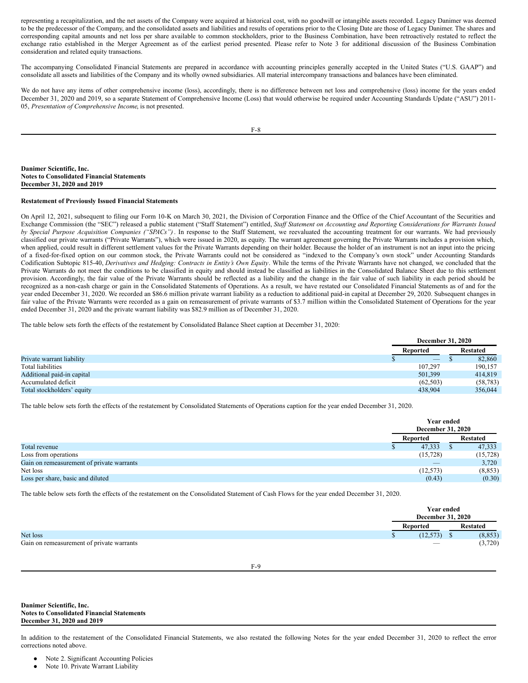representing a recapitalization, and the net assets of the Company were acquired at historical cost, with no goodwill or intangible assets recorded. Legacy Danimer was deemed to be the predecessor of the Company, and the consolidated assets and liabilities and results of operations prior to the Closing Date are those of Legacy Danimer. The shares and corresponding capital amounts and net loss per share available to common stockholders, prior to the Business Combination, have been retroactively restated to reflect the exchange ratio established in the Merger Agreement as of the earliest period presented. Please refer to Note 3 for additional discussion of the Business Combination consideration and related equity transactions.

The accompanying Consolidated Financial Statements are prepared in accordance with accounting principles generally accepted in the United States ("U.S. GAAP") and consolidate all assets and liabilities of the Company and its wholly owned subsidiaries. All material intercompany transactions and balances have been eliminated.

We do not have any items of other comprehensive income (loss), accordingly, there is no difference between net loss and comprehensive (loss) income for the years ended December 31, 2020 and 2019, so a separate Statement of Comprehensive Income (Loss) that would otherwise be required under Accounting Standards Update ("ASU") 2011- 05, *Presentation of Comprehensive Income*, is not presented.

### **Danimer Scientific, Inc. Notes to Consolidated Financial Statements December 31, 2020 and 2019**

## **Restatement of Previously Issued Financial Statements**

On April 12, 2021, subsequent to filing our Form 10-K on March 30, 2021, the Division of Corporation Finance and the Office of the Chief Accountant of the Securities and Exchange Commission (the "SEC") released a public statement ("Staff Statement") entitled, Staff Statement on Accounting and Reporting Considerations for Warrants Issued *by Special Purpose Acquisition Companies ("SPACs")* . In response to the Staff Statement, we reevaluated the accounting treatment for our warrants. We had previously classified our private warrants ("Private Warrants"), which were issued in 2020, as equity. The warrant agreement governing the Private Warrants includes a provision which, when applied, could result in different settlement values for the Private Warrants depending on their holder. Because the holder of an instrument is not an input into the pricing of a fixed-for-fixed option on our common stock, the Private Warrants could not be considered as "indexed to the Company's own stock" under Accounting Standards Codification Subtopic 815-40, *Derivatives and Hedging: Contracts in Entity's Own Equity*. While the terms of the Private Warrants have not changed, we concluded that the Private Warrants do not meet the conditions to be classified in equity and should instead be classified as liabilities in the Consolidated Balance Sheet due to this settlement provision. Accordingly, the fair value of the Private Warrants should be reflected as a liability and the change in the fair value of such liability in each period should be recognized as a non-cash charge or gain in the Consolidated Statements of Operations. As a result, we have restated our Consolidated Financial Statements as of and for the year ended December 31, 2020. We recorded an \$86.6 million private warrant liability as a reduction to additional paid-in capital at December 29, 2020. Subsequent changes in fair value of the Private Warrants were recorded as a gain on remeasurement of private warrants of \$3.7 million within the Consolidated Statement of Operations for the year ended December 31, 2020 and the private warrant liability was \$82.9 million as of December 31, 2020.

The table below sets forth the effects of the restatement by Consolidated Balance Sheet caption at December 31, 2020:

|                            | <b>December 31, 2020</b>        |                 |  |
|----------------------------|---------------------------------|-----------------|--|
|                            | Reported                        | <b>Restated</b> |  |
| Private warrant liability  | $\hspace{0.1mm}-\hspace{0.1mm}$ | 82,860          |  |
| Total liabilities          | 107.297                         | 190.157         |  |
| Additional paid-in capital | 501,399                         | 414,819         |  |
| Accumulated deficit        | (62, 503)                       | (58, 783)       |  |
| Total stockholders' equity | 438,904                         | 356,044         |  |

The table below sets forth the effects of the restatement by Consolidated Statements of Operations caption for the year ended December 31, 2020.

|                                           | Year ended<br><b>December 31, 2020</b> |                 |
|-------------------------------------------|----------------------------------------|-----------------|
|                                           | Reported                               | <b>Restated</b> |
| Total revenue                             | 47,333                                 | 47,333          |
| Loss from operations                      | (15, 728)                              | (15,728)        |
| Gain on remeasurement of private warrants |                                        | 3,720           |
| Net loss                                  | (12, 573)                              | (8, 853)        |
| Loss per share, basic and diluted         | (0.43)                                 | (0.30)          |

The table below sets forth the effects of the restatement on the Consolidated Statement of Cash Flows for the year ended December 31, 2020.

|                                           |  | <b>Year ended</b><br><b>December 31, 2020</b> |                 |
|-------------------------------------------|--|-----------------------------------------------|-----------------|
|                                           |  | Reported                                      | <b>Restated</b> |
| Net loss                                  |  | (12, 573)                                     | (8, 853)        |
| Gain on remeasurement of private warrants |  | $\overline{\phantom{a}}$                      | (3,720)         |

**Danimer Scientific, Inc. Notes to Consolidated Financial Statements December 31, 2020 and 2019**

In addition to the restatement of the Consolidated Financial Statements, we also restated the following Notes for the year ended December 31, 2020 to reflect the error corrections noted above.

Note 2. Significant Accounting Policies

Note 10. Private Warrant Liability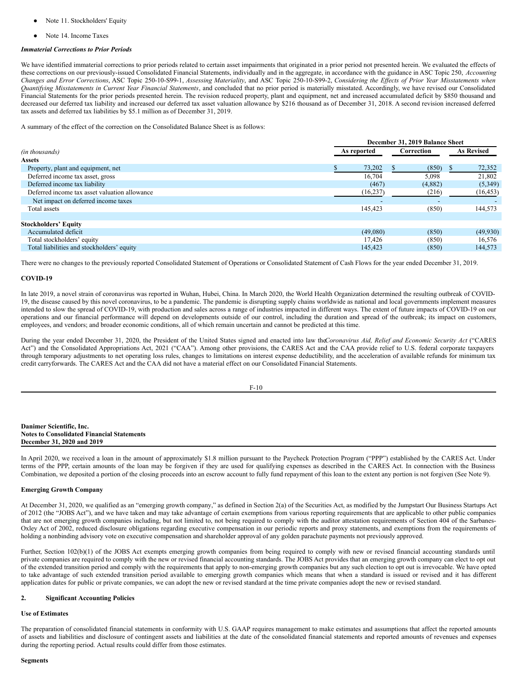- Note 11. Stockholders' Equity
- Note 14. Income Taxes

## *Immaterial Corrections to Prior Periods*

We have identified immaterial corrections to prior periods related to certain asset impairments that originated in a prior period not presented herein. We evaluated the effects of these corrections on our previously-issued Consolidated Financial Statements, individually and in the aggregate, in accordance with the guidance in ASC Topic 250, *Accounting* Changes and Error Corrections, ASC Topic 250-10-S99-1, Assessing Materiality, and ASC Topic 250-10-S99-2, Considering the Effects of Prior Year Misstatements when *Quantifying Misstatements in Current Year Financial Statements*, and concluded that no prior period is materially misstated. Accordingly, we have revised our Consolidated Financial Statements for the prior periods presented herein. The revision reduced property, plant and equipment, net and increased accumulated deficit by \$850 thousand and decreased our deferred tax liability and increased our deferred tax asset valuation allowance by \$216 thousand as of December 31, 2018. A second revision increased deferred tax assets and deferred tax liabilities by \$5.1 million as of December 31, 2019.

A summary of the effect of the correction on the Consolidated Balance Sheet is as follows:

|                                               | December 31, 2019 Balance Sheet |             |         |                   |           |
|-----------------------------------------------|---------------------------------|-------------|---------|-------------------|-----------|
| (in thousands)                                |                                 | As reported |         | <b>As Revised</b> |           |
| <b>Assets</b>                                 |                                 |             |         |                   |           |
| Property, plant and equipment, net            |                                 | 73,202      | (850)   |                   | 72,352    |
| Deferred income tax asset, gross              |                                 | 16,704      | 5,098   |                   | 21,802    |
| Deferred income tax liability                 |                                 | (467)       | (4,882) |                   | (5,349)   |
| Deferred income tax asset valuation allowance |                                 | (16, 237)   | (216)   |                   | (16, 453) |
| Net impact on deferred income taxes           |                                 |             |         |                   |           |
| Total assets                                  |                                 | 145,423     | (850)   |                   | 144,573   |
|                                               |                                 |             |         |                   |           |
| <b>Stockholders' Equity</b>                   |                                 |             |         |                   |           |
| Accumulated deficit                           |                                 | (49,080)    | (850)   |                   | (49, 930) |
| Total stockholders' equity                    |                                 | 17.426      | (850)   |                   | 16,576    |
| Total liabilities and stockholders' equity    |                                 | 145,423     | (850)   |                   | 144,573   |

There were no changes to the previously reported Consolidated Statement of Operations or Consolidated Statement of Cash Flows for the year ended December 31, 2019.

## **COVID-19**

In late 2019, a novel strain of coronavirus was reported in Wuhan, Hubei, China. In March 2020, the World Health Organization determined the resulting outbreak of COVID-19, the disease caused by this novel coronavirus, to be a pandemic. The pandemic is disrupting supply chains worldwide as national and local governments implement measures intended to slow the spread of COVID-19, with production and sales across a range of industries impacted in different ways. The extent of future impacts of COVID-19 on our operations and our financial performance will depend on developments outside of our control, including the duration and spread of the outbreak; its impact on customers, employees, and vendors; and broader economic conditions, all of which remain uncertain and cannot be predicted at this time.

During the year ended December 31, 2020, the President of the United States signed and enacted into law the*Coronavirus Aid, Relief and Economic Security Act* ("CARES Act") and the Consolidated Appropriations Act, 2021 ("CAA"). Among other provisions, the CARES Act and the CAA provide relief to U.S. federal corporate taxpayers through temporary adjustments to net operating loss rules, changes to limitations on interest expense deductibility, and the acceleration of available refunds for minimum tax credit carryforwards. The CARES Act and the CAA did not have a material effect on our Consolidated Financial Statements.

## F-10

## **Danimer Scientific, Inc. Notes to Consolidated Financial Statements December 31, 2020 and 2019**

In April 2020, we received a loan in the amount of approximately \$1.8 million pursuant to the Paycheck Protection Program ("PPP") established by the CARES Act. Under terms of the PPP, certain amounts of the loan may be forgiven if they are used for qualifying expenses as described in the CARES Act. In connection with the Business Combination, we deposited a portion of the closing proceeds into an escrow account to fully fund repayment of this loan to the extent any portion is not forgiven (See Note 9).

## **Emerging Growth Company**

At December 31, 2020, we qualified as an "emerging growth company," as defined in Section 2(a) of the Securities Act, as modified by the Jumpstart Our Business Startups Act of 2012 (the "JOBS Act"), and we have taken and may take advantage of certain exemptions from various reporting requirements that are applicable to other public companies that are not emerging growth companies including, but not limited to, not being required to comply with the auditor attestation requirements of Section 404 of the Sarbanes-Oxley Act of 2002, reduced disclosure obligations regarding executive compensation in our periodic reports and proxy statements, and exemptions from the requirements of holding a nonbinding advisory vote on executive compensation and shareholder approval of any golden parachute payments not previously approved.

Further, Section 102(b)(1) of the JOBS Act exempts emerging growth companies from being required to comply with new or revised financial accounting standards until private companies are required to comply with the new or revised financial accounting standards. The JOBS Act provides that an emerging growth company can elect to opt out of the extended transition period and comply with the requirements that apply to non-emerging growth companies but any such election to opt out is irrevocable. We have opted to take advantage of such extended transition period available to emerging growth companies which means that when a standard is issued or revised and it has different application dates for public or private companies, we can adopt the new or revised standard at the time private companies adopt the new or revised standard.

#### **2. Significant Accounting Policies**

#### **Use of Estimates**

The preparation of consolidated financial statements in conformity with U.S. GAAP requires management to make estimates and assumptions that affect the reported amounts of assets and liabilities and disclosure of contingent assets and liabilities at the date of the consolidated financial statements and reported amounts of revenues and expenses during the reporting period. Actual results could differ from those estimates.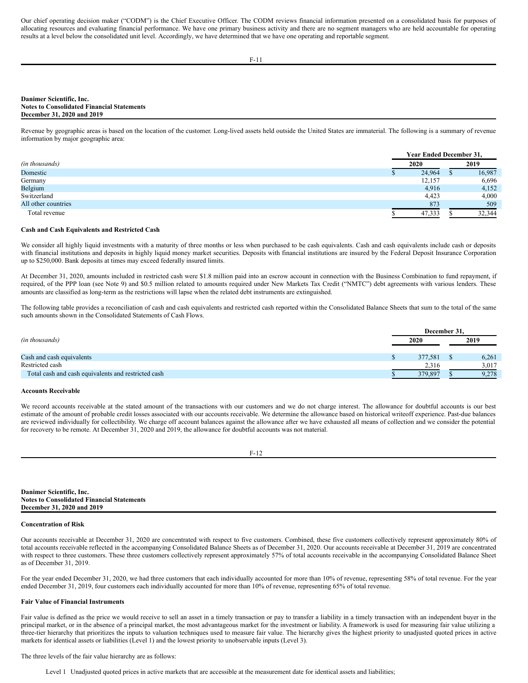Our chief operating decision maker ("CODM") is the Chief Executive Officer. The CODM reviews financial information presented on a consolidated basis for purposes of allocating resources and evaluating financial performance. We have one primary business activity and there are no segment managers who are held accountable for operating results at a level below the consolidated unit level. Accordingly, we have determined that we have one operating and reportable segment.

#### **Danimer Scientific, Inc. Notes to Consolidated Financial Statements December 31, 2020 and 2019**

Revenue by geographic areas is based on the location of the customer. Long-lived assets held outside the United States are immaterial. The following is a summary of revenue information by major geographic area:

|                     | Year Ended December 31, |        |   |        |
|---------------------|-------------------------|--------|---|--------|
| (in thousands)      |                         | 2020   |   | 2019   |
| Domestic            |                         | 24,964 | D | 16,987 |
| Germany             |                         | 12,157 |   | 6,696  |
| Belgium             |                         | 4,916  |   | 4,152  |
| Switzerland         |                         | 4.423  |   | 4,000  |
| All other countries |                         | 873    |   | 509    |
| Total revenue       |                         | 47,333 |   | 32.344 |

## **Cash and Cash Equivalents and Restricted Cash**

We consider all highly liquid investments with a maturity of three months or less when purchased to be cash equivalents. Cash and cash equivalents include cash or deposits with financial institutions and deposits in highly liquid money market securities. Deposits with financial institutions are insured by the Federal Deposit Insurance Corporation up to \$250,000. Bank deposits at times may exceed federally insured limits.

At December 31, 2020, amounts included in restricted cash were \$1.8 million paid into an escrow account in connection with the Business Combination to fund repayment, if required, of the PPP loan (see Note 9) and \$0.5 million related to amounts required under New Markets Tax Credit ("NMTC") debt agreements with various lenders. These amounts are classified as long-term as the restrictions will lapse when the related debt instruments are extinguished.

The following table provides a reconciliation of cash and cash equivalents and restricted cash reported within the Consolidated Balance Sheets that sum to the total of the same such amounts shown in the Consolidated Statements of Cash Flows.

|                                                     | December 31. |         |  |       |  |  |
|-----------------------------------------------------|--------------|---------|--|-------|--|--|
| (in thousands)                                      |              | 2020    |  | 2019  |  |  |
|                                                     |              |         |  |       |  |  |
| Cash and cash equivalents                           |              | 377,581 |  | 6,261 |  |  |
| Restricted cash                                     |              | 2.316   |  | 3.017 |  |  |
| Total cash and cash equivalents and restricted cash |              | 379,897 |  | 9.278 |  |  |

#### **Accounts Receivable**

We record accounts receivable at the stated amount of the transactions with our customers and we do not charge interest. The allowance for doubtful accounts is our best estimate of the amount of probable credit losses associated with our accounts receivable. We determine the allowance based on historical writeoff experience. Past-due balances are reviewed individually for collectibility. We charge off account balances against the allowance after we have exhausted all means of collection and we consider the potential for recovery to be remote. At December 31, 2020 and 2019, the allowance for doubtful accounts was not material.

| - |  |
|---|--|
|   |  |

**Danimer Scientific, Inc. Notes to Consolidated Financial Statements December 31, 2020 and 2019**

#### **Concentration of Risk**

Our accounts receivable at December 31, 2020 are concentrated with respect to five customers. Combined, these five customers collectively represent approximately 80% of total accounts receivable reflected in the accompanying Consolidated Balance Sheets as of December 31, 2020. Our accounts receivable at December 31, 2019 are concentrated with respect to three customers. These three customers collectively represent approximately 57% of total accounts receivable in the accompanying Consolidated Balance Sheet as of December 31, 2019.

For the year ended December 31, 2020, we had three customers that each individually accounted for more than 10% of revenue, representing 58% of total revenue. For the year ended December 31, 2019, four customers each individually accounted for more than 10% of revenue, representing 65% of total revenue.

## **Fair Value of Financial Instruments**

Fair value is defined as the price we would receive to sell an asset in a timely transaction or pay to transfer a liability in a timely transaction with an independent buyer in the principal market, or in the absence of a principal market, the most advantageous market for the investment or liability. A framework is used for measuring fair value utilizing a three-tier hierarchy that prioritizes the inputs to valuation techniques used to measure fair value. The hierarchy gives the highest priority to unadjusted quoted prices in active markets for identical assets or liabilities (Level 1) and the lowest priority to unobservable inputs (Level 3).

The three levels of the fair value hierarchy are as follows:

Level 1 Unadjusted quoted prices in active markets that are accessible at the measurement date for identical assets and liabilities;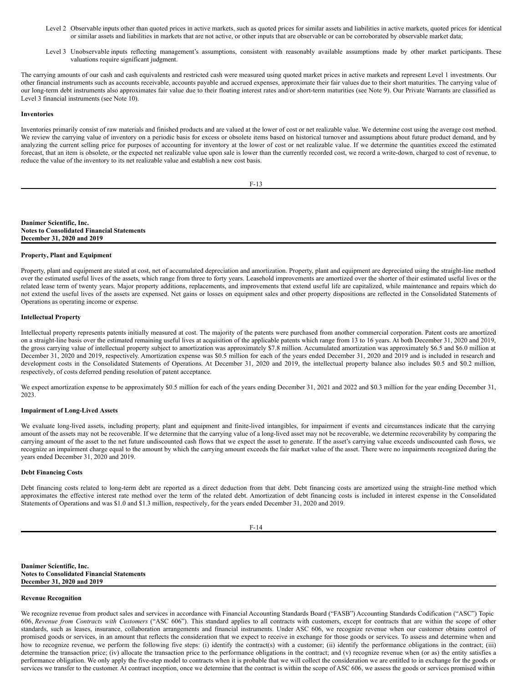- Level 2 Observable inputs other than quoted prices in active markets, such as quoted prices for similar assets and liabilities in active markets, quoted prices for identical or similar assets and liabilities in markets that are not active, or other inputs that are observable or can be corroborated by observable market data;
- Level 3 Unobservable inputs reflecting management's assumptions, consistent with reasonably available assumptions made by other market participants. These valuations require significant judgment.

The carrying amounts of our cash and cash equivalents and restricted cash were measured using quoted market prices in active markets and represent Level 1 investments. Our other financial instruments such as accounts receivable, accounts payable and accrued expenses, approximate their fair values due to their short maturities. The carrying value of our long-term debt instruments also approximates fair value due to their floating interest rates and/or short-term maturities (see Note 9). Our Private Warrants are classified as Level 3 financial instruments (see Note 10).

## **Inventories**

Inventories primarily consist of raw materials and finished products and are valued at the lower of cost or net realizable value. We determine cost using the average cost method. We review the carrying value of inventory on a periodic basis for excess or obsolete items based on historical turnover and assumptions about future product demand, and by analyzing the current selling price for purposes of accounting for inventory at the lower of cost or net realizable value. If we determine the quantities exceed the estimated forecast, that an item is obsolete, or the expected net realizable value upon sale is lower than the currently recorded cost, we record a write-down, charged to cost of revenue, to reduce the value of the inventory to its net realizable value and establish a new cost basis.

F-13

**Danimer Scientific, Inc. Notes to Consolidated Financial Statements December 31, 2020 and 2019**

## **Property, Plant and Equipment**

Property, plant and equipment are stated at cost, net of accumulated depreciation and amortization. Property, plant and equipment are depreciated using the straight-line method over the estimated useful lives of the assets, which range from three to forty years. Leasehold improvements are amortized over the shorter of their estimated useful lives or the related lease term of twenty years. Major property additions, replacements, and improvements that extend useful life are capitalized, while maintenance and repairs which do not extend the useful lives of the assets are expensed. Net gains or losses on equipment sales and other property dispositions are reflected in the Consolidated Statements of Operations as operating income or expense.

## **Intellectual Property**

Intellectual property represents patents initially measured at cost. The majority of the patents were purchased from another commercial corporation. Patent costs are amortized on a straight-line basis over the estimated remaining useful lives at acquisition of the applicable patents which range from 13 to 16 years. At both December 31, 2020 and 2019, the gross carrying value of intellectual property subject to amortization was approximately \$7.8 million. Accumulated amortization was approximately \$6.5 and \$6.0 million at December 31, 2020 and 2019, respectively. Amortization expense was \$0.5 million for each of the years ended December 31, 2020 and 2019 and is included in research and development costs in the Consolidated Statements of Operations. At December 31, 2020 and 2019, the intellectual property balance also includes \$0.5 and \$0.2 million, respectively, of costs deferred pending resolution of patent acceptance.

We expect amortization expense to be approximately \$0.5 million for each of the years ending December 31, 2021 and 2022 and \$0.3 million for the year ending December 31, 2023.

## **Impairment of Long-Lived Assets**

We evaluate long-lived assets, including property, plant and equipment and finite-lived intangibles, for impairment if events and circumstances indicate that the carrying amount of the assets may not be recoverable. If we determine that the carrying value of a long-lived asset may not be recoverable, we determine recoverability by comparing the carrying amount of the asset to the net future undiscounted cash flows that we expect the asset to generate. If the asset's carrying value exceeds undiscounted cash flows, we recognize an impairment charge equal to the amount by which the carrying amount exceeds the fair market value of the asset. There were no impairments recognized during the years ended December 31, 2020 and 2019.

## **Debt Financing Costs**

Debt financing costs related to long-term debt are reported as a direct deduction from that debt. Debt financing costs are amortized using the straight-line method which approximates the effective interest rate method over the term of the related debt. Amortization of debt financing costs is included in interest expense in the Consolidated Statements of Operations and was \$1.0 and \$1.3 million, respectively, for the years ended December 31, 2020 and 2019.

F-14

**Danimer Scientific, Inc. Notes to Consolidated Financial Statements December 31, 2020 and 2019**

#### **Revenue Recognition**

We recognize revenue from product sales and services in accordance with Financial Accounting Standards Board ("FASB") Accounting Standards Codification ("ASC") Topic 606, *Revenue from Contracts with Customers* ("ASC 606"). This standard applies to all contracts with customers, except for contracts that are within the scope of other standards, such as leases, insurance, collaboration arrangements and financial instruments. Under ASC 606, we recognize revenue when our customer obtains control of promised goods or services, in an amount that reflects the consideration that we expect to receive in exchange for those goods or services. To assess and determine when and how to recognize revenue, we perform the following five steps: (i) identify the contract(s) with a customer; (ii) identify the performance obligations in the contract; (iii) determine the transaction price; (iv) allocate the transaction price to the performance obligations in the contract; and (v) recognize revenue when (or as) the entity satisfies a performance obligation. We only apply the five-step model to contracts when it is probable that we will collect the consideration we are entitled to in exchange for the goods or services we transfer to the customer. At contract inception, once we determine that the contract is within the scope of ASC 606, we assess the goods or services promised within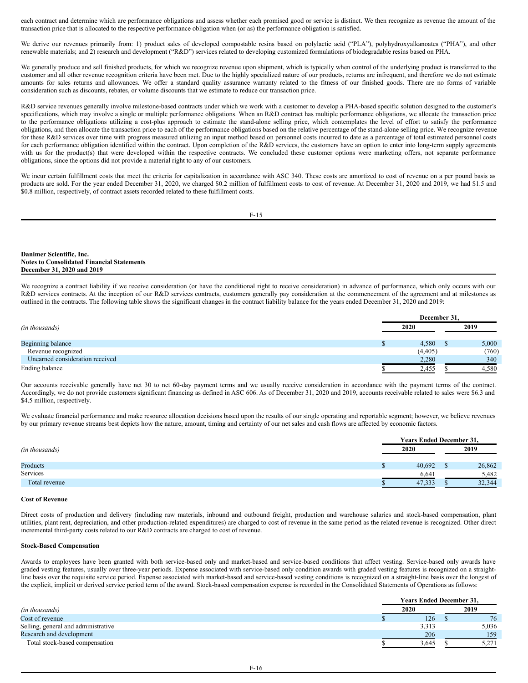each contract and determine which are performance obligations and assess whether each promised good or service is distinct. We then recognize as revenue the amount of the transaction price that is allocated to the respective performance obligation when (or as) the performance obligation is satisfied.

We derive our revenues primarily from: 1) product sales of developed compostable resins based on polylactic acid ("PLA"), polyhydroxyalkanoates ("PHA"), and other renewable materials; and 2) research and development ("R&D") services related to developing customized formulations of biodegradable resins based on PHA.

We generally produce and sell finished products, for which we recognize revenue upon shipment, which is typically when control of the underlying product is transferred to the customer and all other revenue recognition criteria have been met. Due to the highly specialized nature of our products, returns are infrequent, and therefore we do not estimate amounts for sales returns and allowances. We offer a standard quality assurance warranty related to the fitness of our finished goods. There are no forms of variable consideration such as discounts, rebates, or volume discounts that we estimate to reduce our transaction price.

R&D service revenues generally involve milestone-based contracts under which we work with a customer to develop a PHA-based specific solution designed to the customer's specifications, which may involve a single or multiple performance obligations. When an R&D contract has multiple performance obligations, we allocate the transaction price to the performance obligations utilizing a cost-plus approach to estimate the stand-alone selling price, which contemplates the level of effort to satisfy the performance obligations, and then allocate the transaction price to each of the performance obligations based on the relative percentage of the stand-alone selling price. We recognize revenue for these R&D services over time with progress measured utilizing an input method based on personnel costs incurred to date as a percentage of total estimated personnel costs for each performance obligation identified within the contract. Upon completion of the R&D services, the customers have an option to enter into long-term supply agreements with us for the product(s) that were developed within the respective contracts. We concluded these customer options were marketing offers, not separate performance obligations, since the options did not provide a material right to any of our customers.

We incur certain fulfillment costs that meet the criteria for capitalization in accordance with ASC 340. These costs are amortized to cost of revenue on a per pound basis as products are sold. For the year ended December 31, 2020, we charged \$0.2 million of fulfillment costs to cost of revenue. At December 31, 2020 and 2019, we had \$1.5 and \$0.8 million, respectively, of contract assets recorded related to these fulfillment costs.

F-15

**Danimer Scientific, Inc. Notes to Consolidated Financial Statements December 31, 2020 and 2019**

We recognize a contract liability if we receive consideration (or have the conditional right to receive consideration) in advance of performance, which only occurs with our R&D services contracts. At the inception of our R&D services contracts, customers generally pay consideration at the commencement of the agreement and at milestones as outlined in the contracts. The following table shows the significant changes in the contract liability balance for the years ended December 31, 2020 and 2019:

|                                 | December 31, |  |       |  |  |  |
|---------------------------------|--------------|--|-------|--|--|--|
| (in thousands)                  | 2020         |  | 2019  |  |  |  |
| Beginning balance               | 4,580        |  | 5,000 |  |  |  |
| Revenue recognized              | (4,405)      |  | (760) |  |  |  |
| Unearned consideration received | 2,280        |  | 340   |  |  |  |
| Ending balance                  | 2,455        |  | 4,580 |  |  |  |

Our accounts receivable generally have net 30 to net 60-day payment terms and we usually receive consideration in accordance with the payment terms of the contract. Accordingly, we do not provide customers significant financing as defined in ASC 606. As of December 31, 2020 and 2019, accounts receivable related to sales were \$6.3 and \$4.5 million, respectively.

We evaluate financial performance and make resource allocation decisions based upon the results of our single operating and reportable segment; however, we believe revenues by our primary revenue streams best depicts how the nature, amount, timing and certainty of our net sales and cash flows are affected by economic factors.

|                |      | <b>Years Ended December 31,</b> |    |        |  |  |  |  |  |      |
|----------------|------|---------------------------------|----|--------|--|--|--|--|--|------|
| (in thousands) |      | 2020                            |    |        |  |  |  |  |  | 2019 |
| Products       | - 13 | 40,692                          | ٨D | 26,862 |  |  |  |  |  |      |
| Services       |      | 6.641                           |    | 5.482  |  |  |  |  |  |      |
| Total revenue  |      | 47,333                          |    | 32,344 |  |  |  |  |  |      |

## **Cost of Revenue**

Direct costs of production and delivery (including raw materials, inbound and outbound freight, production and warehouse salaries and stock-based compensation, plant utilities, plant rent, depreciation, and other production-related expenditures) are charged to cost of revenue in the same period as the related revenue is recognized. Other direct incremental third-party costs related to our R&D contracts are charged to cost of revenue.

## **Stock-Based Compensation**

Awards to employees have been granted with both service-based only and market-based and service-based conditions that affect vesting. Service-based only awards have graded vesting features, usually over three-year periods. Expense associated with service-based only condition awards with graded vesting features is recognized on a straightline basis over the requisite service period. Expense associated with market-based and service-based vesting conditions is recognized on a straight-line basis over the longest of the explicit, implicit or derived service period term of the award. Stock-based compensation expense is recorded in the Consolidated Statements of Operations as follows:

|                                     |       | <b>Years Ended December 31.</b> |                  |  |  |  |  |
|-------------------------------------|-------|---------------------------------|------------------|--|--|--|--|
| (in thousands)                      | 2020  |                                 | 2019             |  |  |  |  |
| Cost of revenue                     | 126   |                                 | 76               |  |  |  |  |
| Selling, general and administrative | 3,313 |                                 | 5,036            |  |  |  |  |
| Research and development            | 206   |                                 | 159              |  |  |  |  |
| Total stock-based compensation      | 3.645 |                                 | 5.771<br>ا ہے ۔د |  |  |  |  |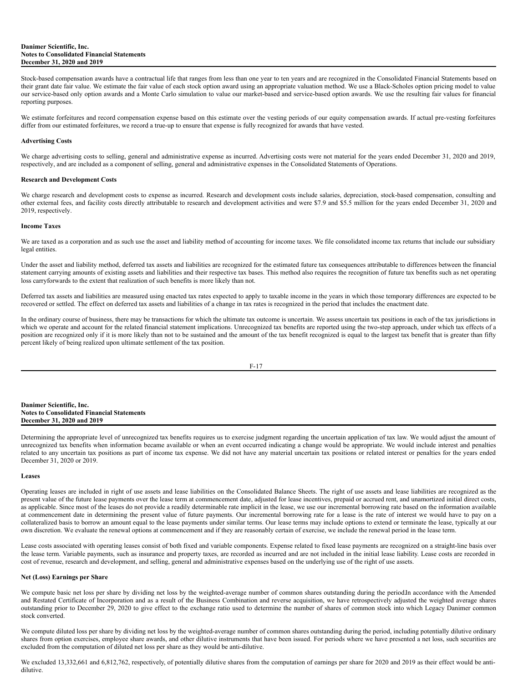### **Danimer Scientific, Inc. Notes to Consolidated Financial Statements December 31, 2020 and 2019**

Stock-based compensation awards have a contractual life that ranges from less than one year to ten years and are recognized in the Consolidated Financial Statements based on their grant date fair value. We estimate the fair value of each stock option award using an appropriate valuation method. We use a Black-Scholes option pricing model to value our service-based only option awards and a Monte Carlo simulation to value our market-based and service-based option awards. We use the resulting fair values for financial reporting purposes.

We estimate forfeitures and record compensation expense based on this estimate over the vesting periods of our equity compensation awards. If actual pre-vesting forfeitures differ from our estimated forfeitures, we record a true-up to ensure that expense is fully recognized for awards that have vested.

## **Advertising Costs**

We charge advertising costs to selling, general and administrative expense as incurred. Advertising costs were not material for the years ended December 31, 2020 and 2019, respectively, and are included as a component of selling, general and administrative expenses in the Consolidated Statements of Operations.

## **Research and Development Costs**

We charge research and development costs to expense as incurred. Research and development costs include salaries, depreciation, stock-based compensation, consulting and other external fees, and facility costs directly attributable to research and development activities and were \$7.9 and \$5.5 million for the years ended December 31, 2020 and 2019, respectively.

## **Income Taxes**

We are taxed as a corporation and as such use the asset and liability method of accounting for income taxes. We file consolidated income tax returns that include our subsidiary legal entities.

Under the asset and liability method, deferred tax assets and liabilities are recognized for the estimated future tax consequences attributable to differences between the financial statement carrying amounts of existing assets and liabilities and their respective tax bases. This method also requires the recognition of future tax benefits such as net operating loss carryforwards to the extent that realization of such benefits is more likely than not.

Deferred tax assets and liabilities are measured using enacted tax rates expected to apply to taxable income in the years in which those temporary differences are expected to be recovered or settled. The effect on deferred tax assets and liabilities of a change in tax rates is recognized in the period that includes the enactment date.

In the ordinary course of business, there may be transactions for which the ultimate tax outcome is uncertain. We assess uncertain tax positions in each of the tax jurisdictions in which we operate and account for the related financial statement implications. Unrecognized tax benefits are reported using the two-step approach, under which tax effects of a position are recognized only if it is more likely than not to be sustained and the amount of the tax benefit recognized is equal to the largest tax benefit that is greater than fifty percent likely of being realized upon ultimate settlement of the tax position.

F-17

**Danimer Scientific, Inc. Notes to Consolidated Financial Statements December 31, 2020 and 2019**

Determining the appropriate level of unrecognized tax benefits requires us to exercise judgment regarding the uncertain application of tax law. We would adjust the amount of unrecognized tax benefits when information became available or when an event occurred indicating a change would be appropriate. We would include interest and penalties related to any uncertain tax positions as part of income tax expense. We did not have any material uncertain tax positions or related interest or penalties for the years ended December 31, 2020 or 2019.

#### **Leases**

Operating leases are included in right of use assets and lease liabilities on the Consolidated Balance Sheets. The right of use assets and lease liabilities are recognized as the present value of the future lease payments over the lease term at commencement date, adjusted for lease incentives, prepaid or accrued rent, and unamortized initial direct costs, as applicable. Since most of the leases do not provide a readily determinable rate implicit in the lease, we use our incremental borrowing rate based on the information available at commencement date in determining the present value of future payments. Our incremental borrowing rate for a lease is the rate of interest we would have to pay on a collateralized basis to borrow an amount equal to the lease payments under similar terms. Our lease terms may include options to extend or terminate the lease, typically at our own discretion. We evaluate the renewal options at commencement and if they are reasonably certain of exercise, we include the renewal period in the lease term.

Lease costs associated with operating leases consist of both fixed and variable components. Expense related to fixed lease payments are recognized on a straight-line basis over the lease term. Variable payments, such as insurance and property taxes, are recorded as incurred and are not included in the initial lease liability. Lease costs are recorded in cost of revenue, research and development, and selling, general and administrative expenses based on the underlying use of the right of use assets.

### **Net (Loss) Earnings per Share**

We compute basic net loss per share by dividing net loss by the weighted-average number of common shares outstanding during the period.In accordance with the Amended and Restated Certificate of Incorporation and as a result of the Business Combination and reverse acquisition, we have retrospectively adjusted the weighted average shares outstanding prior to December 29, 2020 to give effect to the exchange ratio used to determine the number of shares of common stock into which Legacy Danimer common stock converted.

We compute diluted loss per share by dividing net loss by the weighted-average number of common shares outstanding during the period, including potentially dilutive ordinary shares from option exercises, employee share awards, and other dilutive instruments that have been issued. For periods where we have presented a net loss, such securities are excluded from the computation of diluted net loss per share as they would be anti-dilutive.

We excluded 13,332,661 and 6,812,762, respectively, of potentially dilutive shares from the computation of earnings per share for 2020 and 2019 as their effect would be antidilutive.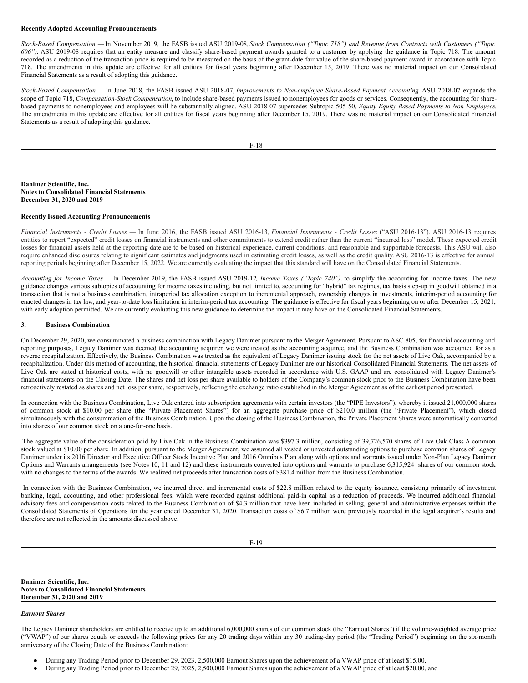#### **Recently Adopted Accounting Pronouncements**

Stock-Based Compensation - In November 2019, the FASB issued ASU 2019-08, Stock Compensation ("Topic 718") and Revenue from Contracts with Customers ("Topic *606").* ASU 2019-08 requires that an entity measure and classify share-based payment awards granted to a customer by applying the guidance in Topic 718. The amount recorded as a reduction of the transaction price is required to be measured on the basis of the grant-date fair value of the share-based payment award in accordance with Topic 718. The amendments in this update are effective for all entities for fiscal years beginning after December 15, 2019. There was no material impact on our Consolidated Financial Statements as a result of adopting this guidance.

*Stock-Based Compensation —* In June 2018, the FASB issued ASU 2018-07, *Improvements to Non-employee Share-Based Payment Accounting*. ASU 2018-07 expands the scope of Topic 718, *Compensation-Stock Compensation*, to include share-based payments issued to nonemployees for goods or services. Consequently, the accounting for sharebased payments to nonemployees and employees will be substantially aligned. ASU 2018-07 supersedes Subtopic 505-50, *Equity-Equity-Based Payments to Non-Employees*. The amendments in this update are effective for all entities for fiscal years beginning after December 15, 2019. There was no material impact on our Consolidated Financial Statements as a result of adopting this guidance.

F-18

**Danimer Scientific, Inc. Notes to Consolidated Financial Statements December 31, 2020 and 2019**

### **Recently Issued Accounting Pronouncements**

Financial Instruments - Credit Losses - In June 2016, the FASB issued ASU 2016-13, Financial Instruments - Credit Losses ("ASU 2016-13"). ASU 2016-13 requires entities to report "expected" credit losses on financial instruments and other commitments to extend credit rather than the current "incurred loss" model. These expected credit losses for financial assets held at the reporting date are to be based on historical experience, current conditions, and reasonable and supportable forecasts. This ASU will also require enhanced disclosures relating to significant estimates and judgments used in estimating credit losses, as well as the credit quality. ASU 2016-13 is effective for annual reporting periods beginning after December 15, 2022. We are currently evaluating the impact that this standard will have on the Consolidated Financial Statements.

Accounting for Income Taxes - In December 2019, the FASB issued ASU 2019-12, Income Taxes ("Topic 740"), to simplify the accounting for income taxes. The new guidance changes various subtopics of accounting for income taxes including, but not limited to, accounting for "hybrid" tax regimes, tax basis step-up in goodwill obtained in a transaction that is not a business combination, intraperiod tax allocation exception to incremental approach, ownership changes in investments, interim-period accounting for enacted changes in tax law, and year-to-date loss limitation in interim-period tax accounting. The guidance is effective for fiscal years beginning on or after December 15, 2021, with early adoption permitted. We are currently evaluating this new guidance to determine the impact it may have on the Consolidated Financial Statements.

#### **3. Business Combination**

On December 29, 2020, we consummated a business combination with Legacy Danimer pursuant to the Merger Agreement. Pursuant to ASC 805, for financial accounting and reporting purposes, Legacy Danimer was deemed the accounting acquirer, we were treated as the accounting acquiree, and the Business Combination was accounted for as a reverse recapitalization. Effectively, the Business Combination was treated as the equivalent of Legacy Danimer issuing stock for the net assets of Live Oak, accompanied by a recapitalization. Under this method of accounting, the historical financial statements of Legacy Danimer are our historical Consolidated Financial Statements. The net assets of Live Oak are stated at historical costs, with no goodwill or other intangible assets recorded in accordance with U.S. GAAP and are consolidated with Legacy Danimer's financial statements on the Closing Date. The shares and net loss per share available to holders of the Company's common stock prior to the Business Combination have been retroactively restated as shares and net loss per share, respectively, reflecting the exchange ratio established in the Merger Agreement as of the earliest period presented.

In connection with the Business Combination, Live Oak entered into subscription agreements with certain investors (the "PIPE Investors"), whereby it issued 21,000,000 shares of common stock at \$10.00 per share (the "Private Placement Shares") for an aggregate purchase price of \$210.0 million (the "Private Placement"), which closed simultaneously with the consummation of the Business Combination. Upon the closing of the Business Combination, the Private Placement Shares were automatically converted into shares of our common stock on a one-for-one basis.

The aggregate value of the consideration paid by Live Oak in the Business Combination was \$397.3 million, consisting of 39,726,570 shares of Live Oak Class A common stock valued at \$10.00 per share. In addition, pursuant to the Merger Agreement, we assumed all vested or unvested outstanding options to purchase common shares of Legacy Danimer under its 2016 Director and Executive Officer Stock Incentive Plan and 2016 Omnibus Plan along with options and warrants issued under Non-Plan Legacy Danimer Options and Warrants arrangements (see Notes 10, 11 and 12) and these instruments converted into options and warrants to purchase 6,315,924 shares of our common stock with no changes to the terms of the awards. We realized net proceeds after transaction costs of \$381.4 million from the Business Combination.

In connection with the Business Combination, we incurred direct and incremental costs of \$22.8 million related to the equity issuance, consisting primarily of investment banking, legal, accounting, and other professional fees, which were recorded against additional paid-in capital as a reduction of proceeds. We incurred additional financial advisory fees and compensation costs related to the Business Combination of \$4.3 million that have been included in selling, general and administrative expenses within the Consolidated Statements of Operations for the year ended December 31, 2020. Transaction costs of \$6.7 million were previously recorded in the legal acquirer's results and therefore are not reflected in the amounts discussed above.

F-19

**Danimer Scientific, Inc. Notes to Consolidated Financial Statements December 31, 2020 and 2019**

## *Earnout Shares*

The Legacy Danimer shareholders are entitled to receive up to an additional 6,000,000 shares of our common stock (the "Earnout Shares") if the volume-weighted average price ("VWAP") of our shares equals or exceeds the following prices for any 20 trading days within any 30 trading-day period (the "Trading Period") beginning on the six-month anniversary of the Closing Date of the Business Combination:

- During any Trading Period prior to December 29, 2023, 2,500,000 Earnout Shares upon the achievement of a VWAP price of at least \$15.00,
- During any Trading Period prior to December 29, 2025, 2,500,000 Earnout Shares upon the achievement of a VWAP price of at least \$20.00, and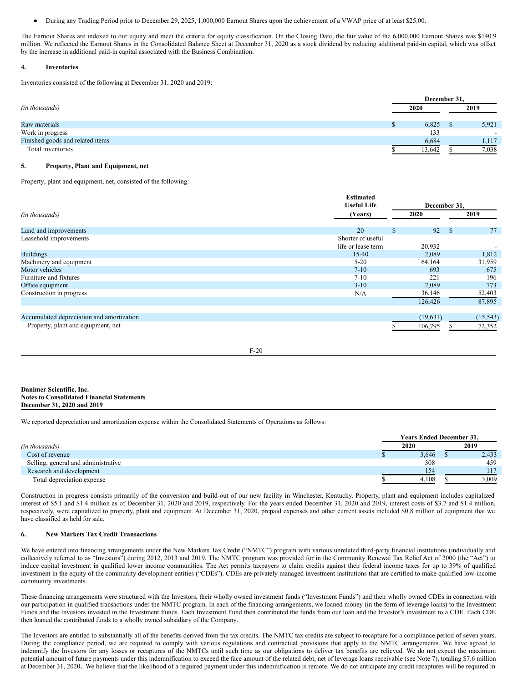● During any Trading Period prior to December 29, 2025, 1,000,000 Earnout Shares upon the achievement of a VWAP price of at least \$25.00.

The Earnout Shares are indexed to our equity and meet the criteria for equity classification. On the Closing Date, the fair value of the 6,000,000 Earnout Shares was \$140.9 million. We reflected the Earnout Shares in the Consolidated Balance Sheet at December 31, 2020 as a stock dividend by reducing additional paid-in capital, which was offset by the increase in additional paid-in capital associated with the Business Combination.

## **4. Inventories**

Inventories consisted of the following at December 31, 2020 and 2019:

|                                  |  |        | December 31, |                          |  |
|----------------------------------|--|--------|--------------|--------------------------|--|
| (in thousands)                   |  | 2020   |              | 2019                     |  |
|                                  |  |        |              |                          |  |
| Raw materials                    |  | 6,825  |              | 5,921                    |  |
| Work in progress                 |  | 133    |              | $\overline{\phantom{0}}$ |  |
| Finished goods and related items |  | 6,684  |              | 1,117                    |  |
| Total inventories                |  | 13,642 |              | 7,038                    |  |

## **5. Property, Plant and Equipment, net**

Property, plant and equipment, net, consisted of the following:

|                                           | <b>Estimated</b><br><b>Useful Life</b> |              | December 31, |    |           |
|-------------------------------------------|----------------------------------------|--------------|--------------|----|-----------|
| (in thousands)                            | (Years)                                |              | 2020         |    | 2019      |
| Land and improvements                     | 20                                     | $\mathbb{S}$ | 92           | -S | 77        |
| Leasehold improvements                    | Shorter of useful                      |              |              |    |           |
|                                           | life or lease term                     |              | 20,932       |    |           |
| <b>Buildings</b>                          | $15 - 40$                              |              | 2,089        |    | 1,812     |
| Machinery and equipment                   | $5 - 20$                               |              | 64,164       |    | 31,959    |
| Motor vehicles                            | $7-10$                                 |              | 693          |    | 675       |
| Furniture and fixtures                    | $7 - 10$                               |              | 221          |    | 196       |
| Office equipment                          | $3-10$                                 |              | 2,089        |    | 773       |
| Construction in progress                  | N/A                                    |              | 36,146       |    | 52,403    |
|                                           |                                        |              | 126,426      |    | 87,895    |
|                                           |                                        |              |              |    |           |
| Accumulated depreciation and amortization |                                        |              | (19,631)     |    | (15, 543) |
| Property, plant and equipment, net        |                                        |              | 106,795      |    | 72,352    |

F-20

**Danimer Scientific, Inc. Notes to Consolidated Financial Statements December 31, 2020 and 2019**

We reported depreciation and amortization expense within the Consolidated Statements of Operations as follows:

|                                     | <b>Years Ended December 31.</b> |       |  |       |
|-------------------------------------|---------------------------------|-------|--|-------|
| (in thousands)                      |                                 | 2020  |  | 2019  |
| Cost of revenue                     |                                 | 3,646 |  | 2,433 |
| Selling, general and administrative |                                 | 308   |  | 459   |
| Research and development            |                                 | 154   |  | 117   |
| Total depreciation expense          |                                 | 4.108 |  | 3.009 |

Construction in progress consists primarily of the conversion and build-out of our new facility in Winchester, Kentucky. Property, plant and equipment includes capitalized interest of \$5.1 and \$1.4 million as of December 31, 2020 and 2019, respectively. For the years ended December 31, 2020 and 2019, interest costs of \$3.7 and \$1.4 million, respectively, were capitalized to property, plant and equipment. At December 31, 2020, prepaid expenses and other current assets included \$0.8 million of equipment that we have classified as held for sale.

## **6. New Markets Tax Credit Transactions**

We have entered into financing arrangements under the New Markets Tax Credit ("NMTC") program with various unrelated third-party financial institutions (individually and collectively referred to as "Investors") during 2012, 2013 and 2019. The NMTC program was provided for in the Community Renewal Tax Relief Act of 2000 (the "Act") to induce capital investment in qualified lower income communities. The Act permits taxpayers to claim credits against their federal income taxes for up to 39% of qualified investment in the equity of the community development entities ("CDEs"). CDEs are privately managed investment institutions that are certified to make qualified low-income community investments.

These financing arrangements were structured with the Investors, their wholly owned investment funds ("Investment Funds") and their wholly owned CDEs in connection with our participation in qualified transactions under the NMTC program. In each of the financing arrangements, we loaned money (in the form of leverage loans) to the Investment Funds and the Investors invested in the Investment Funds. Each Investment Fund then contributed the funds from our loan and the Investor's investment to a CDE. Each CDE then loaned the contributed funds to a wholly owned subsidiary of the Company.

The Investors are entitled to substantially all of the benefits derived from the tax credits. The NMTC tax credits are subject to recapture for a compliance period of seven years. During the compliance period, we are required to comply with various regulations and contractual provisions that apply to the NMTC arrangements. We have agreed to indemnify the Investors for any losses or recaptures of the NMTCs until such time as our obligations to deliver tax benefits are relieved. We do not expect the maximum potential amount of future payments under this indemnification to exceed the face amount of the related debt, net of leverage loans receivable (see Note 7), totaling \$7.6 million at December 31, 2020**.** We believe that the likelihood of a required payment under this indemnification is remote. We do not anticipate any credit recaptures will be required in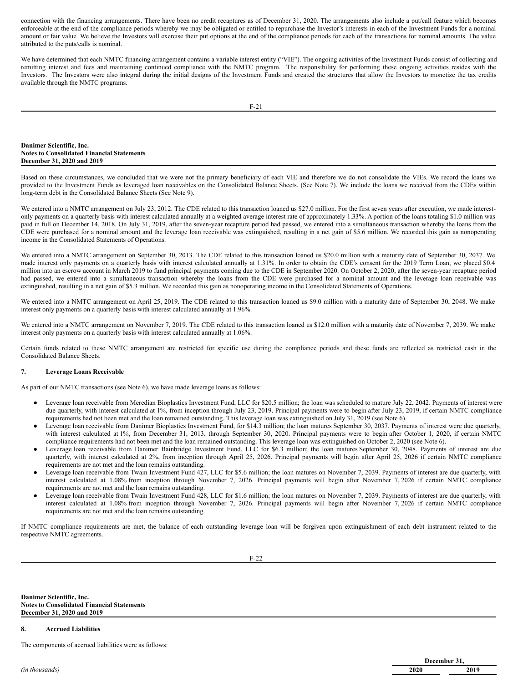connection with the financing arrangements. There have been no credit recaptures as of December 31, 2020. The arrangements also include a put/call feature which becomes enforceable at the end of the compliance periods whereby we may be obligated or entitled to repurchase the Investor's interests in each of the Investment Funds for a nominal amount or fair value. We believe the Investors will exercise their put options at the end of the compliance periods for each of the transactions for nominal amounts. The value attributed to the puts/calls is nominal.

We have determined that each NMTC financing arrangement contains a variable interest entity ("VIE"). The ongoing activities of the Investment Funds consist of collecting and remitting interest and fees and maintaining continued compliance with the NMTC program. The responsibility for performing these ongoing activities resides with the Investors. The Investors were also integral during the initial designs of the Investment Funds and created the structures that allow the Investors to monetize the tax credits available through the NMTC programs.

**Danimer Scientific, Inc. Notes to Consolidated Financial Statements December 31, 2020 and 2019**

Based on these circumstances, we concluded that we were not the primary beneficiary of each VIE and therefore we do not consolidate the VIEs. We record the loans we provided to the Investment Funds as leveraged loan receivables on the Consolidated Balance Sheets. (See Note 7). We include the loans we received from the CDEs within long-term debt in the Consolidated Balance Sheets (See Note 9).

We entered into a NMTC arrangement on July 23, 2012. The CDE related to this transaction loaned us \$27.0 million. For the first seven years after execution, we made interestonly payments on a quarterly basis with interest calculated annually at a weighted average interest rate of approximately 1.33%. A portion of the loans totaling \$1.0 million was paid in full on December 14, 2018. On July 31, 2019, after the seven-year recapture period had passed, we entered into a simultaneous transaction whereby the loans from the CDE were purchased for a nominal amount and the leverage loan receivable was extinguished, resulting in a net gain of \$5.6 million. We recorded this gain as nonoperating income in the Consolidated Statements of Operations.

We entered into a NMTC arrangement on September 30, 2013. The CDE related to this transaction loaned us \$20.0 million with a maturity date of September 30, 2037. We made interest only payments on a quarterly basis with interest calculated annually at 1.31%. In order to obtain the CDE's consent for the 2019 Term Loan, we placed \$0.4 million into an escrow account in March 2019 to fund principal payments coming due to the CDE in September 2020. On October 2, 2020, after the seven-year recapture period had passed, we entered into a simultaneous transaction whereby the loans from the CDE were purchased for a nominal amount and the leverage loan receivable was extinguished, resulting in a net gain of \$5.3 million. We recorded this gain as nonoperating income in the Consolidated Statements of Operations.

We entered into a NMTC arrangement on April 25, 2019. The CDE related to this transaction loaned us \$9.0 million with a maturity date of September 30, 2048. We make interest only payments on a quarterly basis with interest calculated annually at 1.96%.

We entered into a NMTC arrangement on November 7, 2019. The CDE related to this transaction loaned us \$12.0 million with a maturity date of November 7, 2039. We make interest only payments on a quarterly basis with interest calculated annually at 1.06%.

Certain funds related to these NMTC arrangement are restricted for specific use during the compliance periods and these funds are reflected as restricted cash in the Consolidated Balance Sheets.

## **7. Leverage Loans Receivable**

As part of our NMTC transactions (see Note 6), we have made leverage loans as follows:

- Leverage loan receivable from Meredian Bioplastics Investment Fund, LLC for \$20.5 million; the loan was scheduled to mature July 22, 2042. Payments of interest were due quarterly, with interest calculated at 1%, from inception through July 23, 2019. Principal payments were to begin after July 23, 2019, if certain NMTC compliance requirements had not been met and the loan remained outstanding. This leverage loan was extinguished on July 31, 2019 (see Note 6).
- Leverage loan receivable from Danimer Bioplastics Investment Fund, for \$14.3 million; the loan matures September 30, 2037. Payments of interest were due quarterly, with interest calculated at 1%, from December 31, 2013, through September 30, 2020. Principal payments were to begin after October 1, 2020, if certain NMTC compliance requirements had not been met and the loan remained outstanding. This leverage loan was extinguished on October 2, 2020 (see Note 6).
- Leverage loan receivable from Danimer Bainbridge Investment Fund, LLC for \$6.3 million; the loan matures September 30, 2048. Payments of interest are due quarterly, with interest calculated at 2%, from inception through April 25, 2026. Principal payments will begin after April 25, 2026 if certain NMTC compliance requirements are not met and the loan remains outstanding.
- Leverage loan receivable from Twain Investment Fund 427, LLC for \$5.6 million; the loan matures on November 7, 2039. Payments of interest are due quarterly, with interest calculated at 1.08% from inception through November 7, 2026. Principal payments will begin after November 7, 2026 if certain NMTC compliance requirements are not met and the loan remains outstanding.
- Leverage loan receivable from Twain Investment Fund 428, LLC for \$1.6 million; the loan matures on November 7, 2039. Payments of interest are due quarterly, with interest calculated at 1.08% from inception through November 7, 2026. Principal payments will begin after November 7, 2026 if certain NMTC compliance requirements are not met and the loan remains outstanding.

If NMTC compliance requirements are met, the balance of each outstanding leverage loan will be forgiven upon extinguishment of each debt instrument related to the respective NMTC agreements.

**Danimer Scientific, Inc. Notes to Consolidated Financial Statements December 31, 2020 and 2019**

## **8. Accrued Liabilities**

The components of accrued liabilities were as follows:

|                | December | - -<br>J., |
|----------------|----------|------------|
| (in thousands) | 2020     | 2019       |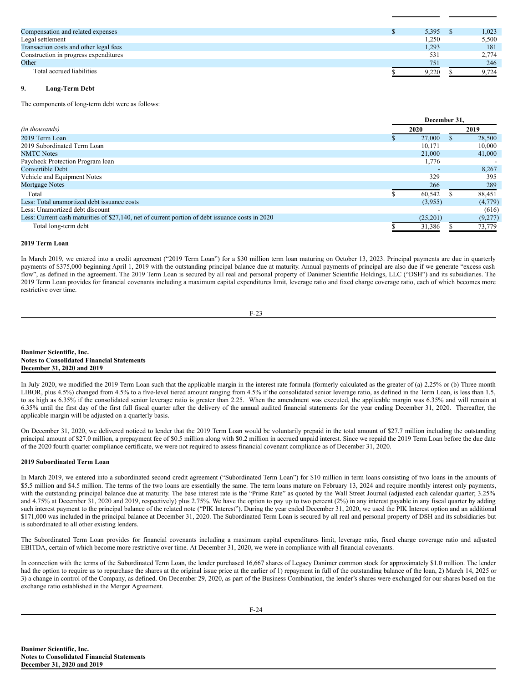| Compensation and related expenses      | 5.395 | 1,023 |
|----------------------------------------|-------|-------|
| Legal settlement                       | 1,250 | 5,500 |
| Transaction costs and other legal fees | 1,293 | 181   |
| Construction in progress expenditures  | 53    | 2.774 |
| Other                                  | 751   | 246   |
| Total accrued liabilities              | 9.220 | 9.724 |

## **9. Long-Term Debt**

The components of long-term debt were as follows:

|                                                                                                  |          | December 31. |         |  |
|--------------------------------------------------------------------------------------------------|----------|--------------|---------|--|
| (in thousands)                                                                                   | 2020     |              | 2019    |  |
| 2019 Term Loan                                                                                   | 27,000   |              | 28,500  |  |
| 2019 Subordinated Term Loan                                                                      | 10.171   |              | 10,000  |  |
| <b>NMTC</b> Notes                                                                                | 21,000   |              | 41,000  |  |
| Paycheck Protection Program loan                                                                 | 1,776    |              |         |  |
| Convertible Debt                                                                                 |          |              | 8,267   |  |
| Vehicle and Equipment Notes                                                                      | 329      |              | 395     |  |
| Mortgage Notes                                                                                   | 266      |              | 289     |  |
| Total                                                                                            | 60.542   |              | 88,451  |  |
| Less: Total unamortized debt issuance costs                                                      | (3.955)  |              | (4,779) |  |
| Less: Unamortized debt discount                                                                  |          |              | (616)   |  |
| Less: Current cash maturities of \$27,140, net of current portion of debt issuance costs in 2020 | (25,201) |              | (9,277) |  |
| Total long-term debt                                                                             | 31,386   |              | 73,779  |  |

## **2019 Term Loan**

In March 2019, we entered into a credit agreement ("2019 Term Loan") for a \$30 million term loan maturing on October 13, 2023. Principal payments are due in quarterly payments of \$375,000 beginning April 1, 2019 with the outstanding principal balance due at maturity. Annual payments of principal are also due if we generate "excess cash flow", as defined in the agreement. The 2019 Term Loan is secured by all real and personal property of Danimer Scientific Holdings, LLC ("DSH") and its subsidiaries. The 2019 Term Loan provides for financial covenants including a maximum capital expenditures limit, leverage ratio and fixed charge coverage ratio, each of which becomes more restrictive over time.

F-23

**Danimer Scientific, Inc. Notes to Consolidated Financial Statements December 31, 2020 and 2019**

In July 2020, we modified the 2019 Term Loan such that the applicable margin in the interest rate formula (formerly calculated as the greater of (a) 2.25% or (b) Three month LIBOR, plus 4.5%) changed from 4.5% to a five-level tiered amount ranging from 4.5% if the consolidated senior leverage ratio, as defined in the Term Loan, is less than 1.5, to as high as 6.35% if the consolidated senior leverage ratio is greater than 2.25. When the amendment was executed, the applicable margin was 6.35% and will remain at 6.35% until the first day of the first full fiscal quarter after the delivery of the annual audited financial statements for the year ending December 31, 2020. Thereafter, the applicable margin will be adjusted on a quarterly basis.

On December 31, 2020, we delivered noticed to lender that the 2019 Term Loan would be voluntarily prepaid in the total amount of \$27.7 million including the outstanding principal amount of \$27.0 million, a prepayment fee of \$0.5 million along with \$0.2 million in accrued unpaid interest. Since we repaid the 2019 Term Loan before the due date of the 2020 fourth quarter compliance certificate, we were not required to assess financial covenant compliance as of December 31, 2020.

## **2019 Subordinated Term Loan**

In March 2019, we entered into a subordinated second credit agreement ("Subordinated Term Loan") for \$10 million in term loans consisting of two loans in the amounts of \$5.5 million and \$4.5 million. The terms of the two loans are essentially the same. The term loans mature on February 13, 2024 and require monthly interest only payments, with the outstanding principal balance due at maturity. The base interest rate is the "Prime Rate" as quoted by the Wall Street Journal (adjusted each calendar quarter; 3.25% and 4.75% at December 31, 2020 and 2019, respectively) plus 2.75%. We have the option to pay up to two percent  $(2%)$  in any interest payable in any fiscal quarter by adding such interest payment to the principal balance of the related note ("PIK Interest"). During the year ended December 31, 2020, we used the PIK Interest option and an additional \$171,000 was included in the principal balance at December 31, 2020. The Subordinated Term Loan is secured by all real and personal property of DSH and its subsidiaries but is subordinated to all other existing lenders.

The Subordinated Term Loan provides for financial covenants including a maximum capital expenditures limit, leverage ratio, fixed charge coverage ratio and adjusted EBITDA, certain of which become more restrictive over time. At December 31, 2020, we were in compliance with all financial covenants.

In connection with the terms of the Subordinated Term Loan, the lender purchased 16,667 shares of Legacy Danimer common stock for approximately \$1.0 million. The lender had the option to require us to repurchase the shares at the original issue price at the earlier of 1) repayment in full of the outstanding balance of the loan, 2) March 14, 2025 or 3) a change in control of the Company, as defined. On December 29, 2020, as part of the Business Combination, the lender's shares were exchanged for our shares based on the exchange ratio established in the Merger Agreement.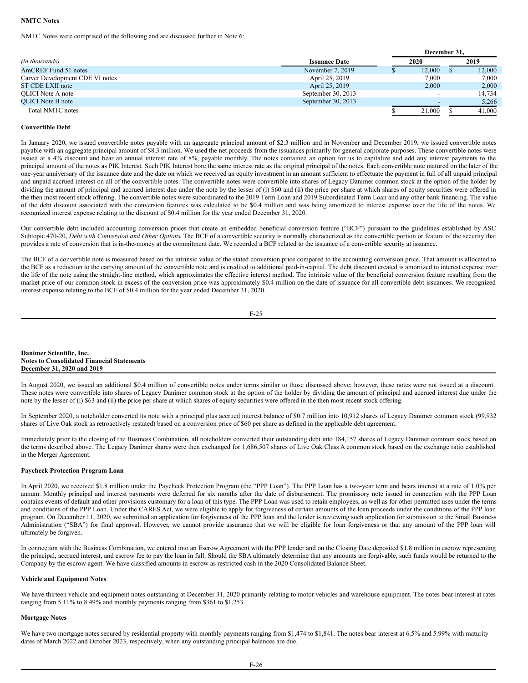## **NMTC Notes**

NMTC Notes were comprised of the following and are discussed further in Note 6:

|                                 |                      | December 31.             |        |
|---------------------------------|----------------------|--------------------------|--------|
| (in thousands)                  | <b>Issuance Date</b> | 2020                     | 2019   |
| AmCREF Fund 51 notes            | November 7, 2019     | 12,000                   | 12,000 |
| Carver Development CDE VI notes | April 25, 2019       | 7.000                    | 7,000  |
| ST CDE LXII note                | April 25, 2019       | 2,000                    | 2,000  |
| OLICI Note A note               | September 30, 2013   | $\overline{\phantom{a}}$ | 14.734 |
| <b>OLICI</b> Note B note        | September 30, $2013$ | $\overline{\phantom{0}}$ | 5,266  |
| Total NMTC notes                |                      | 21,000                   | 41,000 |

## **Convertible Debt**

In January 2020, we issued convertible notes payable with an aggregate principal amount of \$2.3 million and in November and December 2019, we issued convertible notes payable with an aggregate principal amount of \$8.3 million. We used the net proceeds from the issuances primarily for general corporate purposes. These convertible notes were issued at a 4% discount and bear an annual interest rate of 8%, payable monthly. The notes contained an option for us to capitalize and add any interest payments to the principal amount of the notes as PIK Interest. Such PIK Interest bore the same interest rate as the original principal of the notes. Each convertible note matured on the later of the one-year anniversary of the issuance date and the date on which we received an equity investment in an amount sufficient to effectuate the payment in full of all unpaid principal and unpaid accrued interest on all of the convertible notes. The convertible notes were convertible into shares of Legacy Danimer common stock at the option of the holder by dividing the amount of principal and accrued interest due under the note by the lesser of (i) \$60 and (ii) the price per share at which shares of equity securities were offered in the then most recent stock offering. The convertible notes were subordinated to the 2019 Term Loan and 2019 Subordinated Term Loan and any other bank financing. The value of the debt discount associated with the conversion features was calculated to be \$0.4 million and was being amortized to interest expense over the life of the notes. We recognized interest expense relating to the discount of \$0.4 million for the year ended December 31, 2020.

Our convertible debt included accounting conversion prices that create an embedded beneficial conversion feature ("BCF") pursuant to the guidelines established by ASC Subtopic 470-20, *Debt with Conversion and Other Options*. The BCF of a convertible security is normally characterized as the convertible portion or feature of the security that provides a rate of conversion that is in-the-money at the commitment date. We recorded a BCF related to the issuance of a convertible security at issuance.

The BCF of a convertible note is measured based on the intrinsic value of the stated conversion price compared to the accounting conversion price. That amount is allocated to the BCF as a reduction to the carrying amount of the convertible note and is credited to additional paid-in-capital. The debt discount created is amortized to interest expense over the life of the note using the straight-line method, which approximates the effective interest method. The intrinsic value of the beneficial conversion feature resulting from the market price of our common stock in excess of the conversion price was approximately \$0.4 million on the date of issuance for all convertible debt issuances. We recognized interest expense relating to the BCF of \$0.4 million for the year ended December 31, 2020.

$$
F-25
$$

## **Danimer Scientific, Inc. Notes to Consolidated Financial Statements December 31, 2020 and 2019**

In August 2020, we issued an additional \$0.4 million of convertible notes under terms similar to those discussed above; however, these notes were not issued at a discount. These notes were convertible into shares of Legacy Danimer common stock at the option of the holder by dividing the amount of principal and accrued interest due under the note by the lesser of (i) \$63 and (ii) the price per share at which shares of equity securities were offered in the then most recent stock offering.

In September 2020, a noteholder converted its note with a principal plus accrued interest balance of \$0.7 million into 10,912 shares of Legacy Danimer common stock (99,932 shares of Live Oak stock as retroactively restated) based on a conversion price of \$60 per share as defined in the applicable debt agreement.

Immediately prior to the closing of the Business Combination, all noteholders converted their outstanding debt into 184,157 shares of Legacy Danimer common stock based on the terms described above. The Legacy Danimer shares were then exchanged for 1,686,507 shares of Live Oak Class A common stock based on the exchange ratio established in the Merger Agreement.

## **Paycheck Protection Program Loan**

In April 2020, we received \$1.8 million under the Paycheck Protection Program (the "PPP Loan"). The PPP Loan has a two-year term and bears interest at a rate of 1.0% per annum. Monthly principal and interest payments were deferred for six months after the date of disbursement. The promissory note issued in connection with the PPP Loan contains events of default and other provisions customary for a loan of this type. The PPP Loan was used to retain employees, as well as for other permitted uses under the terms and conditions of the PPP Loan. Under the CARES Act, we were eligible to apply for forgiveness of certain amounts of the loan proceeds under the conditions of the PPP loan program. On December 11, 2020, we submitted an application for forgiveness of the PPP loan and the lender is reviewing such application for submission to the Small Business Administration ("SBA") for final approval. However, we cannot provide assurance that we will be eligible for loan forgiveness or that any amount of the PPP loan will ultimately be forgiven.

In connection with the Business Combination, we entered into an Escrow Agreement with the PPP lender and on the Closing Date deposited \$1.8 million in escrow representing the principal, accrued interest, and escrow fee to pay the loan in full. Should the SBA ultimately determine that any amounts are forgivable, such funds would be returned to the Company by the escrow agent. We have classified amounts in escrow as restricted cash in the 2020 Consolidated Balance Sheet.

## **Vehicle and Equipment Notes**

We have thirteen vehicle and equipment notes outstanding at December 31, 2020 primarily relating to motor vehicles and warehouse equipment. The notes bear interest at rates ranging from 5.11% to 8.49% and monthly payments ranging from \$361 to \$1,253.

### **Mortgage Notes**

We have two mortgage notes secured by residential property with monthly payments ranging from \$1,474 to \$1,841. The notes bear interest at 6.5% and 5.99% with maturity dates of March 2022 and October 2023, respectively, when any outstanding principal balances are due.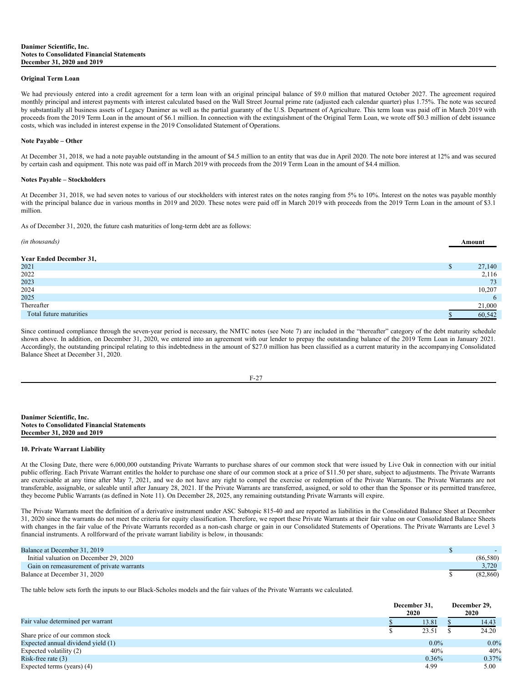### **Original Term Loan**

We had previously entered into a credit agreement for a term loan with an original principal balance of \$9.0 million that matured October 2027. The agreement required monthly principal and interest payments with interest calculated based on the Wall Street Journal prime rate (adjusted each calendar quarter) plus 1.75%. The note was secured by substantially all business assets of Legacy Danimer as well as the partial guaranty of the U.S. Department of Agriculture. This term loan was paid off in March 2019 with proceeds from the 2019 Term Loan in the amount of \$6.1 million. In connection with the extinguishment of the Original Term Loan, we wrote off \$0.3 million of debt issuance costs, which was included in interest expense in the 2019 Consolidated Statement of Operations.

## **Note Payable – Other**

At December 31, 2018, we had a note payable outstanding in the amount of \$4.5 million to an entity that was due in April 2020. The note bore interest at 12% and was secured by certain cash and equipment. This note was paid off in March 2019 with proceeds from the 2019 Term Loan in the amount of \$4.4 million.

#### **Notes Payable – Stockholders**

At December 31, 2018, we had seven notes to various of our stockholders with interest rates on the notes ranging from 5% to 10%. Interest on the notes was payable monthly with the principal balance due in various months in 2019 and 2020. These notes were paid off in March 2019 with proceeds from the 2019 Term Loan in the amount of \$3.1 million.

As of December 31, 2020, the future cash maturities of long-term debt are as follows:

#### *(in thousands)* **Amount**

| <b>Year Ended December 31,</b> |        |
|--------------------------------|--------|
| 2021                           | 27,140 |
| 2022                           | 2,116  |
| 2023                           | 73     |
| 2024                           | 10,207 |
| 2025                           | 6      |
| Thereafter                     | 21,000 |
| Total future maturities        | 60,542 |

Since continued compliance through the seven-year period is necessary, the NMTC notes (see Note 7) are included in the "thereafter" category of the debt maturity schedule shown above. In addition, on December 31, 2020, we entered into an agreement with our lender to prepay the outstanding balance of the 2019 Term Loan in January 2021. Accordingly, the outstanding principal relating to this indebtedness in the amount of \$27.0 million has been classified as a current maturity in the accompanying Consolidated Balance Sheet at December 31, 2020.

F-27

**Danimer Scientific, Inc. Notes to Consolidated Financial Statements December 31, 2020 and 2019**

### **10. Private Warrant Liability**

At the Closing Date, there were 6,000,000 outstanding Private Warrants to purchase shares of our common stock that were issued by Live Oak in connection with our initial public offering. Each Private Warrant entitles the holder to purchase one share of our common stock at a price of \$11.50 per share, subject to adjustments. The Private Warrants are exercisable at any time after May 7, 2021, and we do not have any right to compel the exercise or redemption of the Private Warrants. The Private Warrants are not transferable, assignable, or saleable until after January 28, 2021. If the Private Warrants are transferred, assigned, or sold to other than the Sponsor or its permitted transferee, they become Public Warrants (as defined in Note 11). On December 28, 2025, any remaining outstanding Private Warrants will expire.

The Private Warrants meet the definition of a derivative instrument under ASC Subtopic 815-40 and are reported as liabilities in the Consolidated Balance Sheet at December 31, 2020 since the warrants do not meet the criteria for equity classification. Therefore, we report these Private Warrants at their fair value on our Consolidated Balance Sheets with changes in the fair value of the Private Warrants recorded as a non-cash charge or gain in our Consolidated Statements of Operations. The Private Warrants are Level 3 financial instruments. A rollforward of the private warrant liability is below, in thousands:

| Balance at December 31, 2019              |           |
|-------------------------------------------|-----------|
| Initial valuation on December 29, 2020    | (86, 580) |
| Gain on remeasurement of private warrants | 3.720     |
| Balance at December 31, 2020              | (82, 860) |

The table below sets forth the inputs to our Black-Scholes models and the fair values of the Private Warrants we calculated.

|                                    |  | December 31,<br>2020 |  | December 29, |  |
|------------------------------------|--|----------------------|--|--------------|--|
|                                    |  |                      |  | 2020         |  |
| Fair value determined per warrant  |  | 13.81                |  | 14.43        |  |
| Share price of our common stock    |  | 23.51                |  | 24.20        |  |
| Expected annual dividend yield (1) |  | $0.0\%$              |  | $0.0\%$      |  |
| Expected volatility (2)            |  | 40%                  |  | 40%          |  |
| $Risk-free rate (3)$               |  | $0.36\%$             |  | 0.37%        |  |
| Expected terms (years) (4)         |  | 4.99                 |  | 5.00         |  |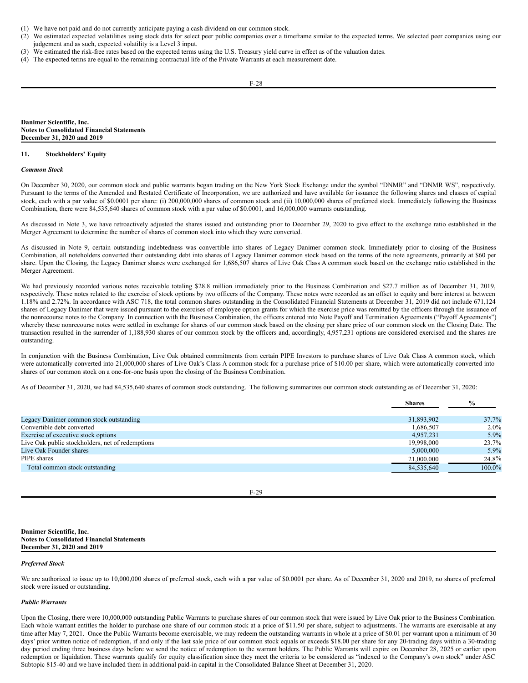(1) We have not paid and do not currently anticipate paying a cash dividend on our common stock.

- (2) We estimated expected volatilities using stock data for select peer public companies over a timeframe similar to the expected terms. We selected peer companies using our judgement and as such, expected volatility is a Level 3 input.
- (3) We estimated the risk-free rates based on the expected terms using the U.S. Treasury yield curve in effect as of the valuation dates.
- (4) The expected terms are equal to the remaining contractual life of the Private Warrants at each measurement date.

F-28

**Danimer Scientific, Inc. Notes to Consolidated Financial Statements December 31, 2020 and 2019**

### **11. Stockholders' Equity**

## *Common Stock*

On December 30, 2020, our common stock and public warrants began trading on the New York Stock Exchange under the symbol "DNMR" and "DNMR WS", respectively. Pursuant to the terms of the Amended and Restated Certificate of Incorporation, we are authorized and have available for issuance the following shares and classes of capital stock, each with a par value of \$0.0001 per share: (i) 200,000,000 shares of common stock and (ii) 10,000,000 shares of preferred stock. Immediately following the Business Combination, there were 84,535,640 shares of common stock with a par value of \$0.0001, and 16,000,000 warrants outstanding.

As discussed in Note 3, we have retroactively adjusted the shares issued and outstanding prior to December 29, 2020 to give effect to the exchange ratio established in the Merger Agreement to determine the number of shares of common stock into which they were converted.

As discussed in Note 9, certain outstanding indebtedness was convertible into shares of Legacy Danimer common stock. Immediately prior to closing of the Business Combination, all noteholders converted their outstanding debt into shares of Legacy Danimer common stock based on the terms of the note agreements, primarily at \$60 per share. Upon the Closing, the Legacy Danimer shares were exchanged for 1,686,507 shares of Live Oak Class A common stock based on the exchange ratio established in the Merger Agreement.

We had previously recorded various notes receivable totaling \$28.8 million immediately prior to the Business Combination and \$27.7 million as of December 31, 2019, respectively. These notes related to the exercise of stock options by two officers of the Company. These notes were recorded as an offset to equity and bore interest at between 1.18% and 2.72%. In accordance with ASC 718, the total common shares outstanding in the Consolidated Financial Statements at December 31, 2019 did not include 671,124 shares of Legacy Danimer that were issued pursuant to the exercises of employee option grants for which the exercise price was remitted by the officers through the issuance of the nonrecourse notes to the Company. In connection with the Business Combination, the officers entered into Note Payoff and Termination Agreements ("Payoff Agreements") whereby these nonrecourse notes were settled in exchange for shares of our common stock based on the closing per share price of our common stock on the Closing Date. The transaction resulted in the surrender of 1,188,930 shares of our common stock by the officers and, accordingly, 4,957,231 options are considered exercised and the shares are outstanding.

In conjunction with the Business Combination, Live Oak obtained commitments from certain PIPE Investors to purchase shares of Live Oak Class A common stock, which were automatically converted into 21,000,000 shares of Live Oak's Class A common stock for a purchase price of \$10.00 per share, which were automatically converted into shares of our common stock on a one-for-one basis upon the closing of the Business Combination.

As of December 31, 2020, we had 84,535,640 shares of common stock outstanding. The following summarizes our common stock outstanding as of December 31, 2020:

|                                                  | <b>Shares</b> | $\frac{0}{0}$ |
|--------------------------------------------------|---------------|---------------|
|                                                  |               |               |
| Legacy Danimer common stock outstanding          | 31,893,902    | 37.7%         |
| Convertible debt converted                       | 1,686,507     | $2.0\%$       |
| Exercise of executive stock options              | 4,957,231     | 5.9%          |
| Live Oak public stockholders, net of redemptions | 19,998,000    | 23.7%         |
| Live Oak Founder shares                          | 5,000,000     | 5.9%          |
| PIPE shares                                      | 21,000,000    | 24.8%         |
| Total common stock outstanding                   | 84,535,640    | 100.0%        |

F-29

## **Danimer Scientific, Inc. Notes to Consolidated Financial Statements December 31, 2020 and 2019**

## *Preferred Stock*

We are authorized to issue up to 10,000,000 shares of preferred stock, each with a par value of \$0.0001 per share. As of December 31, 2020 and 2019, no shares of preferred stock were issued or outstanding.

#### *Public Warrants*

Upon the Closing, there were 10,000,000 outstanding Public Warrants to purchase shares of our common stock that were issued by Live Oak prior to the Business Combination. Each whole warrant entitles the holder to purchase one share of our common stock at a price of \$11.50 per share, subject to adjustments. The warrants are exercisable at any time after May 7, 2021. Once the Public Warrants become exercisable, we may redeem the outstanding warrants in whole at a price of \$0.01 per warrant upon a minimum of 30 days' prior written notice of redemption, if and only if the last sale price of our common stock equals or exceeds \$18.00 per share for any 20-trading days within a 30-trading day period ending three business days before we send the notice of redemption to the warrant holders. The Public Warrants will expire on December 28, 2025 or earlier upon redemption or liquidation. These warrants qualify for equity classification since they meet the criteria to be considered as "indexed to the Company's own stock" under ASC Subtopic 815-40 and we have included them in additional paid-in capital in the Consolidated Balance Sheet at December 31, 2020.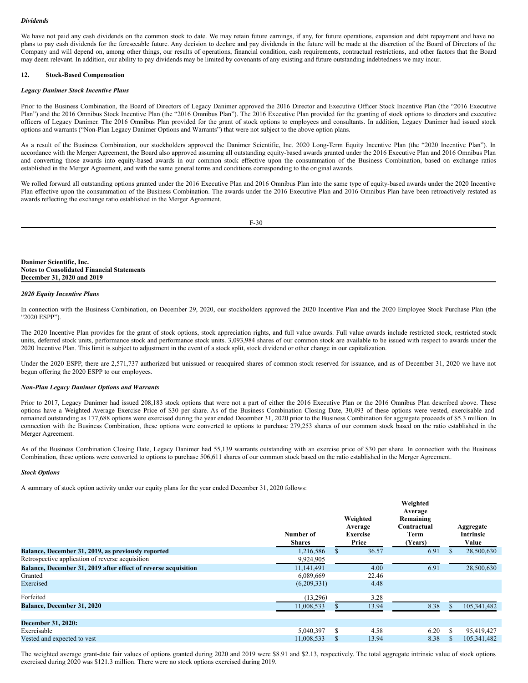### *Dividends*

We have not paid any cash dividends on the common stock to date. We may retain future earnings, if any, for future operations, expansion and debt repayment and have no plans to pay cash dividends for the foreseeable future. Any decision to declare and pay dividends in the future will be made at the discretion of the Board of Directors of the Company and will depend on, among other things, our results of operations, financial condition, cash requirements, contractual restrictions, and other factors that the Board may deem relevant. In addition, our ability to pay dividends may be limited by covenants of any existing and future outstanding indebtedness we may incur.

## **12. Stock-Based Compensation**

### *Legacy Danimer Stock Incentive Plans*

Prior to the Business Combination, the Board of Directors of Legacy Danimer approved the 2016 Director and Executive Officer Stock Incentive Plan (the "2016 Executive Plan") and the 2016 Omnibus Stock Incentive Plan (the "2016 Omnibus Plan"). The 2016 Executive Plan provided for the granting of stock options to directors and executive officers of Legacy Danimer. The 2016 Omnibus Plan provided for the grant of stock options to employees and consultants. In addition, Legacy Danimer had issued stock options and warrants ("Non-Plan Legacy Danimer Options and Warrants") that were not subject to the above option plans.

As a result of the Business Combination, our stockholders approved the Danimer Scientific, Inc. 2020 Long-Term Equity Incentive Plan (the "2020 Incentive Plan"). In accordance with the Merger Agreement, the Board also approved assuming all outstanding equity-based awards granted under the 2016 Executive Plan and 2016 Omnibus Plan and converting those awards into equity-based awards in our common stock effective upon the consummation of the Business Combination, based on exchange ratios established in the Merger Agreement, and with the same general terms and conditions corresponding to the original awards.

We rolled forward all outstanding options granted under the 2016 Executive Plan and 2016 Omnibus Plan into the same type of equity-based awards under the 2020 Incentive Plan effective upon the consummation of the Business Combination. The awards under the 2016 Executive Plan and 2016 Omnibus Plan have been retroactively restated as awards reflecting the exchange ratio established in the Merger Agreement.

F-30

**Danimer Scientific, Inc. Notes to Consolidated Financial Statements December 31, 2020 and 2019**

## *2020 Equity Incentive Plans*

In connection with the Business Combination, on December 29, 2020, our stockholders approved the 2020 Incentive Plan and the 2020 Employee Stock Purchase Plan (the "2020 ESPP").

The 2020 Incentive Plan provides for the grant of stock options, stock appreciation rights, and full value awards. Full value awards include restricted stock, restricted stock units, deferred stock units, performance stock and performance stock units. 3,093,984 shares of our common stock are available to be issued with respect to awards under the 2020 Incentive Plan. This limit is subject to adjustment in the event of a stock split, stock dividend or other change in our capitalization.

Under the 2020 ESPP, there are 2,571,737 authorized but unissued or reacquired shares of common stock reserved for issuance, and as of December 31, 2020 we have not begun offering the 2020 ESPP to our employees.

#### *Non-Plan Legacy Danimer Options and Warrants*

Prior to 2017, Legacy Danimer had issued 208,183 stock options that were not a part of either the 2016 Executive Plan or the 2016 Omnibus Plan described above. These options have a Weighted Average Exercise Price of \$30 per share. As of the Business Combination Closing Date, 30,493 of these options were vested, exercisable and remained outstanding as 177,688 options were exercised during the year ended December 31, 2020 prior to the Business Combination for aggregate proceeds of \$5.3 million. In connection with the Business Combination, these options were converted to options to purchase 279,253 shares of our common stock based on the ratio established in the Merger Agreement.

As of the Business Combination Closing Date, Legacy Danimer had 55,139 warrants outstanding with an exercise price of \$30 per share. In connection with the Business Combination, these options were converted to options to purchase 506,611 shares of our common stock based on the ratio established in the Merger Agreement.

#### *Stock Options*

A summary of stock option activity under our equity plans for the year ended December 31, 2020 follows:

|                                                                | Number of<br><b>Shares</b> |    | Weighted<br>Average<br><b>Exercise</b><br>Price | Weighted<br>Average<br>Remaining<br>Contractual<br>Term<br>(Years) |    | Aggregate<br>Intrinsic<br>Value |
|----------------------------------------------------------------|----------------------------|----|-------------------------------------------------|--------------------------------------------------------------------|----|---------------------------------|
| Balance, December 31, 2019, as previously reported             | 1,216,586                  | S. | 36.57                                           | 6.91                                                               | S. | 28,500,630                      |
| Retrospective application of reverse acquisition               | 9,924,905                  |    |                                                 |                                                                    |    |                                 |
| Balance, December 31, 2019 after effect of reverse acquisition | 11,141,491                 |    | 4.00                                            | 6.91                                                               |    | 28,500,630                      |
| Granted                                                        | 6,089,669                  |    | 22.46                                           |                                                                    |    |                                 |
| Exercised                                                      | (6,209,331)                |    | 4.48                                            |                                                                    |    |                                 |
| Forfeited                                                      | (13,296)                   |    | 3.28                                            |                                                                    |    |                                 |
| <b>Balance, December 31, 2020</b>                              | 11,008,533                 |    | 13.94                                           | 8.38                                                               |    | 105,341,482                     |
| December 31, 2020:                                             |                            |    |                                                 |                                                                    |    |                                 |
| Exercisable                                                    | 5,040,397                  | S  | 4.58                                            | 6.20                                                               | S. | 95,419,427                      |
| Vested and expected to vest                                    | 11,008,533                 | S  | 13.94                                           | 8.38                                                               |    | 105,341,482                     |

The weighted average grant-date fair values of options granted during 2020 and 2019 were \$8.91 and \$2.13, respectively. The total aggregate intrinsic value of stock options exercised during 2020 was \$121.3 million. There were no stock options exercised during 2019.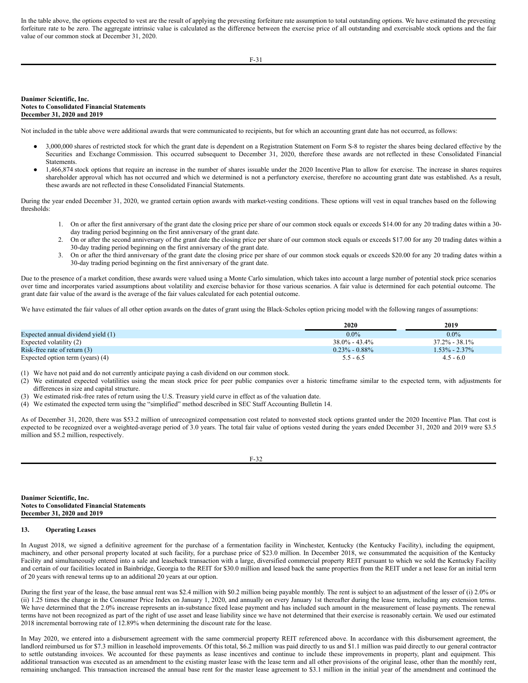In the table above, the options expected to vest are the result of applying the prevesting forfeiture rate assumption to total outstanding options. We have estimated the prevesting forfeiture rate to be zero. The aggregate intrinsic value is calculated as the difference between the exercise price of all outstanding and exercisable stock options and the fair value of our common stock at December 31, 2020.

### **Danimer Scientific, Inc. Notes to Consolidated Financial Statements December 31, 2020 and 2019**

Not included in the table above were additional awards that were communicated to recipients, but for which an accounting grant date has not occurred, as follows:

- 3,000,000 shares of restricted stock for which the grant date is dependent on a Registration Statement on Form S-8 to register the shares being declared effective by the Securities and Exchange Commission. This occurred subsequent to December 31, 2020, therefore these awards are not reflected in these Consolidated Financial Statements.
- 1,466,874 stock options that require an increase in the number of shares issuable under the 2020 Incentive Plan to allow for exercise. The increase in shares requires shareholder approval which has not occurred and which we determined is not a perfunctory exercise, therefore no accounting grant date was established. As a result, these awards are not reflected in these Consolidated Financial Statements.

During the year ended December 31, 2020, we granted certain option awards with market-vesting conditions. These options will vest in equal tranches based on the following thresholds:

- 1. On or after the first anniversary of the grant date the closing price per share of our common stock equals or exceeds \$14.00 for any 20 trading dates within a 30 day trading period beginning on the first anniversary of the grant date.
- 2. On or after the second anniversary of the grant date the closing price per share of our common stock equals or exceeds \$17.00 for any 20 trading dates within a 30-day trading period beginning on the first anniversary of the grant date.
- 3. On or after the third anniversary of the grant date the closing price per share of our common stock equals or exceeds \$20.00 for any 20 trading dates within a 30-day trading period beginning on the first anniversary of the grant date.

Due to the presence of a market condition, these awards were valued using a Monte Carlo simulation, which takes into account a large number of potential stock price scenarios over time and incorporates varied assumptions about volatility and exercise behavior for those various scenarios. A fair value is determined for each potential outcome. The grant date fair value of the award is the average of the fair values calculated for each potential outcome.

We have estimated the fair values of all other option awards on the dates of grant using the Black-Scholes option pricing model with the following ranges of assumptions:

|                                    | 2020              | 2019              |
|------------------------------------|-------------------|-------------------|
| Expected annual dividend yield (1) | $0.0\%$           | $0.0\%$           |
| Expected volatility (2)            | $38.0\% - 43.4\%$ | $37.2\% - 38.1\%$ |
| Risk-free rate of return (3)       | $0.23\% - 0.88\%$ | $1.53\% - 2.37\%$ |
| Expected option term (years) (4)   | $5.5 - 6.5$       | $4.5 - 6.0$       |

(1) We have not paid and do not currently anticipate paying a cash dividend on our common stock.

- (2) We estimated expected volatilities using the mean stock price for peer public companies over a historic timeframe similar to the expected term, with adjustments for differences in size and capital structure.
- (3) We estimated risk-free rates of return using the U.S. Treasury yield curve in effect as of the valuation date.
- (4) We estimated the expected term using the "simplified" method described in SEC Staff Accounting Bulletin 14.

As of December 31, 2020, there was \$53.2 million of unrecognized compensation cost related to nonvested stock options granted under the 2020 Incentive Plan. That cost is expected to be recognized over a weighted-average period of 3.0 years. The total fair value of options vested during the years ended December 31, 2020 and 2019 were \$3.5 million and \$5.2 million, respectively.

F-32

**Danimer Scientific, Inc. Notes to Consolidated Financial Statements December 31, 2020 and 2019**

## **13. Operating Leases**

In August 2018, we signed a definitive agreement for the purchase of a fermentation facility in Winchester, Kentucky (the Kentucky Facility), including the equipment, machinery, and other personal property located at such facility, for a purchase price of \$23.0 million. In December 2018, we consummated the acquisition of the Kentucky Facility and simultaneously entered into a sale and leaseback transaction with a large, diversified commercial property REIT pursuant to which we sold the Kentucky Facility and certain of our facilities located in Bainbridge, Georgia to the REIT for \$30.0 million and leased back the same properties from the REIT under a net lease for an initial term of 20 years with renewal terms up to an additional 20 years at our option.

During the first year of the lease, the base annual rent was \$2.4 million with \$0.2 million being payable monthly. The rent is subject to an adjustment of the lesser of (i) 2.0% or (ii) 1.25 times the change in the Consumer Price Index on January 1, 2020, and annually on every January 1st thereafter during the lease term, including any extension terms. We have determined that the 2.0% increase represents an in-substance fixed lease payment and has included such amount in the measurement of lease payments. The renewal terms have not been recognized as part of the right of use asset and lease liability since we have not determined that their exercise is reasonably certain. We used our estimated 2018 incremental borrowing rate of 12.89% when determining the discount rate for the lease.

In May 2020, we entered into a disbursement agreement with the same commercial property REIT referenced above. In accordance with this disbursement agreement, the landlord reimbursed us for \$7.3 million in leasehold improvements. Of this total, \$6.2 million was paid directly to us and \$1.1 million was paid directly to our general contractor to settle outstanding invoices. We accounted for these payments as lease incentives and continue to include these improvements in property, plant and equipment. This additional transaction was executed as an amendment to the existing master lease with the lease term and all other provisions of the original lease, other than the monthly rent, remaining unchanged. This transaction increased the annual base rent for the master lease agreement to \$3.1 million in the initial year of the amendment and continued the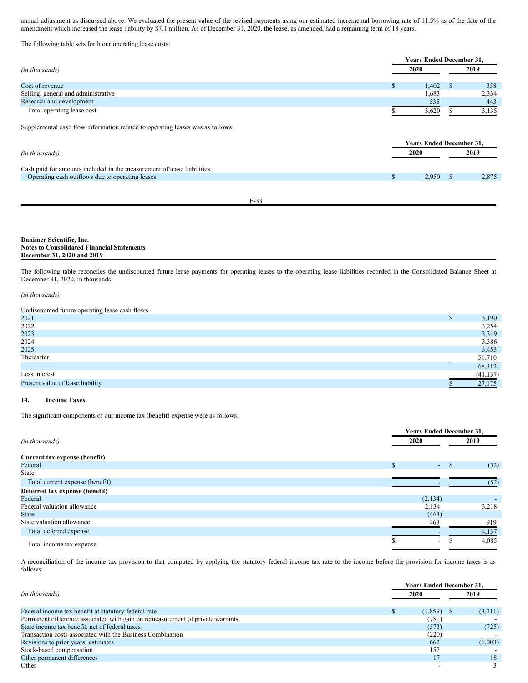annual adjustment as discussed above. We evaluated the present value of the revised payments using our estimated incremental borrowing rate of 11.5% as of the date of the amendment which increased the lease liability by \$7.1 million. As of December 31, 2020, the lease, as amended, had a remaining term of 18 years.

The following table sets forth our operating lease costs:

| 2020<br>1,402<br>1,683<br>535<br>3,620 | <sup>S</sup>  | 2019<br>358<br>2,334<br>443 |  |
|----------------------------------------|---------------|-----------------------------|--|
|                                        |               |                             |  |
|                                        |               |                             |  |
|                                        |               |                             |  |
|                                        |               |                             |  |
|                                        |               | 3,135                       |  |
|                                        |               |                             |  |
| <b>Years Ended December 31,</b>        |               |                             |  |
| 2020                                   |               | 2019                        |  |
|                                        |               |                             |  |
|                                        | <sup>\$</sup> | 2,875                       |  |
| 2,950                                  |               |                             |  |
|                                        |               |                             |  |
|                                        |               |                             |  |

## **Danimer Scientific, Inc. Notes to Consolidated Financial Statements December 31, 2020 and 2019**

The following table reconciles the undiscounted future lease payments for operating leases to the operating lease liabilities recorded in the Consolidated Balance Sheet at December 31, 2020, in thousands:

#### *(in thousands)*

Undiscounted future operating lease cash flows

| 2021                             | 3,190     |
|----------------------------------|-----------|
| 2022                             | 3,254     |
| 2023                             | 3,319     |
| 2024                             | 3,386     |
| 2025                             | 3,453     |
| Thereafter                       | 51,710    |
|                                  | 68,312    |
| Less interest                    | (41, 137) |
| Present value of lease liability | 27,175    |

## **14. Income Taxes**

The significant components of our income tax (benefit) expense were as follows:

|                                 |                          | <b>Years Ended December 31,</b> |  |  |  |  |  |
|---------------------------------|--------------------------|---------------------------------|--|--|--|--|--|
| (in thousands)                  | 2020                     | 2019                            |  |  |  |  |  |
| Current tax expense (benefit)   |                          |                                 |  |  |  |  |  |
| Federal                         | S.<br>$\sim$             | (52)<br>-S                      |  |  |  |  |  |
| State                           |                          |                                 |  |  |  |  |  |
| Total current expense (benefit) |                          | (52)                            |  |  |  |  |  |
| Deferred tax expense (benefit)  |                          |                                 |  |  |  |  |  |
| Federal                         | (2,134)                  |                                 |  |  |  |  |  |
| Federal valuation allowance     | 2,134                    | 3,218                           |  |  |  |  |  |
| <b>State</b>                    | (463)                    |                                 |  |  |  |  |  |
| State valuation allowance       | 463                      | 919                             |  |  |  |  |  |
| Total deferred expense          |                          | 4,137                           |  |  |  |  |  |
| Total income tax expense        | $\overline{\phantom{a}}$ | 4,085                           |  |  |  |  |  |

A reconciliation of the income tax provision to that computed by applying the statutory federal income tax rate to the income before the provision for income taxes is as follows:

|                                                                                | <b>Years Ended December 31,</b> |         |      |         |  |  |
|--------------------------------------------------------------------------------|---------------------------------|---------|------|---------|--|--|
| (in thousands)                                                                 |                                 | 2020    | 2019 |         |  |  |
| Federal income tax benefit at statutory federal rate                           |                                 | (1,859) |      | (3,211) |  |  |
| Permanent difference associated with gain on remeasurement of private warrants |                                 | (781)   |      |         |  |  |
| State income tax benefit, net of federal taxes                                 |                                 | (573)   |      | (725)   |  |  |
| Transaction costs associated with the Business Combination                     |                                 | (220)   |      |         |  |  |
| Revisions to prior years' estimates                                            |                                 | 662     |      | (1,003) |  |  |
| Stock-based compensation                                                       |                                 | 157     |      |         |  |  |
| Other permanent differences                                                    |                                 |         |      | 18      |  |  |
| Other                                                                          |                                 |         |      |         |  |  |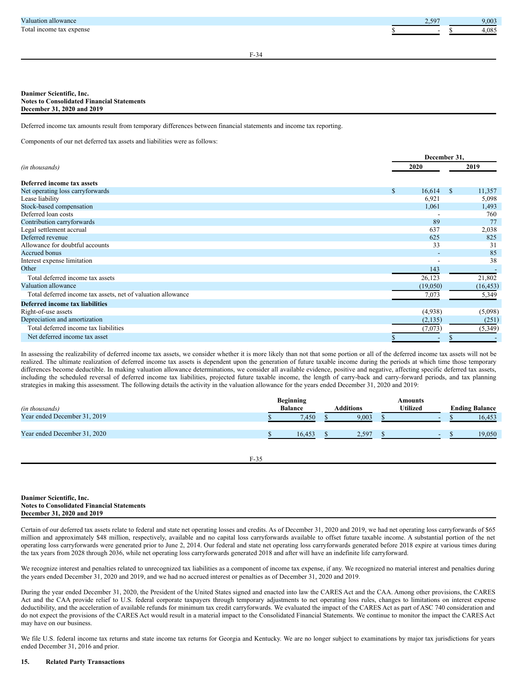| $ -$<br>Valuation.<br>allowance                                                     | $\sim$<br>50.<br>سمد |     |
|-------------------------------------------------------------------------------------|----------------------|-----|
| $\sim$<br>Fota<br>  income<br>expense<br>+^*<br><b>LCLA</b><br>$\sim$ $\sim$ $\sim$ | -                    | 005 |
|                                                                                     |                      |     |

F-34

## **Danimer Scientific, Inc. Notes to Consolidated Financial Statements December 31, 2020 and 2019**

Deferred income tax amounts result from temporary differences between financial statements and income tax reporting.

Components of our net deferred tax assets and liabilities were as follows:

|                                                              |    |          | December 31,  |           |  |  |  |  |
|--------------------------------------------------------------|----|----------|---------------|-----------|--|--|--|--|
| (in thousands)                                               |    | 2020     |               | 2019      |  |  |  |  |
| Deferred income tax assets                                   |    |          |               |           |  |  |  |  |
| Net operating loss carryforwards                             | \$ | 16,614   | <sup>\$</sup> | 11,357    |  |  |  |  |
| Lease liability                                              |    | 6,921    |               | 5,098     |  |  |  |  |
| Stock-based compensation                                     |    | 1,061    |               | 1,493     |  |  |  |  |
| Deferred loan costs                                          |    |          |               | 760       |  |  |  |  |
| Contribution carryforwards                                   |    | 89       |               | 77        |  |  |  |  |
| Legal settlement accrual                                     |    | 637      |               | 2,038     |  |  |  |  |
| Deferred revenue                                             |    | 625      |               | 825       |  |  |  |  |
| Allowance for doubtful accounts                              |    | 33       |               | 31        |  |  |  |  |
| <b>Accrued bonus</b>                                         |    |          |               | 85        |  |  |  |  |
| Interest expense limitation                                  |    |          |               | 38        |  |  |  |  |
| Other                                                        |    | 143      |               |           |  |  |  |  |
| Total deferred income tax assets                             |    | 26,123   |               | 21,802    |  |  |  |  |
| Valuation allowance                                          |    | (19,050) |               | (16, 453) |  |  |  |  |
| Total deferred income tax assets, net of valuation allowance |    | 7,073    |               | 5,349     |  |  |  |  |
| <b>Deferred income tax liabilities</b>                       |    |          |               |           |  |  |  |  |
| Right-of-use assets                                          |    | (4,938)  |               | (5,098)   |  |  |  |  |
| Depreciation and amortization                                |    | (2,135)  |               | (251)     |  |  |  |  |
| Total deferred income tax liabilities                        |    | (7,073)  |               | (5,349)   |  |  |  |  |
| Net deferred income tax asset                                |    |          |               |           |  |  |  |  |

In assessing the realizability of deferred income tax assets, we consider whether it is more likely than not that some portion or all of the deferred income tax assets will not be realized. The ultimate realization of deferred income tax assets is dependent upon the generation of future taxable income during the periods at which time those temporary differences become deductible. In making valuation allowance determinations, we consider all available evidence, positive and negative, affecting specific deferred tax assets, including the scheduled reversal of deferred income tax liabilities, projected future taxable income, the length of carry-back and carry-forward periods, and tax planning strategies in making this assessment. The following details the activity in the valuation allowance for the years ended December 31, 2020 and 2019:

|                              | <b>Beginning</b> |                |  |       |  | Amounts   |                          |                 |        |                |  |
|------------------------------|------------------|----------------|--|-------|--|-----------|--------------------------|-----------------|--------|----------------|--|
| (in thousands)               |                  | <b>Balance</b> |  |       |  | Additions |                          | <b>Utilized</b> |        | Ending Balance |  |
| Year ended December 31, 2019 |                  | 7.450          |  | 9.003 |  |           | $\overline{\phantom{0}}$ |                 | 16.453 |                |  |
| Year ended December 31, 2020 |                  | 16.453         |  | 2.597 |  |           | $\overline{\phantom{0}}$ |                 | 19.050 |                |  |

F-35

## **Danimer Scientific, Inc. Notes to Consolidated Financial Statements December 31, 2020 and 2019**

Certain of our deferred tax assets relate to federal and state net operating losses and credits. As of December 31, 2020 and 2019, we had net operating loss carryforwards of \$65 million and approximately \$48 million, respectively, available and no capital loss carryforwards available to offset future taxable income. A substantial portion of the net operating loss carryforwards were generated prior to June 2, 2014. Our federal and state net operating loss carryforwards generated before 2018 expire at various times during the tax years from 2028 through 2036, while net operating loss carryforwards generated 2018 and after will have an indefinite life carryforward.

We recognize interest and penalties related to unrecognized tax liabilities as a component of income tax expense, if any. We recognized no material interest and penalties during the years ended December 31, 2020 and 2019, and we had no accrued interest or penalties as of December 31, 2020 and 2019.

During the year ended December 31, 2020, the President of the United States signed and enacted into law the CARES Act and the CAA. Among other provisions, the CARES Act and the CAA provide relief to U.S. federal corporate taxpayers through temporary adjustments to net operating loss rules, changes to limitations on interest expense deductibility, and the acceleration of available refunds for minimum tax credit carryforwards. We evaluated the impact of the CARES Act as part of ASC 740 consideration and do not expect the provisions of the CARES Act would result in a material impact to the Consolidated Financial Statements. We continue to monitor the impact the CARES Act may have on our business.

We file U.S. federal income tax returns and state income tax returns for Georgia and Kentucky. We are no longer subject to examinations by major tax jurisdictions for years ended December 31, 2016 and prior.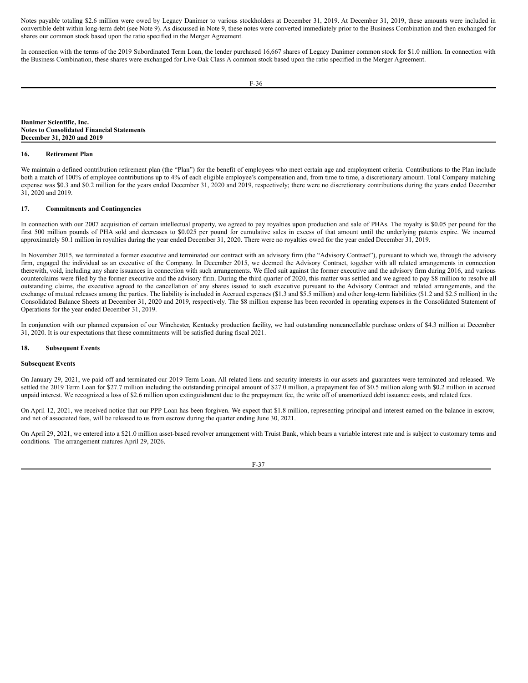Notes payable totaling \$2.6 million were owed by Legacy Danimer to various stockholders at December 31, 2019. At December 31, 2019, these amounts were included in convertible debt within long-term debt (see Note 9). As discussed in Note 9, these notes were converted immediately prior to the Business Combination and then exchanged for shares our common stock based upon the ratio specified in the Merger Agreement.

In connection with the terms of the 2019 Subordinated Term Loan, the lender purchased 16,667 shares of Legacy Danimer common stock for \$1.0 million. In connection with the Business Combination, these shares were exchanged for Live Oak Class A common stock based upon the ratio specified in the Merger Agreement.

**Danimer Scientific, Inc. Notes to Consolidated Financial Statements December 31, 2020 and 2019**

### **16. Retirement Plan**

We maintain a defined contribution retirement plan (the "Plan") for the benefit of employees who meet certain age and employment criteria. Contributions to the Plan include both a match of 100% of employee contributions up to 4% of each eligible employee's compensation and, from time to time, a discretionary amount. Total Company matching expense was \$0.3 and \$0.2 million for the years ended December 31, 2020 and 2019, respectively; there were no discretionary contributions during the years ended December 31, 2020 and 2019.

### **17. Commitments and Contingencies**

In connection with our 2007 acquisition of certain intellectual property, we agreed to pay royalties upon production and sale of PHAs. The royalty is \$0.05 per pound for the first 500 million pounds of PHA sold and decreases to \$0.025 per pound for cumulative sales in excess of that amount until the underlying patents expire. We incurred approximately \$0.1 million in royalties during the year ended December 31, 2020. There were no royalties owed for the year ended December 31, 2019.

In November 2015, we terminated a former executive and terminated our contract with an advisory firm (the "Advisory Contract"), pursuant to which we, through the advisory firm, engaged the individual as an executive of the Company. In December 2015, we deemed the Advisory Contract, together with all related arrangements in connection therewith, void, including any share issuances in connection with such arrangements. We filed suit against the former executive and the advisory firm during 2016, and various counterclaims were filed by the former executive and the advisory firm. During the third quarter of 2020, this matter was settled and we agreed to pay \$8 million to resolve all outstanding claims, the executive agreed to the cancellation of any shares issued to such executive pursuant to the Advisory Contract and related arrangements, and the exchange of mutual releases among the parties. The liability is included in Accrued expenses (\$1.3 and \$5.5 million) and other long-term liabilities (\$1.2 and \$2.5 million) in the Consolidated Balance Sheets at December 31, 2020 and 2019, respectively. The \$8 million expense has been recorded in operating expenses in the Consolidated Statement of Operations for the year ended December 31, 2019.

In conjunction with our planned expansion of our Winchester, Kentucky production facility, we had outstanding noncancellable purchase orders of \$4.3 million at December 31, 2020. It is our expectations that these commitments will be satisfied during fiscal 2021.

#### **18. Subsequent Events**

## **Subsequent Events**

On January 29, 2021, we paid off and terminated our 2019 Term Loan. All related liens and security interests in our assets and guarantees were terminated and released. We settled the 2019 Term Loan for \$27.7 million including the outstanding principal amount of \$27.0 million, a prepayment fee of \$0.5 million along with \$0.2 million in accrued unpaid interest. We recognized a loss of \$2.6 million upon extinguishment due to the prepayment fee, the write off of unamortized debt issuance costs, and related fees.

On April 12, 2021, we received notice that our PPP Loan has been forgiven. We expect that \$1.8 million, representing principal and interest earned on the balance in escrow, and net of associated fees, will be released to us from escrow during the quarter ending June 30, 2021.

On April 29, 2021, we entered into a \$21.0 million asset-based revolver arrangement with Truist Bank, which bears a variable interest rate and is subject to customary terms and conditions. The arrangement matures April 29, 2026.

F-37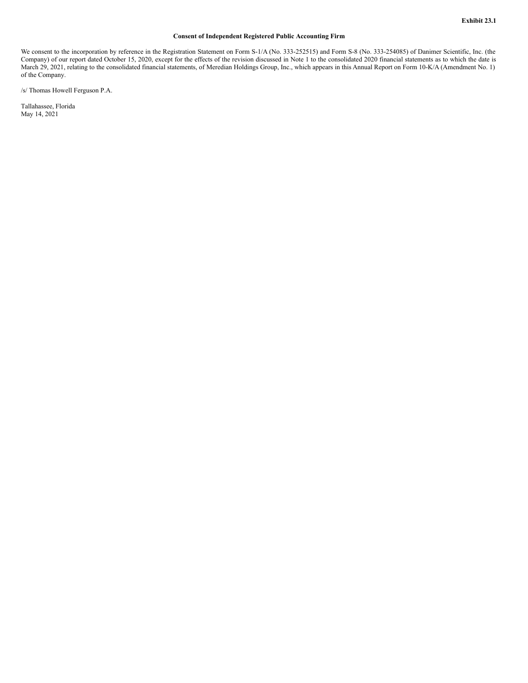## **Consent of Independent Registered Public Accounting Firm**

<span id="page-61-0"></span>We consent to the incorporation by reference in the Registration Statement on Form S-1/A (No. 333-252515) and Form S-8 (No. 333-254085) of Danimer Scientific, Inc. (the Company) of our report dated October 15, 2020, except for the effects of the revision discussed in Note 1 to the consolidated 2020 financial statements as to which the date is March 29, 2021, relating to the consolidated financial statements, of Meredian Holdings Group, Inc., which appears in this Annual Report on Form 10-K/A (Amendment No. 1) of the Company.

/s/ Thomas Howell Ferguson P.A.

Tallahassee, Florida May 14, 2021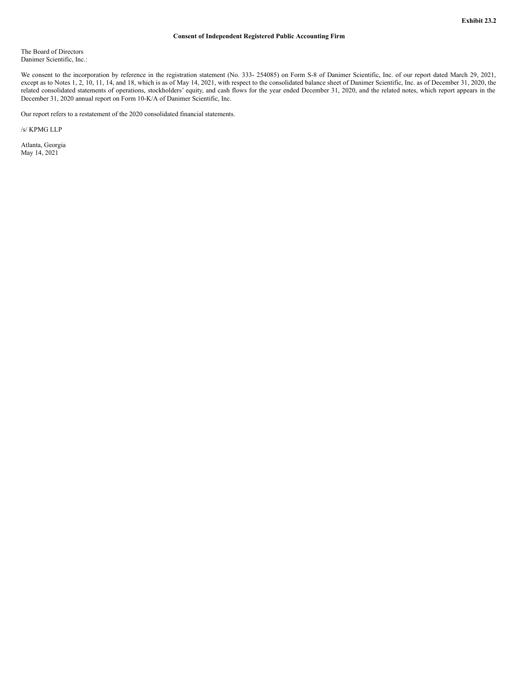## **Consent of Independent Registered Public Accounting Firm**

<span id="page-62-0"></span>The Board of Directors Danimer Scientific, Inc.:

We consent to the incorporation by reference in the registration statement (No. 333- 254085) on Form S-8 of Danimer Scientific, Inc. of our report dated March 29, 2021, except as to Notes 1, 2, 10, 11, 14, and 18, which is as of May 14, 2021, with respect to the consolidated balance sheet of Danimer Scientific, Inc. as of December 31, 2020, the related consolidated statements of operations, stockholders' equity, and cash flows for the year ended December 31, 2020, and the related notes, which report appears in the December 31, 2020 annual report on Form 10-K/A of Danimer Scientific, Inc.

Our report refers to a restatement of the 2020 consolidated financial statements.

/s/ KPMG LLP

Atlanta, Georgia May 14, 2021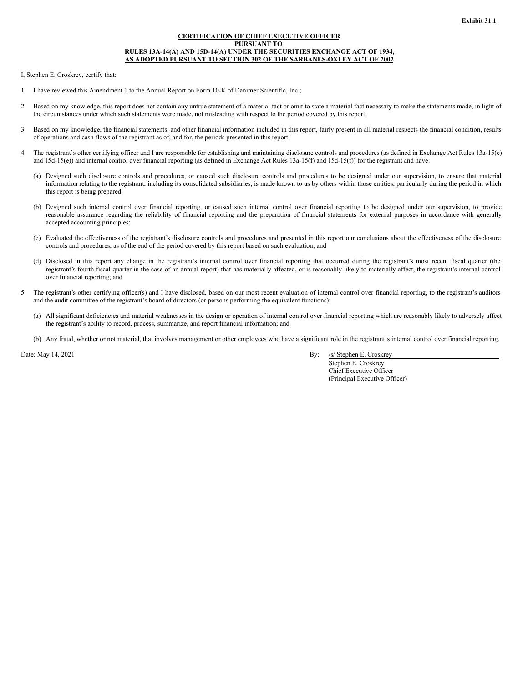## **CERTIFICATION OF CHIEF EXECUTIVE OFFICER PURSUANT TO RULES 13A-14(A) AND 15D-14(A) UNDER THE SECURITIES EXCHANGE ACT OF 1934, AS ADOPTED PURSUANT TO SECTION 302 OF THE SARBANES-OXLEY ACT OF 2002**

<span id="page-63-0"></span>I, Stephen E. Croskrey, certify that:

- 1. I have reviewed this Amendment 1 to the Annual Report on Form 10-K of Danimer Scientific, Inc.;
- 2. Based on my knowledge, this report does not contain any untrue statement of a material fact or omit to state a material fact necessary to make the statements made, in light of the circumstances under which such statements were made, not misleading with respect to the period covered by this report;
- 3. Based on my knowledge, the financial statements, and other financial information included in this report, fairly present in all material respects the financial condition, results of operations and cash flows of the registrant as of, and for, the periods presented in this report;
- 4. The registrant's other certifying officer and I are responsible for establishing and maintaining disclosure controls and procedures (as defined in Exchange Act Rules 13a-15(e) and 15d-15(e)) and internal control over financial reporting (as defined in Exchange Act Rules 13a-15(f) and 15d-15(f)) for the registrant and have:
	- (a) Designed such disclosure controls and procedures, or caused such disclosure controls and procedures to be designed under our supervision, to ensure that material information relating to the registrant, including its consolidated subsidiaries, is made known to us by others within those entities, particularly during the period in which this report is being prepared;
	- (b) Designed such internal control over financial reporting, or caused such internal control over financial reporting to be designed under our supervision, to provide reasonable assurance regarding the reliability of financial reporting and the preparation of financial statements for external purposes in accordance with generally accepted accounting principles;
	- (c) Evaluated the effectiveness of the registrant's disclosure controls and procedures and presented in this report our conclusions about the effectiveness of the disclosure controls and procedures, as of the end of the period covered by this report based on such evaluation; and
	- (d) Disclosed in this report any change in the registrant's internal control over financial reporting that occurred during the registrant's most recent fiscal quarter (the registrant's fourth fiscal quarter in the case of an annual report) that has materially affected, or is reasonably likely to materially affect, the registrant's internal control over financial reporting; and
- 5. The registrant's other certifying officer(s) and I have disclosed, based on our most recent evaluation of internal control over financial reporting, to the registrant's auditors and the audit committee of the registrant's board of directors (or persons performing the equivalent functions):
	- (a) All significant deficiencies and material weaknesses in the design or operation of internal control over financial reporting which are reasonably likely to adversely affect the registrant's ability to record, process, summarize, and report financial information; and
	- (b) Any fraud, whether or not material, that involves management or other employees who have a significant role in the registrant's internal control over financial reporting.

Date: May 14, 2021 By: /s/ Stephen E. Croskrey

Stephen E. Croskrey Chief Executive Officer (Principal Executive Officer)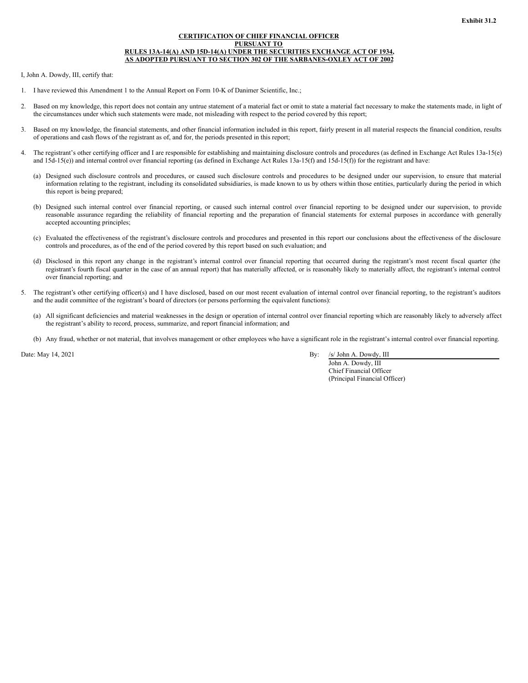## **CERTIFICATION OF CHIEF FINANCIAL OFFICER PURSUANT TO RULES 13A-14(A) AND 15D-14(A) UNDER THE SECURITIES EXCHANGE ACT OF 1934, AS ADOPTED PURSUANT TO SECTION 302 OF THE SARBANES-OXLEY ACT OF 2002**

<span id="page-64-0"></span>I, John A. Dowdy, III, certify that:

- 1. I have reviewed this Amendment 1 to the Annual Report on Form 10-K of Danimer Scientific, Inc.;
- 2. Based on my knowledge, this report does not contain any untrue statement of a material fact or omit to state a material fact necessary to make the statements made, in light of the circumstances under which such statements were made, not misleading with respect to the period covered by this report;
- 3. Based on my knowledge, the financial statements, and other financial information included in this report, fairly present in all material respects the financial condition, results of operations and cash flows of the registrant as of, and for, the periods presented in this report;
- 4. The registrant's other certifying officer and I are responsible for establishing and maintaining disclosure controls and procedures (as defined in Exchange Act Rules 13a-15(e) and 15d-15(e)) and internal control over financial reporting (as defined in Exchange Act Rules 13a-15(f) and 15d-15(f)) for the registrant and have:
	- (a) Designed such disclosure controls and procedures, or caused such disclosure controls and procedures to be designed under our supervision, to ensure that material information relating to the registrant, including its consolidated subsidiaries, is made known to us by others within those entities, particularly during the period in which this report is being prepared;
	- (b) Designed such internal control over financial reporting, or caused such internal control over financial reporting to be designed under our supervision, to provide reasonable assurance regarding the reliability of financial reporting and the preparation of financial statements for external purposes in accordance with generally accepted accounting principles;
	- (c) Evaluated the effectiveness of the registrant's disclosure controls and procedures and presented in this report our conclusions about the effectiveness of the disclosure controls and procedures, as of the end of the period covered by this report based on such evaluation; and
	- (d) Disclosed in this report any change in the registrant's internal control over financial reporting that occurred during the registrant's most recent fiscal quarter (the registrant's fourth fiscal quarter in the case of an annual report) that has materially affected, or is reasonably likely to materially affect, the registrant's internal control over financial reporting; and
- 5. The registrant's other certifying officer(s) and I have disclosed, based on our most recent evaluation of internal control over financial reporting, to the registrant's auditors and the audit committee of the registrant's board of directors (or persons performing the equivalent functions):
	- (a) All significant deficiencies and material weaknesses in the design or operation of internal control over financial reporting which are reasonably likely to adversely affect the registrant's ability to record, process, summarize, and report financial information; and
	- (b) Any fraud, whether or not material, that involves management or other employees who have a significant role in the registrant's internal control over financial reporting.

Date: May 14, 2021 By: /s/ John A. Dowdy, III

John A. Dowdy, III Chief Financial Officer (Principal Financial Officer)